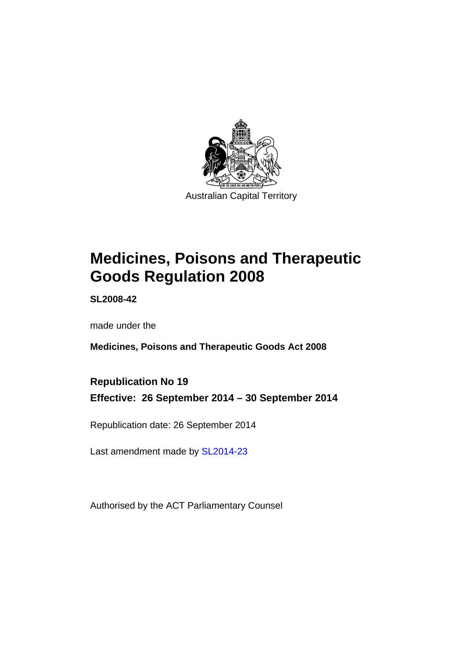

# **Medicines, Poisons and Therapeutic Goods Regulation 2008**

**SL2008-42** 

made under the

**Medicines, Poisons and Therapeutic Goods Act 2008** 

**Republication No 19 Effective: 26 September 2014 – 30 September 2014** 

Republication date: 26 September 2014

Last amendment made by [SL2014-23](http://www.legislation.act.gov.au/sl/2014-23)

Authorised by the ACT Parliamentary Counsel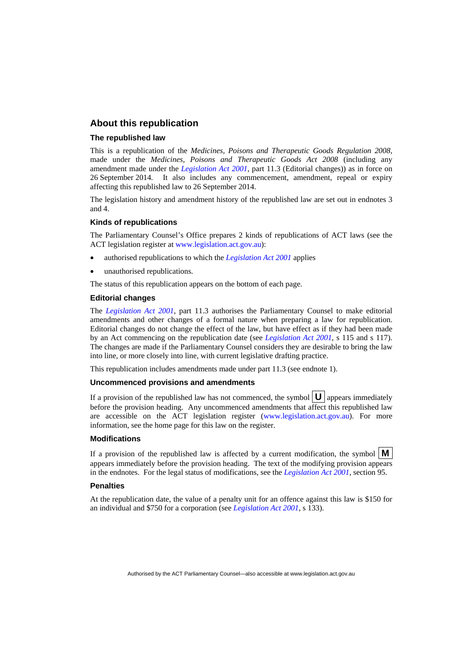### **About this republication**

#### **The republished law**

This is a republication of the *Medicines, Poisons and Therapeutic Goods Regulation 2008*, made under the *Medicines, Poisons and Therapeutic Goods Act 2008* (including any amendment made under the *[Legislation Act 2001](http://www.legislation.act.gov.au/a/2001-14)*, part 11.3 (Editorial changes)) as in force on 26 September 2014*.* It also includes any commencement, amendment, repeal or expiry affecting this republished law to 26 September 2014.

The legislation history and amendment history of the republished law are set out in endnotes 3 and 4.

#### **Kinds of republications**

The Parliamentary Counsel's Office prepares 2 kinds of republications of ACT laws (see the ACT legislation register at [www.legislation.act.gov.au](http://www.legislation.act.gov.au/)):

- authorised republications to which the *[Legislation Act 2001](http://www.legislation.act.gov.au/a/2001-14)* applies
- unauthorised republications.

The status of this republication appears on the bottom of each page.

#### **Editorial changes**

The *[Legislation Act 2001](http://www.legislation.act.gov.au/a/2001-14)*, part 11.3 authorises the Parliamentary Counsel to make editorial amendments and other changes of a formal nature when preparing a law for republication. Editorial changes do not change the effect of the law, but have effect as if they had been made by an Act commencing on the republication date (see *[Legislation Act 2001](http://www.legislation.act.gov.au/a/2001-14)*, s 115 and s 117). The changes are made if the Parliamentary Counsel considers they are desirable to bring the law into line, or more closely into line, with current legislative drafting practice.

This republication includes amendments made under part 11.3 (see endnote 1).

#### **Uncommenced provisions and amendments**

If a provision of the republished law has not commenced, the symbol  $\mathbf{U}$  appears immediately before the provision heading. Any uncommenced amendments that affect this republished law are accessible on the ACT legislation register [\(www.legislation.act.gov.au\)](http://www.legislation.act.gov.au/). For more information, see the home page for this law on the register.

#### **Modifications**

If a provision of the republished law is affected by a current modification, the symbol  $\mathbf{M}$ appears immediately before the provision heading. The text of the modifying provision appears in the endnotes. For the legal status of modifications, see the *[Legislation Act 2001](http://www.legislation.act.gov.au/a/2001-14)*, section 95.

#### **Penalties**

At the republication date, the value of a penalty unit for an offence against this law is \$150 for an individual and \$750 for a corporation (see *[Legislation Act 2001](http://www.legislation.act.gov.au/a/2001-14)*, s 133).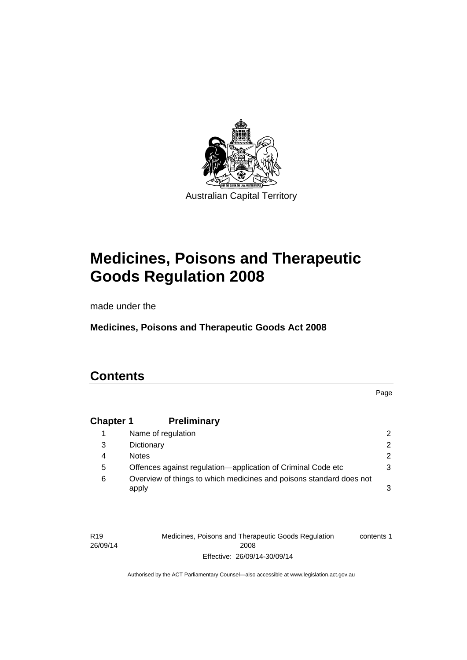

# **Medicines, Poisons and Therapeutic Goods Regulation 2008**

made under the

**Medicines, Poisons and Therapeutic Goods Act 2008** 

# **Contents**

Page

# **Chapter 1 [Preliminary](#page-25-0)**

|   | Name of regulation                                                           | $\mathcal{P}$ |
|---|------------------------------------------------------------------------------|---------------|
| 3 | Dictionary                                                                   | $\mathcal{P}$ |
| 4 | <b>Notes</b>                                                                 | 2.            |
| 5 | Offences against regulation—application of Criminal Code etc                 | 3             |
| 6 | Overview of things to which medicines and poisons standard does not<br>apply | 3             |

| R <sub>19</sub> | Medicines, Poisons and Therapeutic Goods Regulation | contents 1 |
|-----------------|-----------------------------------------------------|------------|
| 26/09/14        | 2008                                                |            |
|                 | Effective: 26/09/14-30/09/14                        |            |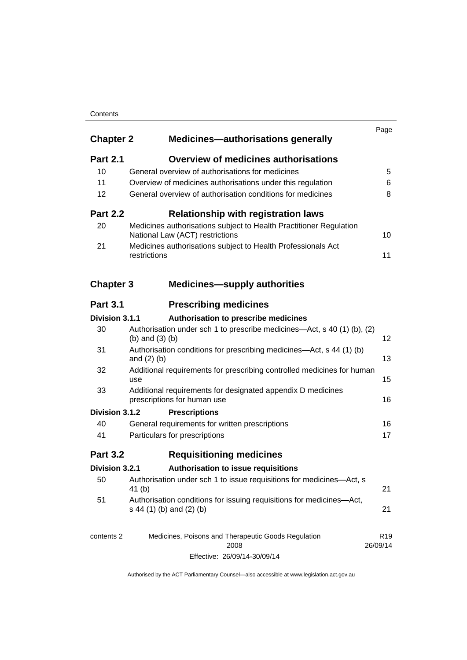### **Contents**

| <b>Chapter 2</b> | <b>Medicines-authorisations generally</b>                                                             | Page                        |
|------------------|-------------------------------------------------------------------------------------------------------|-----------------------------|
| <b>Part 2.1</b>  | <b>Overview of medicines authorisations</b>                                                           |                             |
| 10               | General overview of authorisations for medicines                                                      | 5                           |
| 11               | Overview of medicines authorisations under this regulation                                            | 6                           |
| 12               | General overview of authorisation conditions for medicines                                            | 8                           |
| <b>Part 2.2</b>  | <b>Relationship with registration laws</b>                                                            |                             |
| 20               | Medicines authorisations subject to Health Practitioner Regulation<br>National Law (ACT) restrictions | 10                          |
| 21               | Medicines authorisations subject to Health Professionals Act<br>restrictions                          | 11                          |
| <b>Chapter 3</b> | <b>Medicines—supply authorities</b>                                                                   |                             |
| <b>Part 3.1</b>  | <b>Prescribing medicines</b>                                                                          |                             |
| Division 3.1.1   | Authorisation to prescribe medicines                                                                  |                             |
| 30               | Authorisation under sch 1 to prescribe medicines—Act, s 40 (1) (b), (2)<br>(b) and $(3)$ (b)          | 12                          |
| 31               | Authorisation conditions for prescribing medicines—Act, s 44 (1) (b)<br>and $(2)$ $(b)$               | 13                          |
| 32               | Additional requirements for prescribing controlled medicines for human<br>use                         | 15                          |
| 33               | Additional requirements for designated appendix D medicines<br>prescriptions for human use            | 16                          |
| Division 3.1.2   | <b>Prescriptions</b>                                                                                  |                             |
| 40               | General requirements for written prescriptions                                                        | 16                          |
| 41               | Particulars for prescriptions                                                                         | 17                          |
| <b>Part 3.2</b>  | <b>Requisitioning medicines</b>                                                                       |                             |
| Division 3.2.1   | Authorisation to issue requisitions                                                                   |                             |
| 50               | Authorisation under sch 1 to issue requisitions for medicines-Act, s<br>41(b)                         | 21                          |
| 51               | Authorisation conditions for issuing requisitions for medicines-Act,<br>s 44 (1) (b) and (2) (b)      | 21                          |
| contents 2       | Medicines, Poisons and Therapeutic Goods Regulation<br>2008                                           | R <sub>19</sub><br>26/09/14 |

Effective: 26/09/14-30/09/14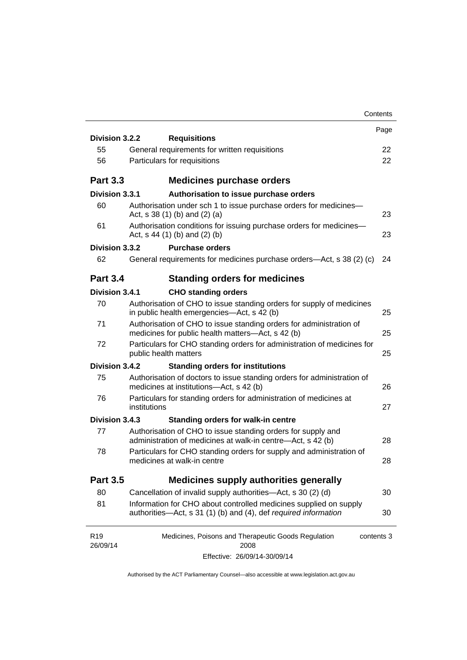|                             |              |                                                                                                                                      | Contents   |
|-----------------------------|--------------|--------------------------------------------------------------------------------------------------------------------------------------|------------|
| Division 3.2.2              |              | <b>Requisitions</b>                                                                                                                  | Page       |
| 55                          |              | General requirements for written requisitions                                                                                        | 22         |
| 56                          |              | Particulars for requisitions                                                                                                         | 22         |
|                             |              |                                                                                                                                      |            |
| <b>Part 3.3</b>             |              | <b>Medicines purchase orders</b>                                                                                                     |            |
| Division 3.3.1              |              | Authorisation to issue purchase orders                                                                                               |            |
| 60                          |              | Authorisation under sch 1 to issue purchase orders for medicines-<br>Act, $s$ 38 (1) (b) and (2) (a)                                 | 23         |
| 61                          |              | Authorisation conditions for issuing purchase orders for medicines-<br>Act, $s$ 44 (1) (b) and (2) (b)                               | 23         |
| Division 3.3.2              |              | <b>Purchase orders</b>                                                                                                               |            |
| 62                          |              | General requirements for medicines purchase orders—Act, s 38 (2) (c)                                                                 | 24         |
| <b>Part 3.4</b>             |              | <b>Standing orders for medicines</b>                                                                                                 |            |
| Division 3.4.1              |              | <b>CHO standing orders</b>                                                                                                           |            |
| 70                          |              | Authorisation of CHO to issue standing orders for supply of medicines<br>in public health emergencies—Act, s 42 (b)                  | 25         |
| 71                          |              | Authorisation of CHO to issue standing orders for administration of<br>medicines for public health matters-Act, s 42 (b)             | 25         |
| 72                          |              | Particulars for CHO standing orders for administration of medicines for<br>public health matters                                     | 25         |
| Division 3.4.2              |              | <b>Standing orders for institutions</b>                                                                                              |            |
| 75                          |              | Authorisation of doctors to issue standing orders for administration of<br>medicines at institutions-Act, s 42 (b)                   | 26         |
| 76                          | institutions | Particulars for standing orders for administration of medicines at                                                                   | 27         |
| Division 3.4.3              |              | <b>Standing orders for walk-in centre</b>                                                                                            |            |
| 77                          |              | Authorisation of CHO to issue standing orders for supply and<br>administration of medicines at walk-in centre-Act, s 42 (b)          | 28         |
| 78                          |              | Particulars for CHO standing orders for supply and administration of<br>medicines at walk-in centre                                  | 28         |
| <b>Part 3.5</b>             |              | <b>Medicines supply authorities generally</b>                                                                                        |            |
| 80                          |              | Cancellation of invalid supply authorities—Act, s 30 (2) (d)                                                                         | 30         |
| 81                          |              | Information for CHO about controlled medicines supplied on supply<br>authorities-Act, s 31 (1) (b) and (4), def required information | 30         |
| R <sub>19</sub><br>26/09/14 |              | Medicines, Poisons and Therapeutic Goods Regulation<br>2008                                                                          | contents 3 |
|                             |              | Effective: 26/09/14-30/09/14                                                                                                         |            |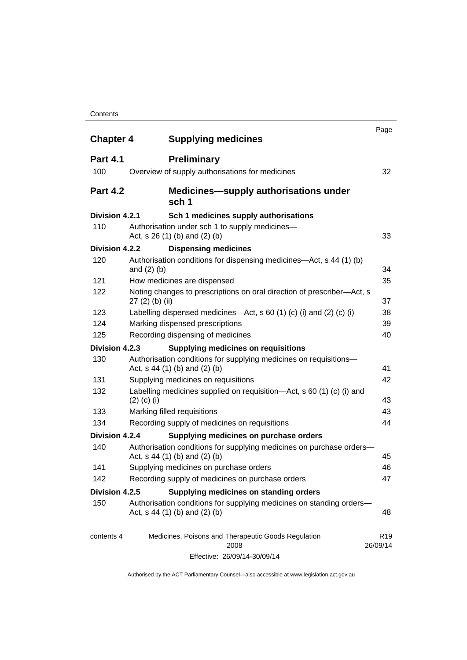#### **Contents**

| <b>Chapter 4</b> | <b>Supplying medicines</b>                                                                              | Page                        |
|------------------|---------------------------------------------------------------------------------------------------------|-----------------------------|
| <b>Part 4.1</b>  | <b>Preliminary</b>                                                                                      |                             |
| 100              | Overview of supply authorisations for medicines                                                         | 32                          |
| <b>Part 4.2</b>  | <b>Medicines—supply authorisations under</b><br>sch 1                                                   |                             |
| Division 4.2.1   | Sch 1 medicines supply authorisations                                                                   |                             |
| 110              | Authorisation under sch 1 to supply medicines-<br>Act, $s$ 26 (1) (b) and (2) (b)                       | 33                          |
| Division 4.2.2   | <b>Dispensing medicines</b>                                                                             |                             |
| 120              | Authorisation conditions for dispensing medicines—Act, s 44 (1) (b)<br>and $(2)$ $(b)$                  | 34                          |
| 121              | How medicines are dispensed                                                                             | 35                          |
| 122              | Noting changes to prescriptions on oral direction of prescriber-Act, s<br>$27(2)$ (b) (ii)              | 37                          |
| 123              | Labelling dispensed medicines—Act, s 60 (1) (c) (i) and (2) (c) (i)                                     | 38                          |
| 124              | Marking dispensed prescriptions                                                                         | 39                          |
| 125              | Recording dispensing of medicines                                                                       | 40                          |
| Division 4.2.3   | <b>Supplying medicines on requisitions</b>                                                              |                             |
| 130              | Authorisation conditions for supplying medicines on requisitions-<br>Act, $s$ 44 (1) (b) and (2) (b)    | 41                          |
| 131              | Supplying medicines on requisitions                                                                     | 42                          |
| 132              | Labelling medicines supplied on requisition—Act, s 60 (1) (c) (i) and<br>$(2)$ (c) (i)                  | 43                          |
| 133              | Marking filled requisitions                                                                             | 43                          |
| 134              | Recording supply of medicines on requisitions                                                           | 44                          |
| Division 4.2.4   | Supplying medicines on purchase orders                                                                  |                             |
| 140              | Authorisation conditions for supplying medicines on purchase orders-<br>Act, s 44 (1) (b) and (2) (b)   | 45                          |
| 141              | Supplying medicines on purchase orders                                                                  | 46                          |
| 142              | Recording supply of medicines on purchase orders                                                        | 47                          |
| Division 4.2.5   | Supplying medicines on standing orders                                                                  |                             |
| 150              | Authorisation conditions for supplying medicines on standing orders-<br>Act, $s$ 44 (1) (b) and (2) (b) | 48                          |
| contents 4       | Medicines, Poisons and Therapeutic Goods Regulation<br>2008                                             | R <sub>19</sub><br>26/09/14 |
|                  | Effective: 26/09/14-30/09/14                                                                            |                             |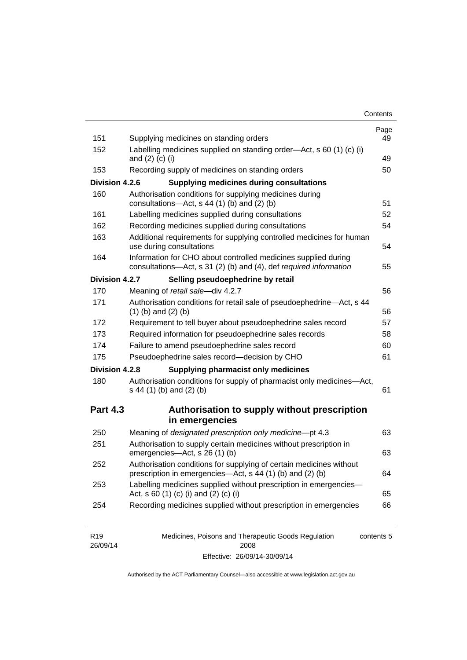| Contents |
|----------|
|----------|

| 151             | Supplying medicines on standing orders                                                                                              | Page<br>49     |
|-----------------|-------------------------------------------------------------------------------------------------------------------------------------|----------------|
| 152             | Labelling medicines supplied on standing order-Act, s 60 (1) (c) (i)<br>and $(2)$ $(c)$ $(i)$                                       | 49             |
| 153             | Recording supply of medicines on standing orders                                                                                    | 50             |
| Division 4.2.6  | <b>Supplying medicines during consultations</b>                                                                                     |                |
| 160             | Authorisation conditions for supplying medicines during<br>consultations-Act, s 44 (1) (b) and (2) (b)                              | 51             |
| 161             | Labelling medicines supplied during consultations                                                                                   | 52             |
| 162             | Recording medicines supplied during consultations                                                                                   | 54             |
| 163             | Additional requirements for supplying controlled medicines for human<br>use during consultations                                    | 54             |
| 164             | Information for CHO about controlled medicines supplied during<br>consultations-Act, s 31 (2) (b) and (4), def required information | 55             |
| Division 4.2.7  | Selling pseudoephedrine by retail                                                                                                   |                |
| 170             | Meaning of retail sale-div 4.2.7                                                                                                    | 56             |
| 171             | Authorisation conditions for retail sale of pseudoephedrine-Act, s 44<br>$(1)$ (b) and $(2)$ (b)                                    | 56             |
| 172             | Requirement to tell buyer about pseudoephedrine sales record                                                                        | 57             |
| 173             | Required information for pseudoephedrine sales records                                                                              | 58             |
| 174             | Failure to amend pseudoephedrine sales record                                                                                       | 60             |
| 175             | Pseudoephedrine sales record-decision by CHO                                                                                        | 61             |
| Division 4.2.8  | <b>Supplying pharmacist only medicines</b>                                                                                          |                |
| 180             | Authorisation conditions for supply of pharmacist only medicines-Act,<br>s 44 (1) (b) and (2) (b)                                   | 61             |
| <b>Part 4.3</b> | Authorisation to supply without prescription                                                                                        |                |
|                 | in emergencies                                                                                                                      |                |
|                 |                                                                                                                                     |                |
| 250             | Meaning of designated prescription only medicine-pt 4.3                                                                             |                |
| 251             | Authorisation to supply certain medicines without prescription in<br>emergencies-Act, s 26 (1) (b)                                  |                |
| 252             | Authorisation conditions for supplying of certain medicines without<br>prescription in emergencies—Act, s 44 (1) (b) and (2) (b)    | 63<br>63<br>64 |
| 253             | Labelling medicines supplied without prescription in emergencies-<br>Act, s 60 (1) (c) (i) and (2) (c) (i)                          | 65             |

| R <sub>19</sub> | Medicines, Poisons and Therapeutic Goods Regulation | contents 5 |
|-----------------|-----------------------------------------------------|------------|
| 26/09/14        | 2008                                                |            |
|                 | Effective: 26/09/14-30/09/14                        |            |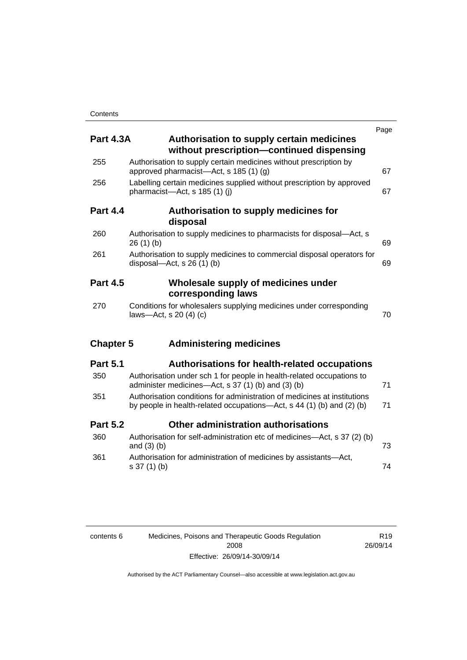| <b>Part 4.3A</b> | <b>Authorisation to supply certain medicines</b><br>without prescription-continued dispensing                                                     | Page |
|------------------|---------------------------------------------------------------------------------------------------------------------------------------------------|------|
| 255              | Authorisation to supply certain medicines without prescription by<br>approved pharmacist—Act, s 185 (1) (g)                                       | 67   |
| 256              | Labelling certain medicines supplied without prescription by approved<br>pharmacist-Act, s 185 (1) (i)                                            | 67   |
| <b>Part 4.4</b>  | Authorisation to supply medicines for<br>disposal                                                                                                 |      |
| 260              | Authorisation to supply medicines to pharmacists for disposal-Act, s<br>26(1)(b)                                                                  | 69   |
| 261              | Authorisation to supply medicines to commercial disposal operators for<br>disposal—Act, s $26(1)(b)$                                              | 69   |
| <b>Part 4.5</b>  | Wholesale supply of medicines under<br>corresponding laws                                                                                         |      |
| 270              | Conditions for wholesalers supplying medicines under corresponding<br>laws-Act, s 20 (4) (c)                                                      | 70   |
| <b>Chapter 5</b> | <b>Administering medicines</b>                                                                                                                    |      |
| <b>Part 5.1</b>  | <b>Authorisations for health-related occupations</b>                                                                                              |      |
| 350              | Authorisation under sch 1 for people in health-related occupations to<br>administer medicines—Act, s 37 (1) (b) and (3) (b)                       | 71   |
| 351              | Authorisation conditions for administration of medicines at institutions<br>by people in health-related occupations—Act, s 44 (1) (b) and (2) (b) | 71   |
| <b>Part 5.2</b>  | Other administration authorisations                                                                                                               |      |
| 360              | Authorisation for self-administration etc of medicines-Act, s 37 (2) (b)<br>and $(3)$ $(b)$                                                       | 73   |
| 361              | Authorisation for administration of medicines by assistants-Act,<br>s 37 (1) (b)                                                                  | 74   |

| contents 6 | Medicines, Poisons and Therapeutic Goods Regulation |
|------------|-----------------------------------------------------|
|            | 2008                                                |
|            | Effective: 26/09/14-30/09/14                        |

R19 26/09/14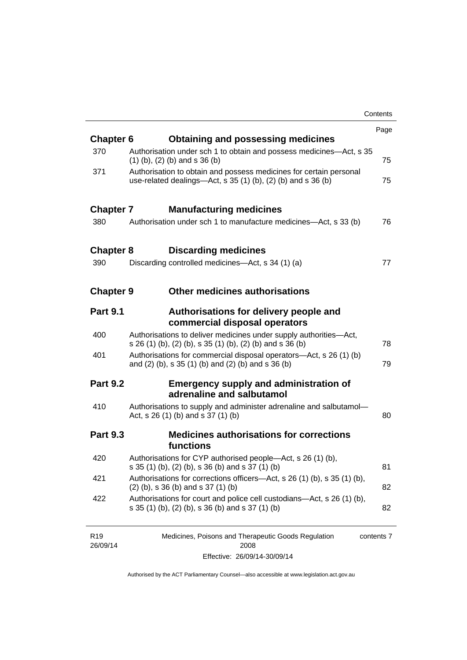|                  |                                                                                                                                       | Contents |
|------------------|---------------------------------------------------------------------------------------------------------------------------------------|----------|
|                  |                                                                                                                                       | Page     |
| <b>Chapter 6</b> | <b>Obtaining and possessing medicines</b>                                                                                             |          |
| 370              | Authorisation under sch 1 to obtain and possess medicines—Act, s 35<br>$(1)$ (b), (2) (b) and s 36 (b)                                | 75       |
| 371              | Authorisation to obtain and possess medicines for certain personal<br>use-related dealings—Act, s $35(1)(b)$ , $(2)(b)$ and s $36(b)$ | 75       |
| <b>Chapter 7</b> | <b>Manufacturing medicines</b>                                                                                                        |          |
| 380              | Authorisation under sch 1 to manufacture medicines—Act, s 33 (b)                                                                      | 76       |
| <b>Chapter 8</b> | <b>Discarding medicines</b>                                                                                                           |          |
| 390              | Discarding controlled medicines—Act, s 34 (1) (a)                                                                                     | 77       |
| <b>Chapter 9</b> | <b>Other medicines authorisations</b>                                                                                                 |          |
| <b>Part 9.1</b>  | Authorisations for delivery people and<br>commercial disposal operators                                                               |          |
| 400              | Authorisations to deliver medicines under supply authorities-Act,<br>s 26 (1) (b), (2) (b), s 35 (1) (b), (2) (b) and s 36 (b)        | 78       |
| 401              | Authorisations for commercial disposal operators—Act, s 26 (1) (b)<br>and (2) (b), s 35 (1) (b) and (2) (b) and s 36 (b)              | 79       |
| <b>Part 9.2</b>  | <b>Emergency supply and administration of</b><br>adrenaline and salbutamol                                                            |          |
| 410              | Authorisations to supply and administer adrenaline and salbutamol-<br>Act, s 26 (1) (b) and s 37 (1) (b)                              | 80       |
| <b>Part 9.3</b>  | <b>Medicines authorisations for corrections</b><br>functions                                                                          |          |
| 420              | Authorisations for CYP authorised people-Act, s 26 (1) (b),<br>s 35 (1) (b), (2) (b), s 36 (b) and s 37 (1) (b)                       | 81       |
| 421              | Authorisations for corrections officers—Act, s 26 (1) (b), s 35 (1) (b),<br>$(2)$ (b), s 36 (b) and s 37 (1) (b)                      | 82       |
| 422              | Authorisations for court and police cell custodians—Act, s 26 (1) (b),<br>s 35 (1) (b), (2) (b), s 36 (b) and s 37 (1) (b)            | 82       |
|                  |                                                                                                                                       |          |

| R <sub>19</sub> | Medicines, Poisons and Therapeutic Goods Regulation | contents 7 |
|-----------------|-----------------------------------------------------|------------|
| 26/09/14        | 2008                                                |            |
|                 | Effective: 26/09/14-30/09/14                        |            |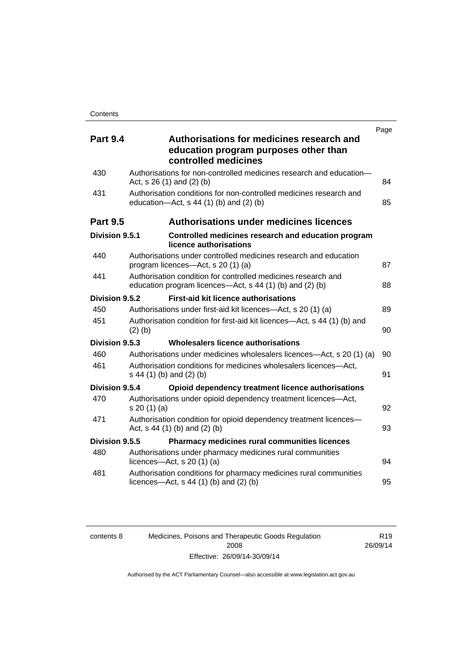| <b>Part 9.4</b> | Page<br>Authorisations for medicines research and                                                                         |    |
|-----------------|---------------------------------------------------------------------------------------------------------------------------|----|
|                 | education program purposes other than<br>controlled medicines                                                             |    |
| 430             | Authorisations for non-controlled medicines research and education-<br>Act, $s$ 26 (1) and (2) (b)                        | 84 |
| 431             | Authorisation conditions for non-controlled medicines research and<br>education- $Act$ , s 44 (1) (b) and (2) (b)         | 85 |
| <b>Part 9.5</b> | <b>Authorisations under medicines licences</b>                                                                            |    |
| Division 9.5.1  | Controlled medicines research and education program<br>licence authorisations                                             |    |
| 440             | Authorisations under controlled medicines research and education<br>program licences—Act, s 20 (1) (a)                    | 87 |
| 441             | Authorisation condition for controlled medicines research and<br>education program licences—Act, s 44 (1) (b) and (2) (b) | 88 |
| Division 9.5.2  | <b>First-aid kit licence authorisations</b>                                                                               |    |
| 450             | Authorisations under first-aid kit licences—Act, s 20 (1) (a)                                                             | 89 |
| 451             | Authorisation condition for first-aid kit licences—Act, s 44 (1) (b) and<br>$(2)$ (b)                                     | 90 |
| Division 9.5.3  | Wholesalers licence authorisations                                                                                        |    |
| 460             | Authorisations under medicines wholesalers licences—Act, s 20 (1) (a)                                                     | 90 |
| 461             | Authorisation conditions for medicines wholesalers licences-Act,<br>s 44 (1) (b) and (2) (b)                              | 91 |
| Division 9.5.4  | Opioid dependency treatment licence authorisations                                                                        |    |
| 470             | Authorisations under opioid dependency treatment licences-Act,<br>s 20 (1) (a)                                            | 92 |
| 471             | Authorisation condition for opioid dependency treatment licences-<br>Act, s 44 (1) (b) and (2) (b)                        | 93 |
| Division 9.5.5  | <b>Pharmacy medicines rural communities licences</b>                                                                      |    |
| 480             | Authorisations under pharmacy medicines rural communities<br>licences- $-\text{Act}$ , s 20 (1) (a)                       | 94 |
| 481             | Authorisation conditions for pharmacy medicines rural communities<br>licences—Act, $s$ 44 (1) (b) and (2) (b)             | 95 |

| contents 8 |  |
|------------|--|
|            |  |
|            |  |

Medicines, Poisons and Therapeutic Goods Regulation 2008 Effective: 26/09/14-30/09/14

R19 26/09/14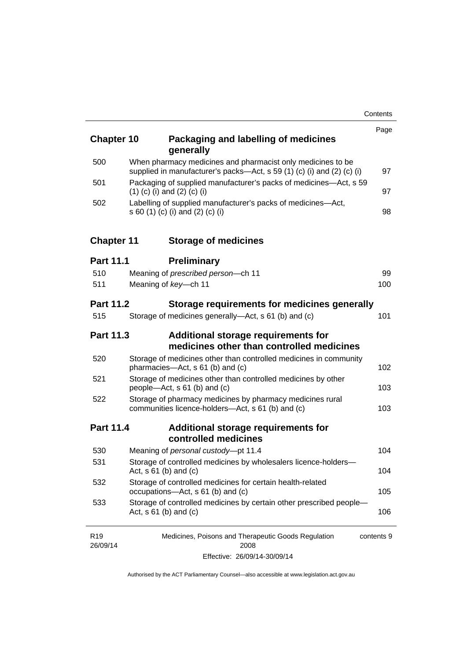| <b>Chapter 10</b>           | Packaging and labelling of medicines<br>generally                                                                                     | Page       |
|-----------------------------|---------------------------------------------------------------------------------------------------------------------------------------|------------|
| 500                         | When pharmacy medicines and pharmacist only medicines to be<br>supplied in manufacturer's packs-Act, s 59 (1) (c) (i) and (2) (c) (i) | 97         |
| 501                         | Packaging of supplied manufacturer's packs of medicines—Act, s 59<br>$(1)$ (c) (i) and (2) (c) (i)                                    | 97         |
| 502                         | Labelling of supplied manufacturer's packs of medicines-Act,<br>s 60 (1) (c) (i) and (2) (c) (i)                                      | 98         |
| <b>Chapter 11</b>           | <b>Storage of medicines</b>                                                                                                           |            |
| <b>Part 11.1</b>            | <b>Preliminary</b>                                                                                                                    |            |
| 510                         | Meaning of prescribed person-ch 11                                                                                                    | 99         |
| 511                         | Meaning of key-ch 11                                                                                                                  | 100        |
| <b>Part 11.2</b>            | Storage requirements for medicines generally                                                                                          |            |
| 515                         | Storage of medicines generally—Act, s 61 (b) and (c)                                                                                  | 101        |
| <b>Part 11.3</b>            | Additional storage requirements for<br>medicines other than controlled medicines                                                      |            |
| 520                         | Storage of medicines other than controlled medicines in community<br>pharmacies-Act, s 61 (b) and (c)                                 | 102        |
| 521                         | Storage of medicines other than controlled medicines by other<br>people-Act, s 61 (b) and (c)                                         | 103        |
| 522                         | Storage of pharmacy medicines by pharmacy medicines rural<br>communities licence-holders-Act, s 61 (b) and (c)                        | 103        |
| <b>Part 11.4</b>            | Additional storage requirements for<br>controlled medicines                                                                           |            |
| 530                         | Meaning of personal custody-pt 11.4                                                                                                   | 104        |
| 531                         | Storage of controlled medicines by wholesalers licence-holders-<br>Act, $s \ 61$ (b) and (c)                                          | 104        |
| 532                         | Storage of controlled medicines for certain health-related<br>occupations-Act, s 61 (b) and (c)                                       | 105        |
| 533                         | Storage of controlled medicines by certain other prescribed people-<br>Act, $s \ 61$ (b) and (c)                                      | 106        |
| R <sub>19</sub><br>26/09/14 | Medicines, Poisons and Therapeutic Goods Regulation<br>2008                                                                           | contents 9 |

Effective: 26/09/14-30/09/14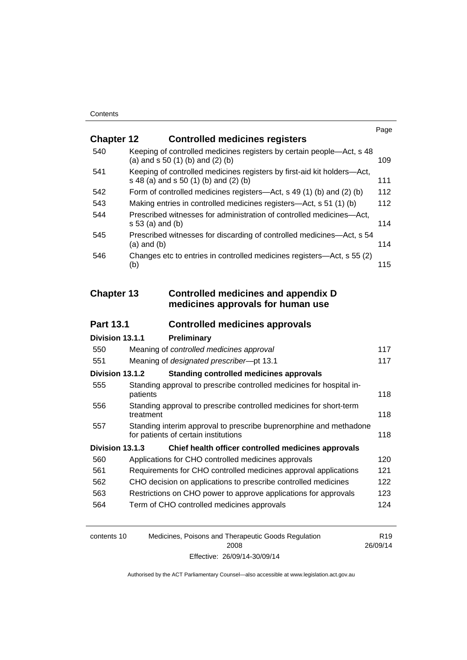|                   |                                                                                                                  | Page |
|-------------------|------------------------------------------------------------------------------------------------------------------|------|
| <b>Chapter 12</b> | <b>Controlled medicines registers</b>                                                                            |      |
| 540               | Keeping of controlled medicines registers by certain people-Act, s 48<br>(a) and $s$ 50 (1) (b) and (2) (b)      | 109  |
| 541               | Keeping of controlled medicines registers by first-aid kit holders-Act,<br>s 48 (a) and s 50 (1) (b) and (2) (b) | 111  |
| 542               | Form of controlled medicines registers—Act, s 49 (1) (b) and (2) (b)                                             | 112  |
| 543               | Making entries in controlled medicines registers—Act, s 51 (1) (b)                                               | 112  |
| 544               | Prescribed witnesses for administration of controlled medicines-Act,<br>s 53 (a) and (b)                         | 114  |
| 545               | Prescribed witnesses for discarding of controlled medicines—Act, s 54<br>$(a)$ and $(b)$                         | 114  |
| 546               | Changes etc to entries in controlled medicines registers-Act, s 55 (2)<br>(b)                                    | 115  |
| <b>Chapter 13</b> | <b>Controlled medicines and appendix D</b><br>medicines approvals for human use                                  |      |
| <b>Part 13.1</b>  | <b>Controlled medicines approvals</b>                                                                            |      |
| Division 13.1.1   | Preliminary                                                                                                      |      |
| 550               | Meaning of controlled medicines approval                                                                         | 117  |
| 551               | Meaning of designated prescriber-pt 13.1                                                                         | 117  |
| Division 13.1.2   | <b>Standing controlled medicines approvals</b>                                                                   |      |
| 555               | Standing approval to prescribe controlled medicines for hospital in-<br>patients                                 | 118  |
| 556               | Standing approval to prescribe controlled medicines for short-term<br>treatment                                  | 118  |
| 557               | Standing interim approval to prescribe buprenorphine and methadone<br>for patients of certain institutions       | 118  |
| Division 13.1.3   | Chief health officer controlled medicines approvals                                                              |      |
| 560               | Applications for CHO controlled medicines approvals                                                              | 120  |
| 561               | Requirements for CHO controlled medicines approval applications                                                  | 121  |
| 562               | CHO decision on applications to prescribe controlled medicines                                                   | 122  |
| 563               |                                                                                                                  |      |
| 564               | Restrictions on CHO power to approve applications for approvals                                                  | 123  |
|                   | Term of CHO controlled medicines approvals                                                                       | 124  |

| contents 10 | Medicines, Poisons and Therapeutic Goods Regulation | R <sub>19</sub> |
|-------------|-----------------------------------------------------|-----------------|
|             | 2008                                                | 26/09/14        |
|             | Effective: 26/09/14-30/09/14                        |                 |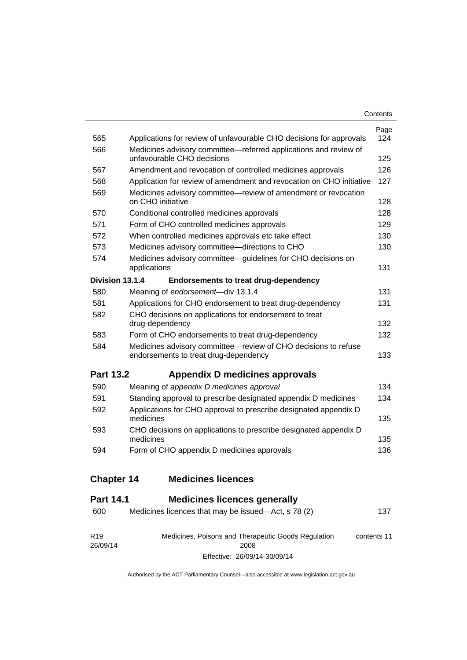| Contents |
|----------|
|----------|

| 565               | Applications for review of unfavourable CHO decisions for approvals                                     | Page<br>124 |
|-------------------|---------------------------------------------------------------------------------------------------------|-------------|
| 566               | Medicines advisory committee—referred applications and review of<br>unfavourable CHO decisions          | 125         |
| 567               | Amendment and revocation of controlled medicines approvals                                              | 126         |
| 568               | Application for review of amendment and revocation on CHO initiative                                    | 127         |
| 569               | Medicines advisory committee-review of amendment or revocation<br>on CHO initiative                     | 128         |
| 570               | Conditional controlled medicines approvals                                                              | 128         |
| 571               | Form of CHO controlled medicines approvals                                                              | 129         |
| 572               | When controlled medicines approvals etc take effect                                                     | 130         |
| 573               | Medicines advisory committee-directions to CHO                                                          | 130         |
| 574               | Medicines advisory committee—guidelines for CHO decisions on<br>applications                            | 131         |
| Division 13.1.4   | <b>Endorsements to treat drug-dependency</b>                                                            |             |
| 580               | Meaning of endorsement-div 13.1.4                                                                       | 131         |
| 581               | Applications for CHO endorsement to treat drug-dependency                                               | 131         |
| 582               | CHO decisions on applications for endorsement to treat<br>drug-dependency                               | 132         |
| 583               | Form of CHO endorsements to treat drug-dependency                                                       | 132         |
| 584               | Medicines advisory committee-review of CHO decisions to refuse<br>endorsements to treat drug-dependency | 133         |
| <b>Part 13.2</b>  | Appendix D medicines approvals                                                                          |             |
| 590               | Meaning of appendix D medicines approval                                                                | 134         |
| 591               | Standing approval to prescribe designated appendix D medicines                                          | 134         |
| 592               | Applications for CHO approval to prescribe designated appendix D<br>medicines                           | 135         |
| 593               | CHO decisions on applications to prescribe designated appendix D<br>medicines                           | 135         |
| 594               | Form of CHO appendix D medicines approvals                                                              | 136         |
| <b>Chapter 14</b> | <b>Medicines licences</b>                                                                               |             |

# **Part 14.1 [Medicines licences generally](#page-160-1)**

| 600                         | Medicines licences that may be issued—Act, s 78 (2)         |             |  |
|-----------------------------|-------------------------------------------------------------|-------------|--|
| R <sub>19</sub><br>26/09/14 | Medicines, Poisons and Therapeutic Goods Regulation<br>2008 | contents 11 |  |
|                             | Effective: 26/09/14-30/09/14                                |             |  |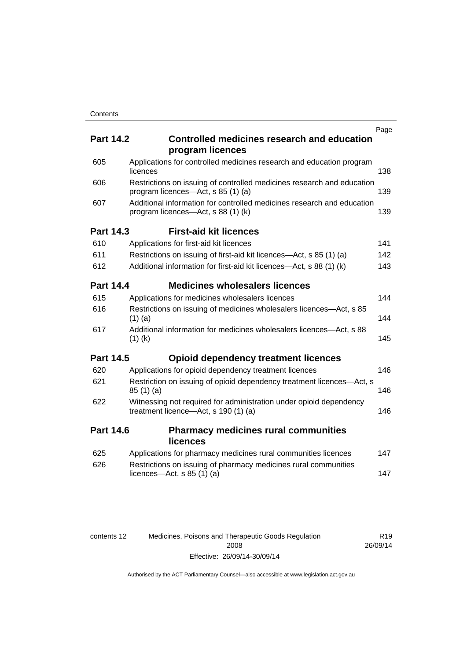|     |                  |                                                                                                              | Page |
|-----|------------------|--------------------------------------------------------------------------------------------------------------|------|
|     | <b>Part 14.2</b> | <b>Controlled medicines research and education</b><br>program licences                                       |      |
| 605 |                  | Applications for controlled medicines research and education program<br>licences                             | 138  |
| 606 |                  | Restrictions on issuing of controlled medicines research and education<br>program licences—Act, s 85 (1) (a) | 139  |
| 607 |                  | Additional information for controlled medicines research and education<br>program licences—Act, s 88 (1) (k) | 139  |
|     | <b>Part 14.3</b> | <b>First-aid kit licences</b>                                                                                |      |
| 610 |                  | Applications for first-aid kit licences                                                                      | 141  |
| 611 |                  | Restrictions on issuing of first-aid kit licences—Act, s 85 (1) (a)                                          | 142  |
| 612 |                  | Additional information for first-aid kit licences—Act, s 88 (1) (k)                                          | 143  |
|     | <b>Part 14.4</b> | <b>Medicines wholesalers licences</b>                                                                        |      |
| 615 |                  | Applications for medicines wholesalers licences                                                              | 144  |
| 616 |                  | Restrictions on issuing of medicines wholesalers licences—Act, s 85<br>$(1)$ (a)                             | 144  |
| 617 |                  | Additional information for medicines wholesalers licences—Act, s 88<br>$(1)$ (k)                             | 145  |
|     | <b>Part 14.5</b> | <b>Opioid dependency treatment licences</b>                                                                  |      |
| 620 |                  | Applications for opioid dependency treatment licences                                                        | 146  |
| 621 |                  | Restriction on issuing of opioid dependency treatment licences—Act, s<br>85(1)(a)                            | 146  |
| 622 |                  | Witnessing not required for administration under opioid dependency<br>treatment licence-Act, s 190 (1) (a)   | 146  |
|     | <b>Part 14.6</b> | <b>Pharmacy medicines rural communities</b><br><b>licences</b>                                               |      |
| 625 |                  | Applications for pharmacy medicines rural communities licences                                               | 147  |
| 626 |                  | Restrictions on issuing of pharmacy medicines rural communities<br>licences—Act, $s$ 85 (1) (a)              | 147  |
|     |                  |                                                                                                              |      |

| contents 12 | Medicines, Poisons and Therapeutic Goods Regulation |
|-------------|-----------------------------------------------------|
|             | 2008                                                |
|             | Effective: 26/09/14-30/09/14                        |

R19 26/09/14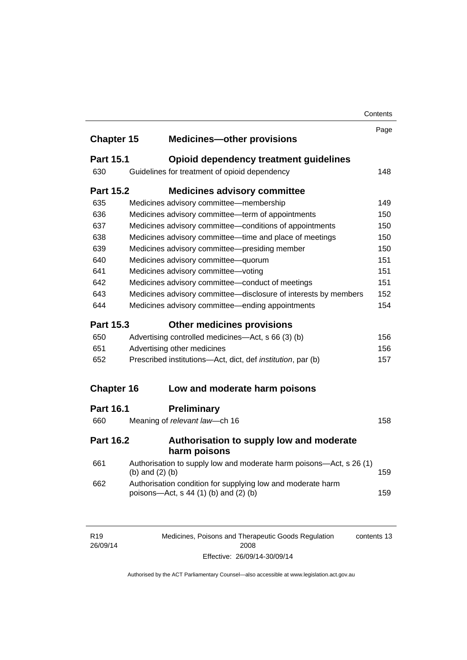|                   |                   |                                                                                                      | Contents |
|-------------------|-------------------|------------------------------------------------------------------------------------------------------|----------|
|                   |                   |                                                                                                      | Page     |
| <b>Chapter 15</b> |                   | <b>Medicines-other provisions</b>                                                                    |          |
| <b>Part 15.1</b>  |                   | Opioid dependency treatment guidelines                                                               |          |
| 630               |                   | Guidelines for treatment of opioid dependency                                                        | 148      |
| <b>Part 15.2</b>  |                   | <b>Medicines advisory committee</b>                                                                  |          |
| 635               |                   | Medicines advisory committee-membership                                                              | 149      |
| 636               |                   | Medicines advisory committee-term of appointments                                                    | 150      |
| 637               |                   | Medicines advisory committee-conditions of appointments                                              | 150      |
| 638               |                   | Medicines advisory committee-time and place of meetings                                              | 150      |
| 639               |                   | Medicines advisory committee-presiding member                                                        | 150      |
| 640               |                   | Medicines advisory committee-quorum                                                                  | 151      |
| 641               |                   | Medicines advisory committee-voting                                                                  | 151      |
| 642               |                   | Medicines advisory committee-conduct of meetings                                                     | 151      |
| 643               |                   | Medicines advisory committee-disclosure of interests by members                                      | 152      |
| 644               |                   | Medicines advisory committee—ending appointments                                                     | 154      |
| <b>Part 15.3</b>  |                   | <b>Other medicines provisions</b>                                                                    |          |
| 650               |                   | Advertising controlled medicines—Act, s 66 (3) (b)                                                   | 156      |
| 651               |                   | Advertising other medicines                                                                          | 156      |
| 652               |                   | Prescribed institutions-Act, dict, def <i>institution</i> , par (b)                                  | 157      |
| <b>Chapter 16</b> |                   | Low and moderate harm poisons                                                                        |          |
|                   |                   |                                                                                                      |          |
| <b>Part 16.1</b>  |                   | <b>Preliminary</b>                                                                                   |          |
| 660               |                   | Meaning of relevant law-ch 16                                                                        | 158      |
| <b>Part 16.2</b>  |                   | Authorisation to supply low and moderate<br>harm poisons                                             |          |
| 661               | (b) and $(2)$ (b) | Authorisation to supply low and moderate harm poisons-Act, s 26 (1)                                  | 159      |
| 662               |                   | Authorisation condition for supplying low and moderate harm<br>poisons—Act, s 44 (1) (b) and (2) (b) | 159      |
|                   |                   |                                                                                                      |          |
|                   |                   |                                                                                                      |          |

| R <sub>19</sub> | Medicines, Poisons and Therapeutic Goods Regulation | contents 13 |
|-----------------|-----------------------------------------------------|-------------|
| 26/09/14        | 2008                                                |             |
|                 | Effective: 26/09/14-30/09/14                        |             |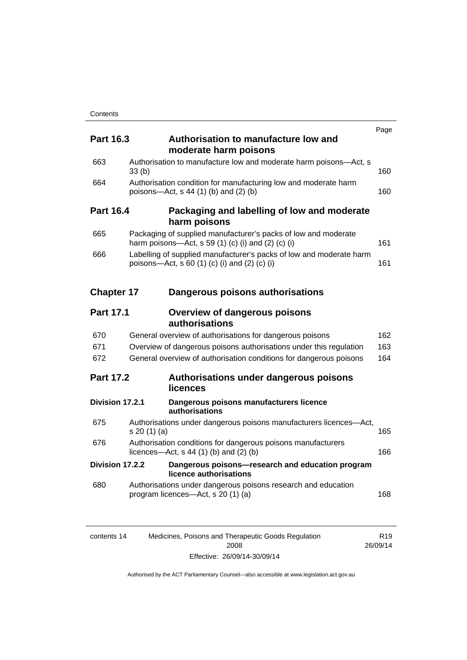|                   |            |                                                                                                                      | Page |
|-------------------|------------|----------------------------------------------------------------------------------------------------------------------|------|
| <b>Part 16.3</b>  |            | Authorisation to manufacture low and<br>moderate harm poisons                                                        |      |
| 663               | 33(b)      | Authorisation to manufacture low and moderate harm poisons-Act, s                                                    | 160  |
| 664               |            | Authorisation condition for manufacturing low and moderate harm<br>poisons-Act, s 44 (1) (b) and (2) (b)             | 160  |
| <b>Part 16.4</b>  |            | Packaging and labelling of low and moderate<br>harm poisons                                                          |      |
| 665               |            | Packaging of supplied manufacturer's packs of low and moderate<br>harm poisons—Act, s 59 (1) (c) (i) and (2) (c) (i) | 161  |
| 666               |            | Labelling of supplied manufacturer's packs of low and moderate harm<br>poisons—Act, s 60 (1) (c) (i) and (2) (c) (i) | 161  |
| <b>Chapter 17</b> |            | Dangerous poisons authorisations                                                                                     |      |
| <b>Part 17.1</b>  |            | <b>Overview of dangerous poisons</b><br>authorisations                                                               |      |
| 670               |            | General overview of authorisations for dangerous poisons                                                             | 162  |
| 671               |            | Overview of dangerous poisons authorisations under this regulation                                                   | 163  |
| 672               |            | General overview of authorisation conditions for dangerous poisons                                                   | 164  |
| <b>Part 17.2</b>  |            | Authorisations under dangerous poisons<br>licences                                                                   |      |
| Division 17.2.1   |            | Dangerous poisons manufacturers licence<br>authorisations                                                            |      |
| 675               | s 20(1)(a) | Authorisations under dangerous poisons manufacturers licences-Act,                                                   | 165  |
| 676               |            | Authorisation conditions for dangerous poisons manufacturers<br>licences—Act, $s$ 44 (1) (b) and (2) (b)             | 166  |
| Division 17.2.2   |            | Dangerous poisons-research and education program<br>licence authorisations                                           |      |
| 680               |            | Authorisations under dangerous poisons research and education<br>program licences—Act, s 20 (1) (a)                  | 168  |
|                   |            |                                                                                                                      |      |

| contents 14 | Medicines, Poisons and Therapeutic Goods Regulation | R <sub>19</sub> |
|-------------|-----------------------------------------------------|-----------------|
|             | 2008                                                | 26/09/14        |
|             | Effective: 26/09/14-30/09/14                        |                 |

R19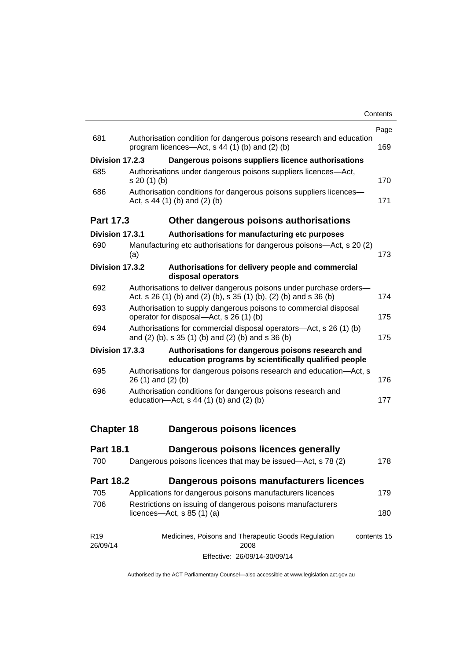|                   |                                                                                                                                         | Page |  |
|-------------------|-----------------------------------------------------------------------------------------------------------------------------------------|------|--|
| 681               | Authorisation condition for dangerous poisons research and education<br>program licences—Act, $s$ 44 (1) (b) and (2) (b)                | 169  |  |
| Division 17.2.3   | Dangerous poisons suppliers licence authorisations                                                                                      |      |  |
| 685               | Authorisations under dangerous poisons suppliers licences—Act,<br>$s 20(1)$ (b)                                                         | 170  |  |
| 686               | Authorisation conditions for dangerous poisons suppliers licences-<br>Act, $s$ 44 (1) (b) and (2) (b)                                   |      |  |
| <b>Part 17.3</b>  | Other dangerous poisons authorisations                                                                                                  |      |  |
| Division 17.3.1   | Authorisations for manufacturing etc purposes                                                                                           |      |  |
| 690               | Manufacturing etc authorisations for dangerous poisons-Act, s 20 (2)<br>(a)                                                             | 173  |  |
| Division 17.3.2   | Authorisations for delivery people and commercial<br>disposal operators                                                                 |      |  |
| 692               | Authorisations to deliver dangerous poisons under purchase orders-<br>Act, s 26 (1) (b) and (2) (b), s 35 (1) (b), (2) (b) and s 36 (b) | 174  |  |
| 693               | Authorisation to supply dangerous poisons to commercial disposal<br>operator for disposal—Act, s 26 (1) (b)                             | 175  |  |
| 694               | Authorisations for commercial disposal operators—Act, s 26 (1) (b)<br>and (2) (b), s 35 (1) (b) and (2) (b) and s 36 (b)                | 175  |  |
| Division 17.3.3   | Authorisations for dangerous poisons research and<br>education programs by scientifically qualified people                              |      |  |
| 695               | Authorisations for dangerous poisons research and education-Act, s<br>$26(1)$ and $(2)(b)$                                              | 176  |  |
| 696               | Authorisation conditions for dangerous poisons research and<br>education- $Act$ , s 44 (1) (b) and (2) (b)                              | 177  |  |
| <b>Chapter 18</b> | <b>Dangerous poisons licences</b>                                                                                                       |      |  |
| <b>Part 18.1</b>  | Dangerous poisons licences generally                                                                                                    |      |  |
| 700               | Dangerous poisons licences that may be issued-Act, s 78 (2)                                                                             | 178  |  |
| <b>Part 18.2</b>  | Dangerous poisons manufacturers licences                                                                                                |      |  |
| 705               | Applications for dangerous poisons manufacturers licences                                                                               | 179  |  |
| 706               | Restrictions on issuing of dangerous poisons manufacturers<br>licences- $-\text{Act}, s 85 (1) (a)$                                     | 180  |  |
|                   |                                                                                                                                         |      |  |

Effective: 26/09/14-30/09/14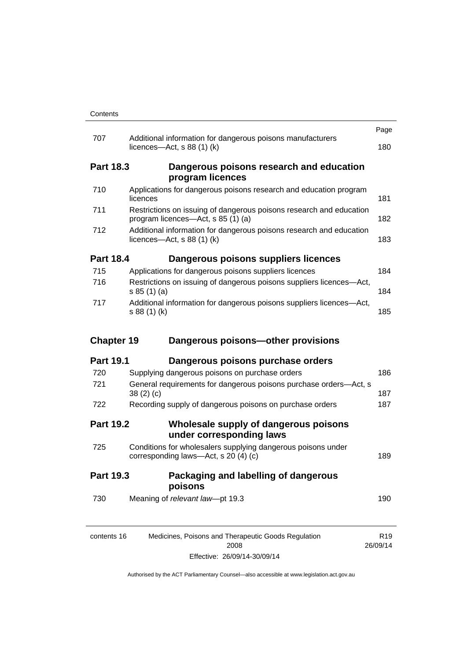|                   |                                                                                                           | Page |
|-------------------|-----------------------------------------------------------------------------------------------------------|------|
| 707               | Additional information for dangerous poisons manufacturers<br>licences- $-\text{Act}$ , s 88 (1) (k)      | 180  |
| <b>Part 18.3</b>  | Dangerous poisons research and education<br>program licences                                              |      |
| 710               | Applications for dangerous poisons research and education program<br>licences                             | 181  |
| 711               | Restrictions on issuing of dangerous poisons research and education<br>program licences—Act, s 85 (1) (a) | 182  |
| 712               | Additional information for dangerous poisons research and education<br>licences—Act, s $88(1)(k)$         | 183  |
| <b>Part 18.4</b>  | Dangerous poisons suppliers licences                                                                      |      |
| 715               | Applications for dangerous poisons suppliers licences                                                     | 184  |
| 716               | Restrictions on issuing of dangerous poisons suppliers licences-Act,<br>s 85(1)(a)                        | 184  |
| 717               | Additional information for dangerous poisons suppliers licences-Act,<br>s 88 (1) (k)                      | 185  |
| <b>Chapter 19</b> | Dangerous poisons-other provisions                                                                        |      |
| <b>Part 19.1</b>  | Dangerous poisons purchase orders                                                                         |      |
| 720               | Supplying dangerous poisons on purchase orders                                                            | 186  |
| 721               | General requirements for dangerous poisons purchase orders-Act, s<br>38(2)(c)                             |      |
| 722               |                                                                                                           | 187  |
|                   | Recording supply of dangerous poisons on purchase orders                                                  | 187  |
| <b>Part 19.2</b>  | Wholesale supply of dangerous poisons<br>under corresponding laws                                         |      |
| 725               | Conditions for wholesalers supplying dangerous poisons under<br>corresponding laws-Act, s 20 (4) (c)      | 189  |
| <b>Part 19.3</b>  | Packaging and labelling of dangerous<br>poisons                                                           |      |
| 730               | Meaning of relevant law-pt 19.3                                                                           | 190  |

Effective: 26/09/14-30/09/14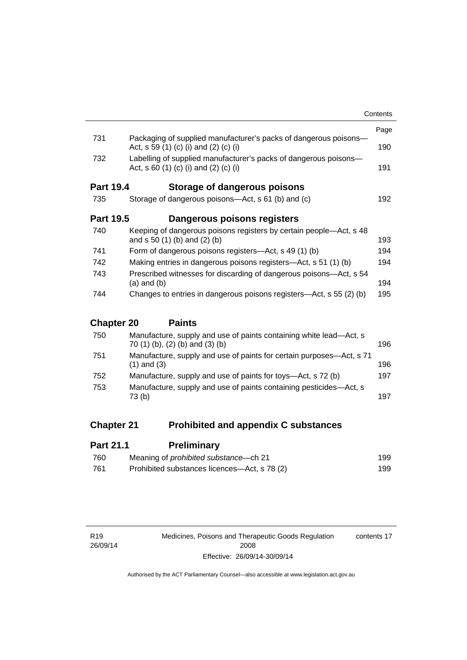|                                                 |                                                                                                           | Contents |  |
|-------------------------------------------------|-----------------------------------------------------------------------------------------------------------|----------|--|
|                                                 |                                                                                                           | Page     |  |
| 731                                             | Packaging of supplied manufacturer's packs of dangerous poisons-<br>Act, s 59 (1) (c) (i) and (2) (c) (i) | 190      |  |
| 732                                             | Labelling of supplied manufacturer's packs of dangerous poisons-<br>Act, s 60 (1) (c) (i) and (2) (c) (i) | 191      |  |
| <b>Part 19.4</b>                                | Storage of dangerous poisons                                                                              |          |  |
| 735                                             | Storage of dangerous poisons—Act, s 61 (b) and (c)                                                        | 192      |  |
| <b>Part 19.5</b><br>Dangerous poisons registers |                                                                                                           |          |  |
| 740                                             | Keeping of dangerous poisons registers by certain people—Act, s 48<br>and $s 50 (1) (b)$ and $(2) (b)$    | 193      |  |
| 741                                             | Form of dangerous poisons registers-Act, s 49 (1) (b)                                                     | 194      |  |
| 742                                             | Making entries in dangerous poisons registers—Act, s 51 (1) (b)                                           | 194      |  |
| 743                                             | Prescribed witnesses for discarding of dangerous poisons—Act, s 54<br>$(a)$ and $(b)$                     | 194      |  |
| 744                                             | Changes to entries in dangerous poisons registers—Act, s 55 (2) (b)                                       | 195      |  |
| <b>Chapter 20</b>                               | <b>Paints</b>                                                                                             |          |  |
| 750                                             | Manufacture, supply and use of paints containing white lead—Act, s                                        |          |  |

| Manufacture, supply and use of paints containing white lead—Act, s<br>70 (1) (b), (2) (b) and (3) (b) | 196 |
|-------------------------------------------------------------------------------------------------------|-----|
| Manufacture, supply and use of paints for certain purposes—Act, s 71<br>$(1)$ and $(3)$               | 196 |
| Manufacture, supply and use of paints for toys—Act, s 72 (b)                                          | 197 |
| Manufacture, supply and use of paints containing pesticides—Act, s<br>73 (b)                          | 197 |
|                                                                                                       |     |

# **Chapter 21 [Prohibited and appendix C substances](#page-222-0)**

| <b>Part 21.1</b> | <b>Preliminary</b>                           |     |
|------------------|----------------------------------------------|-----|
| 760              | Meaning of <i>prohibited</i> substance—ch 21 | 199 |
| -761             | Prohibited substances licences—Act, s 78 (2) | 199 |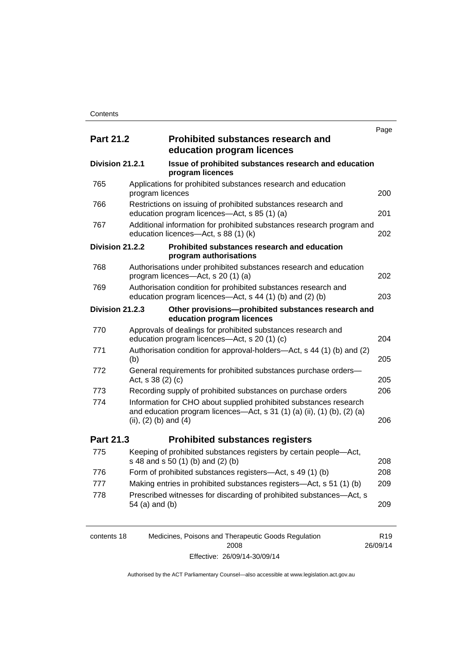|                  |                           |                                                                                                                                              | Page |
|------------------|---------------------------|----------------------------------------------------------------------------------------------------------------------------------------------|------|
| <b>Part 21.2</b> |                           | <b>Prohibited substances research and</b><br>education program licences                                                                      |      |
| Division 21.2.1  |                           | Issue of prohibited substances research and education<br>program licences                                                                    |      |
| 765              | program licences          | Applications for prohibited substances research and education                                                                                | 200  |
| 766              |                           | Restrictions on issuing of prohibited substances research and<br>education program licences-Act, s 85 (1) (a)                                | 201  |
| 767              |                           | Additional information for prohibited substances research program and<br>education licences-Act, s 88 (1) (k)                                | 202  |
| Division 21.2.2  |                           | Prohibited substances research and education<br>program authorisations                                                                       |      |
| 768              |                           | Authorisations under prohibited substances research and education<br>program licences—Act, s 20 (1) (a)                                      | 202  |
| 769              |                           | Authorisation condition for prohibited substances research and<br>education program licences—Act, s 44 (1) (b) and (2) (b)                   | 203  |
| Division 21.2.3  |                           | Other provisions-prohibited substances research and<br>education program licences                                                            |      |
| 770              |                           | Approvals of dealings for prohibited substances research and<br>education program licences-Act, s 20 (1) (c)                                 | 204  |
| 771              | (b)                       | Authorisation condition for approval-holders-Act, s 44 (1) (b) and (2)                                                                       | 205  |
| 772              | Act, s 38 (2) (c)         | General requirements for prohibited substances purchase orders-                                                                              | 205  |
| 773              |                           | Recording supply of prohibited substances on purchase orders                                                                                 | 206  |
| 774              | (ii), $(2)$ (b) and $(4)$ | Information for CHO about supplied prohibited substances research<br>and education program licences—Act, s 31 (1) (a) (ii), (1) (b), (2) (a) | 206  |
| <b>Part 21.3</b> |                           | <b>Prohibited substances registers</b>                                                                                                       |      |
| 775              |                           | Keeping of prohibited substances registers by certain people-Act,<br>s 48 and s 50 (1) (b) and (2) (b)                                       | 208  |
| 776              |                           | Form of prohibited substances registers—Act, s 49 (1) (b)                                                                                    | 208  |
| 777              |                           | Making entries in prohibited substances registers-Act, s 51 (1) (b)                                                                          | 209  |
| 778              | 54 (a) and (b)            | Prescribed witnesses for discarding of prohibited substances—Act, s                                                                          | 209  |

| contents 18 | Medicines, Poisons and Therapeutic Goods Regulation | R <sub>19</sub> |
|-------------|-----------------------------------------------------|-----------------|
|             | 2008                                                | 26/09/14        |
|             | Effective: 26/09/14-30/09/14                        |                 |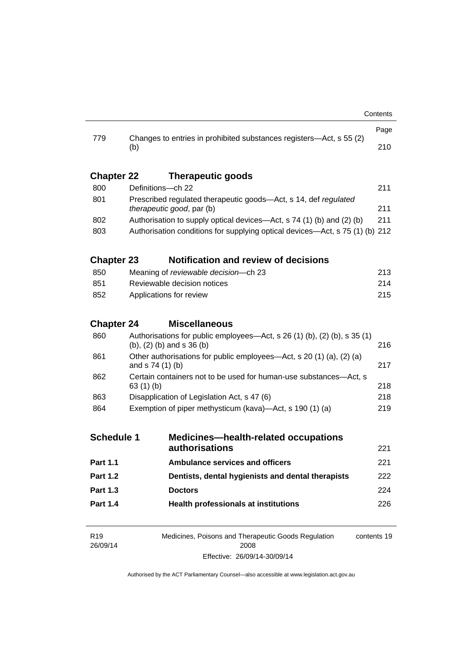| 779               |                                                                                                              | Changes to entries in prohibited substances registers—Act, s 55 (2) | Page |  |  |
|-------------------|--------------------------------------------------------------------------------------------------------------|---------------------------------------------------------------------|------|--|--|
|                   | (b)                                                                                                          |                                                                     | 210  |  |  |
| <b>Chapter 22</b> |                                                                                                              | <b>Therapeutic goods</b>                                            |      |  |  |
| 800               |                                                                                                              | Definitions-ch 22                                                   | 211  |  |  |
| 801               | Prescribed regulated therapeutic goods-Act, s 14, def regulated<br>therapeutic good, par (b)                 |                                                                     |      |  |  |
| 802               | Authorisation to supply optical devices—Act, s 74 (1) (b) and (2) (b)                                        |                                                                     |      |  |  |
| 803               | 211<br>Authorisation conditions for supplying optical devices-Act, s 75 (1) (b) 212                          |                                                                     |      |  |  |
| <b>Chapter 23</b> |                                                                                                              | <b>Notification and review of decisions</b>                         |      |  |  |
| 850               | Meaning of reviewable decision-ch 23                                                                         |                                                                     |      |  |  |
| 851               | Reviewable decision notices                                                                                  |                                                                     |      |  |  |
| 852               | 215<br>Applications for review                                                                               |                                                                     |      |  |  |
| <b>Chapter 24</b> |                                                                                                              | <b>Miscellaneous</b>                                                |      |  |  |
| 860               | Authorisations for public employees-Act, s 26 (1) (b), (2) (b), s 35 (1)<br>(b), (2) (b) and s 36 (b)<br>216 |                                                                     |      |  |  |
| 861               | Other authorisations for public employees—Act, s 20 (1) (a), (2) (a)<br>217<br>and s 74 (1) (b)              |                                                                     |      |  |  |
| 862               | Certain containers not to be used for human-use substances-Act, s<br>218<br>63(1)(b)                         |                                                                     |      |  |  |
| 863               | Disapplication of Legislation Act, s 47 (6)                                                                  |                                                                     |      |  |  |
| 864               | Exemption of piper methysticum (kava)—Act, s 190 (1) (a)<br>219                                              |                                                                     |      |  |  |
| <b>Schedule 1</b> |                                                                                                              | <b>Medicines-health-related occupations</b><br>authorisations       | 221  |  |  |
| <b>Part 1.1</b>   |                                                                                                              | <b>Ambulance services and officers</b>                              | 221  |  |  |
| <b>Part 1.2</b>   |                                                                                                              | Dentists, dental hygienists and dental therapists                   | 222  |  |  |
| <b>Part 1.3</b>   |                                                                                                              | <b>Doctors</b>                                                      | 224  |  |  |
| <b>Part 1.4</b>   |                                                                                                              | <b>Health professionals at institutions</b>                         | 226  |  |  |
|                   |                                                                                                              |                                                                     |      |  |  |
| <b>DAO</b>        |                                                                                                              | a i <b>D</b> iade a constante a const<br>and Carole Damiletta       |      |  |  |

R19 26/09/14 Medicines, Poisons and Therapeutic Goods Regulation 2008 Effective: 26/09/14-30/09/14 contents 19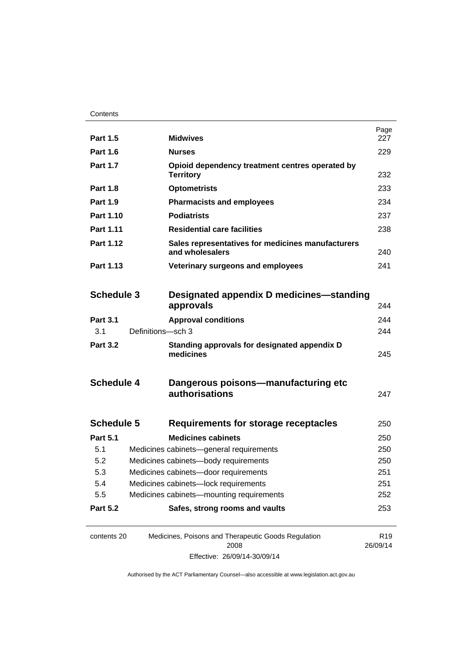| <b>Part 1.5</b>   |                                          | <b>Midwives</b>                                                      | Page<br>227                 |
|-------------------|------------------------------------------|----------------------------------------------------------------------|-----------------------------|
| <b>Part 1.6</b>   |                                          | <b>Nurses</b>                                                        | 229                         |
| <b>Part 1.7</b>   |                                          | Opioid dependency treatment centres operated by<br><b>Territory</b>  | 232                         |
| <b>Part 1.8</b>   |                                          | <b>Optometrists</b>                                                  | 233                         |
| <b>Part 1.9</b>   |                                          | <b>Pharmacists and employees</b>                                     | 234                         |
| Part 1.10         |                                          | <b>Podiatrists</b>                                                   | 237                         |
| Part 1.11         |                                          | <b>Residential care facilities</b>                                   | 238                         |
| Part 1.12         |                                          | Sales representatives for medicines manufacturers<br>and wholesalers |                             |
| Part 1.13         |                                          | Veterinary surgeons and employees                                    | 241                         |
|                   |                                          |                                                                      |                             |
| <b>Schedule 3</b> |                                          | Designated appendix D medicines—standing                             |                             |
|                   |                                          | approvals                                                            | 244                         |
| <b>Part 3.1</b>   |                                          | <b>Approval conditions</b>                                           | 244                         |
| 3.1               | Definitions-sch 3                        |                                                                      | 244                         |
| <b>Part 3.2</b>   |                                          | Standing approvals for designated appendix D<br>medicines            | 245                         |
| <b>Schedule 4</b> |                                          | Dangerous poisons-manufacturing etc<br>authorisations                | 247                         |
| <b>Schedule 5</b> |                                          | Requirements for storage receptacles                                 | 250                         |
| <b>Part 5.1</b>   |                                          | <b>Medicines cabinets</b>                                            | 250                         |
| 5.1               |                                          | Medicines cabinets-general requirements                              | 250                         |
| 5.2               | Medicines cabinets-body requirements     |                                                                      | 250                         |
| 5.3               | Medicines cabinets-door requirements     |                                                                      | 251                         |
| 5.4               | Medicines cabinets-lock requirements     |                                                                      | 251                         |
| 5.5               | Medicines cabinets-mounting requirements |                                                                      | 252                         |
| <b>Part 5.2</b>   |                                          | Safes, strong rooms and vaults                                       | 253                         |
| contents 20       |                                          | Medicines, Poisons and Therapeutic Goods Regulation<br>2008          | R <sub>19</sub><br>26/09/14 |

Effective: 26/09/14-30/09/14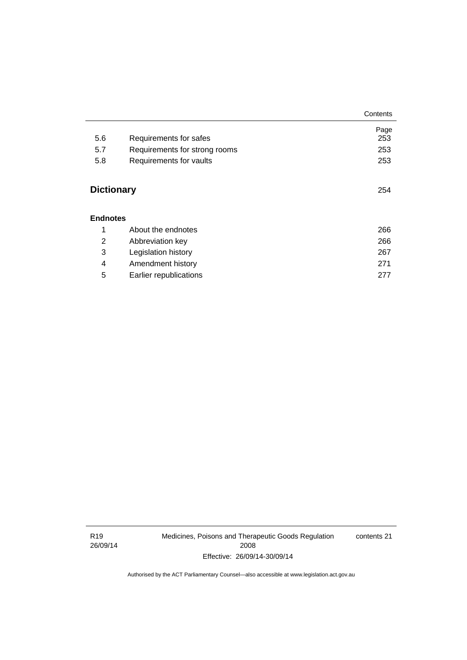|                   |                               | Contents |
|-------------------|-------------------------------|----------|
|                   |                               | Page     |
| 5.6               | Requirements for safes        | 253      |
| 5.7               | Requirements for strong rooms | 253      |
| 5.8               | Requirements for vaults       | 253      |
| <b>Dictionary</b> |                               | 254      |
| <b>Endnotes</b>   |                               |          |
| 1                 | About the endnotes            | 266      |
| 2                 | Abbreviation key              | 266      |
| 3                 | Legislation history           | 267      |
| 4                 | Amendment history             | 271      |
| 5                 | Earlier republications        | 277      |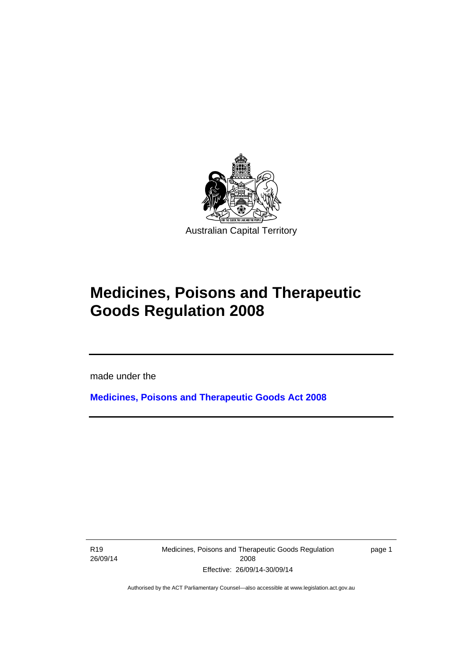

# **Medicines, Poisons and Therapeutic Goods Regulation 2008**

made under the

**[Medicines, Poisons and Therapeutic Goods Act 2008](http://www.legislation.act.gov.au/a/2008-26)**

R19 26/09/14

l

Medicines, Poisons and Therapeutic Goods Regulation 2008 Effective: 26/09/14-30/09/14

page 1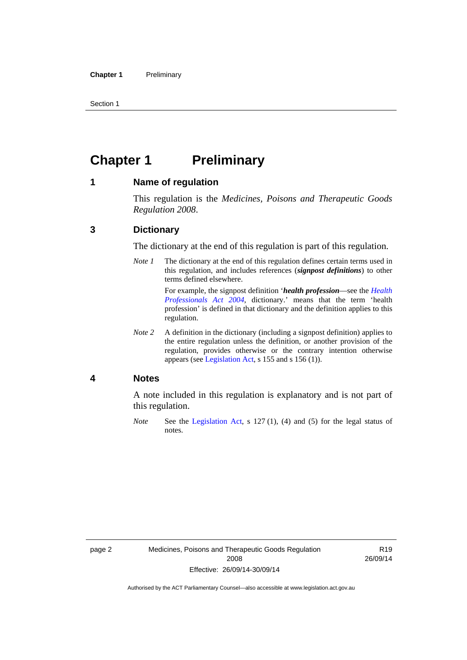Section 1

# <span id="page-25-0"></span>**Chapter 1 Preliminary**

### <span id="page-25-1"></span>**1 Name of regulation**

This regulation is the *Medicines, Poisons and Therapeutic Goods Regulation 2008*.

### <span id="page-25-2"></span>**3 Dictionary**

The dictionary at the end of this regulation is part of this regulation.

*Note 1* The dictionary at the end of this regulation defines certain terms used in this regulation, and includes references (*signpost definitions*) to other terms defined elsewhere. For example, the signpost definition '*health profession*—see the *[Health](http://www.legislation.act.gov.au/a/2004-38)* 

*[Professionals Act 2004](http://www.legislation.act.gov.au/a/2004-38)*, dictionary.' means that the term 'health profession' is defined in that dictionary and the definition applies to this regulation.

*Note 2* A definition in the dictionary (including a signpost definition) applies to the entire regulation unless the definition, or another provision of the regulation, provides otherwise or the contrary intention otherwise appears (see [Legislation Act,](http://www.legislation.act.gov.au/a/2001-14) s 155 and s 156 (1)).

### <span id="page-25-3"></span>**4 Notes**

A note included in this regulation is explanatory and is not part of this regulation.

*Note* See the [Legislation Act,](http://www.legislation.act.gov.au/a/2001-14) s 127 (1), (4) and (5) for the legal status of notes.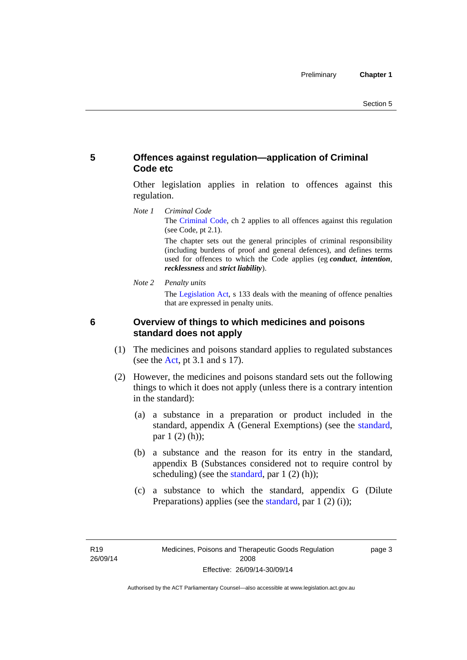### <span id="page-26-0"></span>**5 Offences against regulation—application of Criminal Code etc**

Other legislation applies in relation to offences against this regulation.

*Note 1 Criminal Code* The [Criminal Code](http://www.legislation.act.gov.au/a/2002-51), ch 2 applies to all offences against this regulation (see Code, pt 2.1).

> The chapter sets out the general principles of criminal responsibility (including burdens of proof and general defences), and defines terms used for offences to which the Code applies (eg *conduct*, *intention*, *recklessness* and *strict liability*).

*Note 2 Penalty units* 

The [Legislation Act](http://www.legislation.act.gov.au/a/2001-14), s 133 deals with the meaning of offence penalties that are expressed in penalty units.

<span id="page-26-1"></span>

### **6 Overview of things to which medicines and poisons standard does not apply**

- (1) The medicines and poisons standard applies to regulated substances (see the  $Act$ , pt 3.1 and s 17).
- (2) However, the medicines and poisons standard sets out the following things to which it does not apply (unless there is a contrary intention in the standard):
	- (a) a substance in a preparation or product included in the standard, appendix A (General Exemptions) (see the [standard](http://www.comlaw.gov.au/Series/F2012L01200), par 1 (2) (h));
	- (b) a substance and the reason for its entry in the standard, appendix B (Substances considered not to require control by scheduling) (see the [standard,](http://www.comlaw.gov.au/Series/F2012L01200) par  $1(2)(h)$ );
	- (c) a substance to which the standard, appendix G (Dilute Preparations) applies (see the [standard,](http://www.comlaw.gov.au/Series/F2012L01200) par 1 (2) (i));

page 3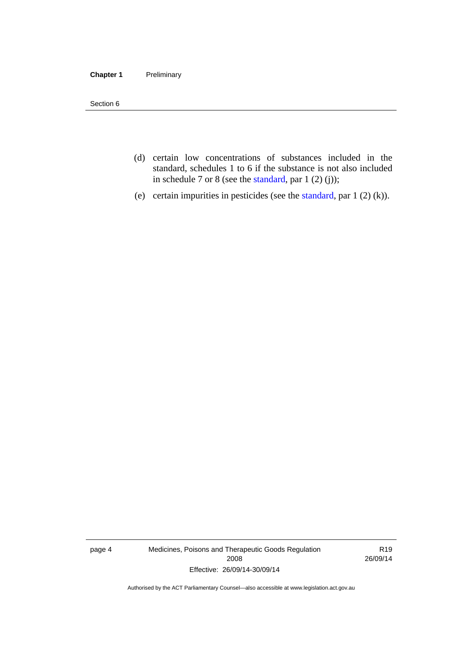### **Chapter 1** Preliminary

Section 6

- (d) certain low concentrations of substances included in the standard, schedules 1 to 6 if the substance is not also included in schedule 7 or 8 (see the [standard,](http://www.comlaw.gov.au/Series/F2012L01200) par 1 (2) (j));
- (e) certain impurities in pesticides (see the [standard,](http://www.comlaw.gov.au/Series/F2012L01200) par  $1(2)(k)$ ).

page 4 Medicines, Poisons and Therapeutic Goods Regulation 2008 Effective: 26/09/14-30/09/14

R19 26/09/14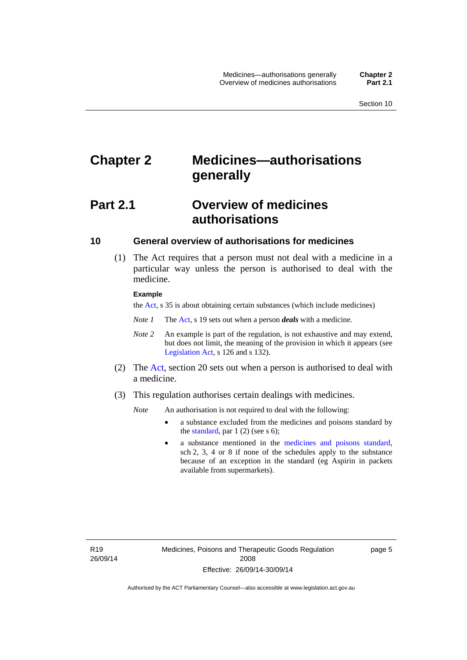# <span id="page-28-0"></span>**Chapter 2 Medicines—authorisations generally**

# <span id="page-28-1"></span>**Part 2.1 Overview of medicines authorisations**

### <span id="page-28-2"></span>**10 General overview of authorisations for medicines**

 (1) The Act requires that a person must not deal with a medicine in a particular way unless the person is authorised to deal with the medicine.

#### **Example**

the [Act](http://www.legislation.act.gov.au/a/2008-26/default.asp), s 35 is about obtaining certain substances (which include medicines)

- *Note 1* The [Act,](http://www.legislation.act.gov.au/a/2008-26/default.asp) s 19 sets out when a person *deals* with a medicine.
- *Note 2* An example is part of the regulation, is not exhaustive and may extend, but does not limit, the meaning of the provision in which it appears (see [Legislation Act,](http://www.legislation.act.gov.au/a/2001-14) s 126 and s 132).
- (2) The [Act](http://www.legislation.act.gov.au/a/2008-26/default.asp), section 20 sets out when a person is authorised to deal with a medicine.
- (3) This regulation authorises certain dealings with medicines.

*Note* An authorisation is not required to deal with the following:

- a substance excluded from the medicines and poisons standard by the [standard,](http://www.comlaw.gov.au/Series/F2012L01200) par  $1(2)$  (see s 6);
- a substance mentioned in the [medicines and poisons standard,](http://www.comlaw.gov.au/Series/F2012L01200) sch 2, 3, 4 or 8 if none of the schedules apply to the substance because of an exception in the standard (eg Aspirin in packets available from supermarkets).

R19 26/09/14 page 5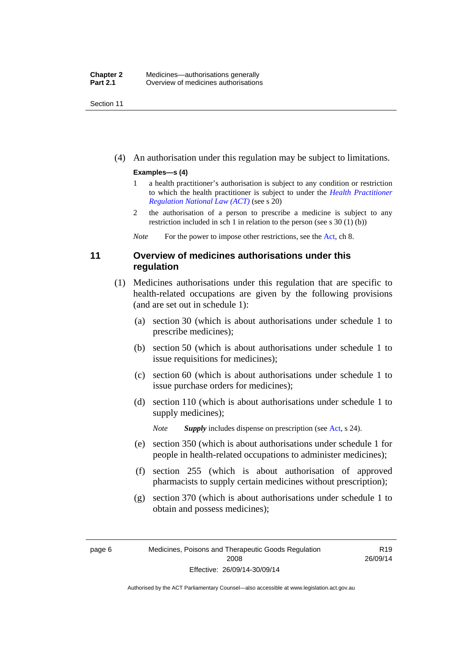Section 11

(4) An authorisation under this regulation may be subject to limitations.

### **Examples—s (4)**

- 1 a health practitioner's authorisation is subject to any condition or restriction to which the health practitioner is subject to under the *[Health Practitioner](http://www.legislation.act.gov.au/a/db_39269/default.asp)  [Regulation National Law \(ACT\)](http://www.legislation.act.gov.au/a/db_39269/default.asp)* (see s 20)
- 2 the authorisation of a person to prescribe a medicine is subject to any restriction included in sch 1 in relation to the person (see s 30 (1) (b))

*Note* For the power to impose other restrictions, see the [Act](http://www.legislation.act.gov.au/a/2008-26/default.asp), ch 8.

### <span id="page-29-0"></span>**11 Overview of medicines authorisations under this regulation**

- (1) Medicines authorisations under this regulation that are specific to health-related occupations are given by the following provisions (and are set out in schedule 1):
	- (a) section 30 (which is about authorisations under schedule 1 to prescribe medicines);
	- (b) section 50 (which is about authorisations under schedule 1 to issue requisitions for medicines);
	- (c) section 60 (which is about authorisations under schedule 1 to issue purchase orders for medicines);
	- (d) section 110 (which is about authorisations under schedule 1 to supply medicines);

*Note Supply* includes dispense on prescription (see [Act,](http://www.legislation.act.gov.au/a/2008-26/default.asp) s 24).

- (e) section 350 (which is about authorisations under schedule 1 for people in health-related occupations to administer medicines);
- (f) section 255 (which is about authorisation of approved pharmacists to supply certain medicines without prescription);
- (g) section 370 (which is about authorisations under schedule 1 to obtain and possess medicines);

R19 26/09/14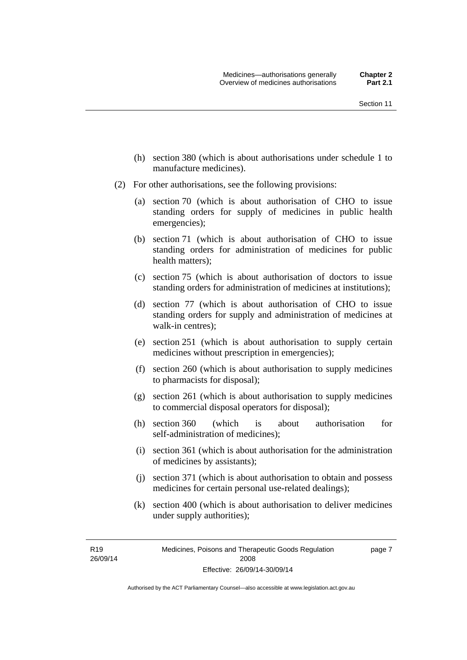- (h) section 380 (which is about authorisations under schedule 1 to manufacture medicines).
- (2) For other authorisations, see the following provisions:
	- (a) section 70 (which is about authorisation of CHO to issue standing orders for supply of medicines in public health emergencies);
	- (b) section 71 (which is about authorisation of CHO to issue standing orders for administration of medicines for public health matters);
	- (c) section 75 (which is about authorisation of doctors to issue standing orders for administration of medicines at institutions);
	- (d) section 77 (which is about authorisation of CHO to issue standing orders for supply and administration of medicines at walk-in centres);
	- (e) section 251 (which is about authorisation to supply certain medicines without prescription in emergencies);
	- (f) section 260 (which is about authorisation to supply medicines to pharmacists for disposal);
	- (g) section 261 (which is about authorisation to supply medicines to commercial disposal operators for disposal);
	- (h) section 360 (which is about authorisation for self-administration of medicines);
	- (i) section 361 (which is about authorisation for the administration of medicines by assistants);
	- (j) section 371 (which is about authorisation to obtain and possess medicines for certain personal use-related dealings);
	- (k) section 400 (which is about authorisation to deliver medicines under supply authorities);

R19 26/09/14 page 7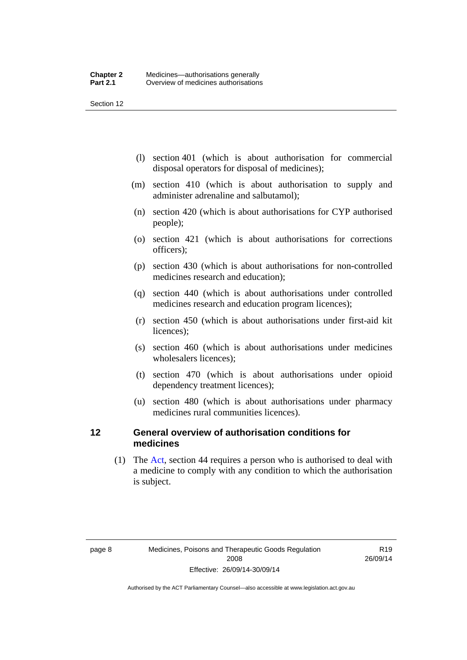Section 12

- (l) section 401 (which is about authorisation for commercial disposal operators for disposal of medicines);
- (m) section 410 (which is about authorisation to supply and administer adrenaline and salbutamol);
- (n) section 420 (which is about authorisations for CYP authorised people);
- (o) section 421 (which is about authorisations for corrections officers);
- (p) section 430 (which is about authorisations for non-controlled medicines research and education);
- (q) section 440 (which is about authorisations under controlled medicines research and education program licences);
- (r) section 450 (which is about authorisations under first-aid kit licences);
- (s) section 460 (which is about authorisations under medicines wholesalers licences);
- (t) section 470 (which is about authorisations under opioid dependency treatment licences);
- (u) section 480 (which is about authorisations under pharmacy medicines rural communities licences).

### <span id="page-31-0"></span>**12 General overview of authorisation conditions for medicines**

 (1) The [Act](http://www.legislation.act.gov.au/a/2008-26/default.asp), section 44 requires a person who is authorised to deal with a medicine to comply with any condition to which the authorisation is subject.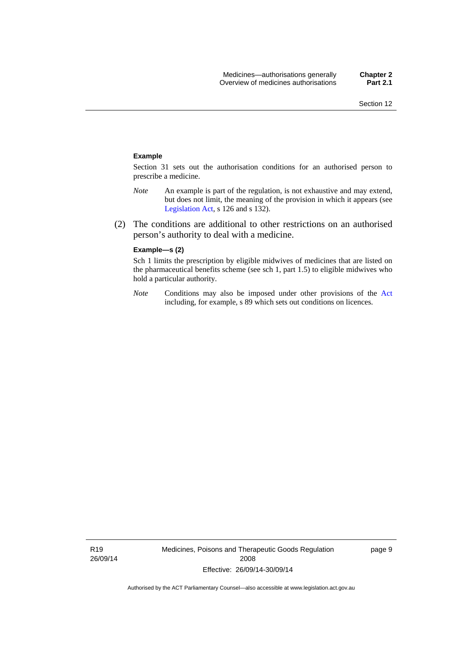#### **Example**

Section 31 sets out the authorisation conditions for an authorised person to prescribe a medicine.

- *Note* An example is part of the regulation, is not exhaustive and may extend, but does not limit, the meaning of the provision in which it appears (see [Legislation Act,](http://www.legislation.act.gov.au/a/2001-14) s 126 and s 132).
- (2) The conditions are additional to other restrictions on an authorised person's authority to deal with a medicine.

#### **Example—s (2)**

Sch 1 limits the prescription by eligible midwives of medicines that are listed on the pharmaceutical benefits scheme (see sch 1, part 1.5) to eligible midwives who hold a particular authority.

*Note* Conditions may also be imposed under other provisions of the [Act](http://www.legislation.act.gov.au/a/2008-26/default.asp) including, for example, s 89 which sets out conditions on licences.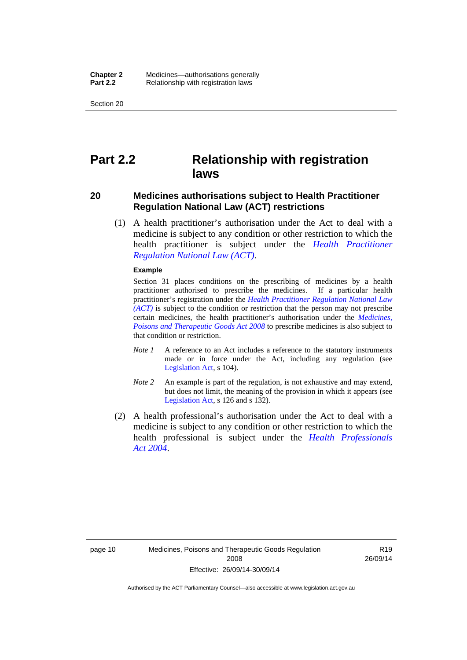Section 20

# <span id="page-33-0"></span>**Part 2.2 Relationship with registration laws**

### <span id="page-33-1"></span>**20 Medicines authorisations subject to Health Practitioner Regulation National Law (ACT) restrictions**

 (1) A health practitioner's authorisation under the Act to deal with a medicine is subject to any condition or other restriction to which the health practitioner is subject under the *[Health Practitioner](http://www.legislation.act.gov.au/a/db_39269/default.asp)  [Regulation National Law \(ACT\)](http://www.legislation.act.gov.au/a/db_39269/default.asp)*.

#### **Example**

Section 31 places conditions on the prescribing of medicines by a health practitioner authorised to prescribe the medicines. If a particular health practitioner's registration under the *[Health Practitioner Regulation National Law](http://www.legislation.act.gov.au/a/db_39269/default.asp)  [\(ACT\)](http://www.legislation.act.gov.au/a/db_39269/default.asp)* is subject to the condition or restriction that the person may not prescribe certain medicines, the health practitioner's authorisation under the *[Medicines,](http://www.legislation.act.gov.au/a/2008-26)  [Poisons and Therapeutic Goods Act 2008](http://www.legislation.act.gov.au/a/2008-26)* to prescribe medicines is also subject to that condition or restriction.

- *Note 1* A reference to an Act includes a reference to the statutory instruments made or in force under the Act, including any regulation (see [Legislation Act,](http://www.legislation.act.gov.au/a/2001-14) s 104).
- *Note 2* An example is part of the regulation, is not exhaustive and may extend, but does not limit, the meaning of the provision in which it appears (see [Legislation Act,](http://www.legislation.act.gov.au/a/2001-14) s 126 and s 132).
- (2) A health professional's authorisation under the Act to deal with a medicine is subject to any condition or other restriction to which the health professional is subject under the *[Health Professionals](http://www.legislation.act.gov.au/a/2004-38)  [Act 2004](http://www.legislation.act.gov.au/a/2004-38)*.

R19 26/09/14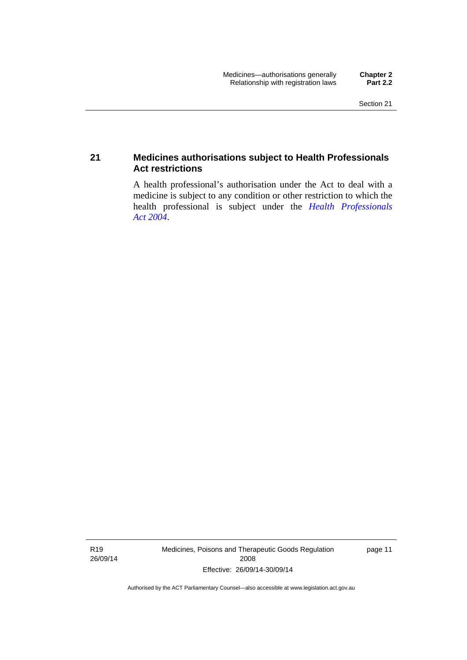### <span id="page-34-0"></span>**21 Medicines authorisations subject to Health Professionals Act restrictions**

A health professional's authorisation under the Act to deal with a medicine is subject to any condition or other restriction to which the health professional is subject under the *[Health Professionals](http://www.legislation.act.gov.au/a/2004-38)  [Act 2004](http://www.legislation.act.gov.au/a/2004-38)*.

R19 26/09/14 Medicines, Poisons and Therapeutic Goods Regulation 2008 Effective: 26/09/14-30/09/14

page 11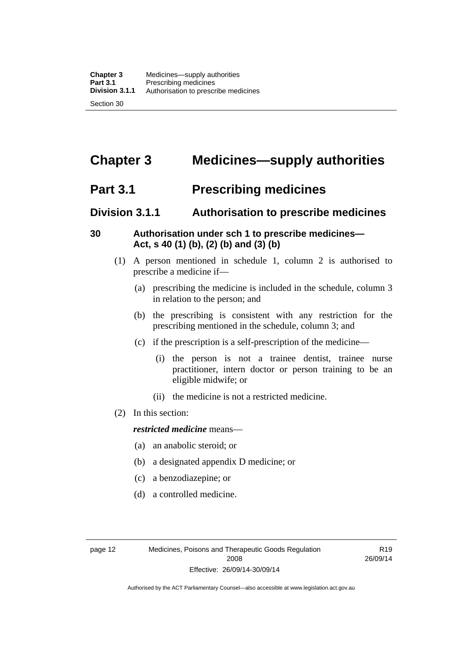# <span id="page-35-0"></span>**Chapter 3 Medicines—supply authorities**

# <span id="page-35-1"></span>**Part 3.1 Prescribing medicines**

## <span id="page-35-2"></span>**Division 3.1.1 Authorisation to prescribe medicines**

### <span id="page-35-3"></span>**30 Authorisation under sch 1 to prescribe medicines— Act, s 40 (1) (b), (2) (b) and (3) (b)**

- (1) A person mentioned in schedule 1, column 2 is authorised to prescribe a medicine if—
	- (a) prescribing the medicine is included in the schedule, column 3 in relation to the person; and
	- (b) the prescribing is consistent with any restriction for the prescribing mentioned in the schedule, column 3; and
	- (c) if the prescription is a self-prescription of the medicine—
		- (i) the person is not a trainee dentist, trainee nurse practitioner, intern doctor or person training to be an eligible midwife; or
		- (ii) the medicine is not a restricted medicine.
- (2) In this section:

### *restricted medicine* means—

- (a) an anabolic steroid; or
- (b) a designated appendix D medicine; or
- (c) a benzodiazepine; or
- (d) a controlled medicine.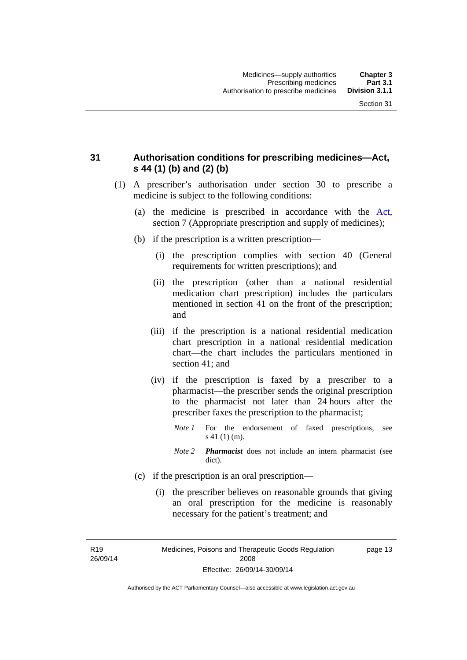### **31 Authorisation conditions for prescribing medicines—Act, s 44 (1) (b) and (2) (b)**

- (1) A prescriber's authorisation under section 30 to prescribe a medicine is subject to the following conditions:
	- (a) the medicine is prescribed in accordance with the [Act](http://www.legislation.act.gov.au/a/2008-26/default.asp), section 7 (Appropriate prescription and supply of medicines);
	- (b) if the prescription is a written prescription—
		- (i) the prescription complies with section 40 (General requirements for written prescriptions); and
		- (ii) the prescription (other than a national residential medication chart prescription) includes the particulars mentioned in section 41 on the front of the prescription; and
		- (iii) if the prescription is a national residential medication chart prescription in a national residential medication chart––the chart includes the particulars mentioned in section 41; and
		- (iv) if the prescription is faxed by a prescriber to a pharmacist—the prescriber sends the original prescription to the pharmacist not later than 24 hours after the prescriber faxes the prescription to the pharmacist;
			- *Note 1* For the endorsement of faxed prescriptions, see s 41 (1) (m).
			- *Note 2 Pharmacist* does not include an intern pharmacist (see dict).
	- (c) if the prescription is an oral prescription—
		- (i) the prescriber believes on reasonable grounds that giving an oral prescription for the medicine is reasonably necessary for the patient's treatment; and

R19 26/09/14 Medicines, Poisons and Therapeutic Goods Regulation 2008 Effective: 26/09/14-30/09/14 page 13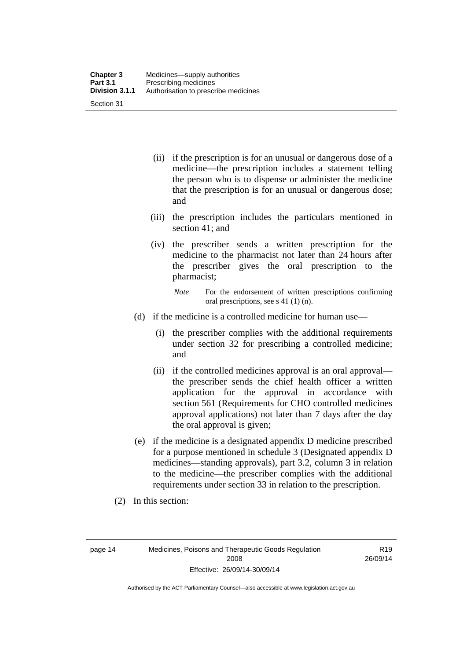| <b>Chapter 3</b> | Medicines—supply authorities         |
|------------------|--------------------------------------|
| <b>Part 3.1</b>  | Prescribing medicines                |
| Division 3.1.1   | Authorisation to prescribe medicines |
| Section 31       |                                      |

- (ii) if the prescription is for an unusual or dangerous dose of a medicine—the prescription includes a statement telling the person who is to dispense or administer the medicine that the prescription is for an unusual or dangerous dose; and
- (iii) the prescription includes the particulars mentioned in section 41; and
- (iv) the prescriber sends a written prescription for the medicine to the pharmacist not later than 24 hours after the prescriber gives the oral prescription to the pharmacist;

*Note* For the endorsement of written prescriptions confirming oral prescriptions, see s 41 (1) (n).

- (d) if the medicine is a controlled medicine for human use—
	- (i) the prescriber complies with the additional requirements under section 32 for prescribing a controlled medicine; and
	- (ii) if the controlled medicines approval is an oral approval the prescriber sends the chief health officer a written application for the approval in accordance with section 561 (Requirements for CHO controlled medicines approval applications) not later than 7 days after the day the oral approval is given;
- (e) if the medicine is a designated appendix D medicine prescribed for a purpose mentioned in schedule 3 (Designated appendix D medicines—standing approvals), part 3.2, column 3 in relation to the medicine—the prescriber complies with the additional requirements under section 33 in relation to the prescription.
- (2) In this section:

page 14 Medicines, Poisons and Therapeutic Goods Regulation 2008 Effective: 26/09/14-30/09/14

R19 26/09/14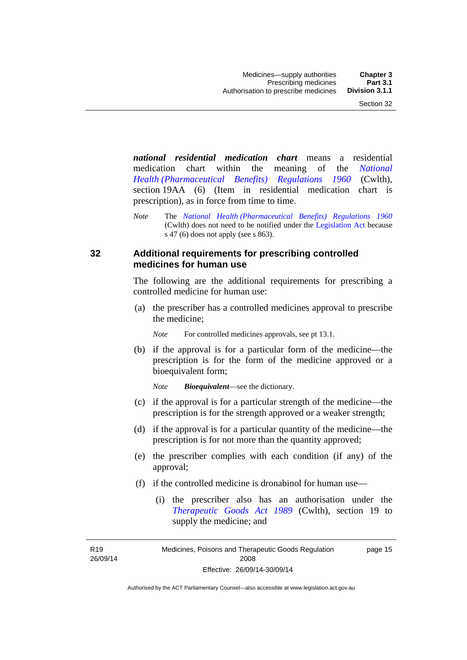*national residential medication chart* means a residential medication chart within the meaning of the *[National](http://www.comlaw.gov.au/Series/F1996B02844)  [Health \(Pharmaceutical Benefits\) Regulations 1960](http://www.comlaw.gov.au/Series/F1996B02844)* (Cwlth), section 19AA (6) (Item in residential medication chart is prescription), as in force from time to time.

*Note* The *[National Health \(Pharmaceutical Benefits\) Regulations 1960](http://www.comlaw.gov.au/Series/F1996B02844)* (Cwlth) does not need to be notified under the [Legislation Act](http://www.legislation.act.gov.au/a/2001-14) because s 47 (6) does not apply (see s 863).

### **32 Additional requirements for prescribing controlled medicines for human use**

The following are the additional requirements for prescribing a controlled medicine for human use:

 (a) the prescriber has a controlled medicines approval to prescribe the medicine;

*Note* For controlled medicines approvals, see pt 13.1.

 (b) if the approval is for a particular form of the medicine—the prescription is for the form of the medicine approved or a bioequivalent form;

*Note Bioequivalent*—see the dictionary.

- (c) if the approval is for a particular strength of the medicine—the prescription is for the strength approved or a weaker strength;
- (d) if the approval is for a particular quantity of the medicine—the prescription is for not more than the quantity approved;
- (e) the prescriber complies with each condition (if any) of the approval;
- (f) if the controlled medicine is dronabinol for human use—
	- (i) the prescriber also has an authorisation under the *[Therapeutic Goods Act 1989](http://www.comlaw.gov.au/Series/C2004A03952)* (Cwlth), section 19 to supply the medicine; and

R19 26/09/14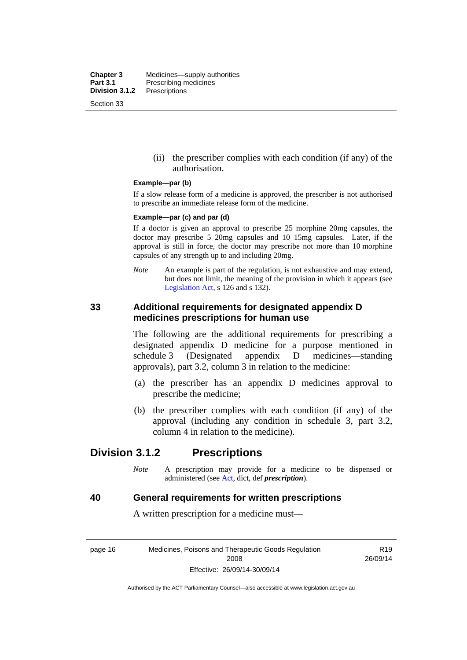**Chapter 3** Medicines—supply authorities<br>**Part 3.1** Prescribing medicines **Part 3.1** Prescribing medicines<br>**Division 3.1.2** Prescriptions **Division 3.1.2** Prescriptions Section 33

> (ii) the prescriber complies with each condition (if any) of the authorisation.

#### **Example—par (b)**

If a slow release form of a medicine is approved, the prescriber is not authorised to prescribe an immediate release form of the medicine.

#### **Example—par (c) and par (d)**

If a doctor is given an approval to prescribe 25 morphine 20mg capsules, the doctor may prescribe 5 20mg capsules and 10 15mg capsules. Later, if the approval is still in force, the doctor may prescribe not more than 10 morphine capsules of any strength up to and including 20mg.

*Note* An example is part of the regulation, is not exhaustive and may extend, but does not limit, the meaning of the provision in which it appears (see [Legislation Act,](http://www.legislation.act.gov.au/a/2001-14) s 126 and s 132).

### **33 Additional requirements for designated appendix D medicines prescriptions for human use**

The following are the additional requirements for prescribing a designated appendix D medicine for a purpose mentioned in schedule 3 (Designated appendix D medicines—standing approvals), part 3.2, column 3 in relation to the medicine:

- (a) the prescriber has an appendix D medicines approval to prescribe the medicine;
- (b) the prescriber complies with each condition (if any) of the approval (including any condition in schedule 3, part 3.2, column 4 in relation to the medicine).

## **Division 3.1.2 Prescriptions**

*Note* A prescription may provide for a medicine to be dispensed or administered (see [Act](http://www.legislation.act.gov.au/a/2008-26/default.asp), dict, def *prescription*).

### **40 General requirements for written prescriptions**

A written prescription for a medicine must—

page 16 Medicines, Poisons and Therapeutic Goods Regulation 2008 Effective: 26/09/14-30/09/14

R19 26/09/14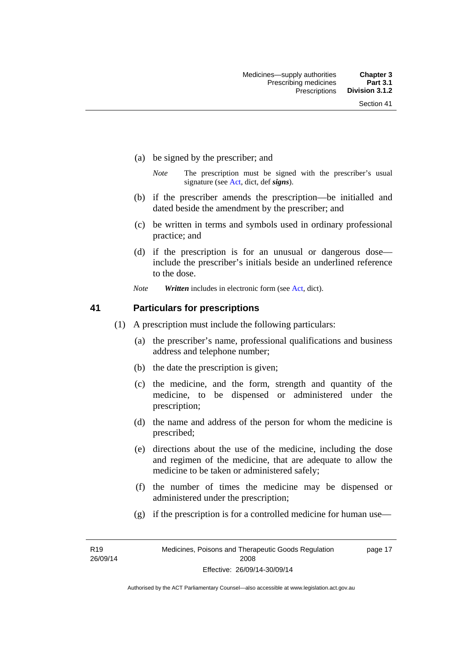- (a) be signed by the prescriber; and
	- *Note* The prescription must be signed with the prescriber's usual signature (see [Act](http://www.legislation.act.gov.au/a/2008-26/default.asp), dict, def *signs*).
- (b) if the prescriber amends the prescription—be initialled and dated beside the amendment by the prescriber; and
- (c) be written in terms and symbols used in ordinary professional practice; and
- (d) if the prescription is for an unusual or dangerous dose include the prescriber's initials beside an underlined reference to the dose.
- *Note Written* includes in electronic form (see [Act,](http://www.legislation.act.gov.au/a/2008-26/default.asp) dict).

### **41 Particulars for prescriptions**

- (1) A prescription must include the following particulars:
	- (a) the prescriber's name, professional qualifications and business address and telephone number;
	- (b) the date the prescription is given;
	- (c) the medicine, and the form, strength and quantity of the medicine, to be dispensed or administered under the prescription;
	- (d) the name and address of the person for whom the medicine is prescribed;
	- (e) directions about the use of the medicine, including the dose and regimen of the medicine, that are adequate to allow the medicine to be taken or administered safely;
	- (f) the number of times the medicine may be dispensed or administered under the prescription;
	- (g) if the prescription is for a controlled medicine for human use—

R19 26/09/14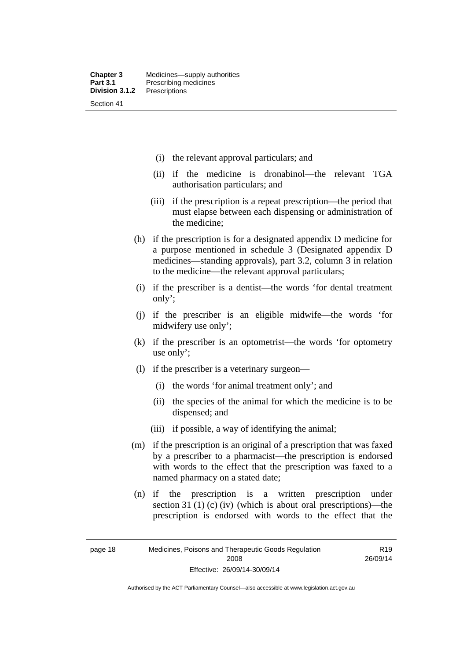- (i) the relevant approval particulars; and
- (ii) if the medicine is dronabinol—the relevant TGA authorisation particulars; and
- (iii) if the prescription is a repeat prescription—the period that must elapse between each dispensing or administration of the medicine;
- (h) if the prescription is for a designated appendix D medicine for a purpose mentioned in schedule 3 (Designated appendix D medicines—standing approvals), part 3.2, column 3 in relation to the medicine—the relevant approval particulars;
- (i) if the prescriber is a dentist—the words 'for dental treatment only';
- (j) if the prescriber is an eligible midwife—the words 'for midwifery use only';
- (k) if the prescriber is an optometrist—the words 'for optometry use only';
- (l) if the prescriber is a veterinary surgeon—
	- (i) the words 'for animal treatment only'; and
	- (ii) the species of the animal for which the medicine is to be dispensed; and
	- (iii) if possible, a way of identifying the animal;
- (m) if the prescription is an original of a prescription that was faxed by a prescriber to a pharmacist—the prescription is endorsed with words to the effect that the prescription was faxed to a named pharmacy on a stated date;
- (n) if the prescription is a written prescription under section 31 (1) (c) (iv) (which is about oral prescriptions)—the prescription is endorsed with words to the effect that the

Authorised by the ACT Parliamentary Counsel—also accessible at www.legislation.act.gov.au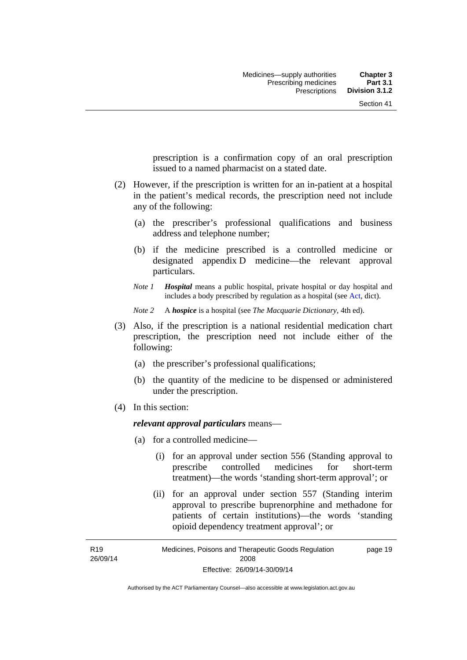prescription is a confirmation copy of an oral prescription issued to a named pharmacist on a stated date.

- (2) However, if the prescription is written for an in-patient at a hospital in the patient's medical records, the prescription need not include any of the following:
	- (a) the prescriber's professional qualifications and business address and telephone number;
	- (b) if the medicine prescribed is a controlled medicine or designated appendix D medicine—the relevant approval particulars.
	- *Note 1 Hospital* means a public hospital, private hospital or day hospital and includes a body prescribed by regulation as a hospital (see [Act,](http://www.legislation.act.gov.au/a/2008-26/default.asp) dict).

*Note 2* A *hospice* is a hospital (see *The Macquarie Dictionary*, 4th ed).

- (3) Also, if the prescription is a national residential medication chart prescription, the prescription need not include either of the following:
	- (a) the prescriber's professional qualifications;
	- (b) the quantity of the medicine to be dispensed or administered under the prescription.
- (4) In this section:

### *relevant approval particulars* means—

- (a) for a controlled medicine—
	- (i) for an approval under section 556 (Standing approval to prescribe controlled medicines for short-term treatment)—the words 'standing short-term approval'; or
	- (ii) for an approval under section 557 (Standing interim approval to prescribe buprenorphine and methadone for patients of certain institutions)—the words 'standing opioid dependency treatment approval'; or

R19 26/09/14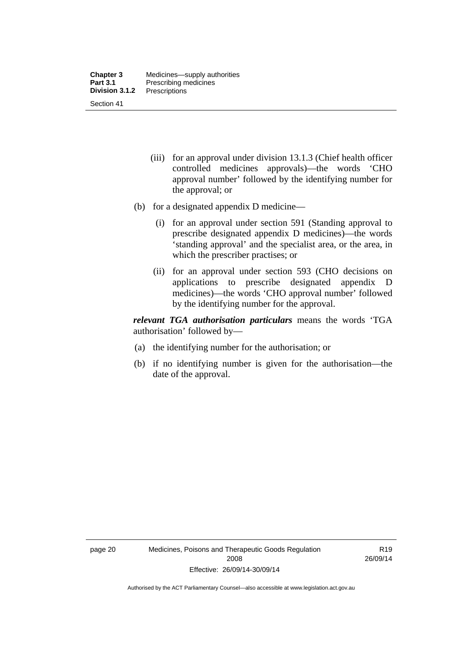- (iii) for an approval under division 13.1.3 (Chief health officer controlled medicines approvals)—the words 'CHO approval number' followed by the identifying number for the approval; or
- (b) for a designated appendix D medicine—
	- (i) for an approval under section 591 (Standing approval to prescribe designated appendix D medicines)—the words 'standing approval' and the specialist area, or the area, in which the prescriber practises; or
	- (ii) for an approval under section 593 (CHO decisions on applications to prescribe designated appendix D medicines)—the words 'CHO approval number' followed by the identifying number for the approval.

*relevant TGA authorisation particulars* means the words 'TGA authorisation' followed by—

- (a) the identifying number for the authorisation; or
- (b) if no identifying number is given for the authorisation—the date of the approval.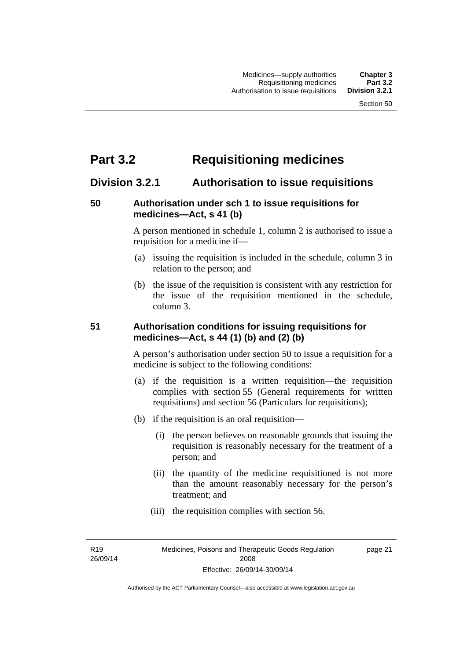# **Part 3.2 Requisitioning medicines**

## **Division 3.2.1 Authorisation to issue requisitions**

### **50 Authorisation under sch 1 to issue requisitions for medicines—Act, s 41 (b)**

A person mentioned in schedule 1, column 2 is authorised to issue a requisition for a medicine if—

- (a) issuing the requisition is included in the schedule, column 3 in relation to the person; and
- (b) the issue of the requisition is consistent with any restriction for the issue of the requisition mentioned in the schedule, column 3.

### **51 Authorisation conditions for issuing requisitions for medicines—Act, s 44 (1) (b) and (2) (b)**

A person's authorisation under section 50 to issue a requisition for a medicine is subject to the following conditions:

- (a) if the requisition is a written requisition—the requisition complies with section 55 (General requirements for written requisitions) and section 56 (Particulars for requisitions);
- (b) if the requisition is an oral requisition—
	- (i) the person believes on reasonable grounds that issuing the requisition is reasonably necessary for the treatment of a person; and
	- (ii) the quantity of the medicine requisitioned is not more than the amount reasonably necessary for the person's treatment; and
	- (iii) the requisition complies with section 56.

R19 26/09/14 page 21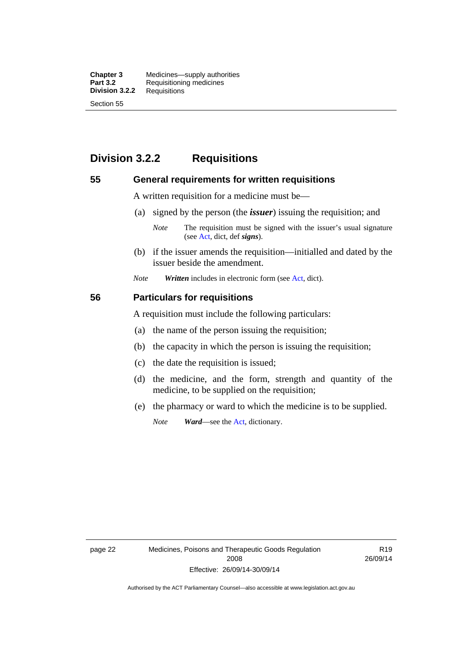**Chapter 3** Medicines—supply authorities<br>**Part 3.2** Requisitioning medicines **Requisitioning medicines**<br>Requisitions **Division 3.2.2** Section 55

## **Division 3.2.2 Requisitions**

### **55 General requirements for written requisitions**

A written requisition for a medicine must be—

(a) signed by the person (the *issuer*) issuing the requisition; and

 (b) if the issuer amends the requisition—initialled and dated by the issuer beside the amendment.

*Note Written* includes in electronic form (see [Act,](http://www.legislation.act.gov.au/a/2008-26/default.asp) dict).

### **56 Particulars for requisitions**

A requisition must include the following particulars:

- (a) the name of the person issuing the requisition;
- (b) the capacity in which the person is issuing the requisition;
- (c) the date the requisition is issued;
- (d) the medicine, and the form, strength and quantity of the medicine, to be supplied on the requisition;
- (e) the pharmacy or ward to which the medicine is to be supplied.

*Note Ward*—see the [Act](http://www.legislation.act.gov.au/a/2008-26/default.asp), dictionary.

page 22 Medicines, Poisons and Therapeutic Goods Regulation 2008 Effective: 26/09/14-30/09/14

R19 26/09/14

*Note* The requisition must be signed with the issuer's usual signature (see [Act](http://www.legislation.act.gov.au/a/2008-26/default.asp), dict, def *signs*).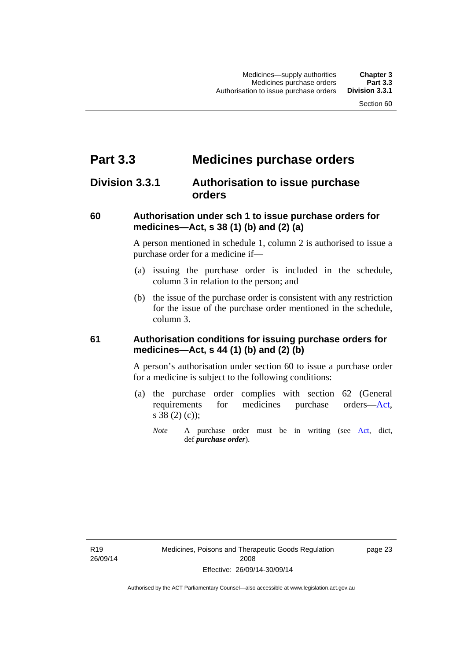# **Part 3.3 Medicines purchase orders**

## **Division 3.3.1 Authorisation to issue purchase orders**

### **60 Authorisation under sch 1 to issue purchase orders for medicines—Act, s 38 (1) (b) and (2) (a)**

A person mentioned in schedule 1, column 2 is authorised to issue a purchase order for a medicine if—

- (a) issuing the purchase order is included in the schedule, column 3 in relation to the person; and
- (b) the issue of the purchase order is consistent with any restriction for the issue of the purchase order mentioned in the schedule, column 3.

### **61 Authorisation conditions for issuing purchase orders for medicines—Act, s 44 (1) (b) and (2) (b)**

A person's authorisation under section 60 to issue a purchase order for a medicine is subject to the following conditions:

- (a) the purchase order complies with section 62 (General requirements for medicines purchase orders[—Act](http://www.legislation.act.gov.au/a/2008-26/default.asp), s 38 (2) (c));
	- *Note* A purchase order must be in writing (see [Act,](http://www.legislation.act.gov.au/a/2008-26/default.asp) dict, def *purchase order*).

R19 26/09/14 page 23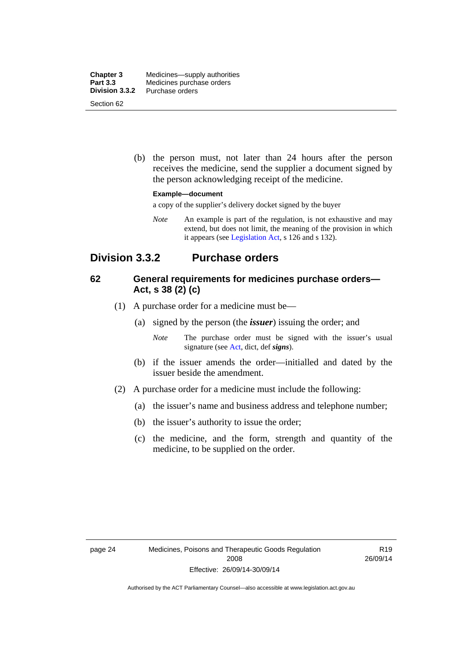| <b>Chapter 3</b>             | Medicines—supply authorities |
|------------------------------|------------------------------|
| <b>Part 3.3</b>              | Medicines purchase orders    |
| Division 3.3.2<br>Section 62 | Purchase orders              |

 (b) the person must, not later than 24 hours after the person receives the medicine, send the supplier a document signed by the person acknowledging receipt of the medicine.

#### **Example—document**

a copy of the supplier's delivery docket signed by the buyer

*Note* An example is part of the regulation, is not exhaustive and may extend, but does not limit, the meaning of the provision in which it appears (see [Legislation Act,](http://www.legislation.act.gov.au/a/2001-14) s 126 and s 132).

## **Division 3.3.2 Purchase orders**

### **62 General requirements for medicines purchase orders— Act, s 38 (2) (c)**

- (1) A purchase order for a medicine must be—
	- (a) signed by the person (the *issuer*) issuing the order; and
		- *Note* The purchase order must be signed with the issuer's usual signature (see [Act](http://www.legislation.act.gov.au/a/2008-26/default.asp), dict, def *signs*).
	- (b) if the issuer amends the order—initialled and dated by the issuer beside the amendment.
- (2) A purchase order for a medicine must include the following:
	- (a) the issuer's name and business address and telephone number;
	- (b) the issuer's authority to issue the order;
	- (c) the medicine, and the form, strength and quantity of the medicine, to be supplied on the order.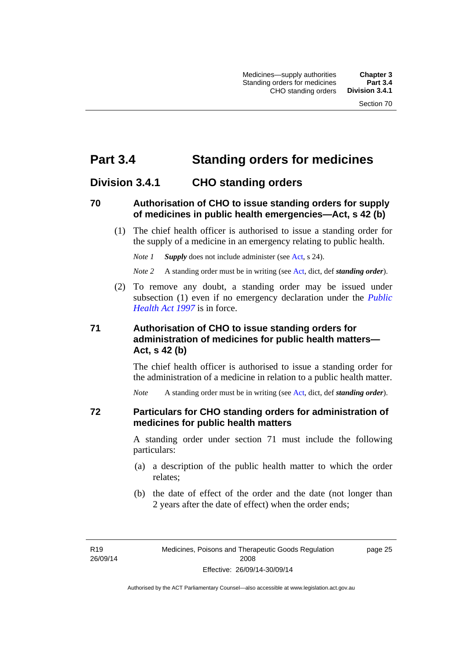# **Part 3.4 Standing orders for medicines**

## **Division 3.4.1 CHO standing orders**

### **70 Authorisation of CHO to issue standing orders for supply of medicines in public health emergencies—Act, s 42 (b)**

 (1) The chief health officer is authorised to issue a standing order for the supply of a medicine in an emergency relating to public health.

*Note 1 Supply* does not include administer (see [Act,](http://www.legislation.act.gov.au/a/2008-26/default.asp) s 24).

*Note 2* A standing order must be in writing (see [Act](http://www.legislation.act.gov.au/a/2008-26/default.asp), dict, def *standing order*).

 (2) To remove any doubt, a standing order may be issued under subsection (1) even if no emergency declaration under the *[Public](http://www.legislation.act.gov.au/a/1997-69)  [Health Act 1997](http://www.legislation.act.gov.au/a/1997-69)* is in force.

### **71 Authorisation of CHO to issue standing orders for administration of medicines for public health matters— Act, s 42 (b)**

The chief health officer is authorised to issue a standing order for the administration of a medicine in relation to a public health matter.

*Note* A standing order must be in writing (see [Act](http://www.legislation.act.gov.au/a/2008-26/default.asp), dict, def *standing order*).

### **72 Particulars for CHO standing orders for administration of medicines for public health matters**

A standing order under section 71 must include the following particulars:

- (a) a description of the public health matter to which the order relates;
- (b) the date of effect of the order and the date (not longer than 2 years after the date of effect) when the order ends;

R19 26/09/14 page 25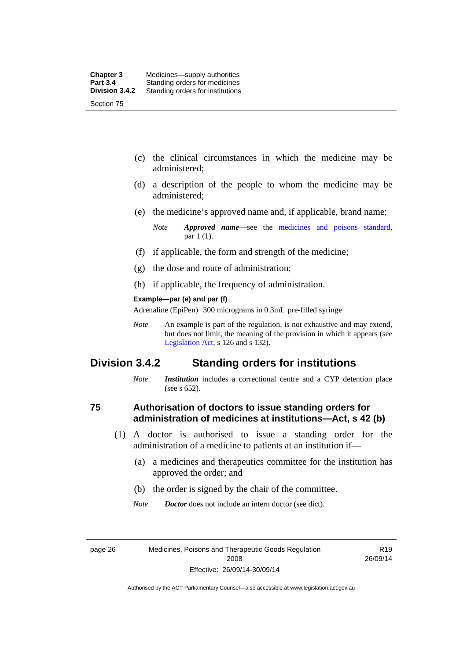- (c) the clinical circumstances in which the medicine may be administered;
- (d) a description of the people to whom the medicine may be administered;
- (e) the medicine's approved name and, if applicable, brand name;

- (f) if applicable, the form and strength of the medicine;
- (g) the dose and route of administration;
- (h) if applicable, the frequency of administration.

#### **Example—par (e) and par (f)**

Adrenaline (EpiPen) 300 micrograms in 0.3mL pre-filled syringe

*Note* An example is part of the regulation, is not exhaustive and may extend, but does not limit, the meaning of the provision in which it appears (see [Legislation Act,](http://www.legislation.act.gov.au/a/2001-14) s 126 and s 132).

### **Division 3.4.2 Standing orders for institutions**

*Note Institution* includes a correctional centre and a CYP detention place (see s 652).

### **75 Authorisation of doctors to issue standing orders for administration of medicines at institutions—Act, s 42 (b)**

- (1) A doctor is authorised to issue a standing order for the administration of a medicine to patients at an institution if—
	- (a) a medicines and therapeutics committee for the institution has approved the order; and
	- (b) the order is signed by the chair of the committee.
	- *Note Doctor* does not include an intern doctor (see dict).

page 26 Medicines, Poisons and Therapeutic Goods Regulation 2008 Effective: 26/09/14-30/09/14

R19 26/09/14

*Note Approved name*—see the [medicines and poisons standard,](http://www.comlaw.gov.au/Series/F2012L01200) par 1 (1).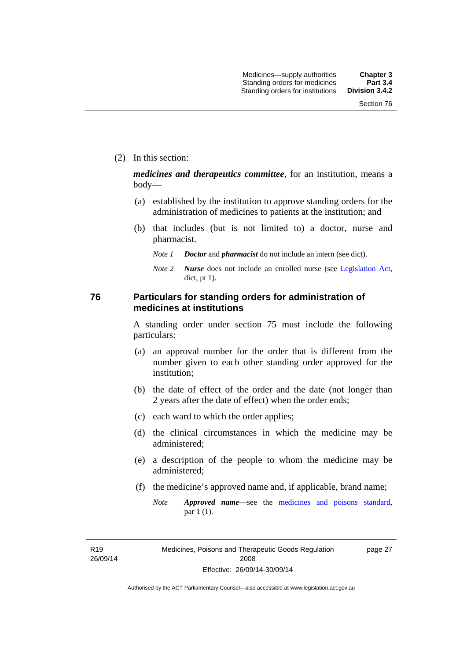(2) In this section:

*medicines and therapeutics committee*, for an institution, means a body—

- (a) established by the institution to approve standing orders for the administration of medicines to patients at the institution; and
- (b) that includes (but is not limited to) a doctor, nurse and pharmacist.
	- *Note 1 Doctor* and *pharmacist* do not include an intern (see dict).
	- *Note 2 Nurse* does not include an enrolled nurse (see [Legislation Act,](http://www.legislation.act.gov.au/a/2001-14) dict, pt 1).

### **76 Particulars for standing orders for administration of medicines at institutions**

A standing order under section 75 must include the following particulars:

- (a) an approval number for the order that is different from the number given to each other standing order approved for the institution;
- (b) the date of effect of the order and the date (not longer than 2 years after the date of effect) when the order ends;
- (c) each ward to which the order applies;
- (d) the clinical circumstances in which the medicine may be administered;
- (e) a description of the people to whom the medicine may be administered;
- (f) the medicine's approved name and, if applicable, brand name;
	- *Note Approved name*—see the [medicines and poisons standard,](http://www.comlaw.gov.au/Series/F2012L01200) par 1 (1).

R19 26/09/14 page 27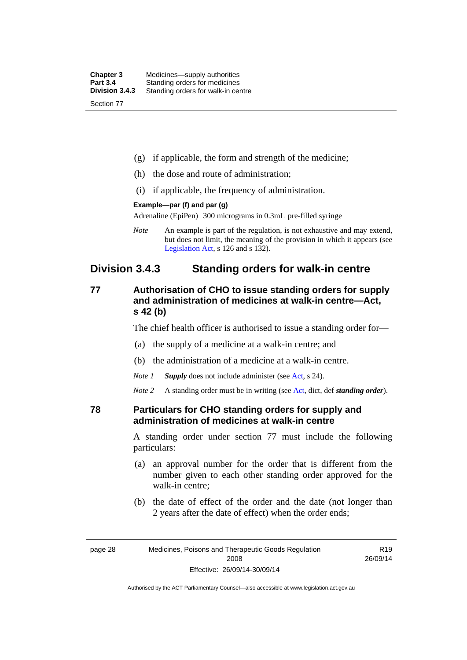| <b>Chapter 3</b> | Medicines—supply authorities       |
|------------------|------------------------------------|
| <b>Part 3.4</b>  | Standing orders for medicines      |
| Division 3.4.3   | Standing orders for walk-in centre |
| Section 77       |                                    |

- (g) if applicable, the form and strength of the medicine;
- (h) the dose and route of administration;
- (i) if applicable, the frequency of administration.

### **Example—par (f) and par (g)**

Adrenaline (EpiPen) 300 micrograms in 0.3mL pre-filled syringe

*Note* An example is part of the regulation, is not exhaustive and may extend, but does not limit, the meaning of the provision in which it appears (see [Legislation Act,](http://www.legislation.act.gov.au/a/2001-14) s 126 and s 132).

## **Division 3.4.3 Standing orders for walk-in centre**

### **77 Authorisation of CHO to issue standing orders for supply and administration of medicines at walk-in centre—Act, s 42 (b)**

The chief health officer is authorised to issue a standing order for—

- (a) the supply of a medicine at a walk-in centre; and
- (b) the administration of a medicine at a walk-in centre.

*Note 1 Supply* does not include administer (see [Act,](http://www.legislation.act.gov.au/a/2008-26/default.asp) s 24).

*Note 2* A standing order must be in writing (see [Act](http://www.legislation.act.gov.au/a/2008-26/default.asp), dict, def *standing order*).

### **78 Particulars for CHO standing orders for supply and administration of medicines at walk-in centre**

A standing order under section 77 must include the following particulars:

- (a) an approval number for the order that is different from the number given to each other standing order approved for the walk-in centre;
- (b) the date of effect of the order and the date (not longer than 2 years after the date of effect) when the order ends;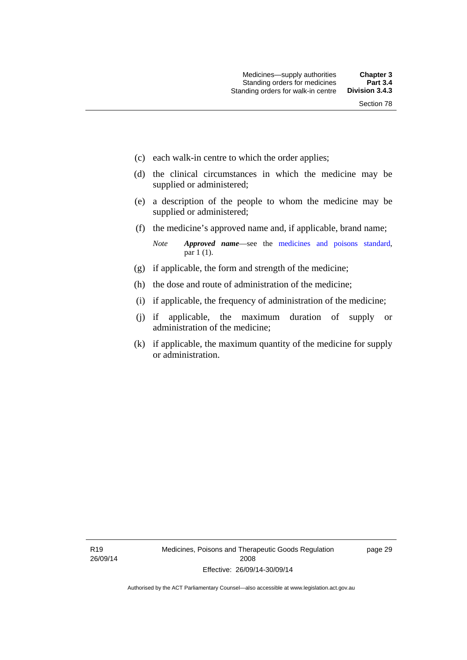- (c) each walk-in centre to which the order applies;
- (d) the clinical circumstances in which the medicine may be supplied or administered;
- (e) a description of the people to whom the medicine may be supplied or administered;
- (f) the medicine's approved name and, if applicable, brand name;

*Note Approved name*—see the [medicines and poisons standard,](http://www.comlaw.gov.au/Series/F2012L01200) par 1 (1).

- (g) if applicable, the form and strength of the medicine;
- (h) the dose and route of administration of the medicine;
- (i) if applicable, the frequency of administration of the medicine;
- (j) if applicable, the maximum duration of supply or administration of the medicine;
- (k) if applicable, the maximum quantity of the medicine for supply or administration.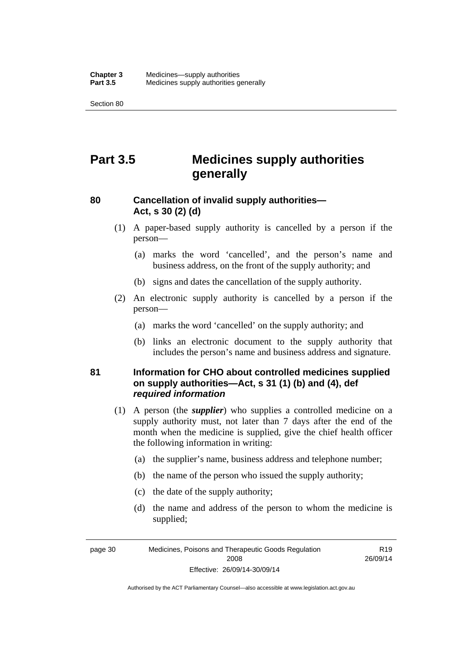Section 80

# **Part 3.5 Medicines supply authorities generally**

## **80 Cancellation of invalid supply authorities— Act, s 30 (2) (d)**

- (1) A paper-based supply authority is cancelled by a person if the person—
	- (a) marks the word 'cancelled', and the person's name and business address, on the front of the supply authority; and
	- (b) signs and dates the cancellation of the supply authority.
- (2) An electronic supply authority is cancelled by a person if the person—
	- (a) marks the word 'cancelled' on the supply authority; and
	- (b) links an electronic document to the supply authority that includes the person's name and business address and signature.

### **81 Information for CHO about controlled medicines supplied on supply authorities—Act, s 31 (1) (b) and (4), def**  *required information*

- (1) A person (the *supplier*) who supplies a controlled medicine on a supply authority must, not later than 7 days after the end of the month when the medicine is supplied, give the chief health officer the following information in writing:
	- (a) the supplier's name, business address and telephone number;
	- (b) the name of the person who issued the supply authority;
	- (c) the date of the supply authority;
	- (d) the name and address of the person to whom the medicine is supplied;

page 30 Medicines, Poisons and Therapeutic Goods Regulation 2008 Effective: 26/09/14-30/09/14

R19 26/09/14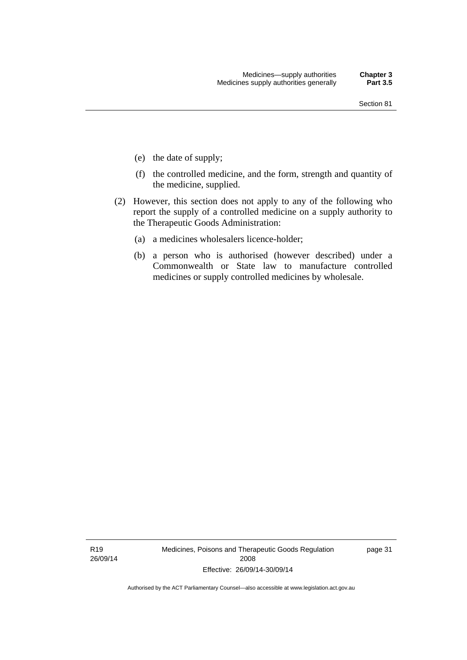- (e) the date of supply;
- (f) the controlled medicine, and the form, strength and quantity of the medicine, supplied.
- (2) However, this section does not apply to any of the following who report the supply of a controlled medicine on a supply authority to the Therapeutic Goods Administration:
	- (a) a medicines wholesalers licence-holder;
	- (b) a person who is authorised (however described) under a Commonwealth or State law to manufacture controlled medicines or supply controlled medicines by wholesale.

R19 26/09/14 Medicines, Poisons and Therapeutic Goods Regulation 2008 Effective: 26/09/14-30/09/14

page 31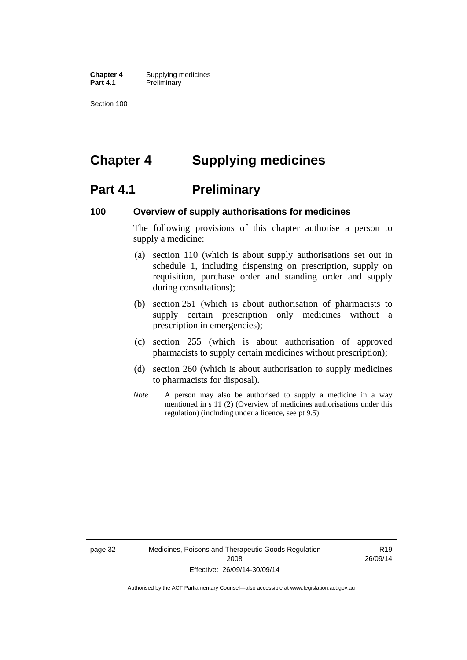**Chapter 4** Supplying medicines **Part 4.1** Preliminary

Section 100

# **Chapter 4 Supplying medicines**

## **Part 4.1** Preliminary

### **100 Overview of supply authorisations for medicines**

The following provisions of this chapter authorise a person to supply a medicine:

- (a) section 110 (which is about supply authorisations set out in schedule 1, including dispensing on prescription, supply on requisition, purchase order and standing order and supply during consultations);
- (b) section 251 (which is about authorisation of pharmacists to supply certain prescription only medicines without a prescription in emergencies);
- (c) section 255 (which is about authorisation of approved pharmacists to supply certain medicines without prescription);
- (d) section 260 (which is about authorisation to supply medicines to pharmacists for disposal).
- *Note* A person may also be authorised to supply a medicine in a way mentioned in s 11 (2) (Overview of medicines authorisations under this regulation) (including under a licence, see pt 9.5).

page 32 Medicines, Poisons and Therapeutic Goods Regulation 2008 Effective: 26/09/14-30/09/14

R19 26/09/14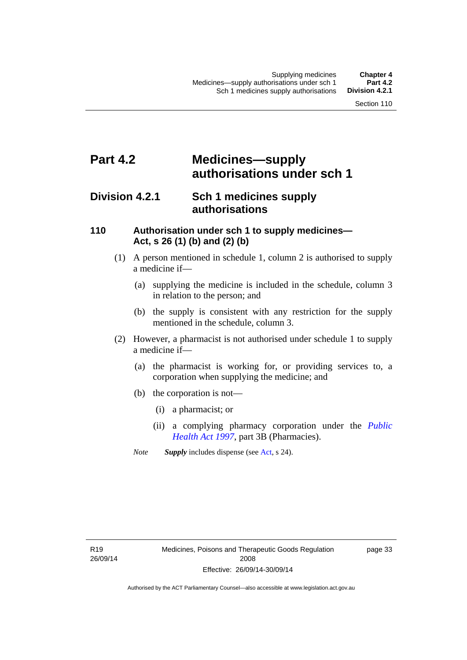# **Part 4.2 Medicines—supply authorisations under sch 1**

## **Division 4.2.1 Sch 1 medicines supply authorisations**

### **110 Authorisation under sch 1 to supply medicines— Act, s 26 (1) (b) and (2) (b)**

- (1) A person mentioned in schedule 1, column 2 is authorised to supply a medicine if—
	- (a) supplying the medicine is included in the schedule, column 3 in relation to the person; and
	- (b) the supply is consistent with any restriction for the supply mentioned in the schedule, column 3.
- (2) However, a pharmacist is not authorised under schedule 1 to supply a medicine if—
	- (a) the pharmacist is working for, or providing services to, a corporation when supplying the medicine; and
	- (b) the corporation is not—
		- (i) a pharmacist; or
		- (ii) a complying pharmacy corporation under the *[Public](http://www.legislation.act.gov.au/a/1997-69)  [Health Act 1997](http://www.legislation.act.gov.au/a/1997-69)*, part 3B (Pharmacies).
	- *Note Supply* includes dispense (see [Act,](http://www.legislation.act.gov.au/a/2008-26/default.asp) s 24).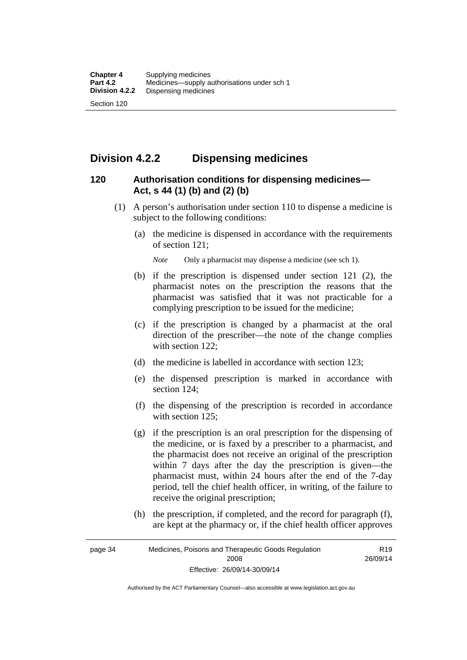## **Division 4.2.2 Dispensing medicines**

### **120 Authorisation conditions for dispensing medicines— Act, s 44 (1) (b) and (2) (b)**

- (1) A person's authorisation under section 110 to dispense a medicine is subject to the following conditions:
	- (a) the medicine is dispensed in accordance with the requirements of section 121;

*Note* Only a pharmacist may dispense a medicine (see sch 1).

- (b) if the prescription is dispensed under section 121 (2), the pharmacist notes on the prescription the reasons that the pharmacist was satisfied that it was not practicable for a complying prescription to be issued for the medicine;
- (c) if the prescription is changed by a pharmacist at the oral direction of the prescriber—the note of the change complies with section 122;
- (d) the medicine is labelled in accordance with section 123;
- (e) the dispensed prescription is marked in accordance with section 124;
- (f) the dispensing of the prescription is recorded in accordance with section 125:
- (g) if the prescription is an oral prescription for the dispensing of the medicine, or is faxed by a prescriber to a pharmacist, and the pharmacist does not receive an original of the prescription within 7 days after the day the prescription is given—the pharmacist must, within 24 hours after the end of the 7-day period, tell the chief health officer, in writing, of the failure to receive the original prescription;
- (h) the prescription, if completed, and the record for paragraph (f), are kept at the pharmacy or, if the chief health officer approves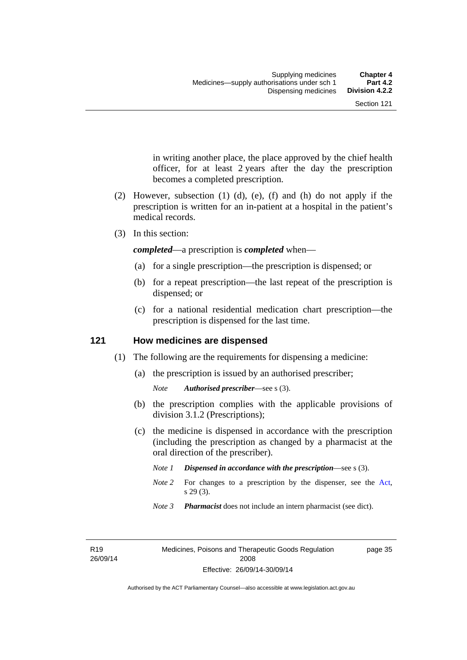in writing another place, the place approved by the chief health officer, for at least 2 years after the day the prescription becomes a completed prescription.

- (2) However, subsection (1) (d), (e), (f) and (h) do not apply if the prescription is written for an in-patient at a hospital in the patient's medical records.
- (3) In this section:

*completed*—a prescription is *completed* when—

- (a) for a single prescription—the prescription is dispensed; or
- (b) for a repeat prescription—the last repeat of the prescription is dispensed; or
- (c) for a national residential medication chart prescription––the prescription is dispensed for the last time.

### **121 How medicines are dispensed**

- (1) The following are the requirements for dispensing a medicine:
	- (a) the prescription is issued by an authorised prescriber;

- (b) the prescription complies with the applicable provisions of division 3.1.2 (Prescriptions);
- (c) the medicine is dispensed in accordance with the prescription (including the prescription as changed by a pharmacist at the oral direction of the prescriber).
	- *Note 1 Dispensed in accordance with the prescription*—see s (3).
	- *Note* 2 For changes to a prescription by the dispenser, see the [Act,](http://www.legislation.act.gov.au/a/2008-26/default.asp) s 29 (3).
	- *Note 3 Pharmacist* does not include an intern pharmacist (see dict).

R19 26/09/14 page 35

*Note Authorised prescriber*—see s (3).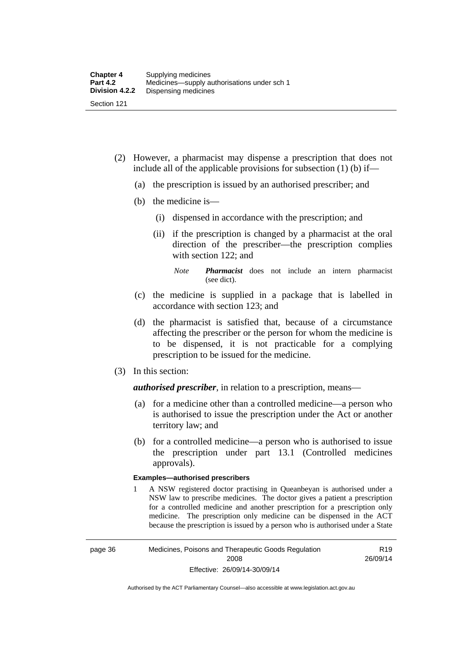- (2) However, a pharmacist may dispense a prescription that does not include all of the applicable provisions for subsection (1) (b) if—
	- (a) the prescription is issued by an authorised prescriber; and
	- (b) the medicine is—
		- (i) dispensed in accordance with the prescription; and
		- (ii) if the prescription is changed by a pharmacist at the oral direction of the prescriber—the prescription complies with section 122; and

*Note Pharmacist* does not include an intern pharmacist (see dict).

- (c) the medicine is supplied in a package that is labelled in accordance with section 123; and
- (d) the pharmacist is satisfied that, because of a circumstance affecting the prescriber or the person for whom the medicine is to be dispensed, it is not practicable for a complying prescription to be issued for the medicine.
- (3) In this section:

*authorised prescriber*, in relation to a prescription, means—

- (a) for a medicine other than a controlled medicine—a person who is authorised to issue the prescription under the Act or another territory law; and
- (b) for a controlled medicine—a person who is authorised to issue the prescription under part 13.1 (Controlled medicines approvals).

### **Examples—authorised prescribers**

1 A NSW registered doctor practising in Queanbeyan is authorised under a NSW law to prescribe medicines. The doctor gives a patient a prescription for a controlled medicine and another prescription for a prescription only medicine. The prescription only medicine can be dispensed in the ACT because the prescription is issued by a person who is authorised under a State

R19 26/09/14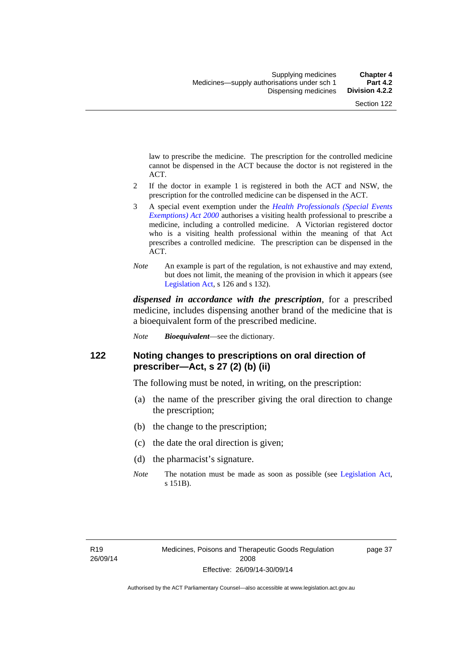law to prescribe the medicine. The prescription for the controlled medicine cannot be dispensed in the ACT because the doctor is not registered in the ACT.

- 2 If the doctor in example 1 is registered in both the ACT and NSW, the prescription for the controlled medicine can be dispensed in the ACT.
- 3 A special event exemption under the *[Health Professionals \(Special Events](http://www.legislation.act.gov.au/a/2000-25)  [Exemptions\) Act 2000](http://www.legislation.act.gov.au/a/2000-25)* authorises a visiting health professional to prescribe a medicine, including a controlled medicine. A Victorian registered doctor who is a visiting health professional within the meaning of that Act prescribes a controlled medicine. The prescription can be dispensed in the ACT.
- *Note* An example is part of the regulation, is not exhaustive and may extend, but does not limit, the meaning of the provision in which it appears (see [Legislation Act,](http://www.legislation.act.gov.au/a/2001-14) s 126 and s 132).

*dispensed in accordance with the prescription*, for a prescribed medicine, includes dispensing another brand of the medicine that is a bioequivalent form of the prescribed medicine.

*Note Bioequivalent*—see the dictionary.

### **122 Noting changes to prescriptions on oral direction of prescriber—Act, s 27 (2) (b) (ii)**

The following must be noted, in writing, on the prescription:

- (a) the name of the prescriber giving the oral direction to change the prescription;
- (b) the change to the prescription;
- (c) the date the oral direction is given;
- (d) the pharmacist's signature.
- *Note* The notation must be made as soon as possible (see [Legislation Act,](http://www.legislation.act.gov.au/a/2001-14) s 151B).

page 37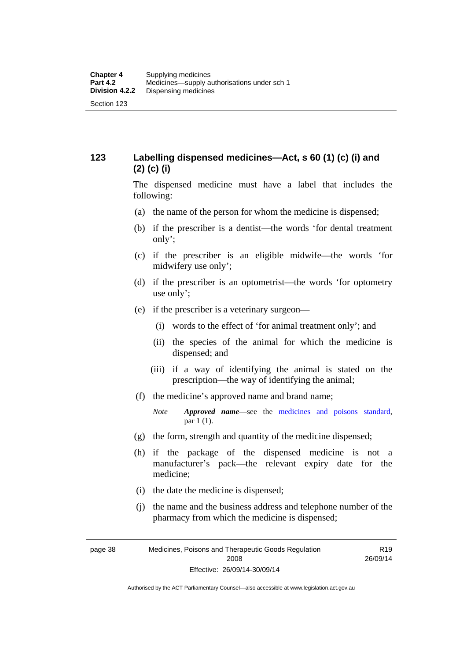## **123 Labelling dispensed medicines—Act, s 60 (1) (c) (i) and (2) (c) (i)**

The dispensed medicine must have a label that includes the following:

- (a) the name of the person for whom the medicine is dispensed;
- (b) if the prescriber is a dentist—the words 'for dental treatment only';
- (c) if the prescriber is an eligible midwife—the words 'for midwifery use only';
- (d) if the prescriber is an optometrist—the words 'for optometry use only';
- (e) if the prescriber is a veterinary surgeon—
	- (i) words to the effect of 'for animal treatment only'; and
	- (ii) the species of the animal for which the medicine is dispensed; and
	- (iii) if a way of identifying the animal is stated on the prescription—the way of identifying the animal;
- (f) the medicine's approved name and brand name;
	- *Note Approved name*—see the [medicines and poisons standard,](http://www.comlaw.gov.au/Series/F2012L01200) par 1 (1).
- (g) the form, strength and quantity of the medicine dispensed;
- (h) if the package of the dispensed medicine is not a manufacturer's pack—the relevant expiry date for the medicine;
- (i) the date the medicine is dispensed;
- (j) the name and the business address and telephone number of the pharmacy from which the medicine is dispensed;

page 38 Medicines, Poisons and Therapeutic Goods Regulation 2008 Effective: 26/09/14-30/09/14

R19 26/09/14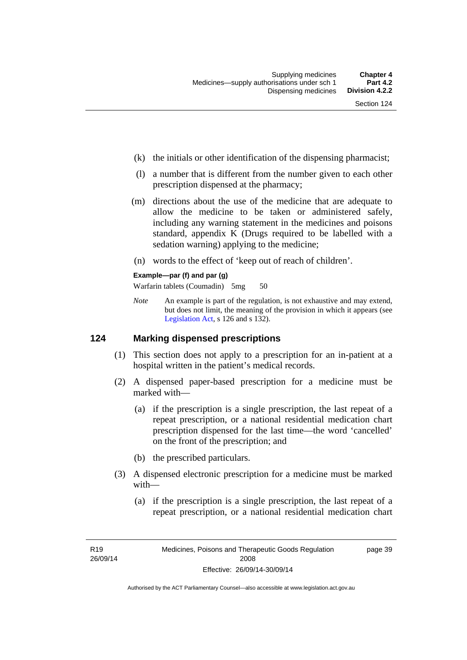- (k) the initials or other identification of the dispensing pharmacist;
- (l) a number that is different from the number given to each other prescription dispensed at the pharmacy;
- (m) directions about the use of the medicine that are adequate to allow the medicine to be taken or administered safely, including any warning statement in the medicines and poisons standard, appendix K (Drugs required to be labelled with a sedation warning) applying to the medicine;
- (n) words to the effect of 'keep out of reach of children'.

### **Example—par (f) and par (g)**

Warfarin tablets (Coumadin) 5mg 50

*Note* An example is part of the regulation, is not exhaustive and may extend, but does not limit, the meaning of the provision in which it appears (see [Legislation Act,](http://www.legislation.act.gov.au/a/2001-14) s 126 and s 132).

### **124 Marking dispensed prescriptions**

- (1) This section does not apply to a prescription for an in-patient at a hospital written in the patient's medical records.
- (2) A dispensed paper-based prescription for a medicine must be marked with—
	- (a) if the prescription is a single prescription, the last repeat of a repeat prescription, or a national residential medication chart prescription dispensed for the last time––the word 'cancelled' on the front of the prescription; and
	- (b) the prescribed particulars.
- (3) A dispensed electronic prescription for a medicine must be marked with—
	- (a) if the prescription is a single prescription, the last repeat of a repeat prescription, or a national residential medication chart

page 39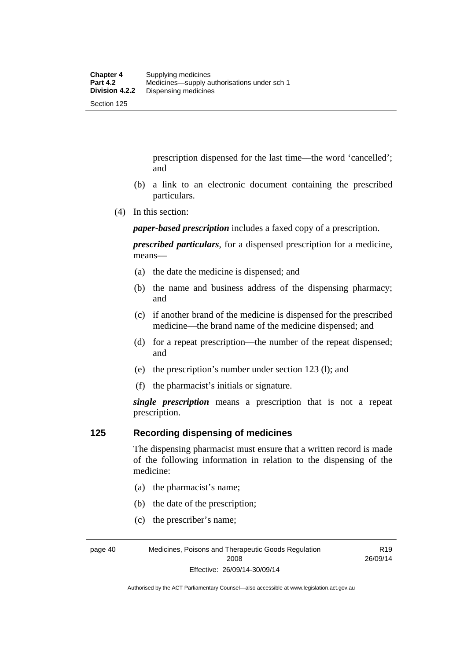prescription dispensed for the last time––the word 'cancelled'; and

- (b) a link to an electronic document containing the prescribed particulars.
- (4) In this section:

*paper-based prescription* includes a faxed copy of a prescription.

*prescribed particulars*, for a dispensed prescription for a medicine, means—

- (a) the date the medicine is dispensed; and
- (b) the name and business address of the dispensing pharmacy; and
- (c) if another brand of the medicine is dispensed for the prescribed medicine—the brand name of the medicine dispensed; and
- (d) for a repeat prescription—the number of the repeat dispensed; and
- (e) the prescription's number under section 123 (l); and
- (f) the pharmacist's initials or signature.

*single prescription* means a prescription that is not a repeat prescription.

### **125 Recording dispensing of medicines**

The dispensing pharmacist must ensure that a written record is made of the following information in relation to the dispensing of the medicine:

- (a) the pharmacist's name;
- (b) the date of the prescription;
- (c) the prescriber's name;

page 40 Medicines, Poisons and Therapeutic Goods Regulation 2008 Effective: 26/09/14-30/09/14

R19 26/09/14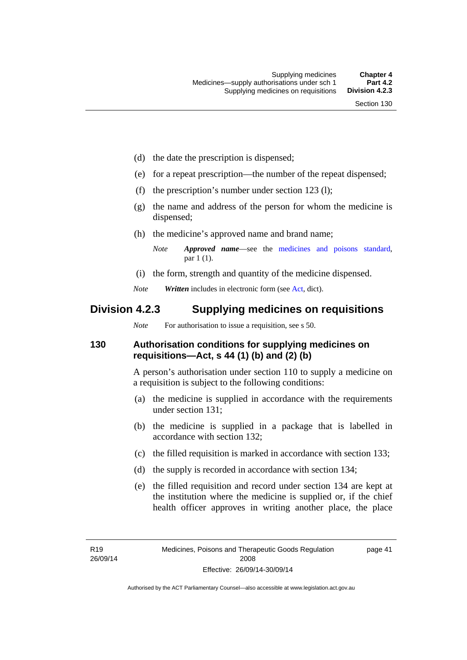- (d) the date the prescription is dispensed;
- (e) for a repeat prescription—the number of the repeat dispensed;
- (f) the prescription's number under section 123 (l);
- (g) the name and address of the person for whom the medicine is dispensed;
- (h) the medicine's approved name and brand name;
	- *Note Approved name*—see the [medicines and poisons standard,](http://www.comlaw.gov.au/Series/F2012L01200) par 1 (1).
- (i) the form, strength and quantity of the medicine dispensed.
- *Note Written* includes in electronic form (see [Act,](http://www.legislation.act.gov.au/a/2008-26/default.asp) dict).

## **Division 4.2.3 Supplying medicines on requisitions**

*Note* For authorisation to issue a requisition, see s 50.

### **130 Authorisation conditions for supplying medicines on requisitions—Act, s 44 (1) (b) and (2) (b)**

A person's authorisation under section 110 to supply a medicine on a requisition is subject to the following conditions:

- (a) the medicine is supplied in accordance with the requirements under section 131;
- (b) the medicine is supplied in a package that is labelled in accordance with section 132;
- (c) the filled requisition is marked in accordance with section 133;
- (d) the supply is recorded in accordance with section 134;
- (e) the filled requisition and record under section 134 are kept at the institution where the medicine is supplied or, if the chief health officer approves in writing another place, the place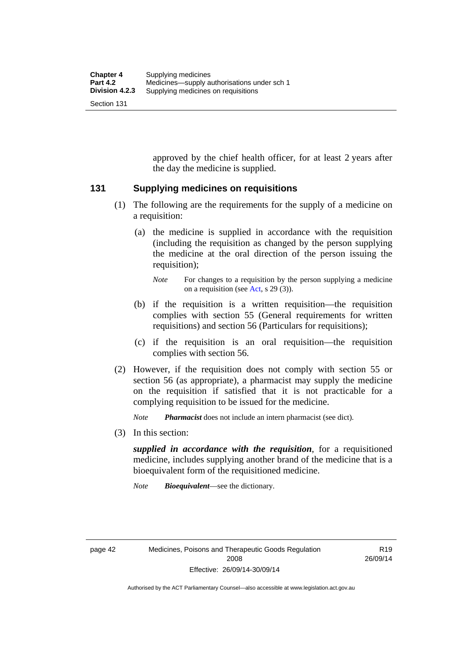approved by the chief health officer, for at least 2 years after the day the medicine is supplied.

### **131 Supplying medicines on requisitions**

- (1) The following are the requirements for the supply of a medicine on a requisition:
	- (a) the medicine is supplied in accordance with the requisition (including the requisition as changed by the person supplying the medicine at the oral direction of the person issuing the requisition);

- (b) if the requisition is a written requisition—the requisition complies with section 55 (General requirements for written requisitions) and section 56 (Particulars for requisitions);
- (c) if the requisition is an oral requisition—the requisition complies with section 56.
- (2) However, if the requisition does not comply with section 55 or section 56 (as appropriate), a pharmacist may supply the medicine on the requisition if satisfied that it is not practicable for a complying requisition to be issued for the medicine.

*Note Pharmacist* does not include an intern pharmacist (see dict).

(3) In this section:

*supplied in accordance with the requisition*, for a requisitioned medicine, includes supplying another brand of the medicine that is a bioequivalent form of the requisitioned medicine.

*Note Bioequivalent*—see the dictionary.

R19 26/09/14

*Note* For changes to a requisition by the person supplying a medicine on a requisition (see [Act,](http://www.legislation.act.gov.au/a/2008-26/default.asp) s 29 (3)).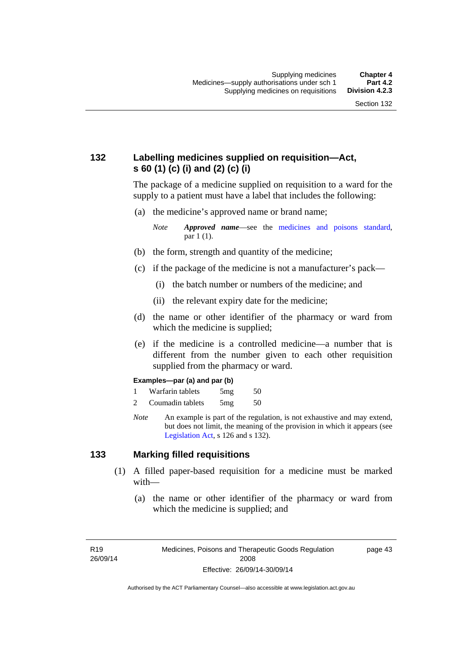## **132 Labelling medicines supplied on requisition—Act, s 60 (1) (c) (i) and (2) (c) (i)**

The package of a medicine supplied on requisition to a ward for the supply to a patient must have a label that includes the following:

(a) the medicine's approved name or brand name;

*Note Approved name*—see the [medicines and poisons standard,](http://www.comlaw.gov.au/Series/F2012L01200) par 1 (1).

- (b) the form, strength and quantity of the medicine;
- (c) if the package of the medicine is not a manufacturer's pack—
	- (i) the batch number or numbers of the medicine; and
	- (ii) the relevant expiry date for the medicine;
- (d) the name or other identifier of the pharmacy or ward from which the medicine is supplied;
- (e) if the medicine is a controlled medicine—a number that is different from the number given to each other requisition supplied from the pharmacy or ward.

#### **Examples—par (a) and par (b)**

- 1 Warfarin tablets 5mg 50
- 2 Coumadin tablets 5mg 50
- *Note* An example is part of the regulation, is not exhaustive and may extend, but does not limit, the meaning of the provision in which it appears (see [Legislation Act,](http://www.legislation.act.gov.au/a/2001-14) s 126 and s 132).

### **133 Marking filled requisitions**

- (1) A filled paper-based requisition for a medicine must be marked with—
	- (a) the name or other identifier of the pharmacy or ward from which the medicine is supplied; and

page 43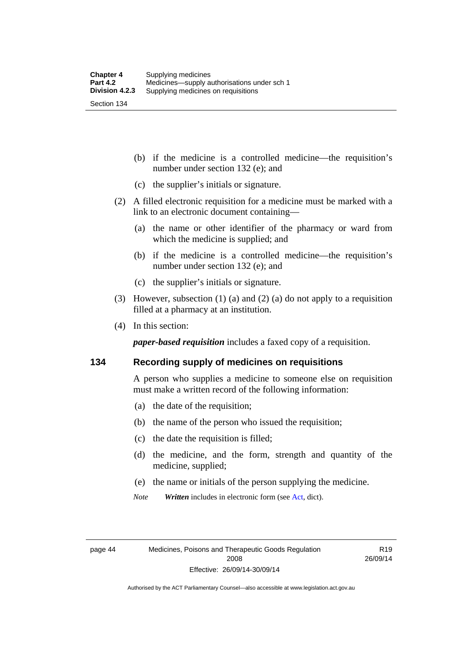(b) if the medicine is a controlled medicine—the requisition's number under section 132 (e); and

- (c) the supplier's initials or signature.
- (2) A filled electronic requisition for a medicine must be marked with a link to an electronic document containing—
	- (a) the name or other identifier of the pharmacy or ward from which the medicine is supplied; and
	- (b) if the medicine is a controlled medicine—the requisition's number under section 132 (e); and
	- (c) the supplier's initials or signature.
- (3) However, subsection (1) (a) and (2) (a) do not apply to a requisition filled at a pharmacy at an institution.
- (4) In this section:

*paper-based requisition* includes a faxed copy of a requisition.

### **134 Recording supply of medicines on requisitions**

A person who supplies a medicine to someone else on requisition must make a written record of the following information:

- (a) the date of the requisition;
- (b) the name of the person who issued the requisition;
- (c) the date the requisition is filled;
- (d) the medicine, and the form, strength and quantity of the medicine, supplied;
- (e) the name or initials of the person supplying the medicine.
- *Note Written* includes in electronic form (see [Act,](http://www.legislation.act.gov.au/a/2008-26/default.asp) dict).

R19 26/09/14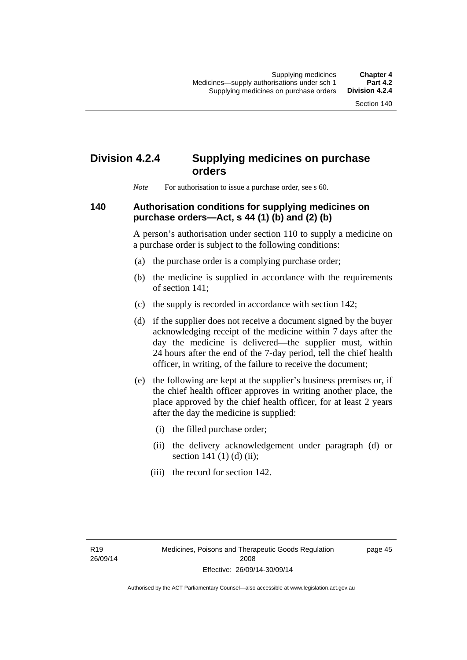# **Division 4.2.4 Supplying medicines on purchase orders**

*Note* For authorisation to issue a purchase order, see s 60.

### **140 Authorisation conditions for supplying medicines on purchase orders—Act, s 44 (1) (b) and (2) (b)**

A person's authorisation under section 110 to supply a medicine on a purchase order is subject to the following conditions:

- (a) the purchase order is a complying purchase order;
- (b) the medicine is supplied in accordance with the requirements of section 141;
- (c) the supply is recorded in accordance with section 142;
- (d) if the supplier does not receive a document signed by the buyer acknowledging receipt of the medicine within 7 days after the day the medicine is delivered—the supplier must, within 24 hours after the end of the 7-day period, tell the chief health officer, in writing, of the failure to receive the document;
- (e) the following are kept at the supplier's business premises or, if the chief health officer approves in writing another place, the place approved by the chief health officer, for at least 2 years after the day the medicine is supplied:
	- (i) the filled purchase order;
	- (ii) the delivery acknowledgement under paragraph (d) or section 141 $(1)$  $(d)$  $(ii)$ ;
	- (iii) the record for section 142.

page 45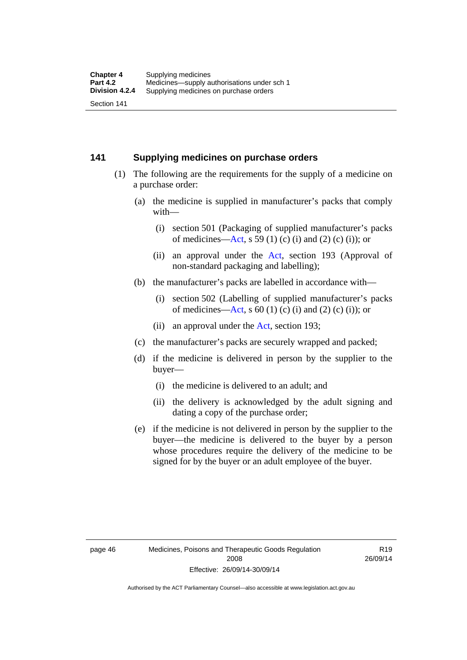### **141 Supplying medicines on purchase orders**

- (1) The following are the requirements for the supply of a medicine on a purchase order:
	- (a) the medicine is supplied in manufacturer's packs that comply with—
		- (i) section 501 (Packaging of supplied manufacturer's packs of medicines—[Act](http://www.legislation.act.gov.au/a/2008-26/default.asp), s 59 (1) (c) (i) and (2) (c) (i)); or
		- (ii) an approval under the [Act](http://www.legislation.act.gov.au/a/2008-26/default.asp), section 193 (Approval of non-standard packaging and labelling);
	- (b) the manufacturer's packs are labelled in accordance with—
		- (i) section 502 (Labelling of supplied manufacturer's packs of medicines—[Act](http://www.legislation.act.gov.au/a/2008-26/default.asp), s  $60(1)$  (c) (i) and (2) (c) (i)); or
		- (ii) an approval under the [Act,](http://www.legislation.act.gov.au/a/2008-26/default.asp) section 193;
	- (c) the manufacturer's packs are securely wrapped and packed;
	- (d) if the medicine is delivered in person by the supplier to the buyer—
		- (i) the medicine is delivered to an adult; and
		- (ii) the delivery is acknowledged by the adult signing and dating a copy of the purchase order;
	- (e) if the medicine is not delivered in person by the supplier to the buyer—the medicine is delivered to the buyer by a person whose procedures require the delivery of the medicine to be signed for by the buyer or an adult employee of the buyer.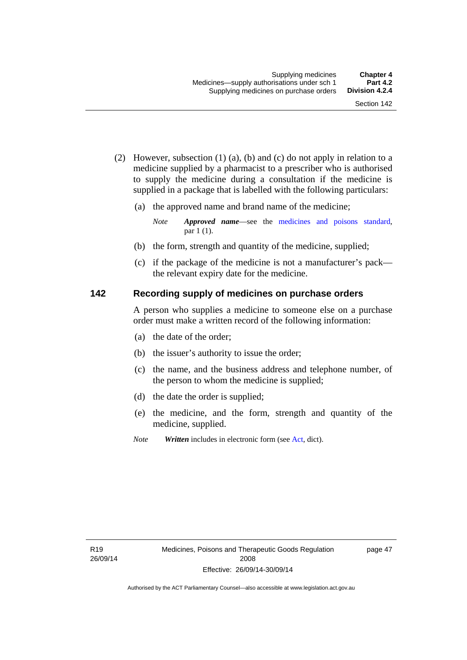- (2) However, subsection (1) (a), (b) and (c) do not apply in relation to a medicine supplied by a pharmacist to a prescriber who is authorised to supply the medicine during a consultation if the medicine is supplied in a package that is labelled with the following particulars:
	- (a) the approved name and brand name of the medicine;

*Note Approved name*—see the [medicines and poisons standard,](http://www.comlaw.gov.au/Series/F2012L01200) par 1 (1).

- (b) the form, strength and quantity of the medicine, supplied;
- (c) if the package of the medicine is not a manufacturer's pack the relevant expiry date for the medicine.

### **142 Recording supply of medicines on purchase orders**

A person who supplies a medicine to someone else on a purchase order must make a written record of the following information:

- (a) the date of the order;
- (b) the issuer's authority to issue the order;
- (c) the name, and the business address and telephone number, of the person to whom the medicine is supplied;
- (d) the date the order is supplied;
- (e) the medicine, and the form, strength and quantity of the medicine, supplied.
- *Note Written* includes in electronic form (see [Act,](http://www.legislation.act.gov.au/a/2008-26/default.asp) dict).

page 47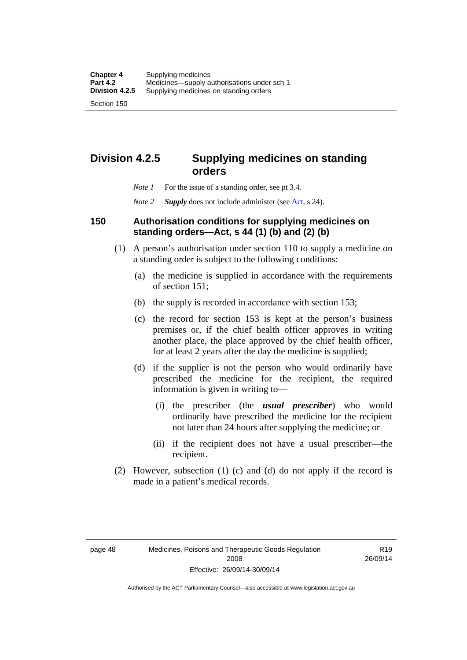## **Division 4.2.5 Supplying medicines on standing orders**

- *Note 1* For the issue of a standing order, see pt 3.4.
- *Note 2 Supply* does not include administer (see [Act,](http://www.legislation.act.gov.au/a/2008-26/default.asp) s 24).

### **150 Authorisation conditions for supplying medicines on standing orders—Act, s 44 (1) (b) and (2) (b)**

- (1) A person's authorisation under section 110 to supply a medicine on a standing order is subject to the following conditions:
	- (a) the medicine is supplied in accordance with the requirements of section 151;
	- (b) the supply is recorded in accordance with section 153;
	- (c) the record for section 153 is kept at the person's business premises or, if the chief health officer approves in writing another place, the place approved by the chief health officer, for at least 2 years after the day the medicine is supplied;
	- (d) if the supplier is not the person who would ordinarily have prescribed the medicine for the recipient, the required information is given in writing to—
		- (i) the prescriber (the *usual prescriber*) who would ordinarily have prescribed the medicine for the recipient not later than 24 hours after supplying the medicine; or
		- (ii) if the recipient does not have a usual prescriber—the recipient.
- (2) However, subsection (1) (c) and (d) do not apply if the record is made in a patient's medical records.

R19 26/09/14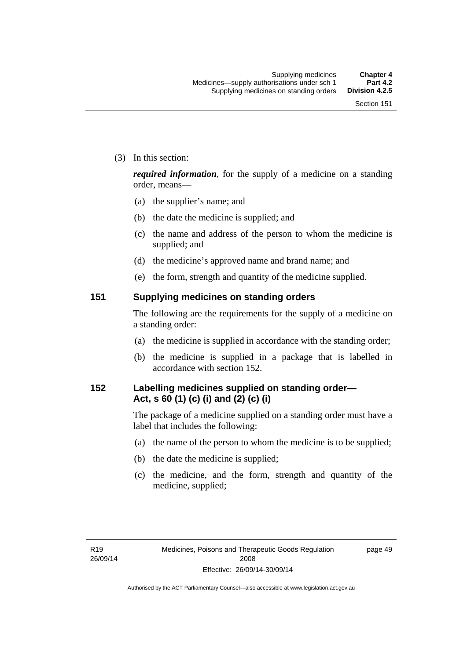(3) In this section:

*required information*, for the supply of a medicine on a standing order, means—

- (a) the supplier's name; and
- (b) the date the medicine is supplied; and
- (c) the name and address of the person to whom the medicine is supplied; and
- (d) the medicine's approved name and brand name; and
- (e) the form, strength and quantity of the medicine supplied.

### **151 Supplying medicines on standing orders**

The following are the requirements for the supply of a medicine on a standing order:

- (a) the medicine is supplied in accordance with the standing order;
- (b) the medicine is supplied in a package that is labelled in accordance with section 152.

## **152 Labelling medicines supplied on standing order— Act, s 60 (1) (c) (i) and (2) (c) (i)**

The package of a medicine supplied on a standing order must have a label that includes the following:

- (a) the name of the person to whom the medicine is to be supplied;
- (b) the date the medicine is supplied;
- (c) the medicine, and the form, strength and quantity of the medicine, supplied;

page 49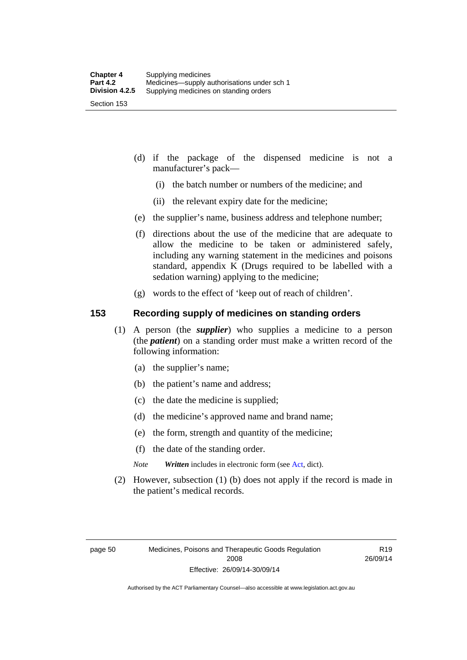- (d) if the package of the dispensed medicine is not a manufacturer's pack—
	- (i) the batch number or numbers of the medicine; and
	- (ii) the relevant expiry date for the medicine;
- (e) the supplier's name, business address and telephone number;
- (f) directions about the use of the medicine that are adequate to allow the medicine to be taken or administered safely, including any warning statement in the medicines and poisons standard, appendix K (Drugs required to be labelled with a sedation warning) applying to the medicine;
- (g) words to the effect of 'keep out of reach of children'.

### **153 Recording supply of medicines on standing orders**

- (1) A person (the *supplier*) who supplies a medicine to a person (the *patient*) on a standing order must make a written record of the following information:
	- (a) the supplier's name;
	- (b) the patient's name and address;
	- (c) the date the medicine is supplied;
	- (d) the medicine's approved name and brand name;
	- (e) the form, strength and quantity of the medicine;
	- (f) the date of the standing order.
	- *Note Written* includes in electronic form (see [Act,](http://www.legislation.act.gov.au/a/2008-26/default.asp) dict).
- (2) However, subsection (1) (b) does not apply if the record is made in the patient's medical records.

R19 26/09/14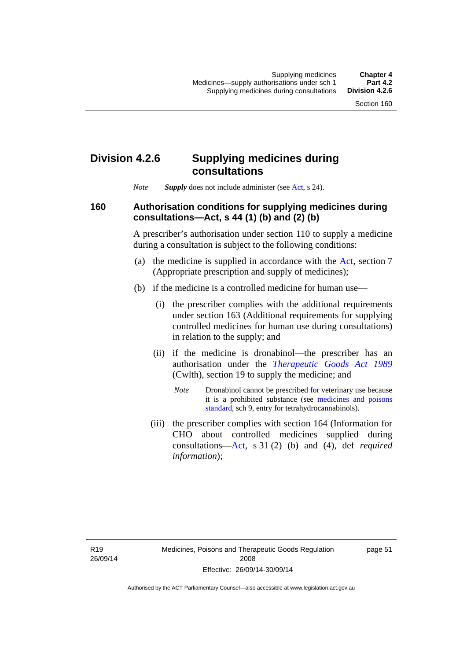## **Division 4.2.6 Supplying medicines during consultations**

*Note Supply* does not include administer (see [Act,](http://www.legislation.act.gov.au/a/2008-26/default.asp) s 24).

### **160 Authorisation conditions for supplying medicines during consultations—Act, s 44 (1) (b) and (2) (b)**

A prescriber's authorisation under section 110 to supply a medicine during a consultation is subject to the following conditions:

- (a) the medicine is supplied in accordance with the [Act](http://www.legislation.act.gov.au/a/2008-26/default.asp), section 7 (Appropriate prescription and supply of medicines);
- (b) if the medicine is a controlled medicine for human use—
	- (i) the prescriber complies with the additional requirements under section 163 (Additional requirements for supplying controlled medicines for human use during consultations) in relation to the supply; and
	- (ii) if the medicine is dronabinol—the prescriber has an authorisation under the *[Therapeutic Goods Act 1989](http://www.comlaw.gov.au/Series/C2004A03952)* (Cwlth), section 19 to supply the medicine; and
		- *Note* Dronabinol cannot be prescribed for veterinary use because it is a prohibited substance (see [medicines and poisons](http://www.comlaw.gov.au/Series/F2012L01200)  [standard,](http://www.comlaw.gov.au/Series/F2012L01200) sch 9, entry for tetrahydrocannabinols).
	- (iii) the prescriber complies with section 164 (Information for CHO about controlled medicines supplied during consultations[—Act,](http://www.legislation.act.gov.au/a/2008-26/default.asp) s 31 (2) (b) and (4), def *required information*);

page 51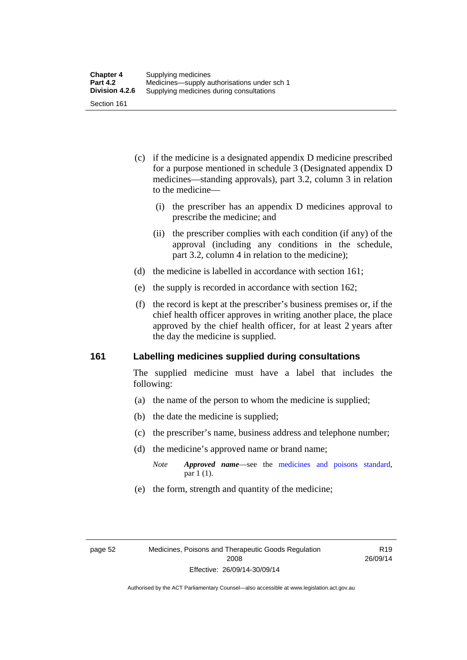- (c) if the medicine is a designated appendix D medicine prescribed for a purpose mentioned in schedule 3 (Designated appendix D medicines—standing approvals), part 3.2, column 3 in relation to the medicine—
	- (i) the prescriber has an appendix D medicines approval to prescribe the medicine; and
	- (ii) the prescriber complies with each condition (if any) of the approval (including any conditions in the schedule, part 3.2, column 4 in relation to the medicine);
- (d) the medicine is labelled in accordance with section 161;
- (e) the supply is recorded in accordance with section 162;
- (f) the record is kept at the prescriber's business premises or, if the chief health officer approves in writing another place, the place approved by the chief health officer, for at least 2 years after the day the medicine is supplied.

### **161 Labelling medicines supplied during consultations**

The supplied medicine must have a label that includes the following:

- (a) the name of the person to whom the medicine is supplied;
- (b) the date the medicine is supplied;
- (c) the prescriber's name, business address and telephone number;
- (d) the medicine's approved name or brand name;
	- *Note Approved name*—see the [medicines and poisons standard,](http://www.comlaw.gov.au/Series/F2012L01200) par 1 (1).
- (e) the form, strength and quantity of the medicine;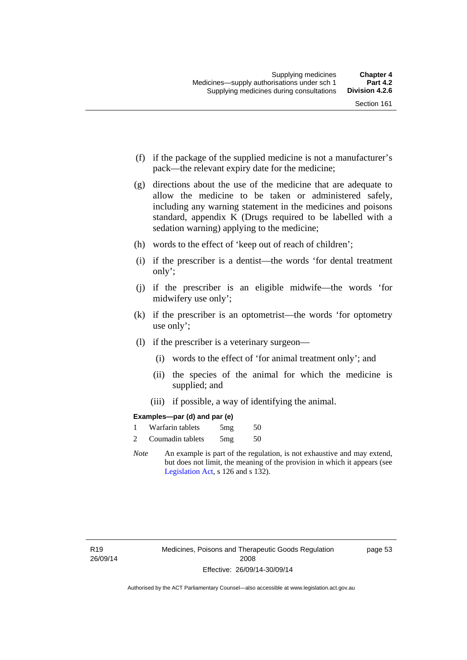- (f) if the package of the supplied medicine is not a manufacturer's pack—the relevant expiry date for the medicine;
- (g) directions about the use of the medicine that are adequate to allow the medicine to be taken or administered safely, including any warning statement in the medicines and poisons standard, appendix K (Drugs required to be labelled with a sedation warning) applying to the medicine;
- (h) words to the effect of 'keep out of reach of children';
- (i) if the prescriber is a dentist—the words 'for dental treatment only';
- (j) if the prescriber is an eligible midwife—the words 'for midwifery use only';
- (k) if the prescriber is an optometrist—the words 'for optometry use only';
- (l) if the prescriber is a veterinary surgeon—
	- (i) words to the effect of 'for animal treatment only'; and
	- (ii) the species of the animal for which the medicine is supplied; and
	- (iii) if possible, a way of identifying the animal.

### **Examples—par (d) and par (e)**

|                | Warfarin tablets | 5mg | 50 |
|----------------|------------------|-----|----|
| $\overline{c}$ | Coumadin tablets | 5mg | 50 |

*Note* An example is part of the regulation, is not exhaustive and may extend, but does not limit, the meaning of the provision in which it appears (see [Legislation Act,](http://www.legislation.act.gov.au/a/2001-14) s 126 and s 132).

page 53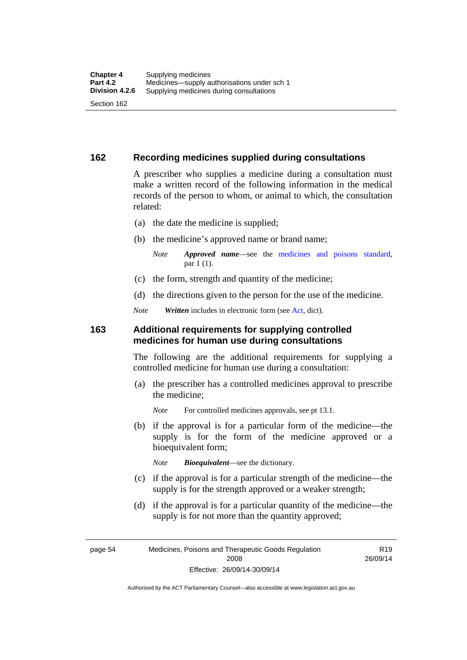### **162 Recording medicines supplied during consultations**

A prescriber who supplies a medicine during a consultation must make a written record of the following information in the medical records of the person to whom, or animal to which, the consultation related:

- (a) the date the medicine is supplied;
- (b) the medicine's approved name or brand name;

*Note Approved name*—see the [medicines and poisons standard,](http://www.comlaw.gov.au/Series/F2012L01200) par 1 (1).

- (c) the form, strength and quantity of the medicine;
- (d) the directions given to the person for the use of the medicine.

*Note Written* includes in electronic form (see [Act,](http://www.legislation.act.gov.au/a/2008-26/default.asp) dict).

### **163 Additional requirements for supplying controlled medicines for human use during consultations**

The following are the additional requirements for supplying a controlled medicine for human use during a consultation:

- (a) the prescriber has a controlled medicines approval to prescribe the medicine;
	- *Note* For controlled medicines approvals, see pt 13.1.
- (b) if the approval is for a particular form of the medicine—the supply is for the form of the medicine approved or a bioequivalent form;

*Note Bioequivalent*—see the dictionary.

- (c) if the approval is for a particular strength of the medicine—the supply is for the strength approved or a weaker strength;
- (d) if the approval is for a particular quantity of the medicine—the supply is for not more than the quantity approved;

page 54 Medicines, Poisons and Therapeutic Goods Regulation 2008 Effective: 26/09/14-30/09/14

R19 26/09/14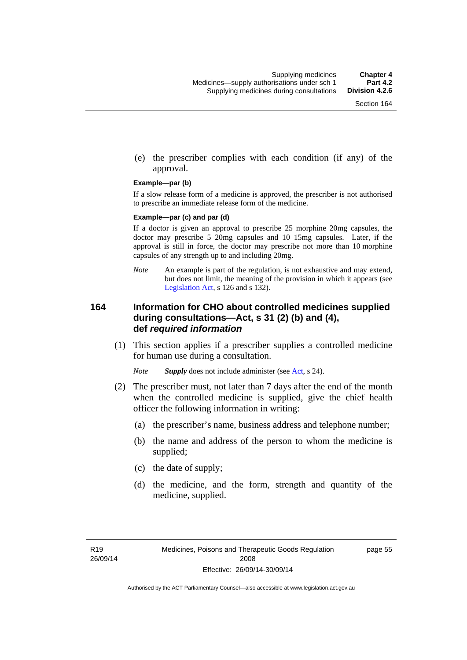(e) the prescriber complies with each condition (if any) of the approval.

#### **Example—par (b)**

If a slow release form of a medicine is approved, the prescriber is not authorised to prescribe an immediate release form of the medicine.

#### **Example—par (c) and par (d)**

If a doctor is given an approval to prescribe 25 morphine 20mg capsules, the doctor may prescribe 5 20mg capsules and 10 15mg capsules. Later, if the approval is still in force, the doctor may prescribe not more than 10 morphine capsules of any strength up to and including 20mg.

*Note* An example is part of the regulation, is not exhaustive and may extend, but does not limit, the meaning of the provision in which it appears (see [Legislation Act,](http://www.legislation.act.gov.au/a/2001-14) s 126 and s 132).

### **164 Information for CHO about controlled medicines supplied during consultations—Act, s 31 (2) (b) and (4), def** *required information*

 (1) This section applies if a prescriber supplies a controlled medicine for human use during a consultation.

*Note Supply* does not include administer (see [Act,](http://www.legislation.act.gov.au/a/2008-26/default.asp) s 24).

- (2) The prescriber must, not later than 7 days after the end of the month when the controlled medicine is supplied, give the chief health officer the following information in writing:
	- (a) the prescriber's name, business address and telephone number;
	- (b) the name and address of the person to whom the medicine is supplied;
	- (c) the date of supply;
	- (d) the medicine, and the form, strength and quantity of the medicine, supplied.

page 55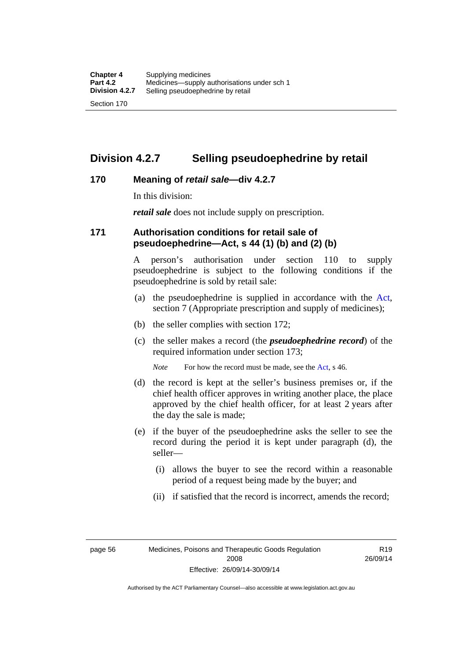## **Division 4.2.7 Selling pseudoephedrine by retail**

### **170 Meaning of** *retail sale***—div 4.2.7**

In this division:

*retail sale* does not include supply on prescription.

### **171 Authorisation conditions for retail sale of pseudoephedrine—Act, s 44 (1) (b) and (2) (b)**

A person's authorisation under section 110 to supply pseudoephedrine is subject to the following conditions if the pseudoephedrine is sold by retail sale:

- (a) the pseudoephedrine is supplied in accordance with the [Act](http://www.legislation.act.gov.au/a/2008-26/default.asp), section 7 (Appropriate prescription and supply of medicines);
- (b) the seller complies with section 172;
- (c) the seller makes a record (the *pseudoephedrine record*) of the required information under section 173;

*Note* For how the record must be made, see the [Act,](http://www.legislation.act.gov.au/a/2008-26/default.asp) s 46.

- (d) the record is kept at the seller's business premises or, if the chief health officer approves in writing another place, the place approved by the chief health officer, for at least 2 years after the day the sale is made;
- (e) if the buyer of the pseudoephedrine asks the seller to see the record during the period it is kept under paragraph (d), the seller—
	- (i) allows the buyer to see the record within a reasonable period of a request being made by the buyer; and
	- (ii) if satisfied that the record is incorrect, amends the record;

page 56 Medicines, Poisons and Therapeutic Goods Regulation 2008 Effective: 26/09/14-30/09/14

R19 26/09/14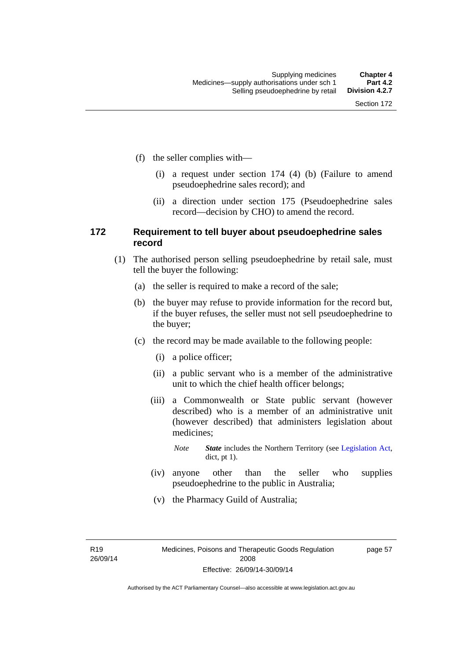- (f) the seller complies with—
	- (i) a request under section 174 (4) (b) (Failure to amend pseudoephedrine sales record); and
	- (ii) a direction under section 175 (Pseudoephedrine sales record—decision by CHO) to amend the record.

### **172 Requirement to tell buyer about pseudoephedrine sales record**

- (1) The authorised person selling pseudoephedrine by retail sale, must tell the buyer the following:
	- (a) the seller is required to make a record of the sale;
	- (b) the buyer may refuse to provide information for the record but, if the buyer refuses, the seller must not sell pseudoephedrine to the buyer;
	- (c) the record may be made available to the following people:
		- (i) a police officer;
		- (ii) a public servant who is a member of the administrative unit to which the chief health officer belongs;
		- (iii) a Commonwealth or State public servant (however described) who is a member of an administrative unit (however described) that administers legislation about medicines;
			- *Note State* includes the Northern Territory (see [Legislation Act,](http://www.legislation.act.gov.au/a/2001-14) dict, pt 1).
		- (iv) anyone other than the seller who supplies pseudoephedrine to the public in Australia;
		- (v) the Pharmacy Guild of Australia;

R19 26/09/14 page 57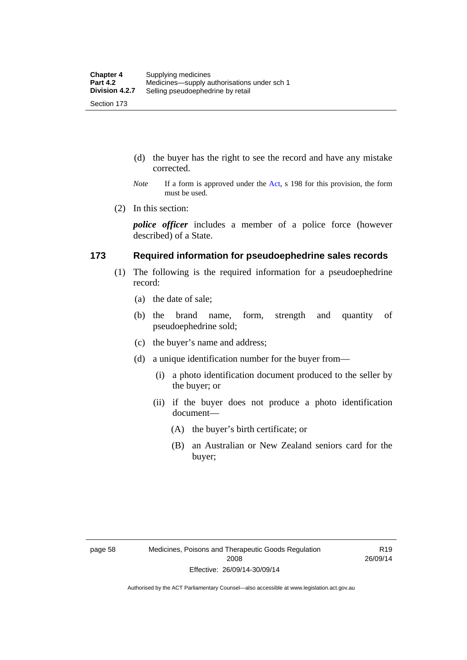- (d) the buyer has the right to see the record and have any mistake corrected.
- *Note* If a form is approved under the [Act](http://www.legislation.act.gov.au/a/2008-26/default.asp), s 198 for this provision, the form must be used.
- (2) In this section:

*police officer* includes a member of a police force (however described) of a State.

### **173 Required information for pseudoephedrine sales records**

- (1) The following is the required information for a pseudoephedrine record:
	- (a) the date of sale;
	- (b) the brand name, form, strength and quantity of pseudoephedrine sold;
	- (c) the buyer's name and address;
	- (d) a unique identification number for the buyer from—
		- (i) a photo identification document produced to the seller by the buyer; or
		- (ii) if the buyer does not produce a photo identification document—
			- (A) the buyer's birth certificate; or
			- (B) an Australian or New Zealand seniors card for the buyer;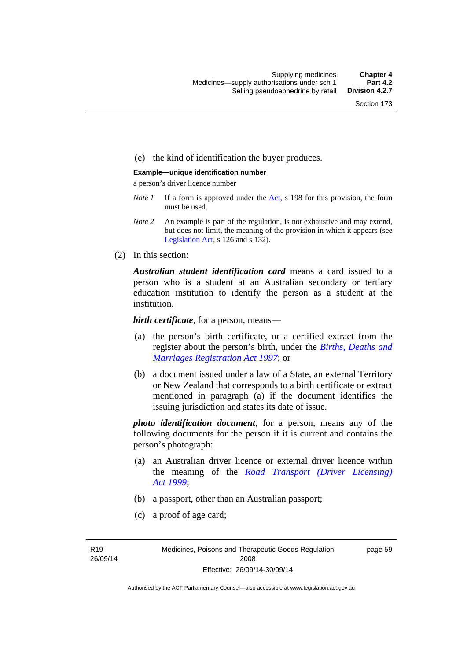### (e) the kind of identification the buyer produces.

#### **Example—unique identification number**

a person's driver licence number

- *Note 1* If a form is approved under the [Act](http://www.legislation.act.gov.au/a/2008-26/default.asp), s 198 for this provision, the form must be used.
- *Note 2* An example is part of the regulation, is not exhaustive and may extend, but does not limit, the meaning of the provision in which it appears (see [Legislation Act,](http://www.legislation.act.gov.au/a/2001-14) s 126 and s 132).
- (2) In this section:

*Australian student identification card* means a card issued to a person who is a student at an Australian secondary or tertiary education institution to identify the person as a student at the institution.

*birth certificate*, for a person, means—

- (a) the person's birth certificate, or a certified extract from the register about the person's birth, under the *[Births, Deaths and](http://www.legislation.act.gov.au/a/1997-112)  [Marriages Registration Act 1997](http://www.legislation.act.gov.au/a/1997-112)*; or
- (b) a document issued under a law of a State, an external Territory or New Zealand that corresponds to a birth certificate or extract mentioned in paragraph (a) if the document identifies the issuing jurisdiction and states its date of issue.

*photo identification document*, for a person, means any of the following documents for the person if it is current and contains the person's photograph:

- (a) an Australian driver licence or external driver licence within the meaning of the *[Road Transport \(Driver Licensing\)](http://www.legislation.act.gov.au/a/1999-78)  [Act 1999](http://www.legislation.act.gov.au/a/1999-78)*;
- (b) a passport, other than an Australian passport;
- (c) a proof of age card;

R19 26/09/14 page 59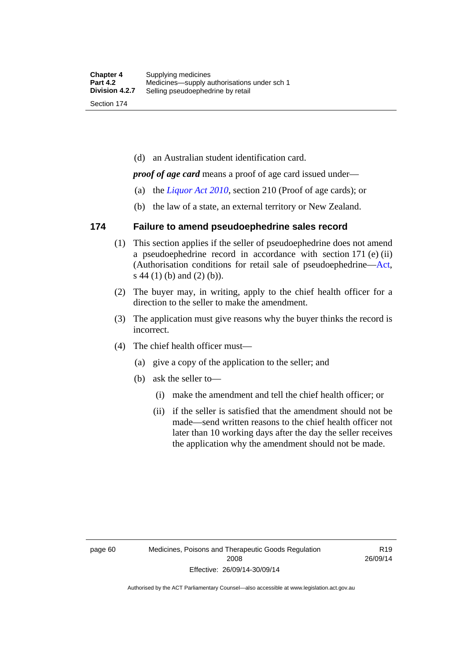(d) an Australian student identification card.

*proof of age card* means a proof of age card issued under—

- (a) the *[Liquor Act 2010](http://www.legislation.act.gov.au/a/2010-35)*, section 210 (Proof of age cards); or
- (b) the law of a state, an external territory or New Zealand.

### **174 Failure to amend pseudoephedrine sales record**

- (1) This section applies if the seller of pseudoephedrine does not amend a pseudoephedrine record in accordance with section 171 (e) (ii) (Authorisation conditions for retail sale of pseudoephedrine—[Act](http://www.legislation.act.gov.au/a/2008-26/default.asp), s 44 (1) (b) and (2) (b)).
- (2) The buyer may, in writing, apply to the chief health officer for a direction to the seller to make the amendment.
- (3) The application must give reasons why the buyer thinks the record is incorrect.
- (4) The chief health officer must—
	- (a) give a copy of the application to the seller; and
	- (b) ask the seller to—
		- (i) make the amendment and tell the chief health officer; or
		- (ii) if the seller is satisfied that the amendment should not be made—send written reasons to the chief health officer not later than 10 working days after the day the seller receives the application why the amendment should not be made.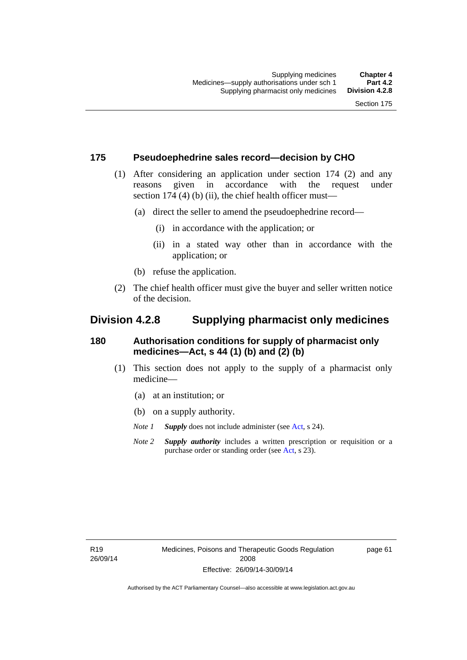### **175 Pseudoephedrine sales record—decision by CHO**

- (1) After considering an application under section 174 (2) and any reasons given in accordance with the request under section 174  $(4)$  (b)  $(ii)$ , the chief health officer must—
	- (a) direct the seller to amend the pseudoephedrine record—
		- (i) in accordance with the application; or
		- (ii) in a stated way other than in accordance with the application; or
	- (b) refuse the application.
- (2) The chief health officer must give the buyer and seller written notice of the decision.

## **Division 4.2.8 Supplying pharmacist only medicines**

### **180 Authorisation conditions for supply of pharmacist only medicines—Act, s 44 (1) (b) and (2) (b)**

- (1) This section does not apply to the supply of a pharmacist only medicine—
	- (a) at an institution; or
	- (b) on a supply authority.
	- *Note 1 Supply* does not include administer (see [Act,](http://www.legislation.act.gov.au/a/2008-26/default.asp) s 24).
	- *Note 2 Supply authority* includes a written prescription or requisition or a purchase order or standing order (see [Act,](http://www.legislation.act.gov.au/a/2008-26/default.asp) s 23).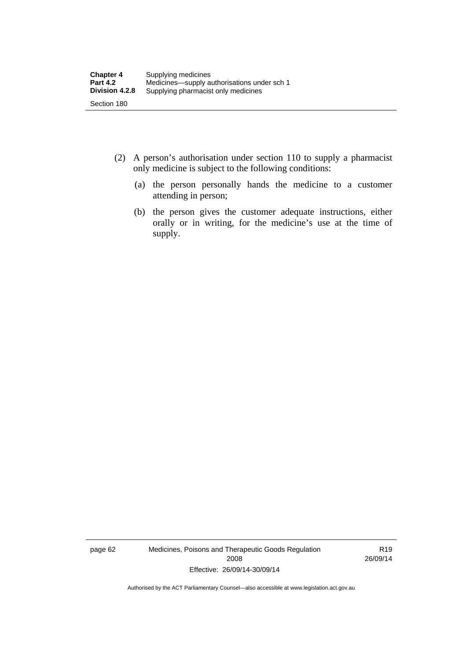- (2) A person's authorisation under section 110 to supply a pharmacist only medicine is subject to the following conditions:
	- (a) the person personally hands the medicine to a customer attending in person;
	- (b) the person gives the customer adequate instructions, either orally or in writing, for the medicine's use at the time of supply.

page 62 Medicines, Poisons and Therapeutic Goods Regulation 2008 Effective: 26/09/14-30/09/14

R19 26/09/14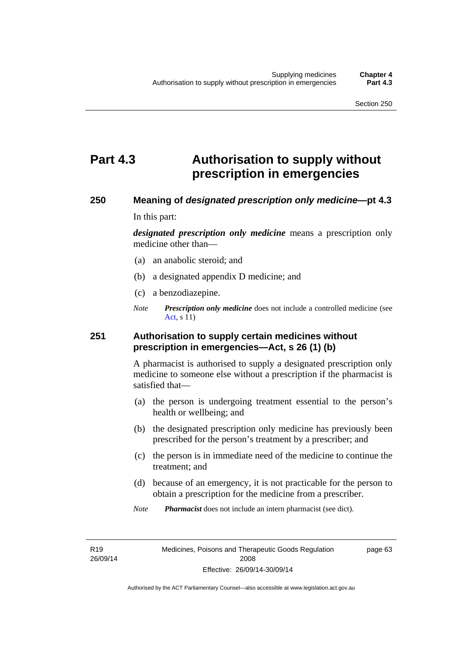# **Part 4.3 Authorisation to supply without prescription in emergencies**

### **250 Meaning of** *designated prescription only medicine***—pt 4.3**

In this part:

*designated prescription only medicine* means a prescription only medicine other than—

- (a) an anabolic steroid; and
- (b) a designated appendix D medicine; and
- (c) a benzodiazepine.
- *Note Prescription only medicine* does not include a controlled medicine (see [Act](http://www.legislation.act.gov.au/a/2008-26/default.asp), s 11)

### **251 Authorisation to supply certain medicines without prescription in emergencies—Act, s 26 (1) (b)**

A pharmacist is authorised to supply a designated prescription only medicine to someone else without a prescription if the pharmacist is satisfied that—

- (a) the person is undergoing treatment essential to the person's health or wellbeing; and
- (b) the designated prescription only medicine has previously been prescribed for the person's treatment by a prescriber; and
- (c) the person is in immediate need of the medicine to continue the treatment; and
- (d) because of an emergency, it is not practicable for the person to obtain a prescription for the medicine from a prescriber.
- *Note Pharmacist* does not include an intern pharmacist (see dict).

R19 26/09/14 page 63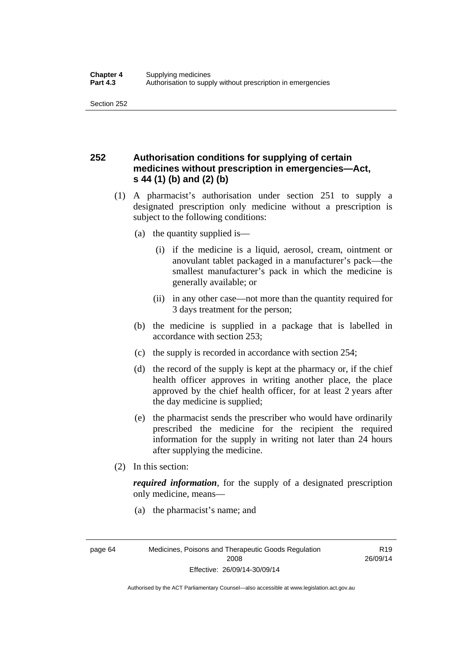## **252 Authorisation conditions for supplying of certain medicines without prescription in emergencies—Act, s 44 (1) (b) and (2) (b)**

- (1) A pharmacist's authorisation under section 251 to supply a designated prescription only medicine without a prescription is subject to the following conditions:
	- (a) the quantity supplied is—
		- (i) if the medicine is a liquid, aerosol, cream, ointment or anovulant tablet packaged in a manufacturer's pack—the smallest manufacturer's pack in which the medicine is generally available; or
		- (ii) in any other case—not more than the quantity required for 3 days treatment for the person;
	- (b) the medicine is supplied in a package that is labelled in accordance with section 253;
	- (c) the supply is recorded in accordance with section 254;
	- (d) the record of the supply is kept at the pharmacy or, if the chief health officer approves in writing another place, the place approved by the chief health officer, for at least 2 years after the day medicine is supplied;
	- (e) the pharmacist sends the prescriber who would have ordinarily prescribed the medicine for the recipient the required information for the supply in writing not later than 24 hours after supplying the medicine.
- (2) In this section:

*required information*, for the supply of a designated prescription only medicine, means—

(a) the pharmacist's name; and

R19 26/09/14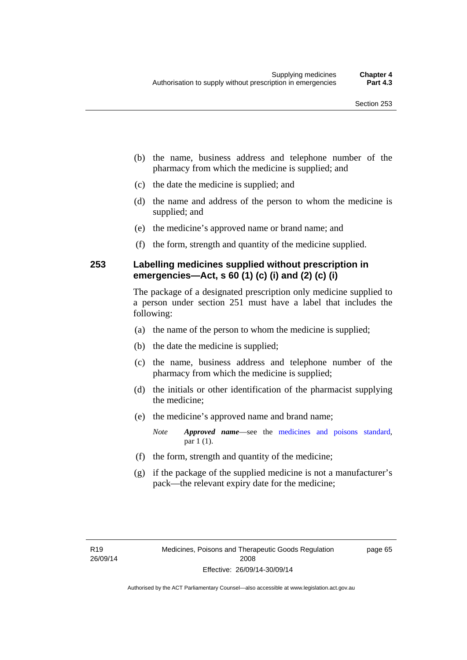- (b) the name, business address and telephone number of the pharmacy from which the medicine is supplied; and
- (c) the date the medicine is supplied; and
- (d) the name and address of the person to whom the medicine is supplied; and
- (e) the medicine's approved name or brand name; and
- (f) the form, strength and quantity of the medicine supplied.

### **253 Labelling medicines supplied without prescription in emergencies—Act, s 60 (1) (c) (i) and (2) (c) (i)**

The package of a designated prescription only medicine supplied to a person under section 251 must have a label that includes the following:

- (a) the name of the person to whom the medicine is supplied;
- (b) the date the medicine is supplied;
- (c) the name, business address and telephone number of the pharmacy from which the medicine is supplied;
- (d) the initials or other identification of the pharmacist supplying the medicine;
- (e) the medicine's approved name and brand name;

*Note Approved name*—see the [medicines and poisons standard,](http://www.comlaw.gov.au/Series/F2012L01200) par 1 (1).

- (f) the form, strength and quantity of the medicine;
- (g) if the package of the supplied medicine is not a manufacturer's pack—the relevant expiry date for the medicine;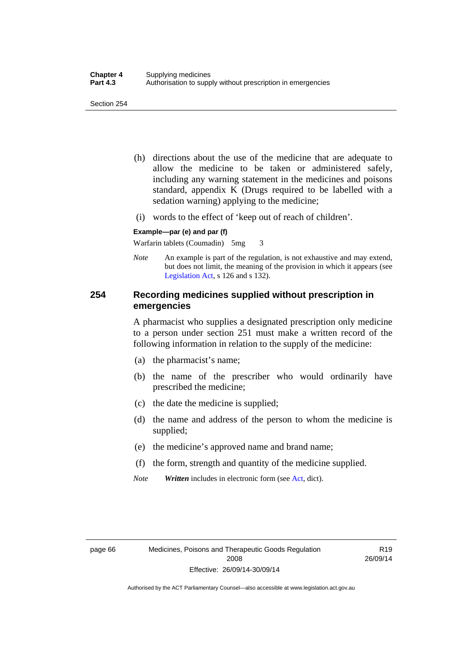- (h) directions about the use of the medicine that are adequate to allow the medicine to be taken or administered safely, including any warning statement in the medicines and poisons standard, appendix K (Drugs required to be labelled with a sedation warning) applying to the medicine;
- (i) words to the effect of 'keep out of reach of children'.

#### **Example—par (e) and par (f)**

Warfarin tablets (Coumadin) 5mg 3

*Note* An example is part of the regulation, is not exhaustive and may extend, but does not limit, the meaning of the provision in which it appears (see [Legislation Act,](http://www.legislation.act.gov.au/a/2001-14) s 126 and s 132).

### **254 Recording medicines supplied without prescription in emergencies**

A pharmacist who supplies a designated prescription only medicine to a person under section 251 must make a written record of the following information in relation to the supply of the medicine:

- (a) the pharmacist's name;
- (b) the name of the prescriber who would ordinarily have prescribed the medicine;
- (c) the date the medicine is supplied;
- (d) the name and address of the person to whom the medicine is supplied;
- (e) the medicine's approved name and brand name;
- (f) the form, strength and quantity of the medicine supplied.
- *Note Written* includes in electronic form (see [Act,](http://www.legislation.act.gov.au/a/2008-26/default.asp) dict).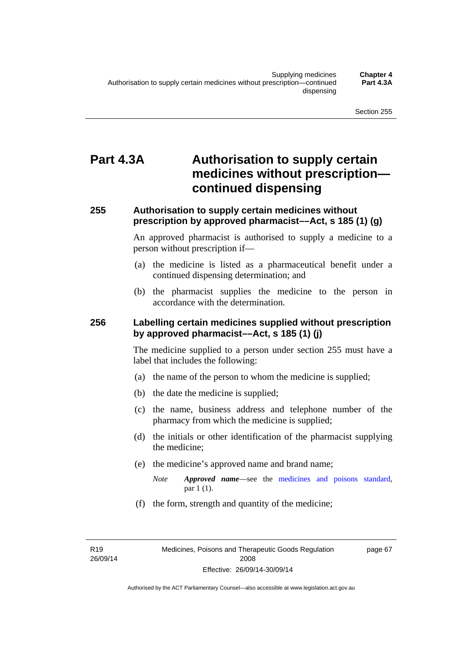# **Part 4.3A Authorisation to supply certain medicines without prescription continued dispensing**

### **255 Authorisation to supply certain medicines without prescription by approved pharmacist––Act, s 185 (1) (g)**

An approved pharmacist is authorised to supply a medicine to a person without prescription if––

- (a) the medicine is listed as a pharmaceutical benefit under a continued dispensing determination; and
- (b) the pharmacist supplies the medicine to the person in accordance with the determination.

### **256 Labelling certain medicines supplied without prescription by approved pharmacist––Act, s 185 (1) (j)**

The medicine supplied to a person under section 255 must have a label that includes the following:

- (a) the name of the person to whom the medicine is supplied;
- (b) the date the medicine is supplied;
- (c) the name, business address and telephone number of the pharmacy from which the medicine is supplied;
- (d) the initials or other identification of the pharmacist supplying the medicine;
- (e) the medicine's approved name and brand name;
	- *Note Approved name––*see the [medicines and poisons standard,](http://www.comlaw.gov.au/Series/F2012L01200) par 1 (1).
- (f) the form, strength and quantity of the medicine;

R19 26/09/14 page 67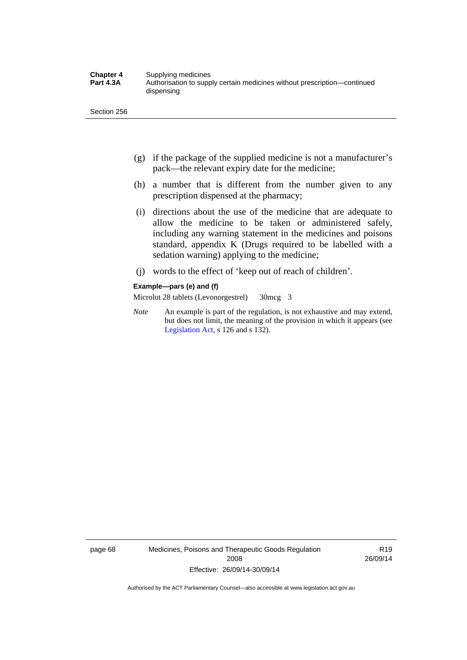- (g) if the package of the supplied medicine is not a manufacturer's pack—the relevant expiry date for the medicine;
- (h) a number that is different from the number given to any prescription dispensed at the pharmacy;
- (i) directions about the use of the medicine that are adequate to allow the medicine to be taken or administered safely, including any warning statement in the medicines and poisons standard, appendix K (Drugs required to be labelled with a sedation warning) applying to the medicine;
- (j) words to the effect of 'keep out of reach of children'.

#### **Example—pars (e) and (f)**

Microlut 28 tablets (Levonorgestrel) 30mcg 3

*Note* An example is part of the regulation, is not exhaustive and may extend, but does not limit, the meaning of the provision in which it appears (see [Legislation Act,](http://www.legislation.act.gov.au/a/2001-14) s 126 and s 132).

page 68 Medicines, Poisons and Therapeutic Goods Regulation 2008 Effective: 26/09/14-30/09/14

R19 26/09/14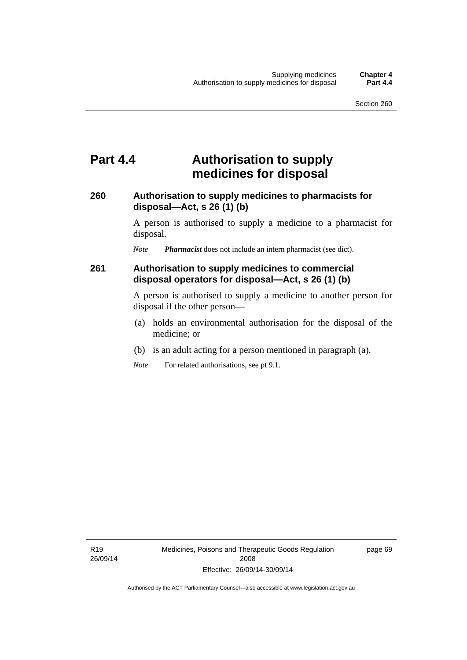## **Part 4.4 Authorisation to supply medicines for disposal**

### **260 Authorisation to supply medicines to pharmacists for disposal—Act, s 26 (1) (b)**

A person is authorised to supply a medicine to a pharmacist for disposal.

*Note Pharmacist* does not include an intern pharmacist (see dict).

### **261 Authorisation to supply medicines to commercial disposal operators for disposal—Act, s 26 (1) (b)**

A person is authorised to supply a medicine to another person for disposal if the other person—

- (a) holds an environmental authorisation for the disposal of the medicine; or
- (b) is an adult acting for a person mentioned in paragraph (a).
- *Note* For related authorisations, see pt 9.1.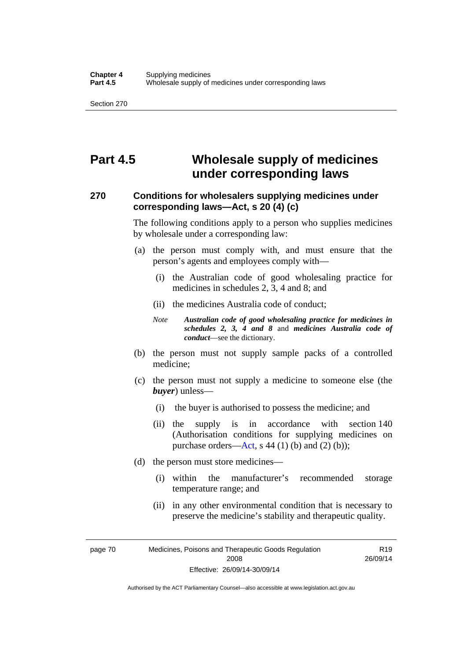# **Part 4.5 Wholesale supply of medicines under corresponding laws**

### **270 Conditions for wholesalers supplying medicines under corresponding laws—Act, s 20 (4) (c)**

The following conditions apply to a person who supplies medicines by wholesale under a corresponding law:

- (a) the person must comply with, and must ensure that the person's agents and employees comply with—
	- (i) the Australian code of good wholesaling practice for medicines in schedules 2, 3, 4 and 8; and
	- (ii) the medicines Australia code of conduct;
	- *Note Australian code of good wholesaling practice for medicines in schedules 2, 3, 4 and 8* and *medicines Australia code of conduct*—see the dictionary.
- (b) the person must not supply sample packs of a controlled medicine;
- (c) the person must not supply a medicine to someone else (the *buyer*) unless—
	- (i) the buyer is authorised to possess the medicine; and
	- (ii) the supply is in accordance with section 140 (Authorisation conditions for supplying medicines on purchase orders—[Act,](http://www.legislation.act.gov.au/a/2008-26/default.asp) s 44 (1) (b) and (2) (b));
- (d) the person must store medicines—
	- (i) within the manufacturer's recommended storage temperature range; and
	- (ii) in any other environmental condition that is necessary to preserve the medicine's stability and therapeutic quality.

R19 26/09/14

page 70 Medicines, Poisons and Therapeutic Goods Regulation 2008 Effective: 26/09/14-30/09/14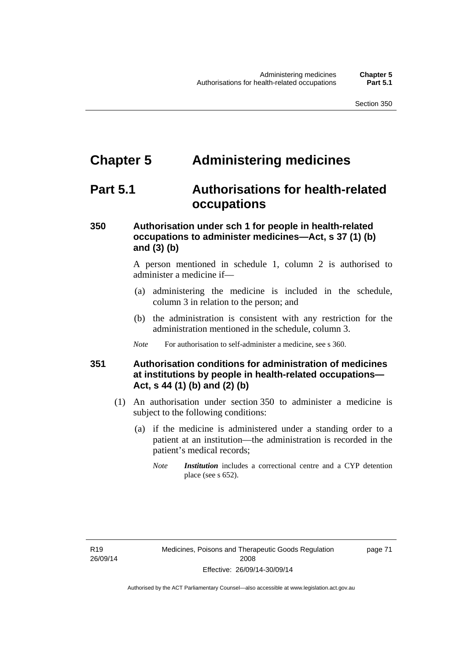# **Chapter 5 Administering medicines**

# **Part 5.1 Authorisations for health-related occupations**

## **350 Authorisation under sch 1 for people in health-related occupations to administer medicines—Act, s 37 (1) (b) and (3) (b)**

A person mentioned in schedule 1, column 2 is authorised to administer a medicine if—

- (a) administering the medicine is included in the schedule, column 3 in relation to the person; and
- (b) the administration is consistent with any restriction for the administration mentioned in the schedule, column 3.
- *Note* For authorisation to self-administer a medicine, see s 360.

## **351 Authorisation conditions for administration of medicines at institutions by people in health-related occupations— Act, s 44 (1) (b) and (2) (b)**

- (1) An authorisation under section 350 to administer a medicine is subject to the following conditions:
	- (a) if the medicine is administered under a standing order to a patient at an institution—the administration is recorded in the patient's medical records;
		- *Note Institution* includes a correctional centre and a CYP detention place (see s 652).

page 71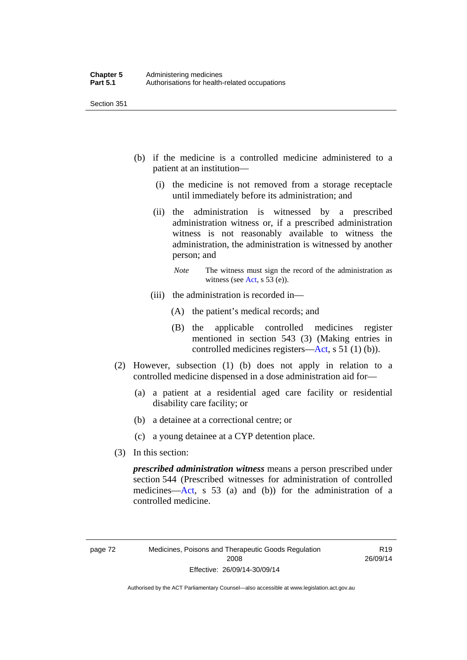- (b) if the medicine is a controlled medicine administered to a patient at an institution—
	- (i) the medicine is not removed from a storage receptacle until immediately before its administration; and
	- (ii) the administration is witnessed by a prescribed administration witness or, if a prescribed administration witness is not reasonably available to witness the administration, the administration is witnessed by another person; and
		- *Note* The witness must sign the record of the administration as witness (see [Act,](http://www.legislation.act.gov.au/a/2008-26/default.asp) s 53 (e)).
	- (iii) the administration is recorded in—
		- (A) the patient's medical records; and
		- (B) the applicable controlled medicines register mentioned in section 543 (3) (Making entries in controlled medicines registers[—Act](http://www.legislation.act.gov.au/a/2008-26/default.asp), s 51 (1) (b)).
- (2) However, subsection (1) (b) does not apply in relation to a controlled medicine dispensed in a dose administration aid for—
	- (a) a patient at a residential aged care facility or residential disability care facility; or
	- (b) a detainee at a correctional centre; or
	- (c) a young detainee at a CYP detention place.
- (3) In this section:

*prescribed administration witness* means a person prescribed under section 544 (Prescribed witnesses for administration of controlled medicines—[Act](http://www.legislation.act.gov.au/a/2008-26/default.asp), s 53 (a) and (b)) for the administration of a controlled medicine.

R19 26/09/14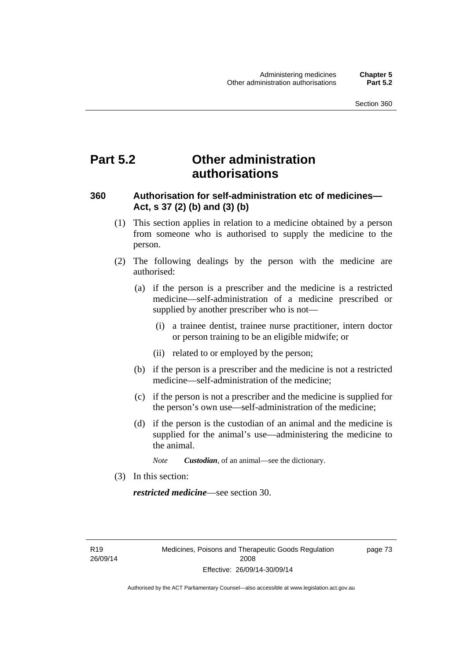# **Part 5.2 Other administration authorisations**

### **360 Authorisation for self-administration etc of medicines— Act, s 37 (2) (b) and (3) (b)**

- (1) This section applies in relation to a medicine obtained by a person from someone who is authorised to supply the medicine to the person.
- (2) The following dealings by the person with the medicine are authorised:
	- (a) if the person is a prescriber and the medicine is a restricted medicine—self-administration of a medicine prescribed or supplied by another prescriber who is not—
		- (i) a trainee dentist, trainee nurse practitioner, intern doctor or person training to be an eligible midwife; or
		- (ii) related to or employed by the person;
	- (b) if the person is a prescriber and the medicine is not a restricted medicine—self-administration of the medicine;
	- (c) if the person is not a prescriber and the medicine is supplied for the person's own use—self-administration of the medicine;
	- (d) if the person is the custodian of an animal and the medicine is supplied for the animal's use—administering the medicine to the animal.
		- *Note Custodian*, of an animal—see the dictionary.
- (3) In this section:

*restricted medicine*—see section 30.

R19 26/09/14 page 73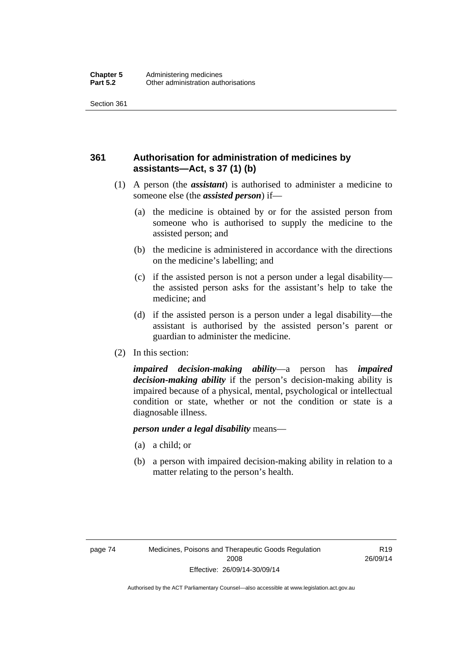## **361 Authorisation for administration of medicines by assistants—Act, s 37 (1) (b)**

- (1) A person (the *assistant*) is authorised to administer a medicine to someone else (the *assisted person*) if—
	- (a) the medicine is obtained by or for the assisted person from someone who is authorised to supply the medicine to the assisted person; and
	- (b) the medicine is administered in accordance with the directions on the medicine's labelling; and
	- (c) if the assisted person is not a person under a legal disability the assisted person asks for the assistant's help to take the medicine; and
	- (d) if the assisted person is a person under a legal disability—the assistant is authorised by the assisted person's parent or guardian to administer the medicine.
- (2) In this section:

*impaired decision-making ability*—a person has *impaired decision-making ability* if the person's decision-making ability is impaired because of a physical, mental, psychological or intellectual condition or state, whether or not the condition or state is a diagnosable illness.

### *person under a legal disability* means—

- (a) a child; or
- (b) a person with impaired decision-making ability in relation to a matter relating to the person's health.

R19 26/09/14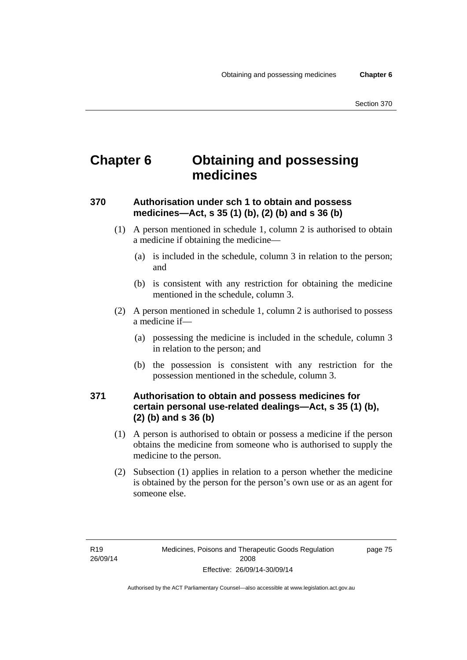# **Chapter 6 Obtaining and possessing medicines**

## **370 Authorisation under sch 1 to obtain and possess medicines—Act, s 35 (1) (b), (2) (b) and s 36 (b)**

- (1) A person mentioned in schedule 1, column 2 is authorised to obtain a medicine if obtaining the medicine—
	- (a) is included in the schedule, column 3 in relation to the person; and
	- (b) is consistent with any restriction for obtaining the medicine mentioned in the schedule, column 3.
- (2) A person mentioned in schedule 1, column 2 is authorised to possess a medicine if—
	- (a) possessing the medicine is included in the schedule, column 3 in relation to the person; and
	- (b) the possession is consistent with any restriction for the possession mentioned in the schedule, column 3.

### **371 Authorisation to obtain and possess medicines for certain personal use-related dealings—Act, s 35 (1) (b), (2) (b) and s 36 (b)**

- (1) A person is authorised to obtain or possess a medicine if the person obtains the medicine from someone who is authorised to supply the medicine to the person.
- (2) Subsection (1) applies in relation to a person whether the medicine is obtained by the person for the person's own use or as an agent for someone else.

page 75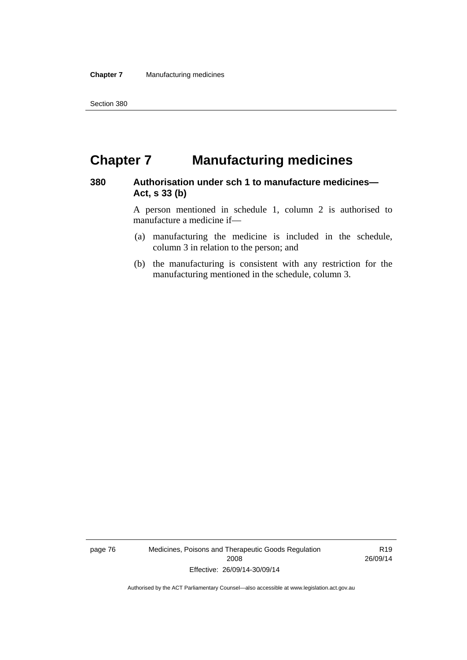# **Chapter 7 Manufacturing medicines**

### **380 Authorisation under sch 1 to manufacture medicines— Act, s 33 (b)**

A person mentioned in schedule 1, column 2 is authorised to manufacture a medicine if—

- (a) manufacturing the medicine is included in the schedule, column 3 in relation to the person; and
- (b) the manufacturing is consistent with any restriction for the manufacturing mentioned in the schedule, column 3.

page 76 Medicines, Poisons and Therapeutic Goods Regulation 2008 Effective: 26/09/14-30/09/14

R19 26/09/14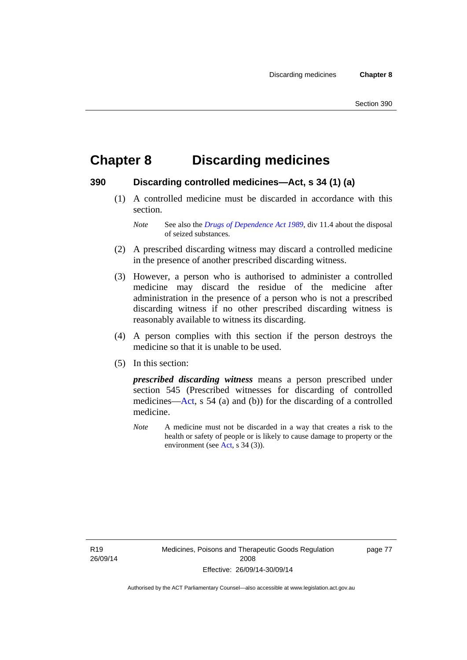# **Chapter 8 Discarding medicines**

### **390 Discarding controlled medicines—Act, s 34 (1) (a)**

 (1) A controlled medicine must be discarded in accordance with this section.

*Note* See also the *[Drugs of Dependence Act 1989](http://www.legislation.act.gov.au/a/alt_a1989-11co)*, div 11.4 about the disposal of seized substances.

- (2) A prescribed discarding witness may discard a controlled medicine in the presence of another prescribed discarding witness.
- (3) However, a person who is authorised to administer a controlled medicine may discard the residue of the medicine after administration in the presence of a person who is not a prescribed discarding witness if no other prescribed discarding witness is reasonably available to witness its discarding.
- (4) A person complies with this section if the person destroys the medicine so that it is unable to be used.
- (5) In this section:

*prescribed discarding witness* means a person prescribed under section 545 (Prescribed witnesses for discarding of controlled medicines—[Act](http://www.legislation.act.gov.au/a/2008-26/default.asp), s 54 (a) and (b)) for the discarding of a controlled medicine.

*Note* A medicine must not be discarded in a way that creates a risk to the health or safety of people or is likely to cause damage to property or the environment (see [Act](http://www.legislation.act.gov.au/a/2008-26/default.asp), s 34 (3)).

R19 26/09/14 page 77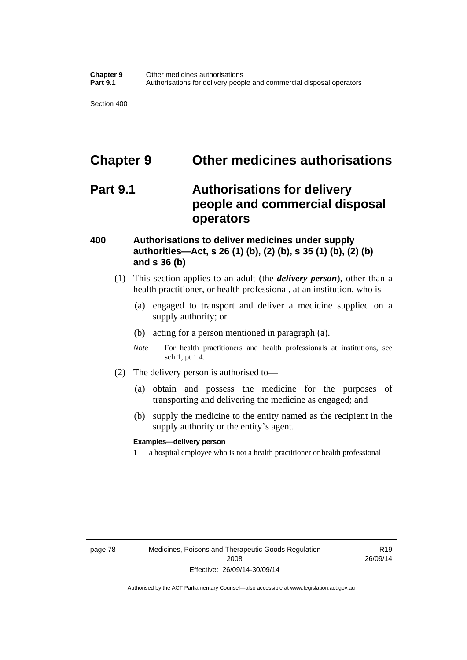# **Chapter 9 Other medicines authorisations**

# **Part 9.1 Authorisations for delivery people and commercial disposal operators**

### **400 Authorisations to deliver medicines under supply authorities—Act, s 26 (1) (b), (2) (b), s 35 (1) (b), (2) (b) and s 36 (b)**

- (1) This section applies to an adult (the *delivery person*), other than a health practitioner, or health professional, at an institution, who is—
	- (a) engaged to transport and deliver a medicine supplied on a supply authority; or
	- (b) acting for a person mentioned in paragraph (a).
	- *Note* For health practitioners and health professionals at institutions, see sch 1, pt 1.4.
- (2) The delivery person is authorised to—
	- (a) obtain and possess the medicine for the purposes of transporting and delivering the medicine as engaged; and
	- (b) supply the medicine to the entity named as the recipient in the supply authority or the entity's agent.

### **Examples—delivery person**

1 a hospital employee who is not a health practitioner or health professional

page 78 Medicines, Poisons and Therapeutic Goods Regulation 2008 Effective: 26/09/14-30/09/14

R19 26/09/14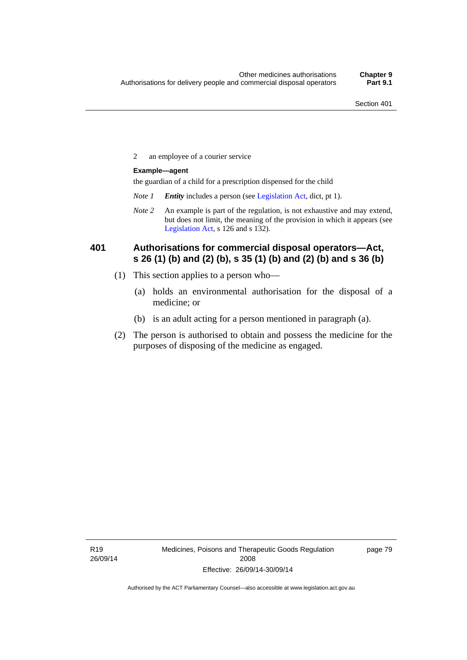2 an employee of a courier service

### **Example—agent**

the guardian of a child for a prescription dispensed for the child

- *Note 1 Entity* includes a person (see [Legislation Act,](http://www.legislation.act.gov.au/a/2001-14) dict, pt 1).
- *Note 2* An example is part of the regulation, is not exhaustive and may extend, but does not limit, the meaning of the provision in which it appears (see [Legislation Act,](http://www.legislation.act.gov.au/a/2001-14) s 126 and s 132).

### **401 Authorisations for commercial disposal operators—Act, s 26 (1) (b) and (2) (b), s 35 (1) (b) and (2) (b) and s 36 (b)**

- (1) This section applies to a person who—
	- (a) holds an environmental authorisation for the disposal of a medicine; or
	- (b) is an adult acting for a person mentioned in paragraph (a).
- (2) The person is authorised to obtain and possess the medicine for the purposes of disposing of the medicine as engaged.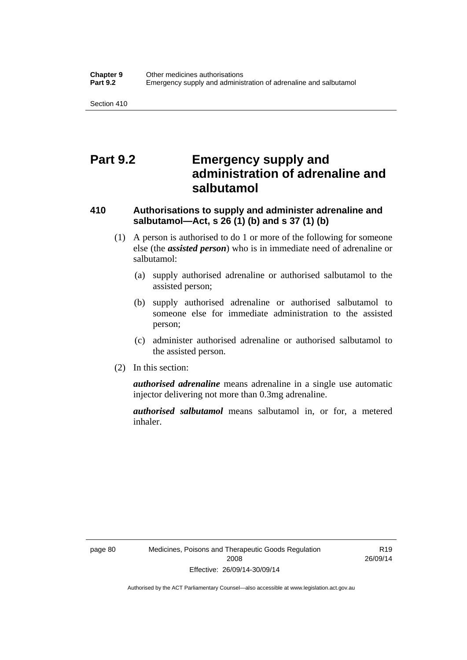# **Part 9.2 Emergency supply and administration of adrenaline and salbutamol**

## **410 Authorisations to supply and administer adrenaline and salbutamol—Act, s 26 (1) (b) and s 37 (1) (b)**

- (1) A person is authorised to do 1 or more of the following for someone else (the *assisted person*) who is in immediate need of adrenaline or salbutamol:
	- (a) supply authorised adrenaline or authorised salbutamol to the assisted person;
	- (b) supply authorised adrenaline or authorised salbutamol to someone else for immediate administration to the assisted person;
	- (c) administer authorised adrenaline or authorised salbutamol to the assisted person.
- (2) In this section:

*authorised adrenaline* means adrenaline in a single use automatic injector delivering not more than 0.3mg adrenaline.

*authorised salbutamol* means salbutamol in, or for, a metered inhaler.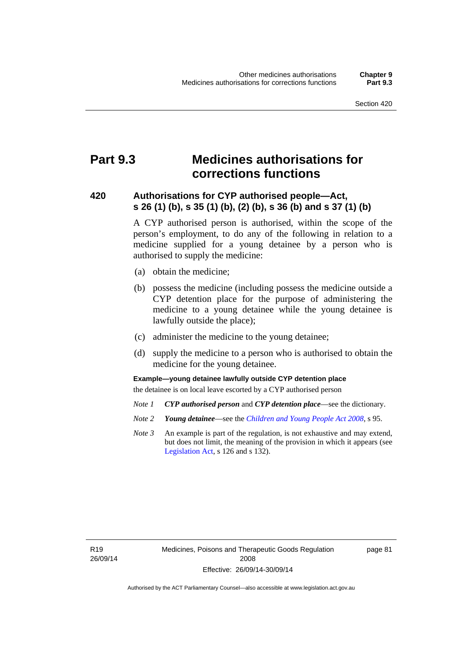# **Part 9.3 Medicines authorisations for corrections functions**

### **420 Authorisations for CYP authorised people—Act, s 26 (1) (b), s 35 (1) (b), (2) (b), s 36 (b) and s 37 (1) (b)**

A CYP authorised person is authorised, within the scope of the person's employment, to do any of the following in relation to a medicine supplied for a young detainee by a person who is authorised to supply the medicine:

- (a) obtain the medicine;
- (b) possess the medicine (including possess the medicine outside a CYP detention place for the purpose of administering the medicine to a young detainee while the young detainee is lawfully outside the place);
- (c) administer the medicine to the young detainee;
- (d) supply the medicine to a person who is authorised to obtain the medicine for the young detainee.

### **Example—young detainee lawfully outside CYP detention place**

the detainee is on local leave escorted by a CYP authorised person

- *Note 1 CYP authorised person* and *CYP detention place*—see the dictionary.
- *Note 2 Young detainee*—see the *[Children and Young People Act 2008](http://www.legislation.act.gov.au/a/2008-19)*, s 95.
- *Note 3* An example is part of the regulation, is not exhaustive and may extend, but does not limit, the meaning of the provision in which it appears (see [Legislation Act,](http://www.legislation.act.gov.au/a/2001-14) s 126 and s 132).

R19 26/09/14 page 81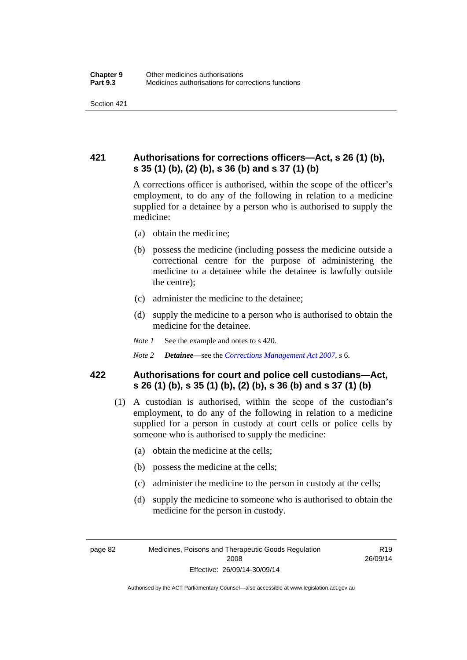## **421 Authorisations for corrections officers—Act, s 26 (1) (b), s 35 (1) (b), (2) (b), s 36 (b) and s 37 (1) (b)**

A corrections officer is authorised, within the scope of the officer's employment, to do any of the following in relation to a medicine supplied for a detainee by a person who is authorised to supply the medicine:

- (a) obtain the medicine;
- (b) possess the medicine (including possess the medicine outside a correctional centre for the purpose of administering the medicine to a detainee while the detainee is lawfully outside the centre);
- (c) administer the medicine to the detainee;
- (d) supply the medicine to a person who is authorised to obtain the medicine for the detainee.
- *Note 1* See the example and notes to s 420.
- *Note 2 Detainee*—see the *[Corrections Management Act 2007](http://www.legislation.act.gov.au/a/2007-15)*, s 6.

### **422 Authorisations for court and police cell custodians—Act, s 26 (1) (b), s 35 (1) (b), (2) (b), s 36 (b) and s 37 (1) (b)**

- (1) A custodian is authorised, within the scope of the custodian's employment, to do any of the following in relation to a medicine supplied for a person in custody at court cells or police cells by someone who is authorised to supply the medicine:
	- (a) obtain the medicine at the cells;
	- (b) possess the medicine at the cells;
	- (c) administer the medicine to the person in custody at the cells;
	- (d) supply the medicine to someone who is authorised to obtain the medicine for the person in custody.

R19 26/09/14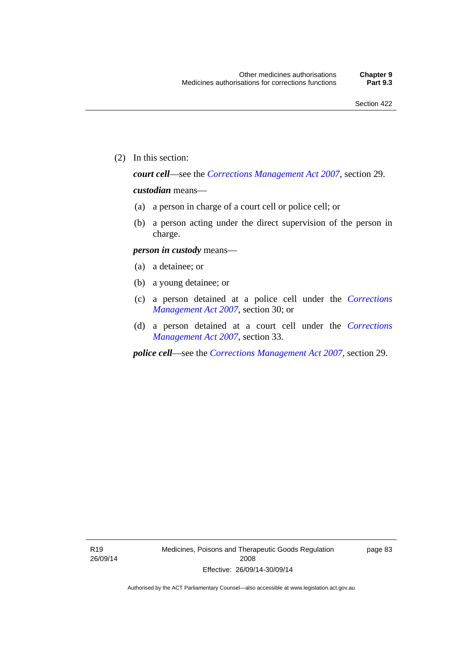(2) In this section:

*court cell*—see the *[Corrections Management Act 2007](http://www.legislation.act.gov.au/a/2007-15)*, section 29.

### *custodian* means—

- (a) a person in charge of a court cell or police cell; or
- (b) a person acting under the direct supervision of the person in charge.

### *person in custody* means—

- (a) a detainee; or
- (b) a young detainee; or
- (c) a person detained at a police cell under the *[Corrections](http://www.legislation.act.gov.au/a/2007-15)  [Management Act 2007](http://www.legislation.act.gov.au/a/2007-15)*, section 30; or
- (d) a person detained at a court cell under the *[Corrections](http://www.legislation.act.gov.au/a/2007-15)  [Management Act 2007](http://www.legislation.act.gov.au/a/2007-15)*, section 33.

*police cell*—see the *[Corrections Management Act 2007](http://www.legislation.act.gov.au/a/2007-15)*, section 29.

page 83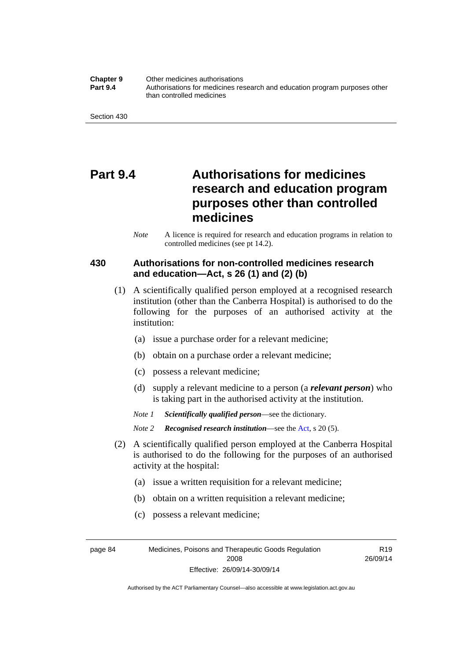**Chapter 9** Other medicines authorisations **Part 9.4** • **Authorisations for medicines research and education program purposes other** than controlled medicines

Section 430

# **Part 9.4 Authorisations for medicines research and education program purposes other than controlled medicines**

*Note* A licence is required for research and education programs in relation to controlled medicines (see pt 14.2).

### **430 Authorisations for non-controlled medicines research and education—Act, s 26 (1) and (2) (b)**

- (1) A scientifically qualified person employed at a recognised research institution (other than the Canberra Hospital) is authorised to do the following for the purposes of an authorised activity at the institution:
	- (a) issue a purchase order for a relevant medicine;
	- (b) obtain on a purchase order a relevant medicine;
	- (c) possess a relevant medicine;
	- (d) supply a relevant medicine to a person (a *relevant person*) who is taking part in the authorised activity at the institution.
	- *Note 1 Scientifically qualified person*—see the dictionary.

*Note 2 Recognised research institution*—see the [Act](http://www.legislation.act.gov.au/a/2008-26/default.asp), s 20 (5).

- (2) A scientifically qualified person employed at the Canberra Hospital is authorised to do the following for the purposes of an authorised activity at the hospital:
	- (a) issue a written requisition for a relevant medicine;
	- (b) obtain on a written requisition a relevant medicine;
	- (c) possess a relevant medicine;

page 84 Medicines, Poisons and Therapeutic Goods Regulation 2008 Effective: 26/09/14-30/09/14

R19 26/09/14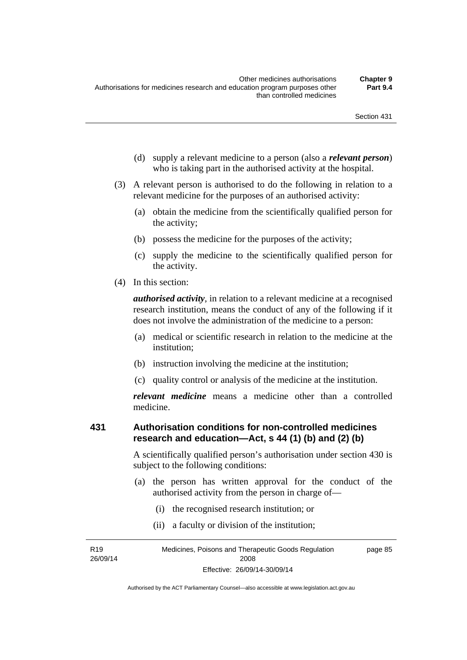- (d) supply a relevant medicine to a person (also a *relevant person*) who is taking part in the authorised activity at the hospital.
- (3) A relevant person is authorised to do the following in relation to a relevant medicine for the purposes of an authorised activity:
	- (a) obtain the medicine from the scientifically qualified person for the activity;
	- (b) possess the medicine for the purposes of the activity;
	- (c) supply the medicine to the scientifically qualified person for the activity.
- (4) In this section:

*authorised activity*, in relation to a relevant medicine at a recognised research institution, means the conduct of any of the following if it does not involve the administration of the medicine to a person:

- (a) medical or scientific research in relation to the medicine at the institution;
- (b) instruction involving the medicine at the institution;
- (c) quality control or analysis of the medicine at the institution.

*relevant medicine* means a medicine other than a controlled medicine.

#### **431 Authorisation conditions for non-controlled medicines research and education—Act, s 44 (1) (b) and (2) (b)**

A scientifically qualified person's authorisation under section 430 is subject to the following conditions:

- (a) the person has written approval for the conduct of the authorised activity from the person in charge of—
	- (i) the recognised research institution; or
	- (ii) a faculty or division of the institution;

R19 26/09/14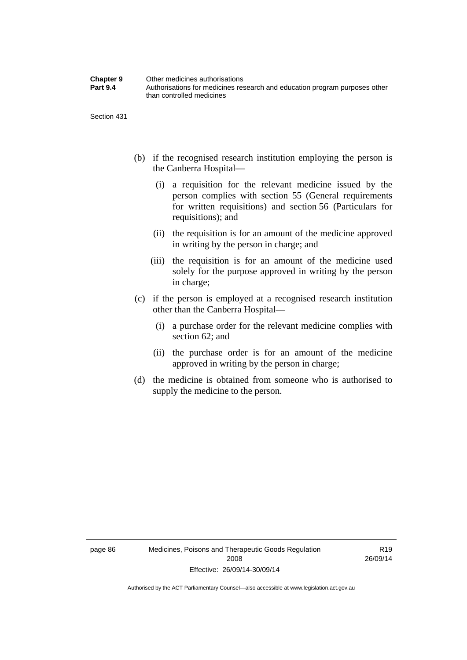| <b>Chapter 9</b> | Other medicines authorisations                                             |
|------------------|----------------------------------------------------------------------------|
| <b>Part 9.4</b>  | Authorisations for medicines research and education program purposes other |
|                  | than controlled medicines                                                  |

Section 431

- (b) if the recognised research institution employing the person is the Canberra Hospital—
	- (i) a requisition for the relevant medicine issued by the person complies with section 55 (General requirements for written requisitions) and section 56 (Particulars for requisitions); and
	- (ii) the requisition is for an amount of the medicine approved in writing by the person in charge; and
	- (iii) the requisition is for an amount of the medicine used solely for the purpose approved in writing by the person in charge;
- (c) if the person is employed at a recognised research institution other than the Canberra Hospital—
	- (i) a purchase order for the relevant medicine complies with section 62; and
	- (ii) the purchase order is for an amount of the medicine approved in writing by the person in charge;
- (d) the medicine is obtained from someone who is authorised to supply the medicine to the person.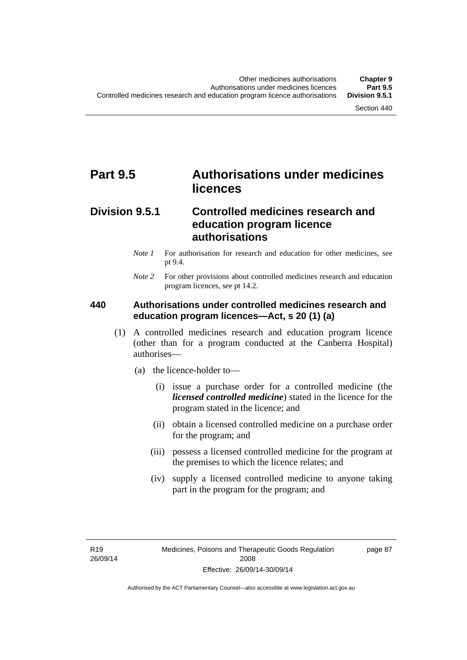# **Part 9.5 Authorisations under medicines licences**

## **Division 9.5.1 Controlled medicines research and education program licence authorisations**

- *Note 1* For authorisation for research and education for other medicines, see pt 9.4.
- *Note 2* For other provisions about controlled medicines research and education program licences, see pt 14.2.

### **440 Authorisations under controlled medicines research and education program licences—Act, s 20 (1) (a)**

- (1) A controlled medicines research and education program licence (other than for a program conducted at the Canberra Hospital) authorises—
	- (a) the licence-holder to—
		- (i) issue a purchase order for a controlled medicine (the *licensed controlled medicine*) stated in the licence for the program stated in the licence; and
		- (ii) obtain a licensed controlled medicine on a purchase order for the program; and
		- (iii) possess a licensed controlled medicine for the program at the premises to which the licence relates; and
		- (iv) supply a licensed controlled medicine to anyone taking part in the program for the program; and

R19 26/09/14 page 87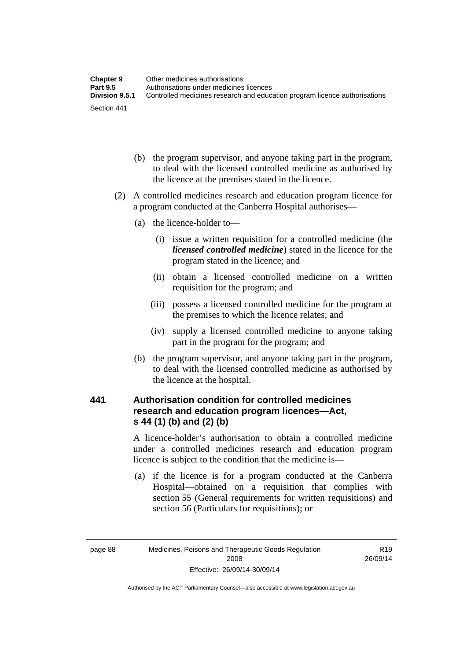| <b>Chapter 9</b> | Other medicines authorisations                                             |
|------------------|----------------------------------------------------------------------------|
| <b>Part 9.5</b>  | Authorisations under medicines licences                                    |
| Division 9.5.1   | Controlled medicines research and education program licence authorisations |
| Section 441      |                                                                            |

- (b) the program supervisor, and anyone taking part in the program, to deal with the licensed controlled medicine as authorised by the licence at the premises stated in the licence.
- (2) A controlled medicines research and education program licence for a program conducted at the Canberra Hospital authorises—
	- (a) the licence-holder to—
		- (i) issue a written requisition for a controlled medicine (the *licensed controlled medicine*) stated in the licence for the program stated in the licence; and
		- (ii) obtain a licensed controlled medicine on a written requisition for the program; and
		- (iii) possess a licensed controlled medicine for the program at the premises to which the licence relates; and
		- (iv) supply a licensed controlled medicine to anyone taking part in the program for the program; and
	- (b) the program supervisor, and anyone taking part in the program, to deal with the licensed controlled medicine as authorised by the licence at the hospital.

### **441 Authorisation condition for controlled medicines research and education program licences—Act, s 44 (1) (b) and (2) (b)**

A licence-holder's authorisation to obtain a controlled medicine under a controlled medicines research and education program licence is subject to the condition that the medicine is—

 (a) if the licence is for a program conducted at the Canberra Hospital—obtained on a requisition that complies with section 55 (General requirements for written requisitions) and section 56 (Particulars for requisitions); or

R19 26/09/14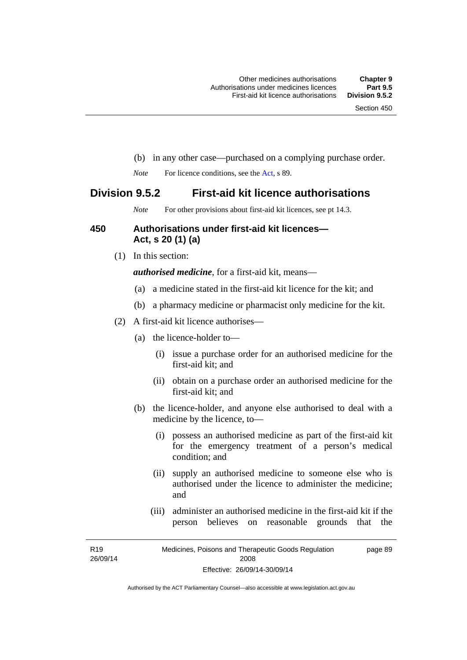- (b) in any other case—purchased on a complying purchase order.
- *Note* For licence conditions, see the [Act](http://www.legislation.act.gov.au/a/2008-26/default.asp), s 89.

### **Division 9.5.2 First-aid kit licence authorisations**

*Note* For other provisions about first-aid kit licences, see pt 14.3.

#### **450 Authorisations under first-aid kit licences— Act, s 20 (1) (a)**

(1) In this section:

*authorised medicine*, for a first-aid kit, means—

- (a) a medicine stated in the first-aid kit licence for the kit; and
- (b) a pharmacy medicine or pharmacist only medicine for the kit.
- (2) A first-aid kit licence authorises—
	- (a) the licence-holder to—
		- (i) issue a purchase order for an authorised medicine for the first-aid kit; and
		- (ii) obtain on a purchase order an authorised medicine for the first-aid kit; and
	- (b) the licence-holder, and anyone else authorised to deal with a medicine by the licence, to—
		- (i) possess an authorised medicine as part of the first-aid kit for the emergency treatment of a person's medical condition; and
		- (ii) supply an authorised medicine to someone else who is authorised under the licence to administer the medicine; and
		- (iii) administer an authorised medicine in the first-aid kit if the person believes on reasonable grounds that the

R19 26/09/14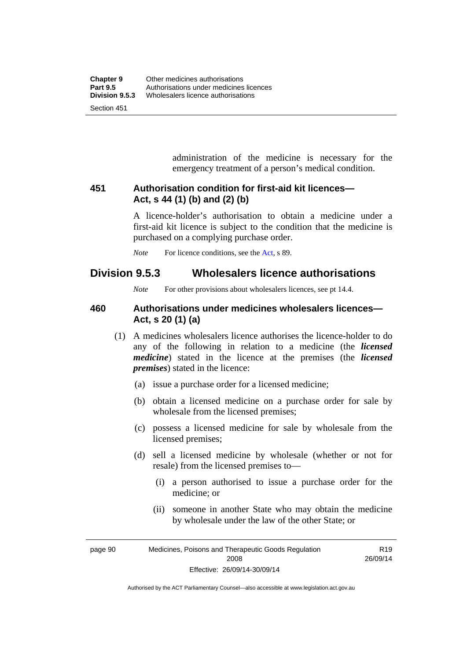administration of the medicine is necessary for the emergency treatment of a person's medical condition.

### **451 Authorisation condition for first-aid kit licences— Act, s 44 (1) (b) and (2) (b)**

A licence-holder's authorisation to obtain a medicine under a first-aid kit licence is subject to the condition that the medicine is purchased on a complying purchase order.

*Note* For licence conditions, see the [Act](http://www.legislation.act.gov.au/a/2008-26/default.asp), s 89.

## **Division 9.5.3 Wholesalers licence authorisations**

*Note* For other provisions about wholesalers licences, see pt 14.4.

### **460 Authorisations under medicines wholesalers licences— Act, s 20 (1) (a)**

- (1) A medicines wholesalers licence authorises the licence-holder to do any of the following in relation to a medicine (the *licensed medicine*) stated in the licence at the premises (the *licensed premises*) stated in the licence:
	- (a) issue a purchase order for a licensed medicine;
	- (b) obtain a licensed medicine on a purchase order for sale by wholesale from the licensed premises;
	- (c) possess a licensed medicine for sale by wholesale from the licensed premises;
	- (d) sell a licensed medicine by wholesale (whether or not for resale) from the licensed premises to—
		- (i) a person authorised to issue a purchase order for the medicine; or
		- (ii) someone in another State who may obtain the medicine by wholesale under the law of the other State; or

page 90 Medicines, Poisons and Therapeutic Goods Regulation 2008 Effective: 26/09/14-30/09/14

R19 26/09/14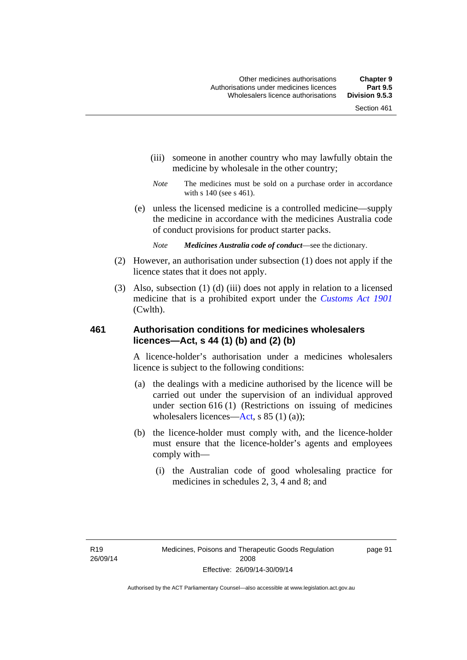- (iii) someone in another country who may lawfully obtain the medicine by wholesale in the other country;
- *Note* The medicines must be sold on a purchase order in accordance with s 140 (see s 461).
- (e) unless the licensed medicine is a controlled medicine—supply the medicine in accordance with the medicines Australia code of conduct provisions for product starter packs.
	- *Note Medicines Australia code of conduct*—see the dictionary.
- (2) However, an authorisation under subsection (1) does not apply if the licence states that it does not apply.
- (3) Also, subsection (1) (d) (iii) does not apply in relation to a licensed medicine that is a prohibited export under the *[Customs Act 1901](http://www.comlaw.gov.au/Series/C1901A00006)* (Cwlth).

#### **461 Authorisation conditions for medicines wholesalers licences—Act, s 44 (1) (b) and (2) (b)**

A licence-holder's authorisation under a medicines wholesalers licence is subject to the following conditions:

- (a) the dealings with a medicine authorised by the licence will be carried out under the supervision of an individual approved under section 616 (1) (Restrictions on issuing of medicines wholesalers licences[—Act,](http://www.legislation.act.gov.au/a/2008-26/default.asp) s 85 (1) (a));
- (b) the licence-holder must comply with, and the licence-holder must ensure that the licence-holder's agents and employees comply with—
	- (i) the Australian code of good wholesaling practice for medicines in schedules 2, 3, 4 and 8; and

page 91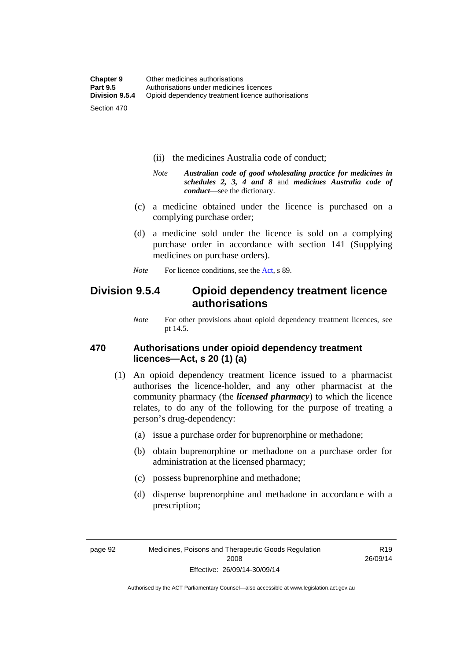- (ii) the medicines Australia code of conduct;
- *Note Australian code of good wholesaling practice for medicines in schedules 2, 3, 4 and 8* and *medicines Australia code of conduct*—see the dictionary.
- (c) a medicine obtained under the licence is purchased on a complying purchase order;
- (d) a medicine sold under the licence is sold on a complying purchase order in accordance with section 141 (Supplying medicines on purchase orders).
- *Note* For licence conditions, see the [Act](http://www.legislation.act.gov.au/a/2008-26/default.asp), s 89.

## **Division 9.5.4 Opioid dependency treatment licence authorisations**

*Note* For other provisions about opioid dependency treatment licences, see pt 14.5.

#### **470 Authorisations under opioid dependency treatment licences—Act, s 20 (1) (a)**

- (1) An opioid dependency treatment licence issued to a pharmacist authorises the licence-holder, and any other pharmacist at the community pharmacy (the *licensed pharmacy*) to which the licence relates, to do any of the following for the purpose of treating a person's drug-dependency:
	- (a) issue a purchase order for buprenorphine or methadone;
	- (b) obtain buprenorphine or methadone on a purchase order for administration at the licensed pharmacy;
	- (c) possess buprenorphine and methadone;
	- (d) dispense buprenorphine and methadone in accordance with a prescription;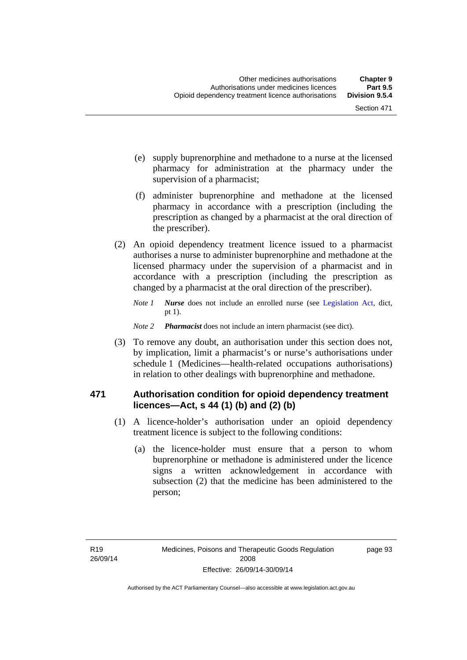- (e) supply buprenorphine and methadone to a nurse at the licensed pharmacy for administration at the pharmacy under the supervision of a pharmacist;
- (f) administer buprenorphine and methadone at the licensed pharmacy in accordance with a prescription (including the prescription as changed by a pharmacist at the oral direction of the prescriber).
- (2) An opioid dependency treatment licence issued to a pharmacist authorises a nurse to administer buprenorphine and methadone at the licensed pharmacy under the supervision of a pharmacist and in accordance with a prescription (including the prescription as changed by a pharmacist at the oral direction of the prescriber).
	- *Note 1 Nurse* does not include an enrolled nurse (see [Legislation Act,](http://www.legislation.act.gov.au/a/2001-14) dict, pt 1).
	- *Note 2 Pharmacist* does not include an intern pharmacist (see dict).
- (3) To remove any doubt, an authorisation under this section does not, by implication, limit a pharmacist's or nurse's authorisations under schedule 1 (Medicines—health-related occupations authorisations) in relation to other dealings with buprenorphine and methadone.

#### **471 Authorisation condition for opioid dependency treatment licences—Act, s 44 (1) (b) and (2) (b)**

- (1) A licence-holder's authorisation under an opioid dependency treatment licence is subject to the following conditions:
	- (a) the licence-holder must ensure that a person to whom buprenorphine or methadone is administered under the licence signs a written acknowledgement in accordance with subsection (2) that the medicine has been administered to the person;

page 93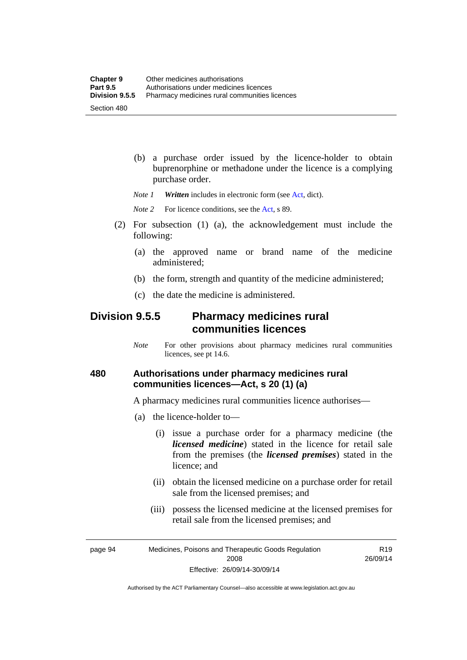(b) a purchase order issued by the licence-holder to obtain buprenorphine or methadone under the licence is a complying purchase order.

*Note 1 Written* includes in electronic form (see [Act,](http://www.legislation.act.gov.au/a/2008-26/default.asp) dict).

*Note* 2 For licence conditions, see the [Act](http://www.legislation.act.gov.au/a/2008-26/default.asp), s 89.

- (2) For subsection (1) (a), the acknowledgement must include the following:
	- (a) the approved name or brand name of the medicine administered;
	- (b) the form, strength and quantity of the medicine administered;
	- (c) the date the medicine is administered.

## **Division 9.5.5 Pharmacy medicines rural communities licences**

*Note* For other provisions about pharmacy medicines rural communities licences, see pt 14.6.

### **480 Authorisations under pharmacy medicines rural communities licences—Act, s 20 (1) (a)**

A pharmacy medicines rural communities licence authorises—

- (a) the licence-holder to—
	- (i) issue a purchase order for a pharmacy medicine (the *licensed medicine*) stated in the licence for retail sale from the premises (the *licensed premises*) stated in the licence; and
	- (ii) obtain the licensed medicine on a purchase order for retail sale from the licensed premises; and
	- (iii) possess the licensed medicine at the licensed premises for retail sale from the licensed premises; and

page 94 Medicines, Poisons and Therapeutic Goods Regulation 2008 Effective: 26/09/14-30/09/14

R19 26/09/14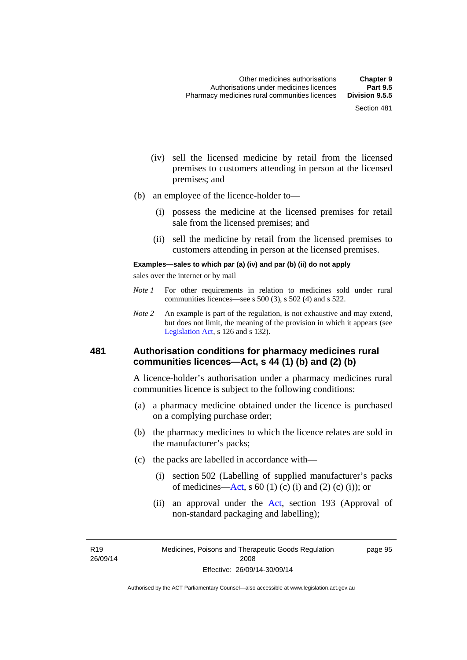- (iv) sell the licensed medicine by retail from the licensed premises to customers attending in person at the licensed premises; and
- (b) an employee of the licence-holder to—
	- (i) possess the medicine at the licensed premises for retail sale from the licensed premises; and
	- (ii) sell the medicine by retail from the licensed premises to customers attending in person at the licensed premises.

#### **Examples—sales to which par (a) (iv) and par (b) (ii) do not apply**

sales over the internet or by mail

- *Note 1* For other requirements in relation to medicines sold under rural communities licences—see s 500 (3), s 502 (4) and s 522.
- *Note 2* An example is part of the regulation, is not exhaustive and may extend, but does not limit, the meaning of the provision in which it appears (see [Legislation Act,](http://www.legislation.act.gov.au/a/2001-14) s 126 and s 132).

#### **481 Authorisation conditions for pharmacy medicines rural communities licences—Act, s 44 (1) (b) and (2) (b)**

A licence-holder's authorisation under a pharmacy medicines rural communities licence is subject to the following conditions:

- (a) a pharmacy medicine obtained under the licence is purchased on a complying purchase order;
- (b) the pharmacy medicines to which the licence relates are sold in the manufacturer's packs;
- (c) the packs are labelled in accordance with—
	- (i) section 502 (Labelling of supplied manufacturer's packs of medicines—[Act](http://www.legislation.act.gov.au/a/2008-26/default.asp), s  $60(1)$  (c) (i) and (2) (c) (i)); or
	- (ii) an approval under the [Act](http://www.legislation.act.gov.au/a/2008-26/default.asp), section 193 (Approval of non-standard packaging and labelling);

R19 26/09/14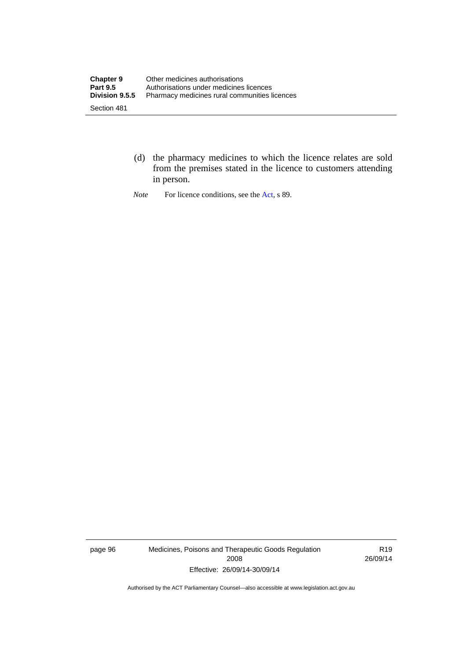- (d) the pharmacy medicines to which the licence relates are sold from the premises stated in the licence to customers attending in person.
- *Note* For licence conditions, see the [Act](http://www.legislation.act.gov.au/a/2008-26/default.asp), s 89.

page 96 Medicines, Poisons and Therapeutic Goods Regulation 2008 Effective: 26/09/14-30/09/14

R19 26/09/14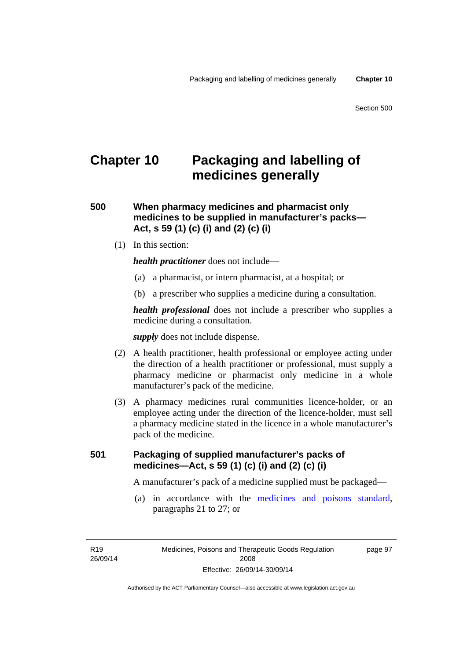# **Chapter 10 Packaging and labelling of medicines generally**

**500 When pharmacy medicines and pharmacist only medicines to be supplied in manufacturer's packs— Act, s 59 (1) (c) (i) and (2) (c) (i)** 

(1) In this section:

*health practitioner* does not include—

- (a) a pharmacist, or intern pharmacist, at a hospital; or
- (b) a prescriber who supplies a medicine during a consultation.

*health professional* does not include a prescriber who supplies a medicine during a consultation.

*supply* does not include dispense.

- (2) A health practitioner, health professional or employee acting under the direction of a health practitioner or professional, must supply a pharmacy medicine or pharmacist only medicine in a whole manufacturer's pack of the medicine.
- (3) A pharmacy medicines rural communities licence-holder, or an employee acting under the direction of the licence-holder, must sell a pharmacy medicine stated in the licence in a whole manufacturer's pack of the medicine.

### **501 Packaging of supplied manufacturer's packs of medicines—Act, s 59 (1) (c) (i) and (2) (c) (i)**

A manufacturer's pack of a medicine supplied must be packaged—

 (a) in accordance with the [medicines and poisons standard](http://www.comlaw.gov.au/Series/F2012L01200), paragraphs 21 to 27; or

R19 26/09/14 page 97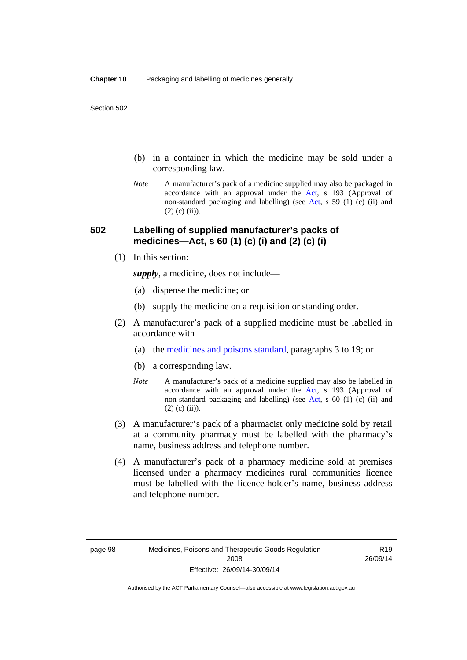- (b) in a container in which the medicine may be sold under a corresponding law.
- *Note* A manufacturer's pack of a medicine supplied may also be packaged in accordance with an approval under the [Act](http://www.legislation.act.gov.au/a/2008-26/default.asp), s 193 (Approval of non-standard packaging and labelling) (see [Act](http://www.legislation.act.gov.au/a/2008-26/default.asp), s 59 (1) (c) (ii) and  $(2)$  (c)  $(ii)$ ).

### **502 Labelling of supplied manufacturer's packs of medicines—Act, s 60 (1) (c) (i) and (2) (c) (i)**

(1) In this section:

*supply*, a medicine, does not include—

- (a) dispense the medicine; or
- (b) supply the medicine on a requisition or standing order.
- (2) A manufacturer's pack of a supplied medicine must be labelled in accordance with—
	- (a) the [medicines and poisons standard](http://www.comlaw.gov.au/Series/F2012L01200), paragraphs 3 to 19; or
	- (b) a corresponding law.
	- *Note* A manufacturer's pack of a medicine supplied may also be labelled in accordance with an approval under the [Act](http://www.legislation.act.gov.au/a/2008-26/default.asp), s 193 (Approval of non-standard packaging and labelling) (see [Act](http://www.legislation.act.gov.au/a/2008-26/default.asp), s 60 (1) (c) (ii) and  $(2)$  (c) (ii)).
- (3) A manufacturer's pack of a pharmacist only medicine sold by retail at a community pharmacy must be labelled with the pharmacy's name, business address and telephone number.
- (4) A manufacturer's pack of a pharmacy medicine sold at premises licensed under a pharmacy medicines rural communities licence must be labelled with the licence-holder's name, business address and telephone number.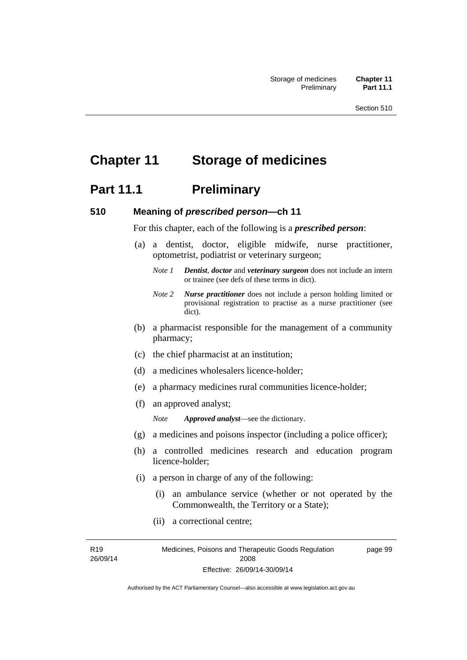# **Chapter 11 Storage of medicines**

## **Part 11.1** Preliminary

#### **510 Meaning of** *prescribed person***—ch 11**

For this chapter, each of the following is a *prescribed person*:

- (a) a dentist, doctor, eligible midwife, nurse practitioner, optometrist, podiatrist or veterinary surgeon;
	- *Note 1 Dentist*, *doctor* and *veterinary surgeon* does not include an intern or trainee (see defs of these terms in dict).
	- *Note 2 Nurse practitioner* does not include a person holding limited or provisional registration to practise as a nurse practitioner (see dict).
- (b) a pharmacist responsible for the management of a community pharmacy;
- (c) the chief pharmacist at an institution;
- (d) a medicines wholesalers licence-holder;
- (e) a pharmacy medicines rural communities licence-holder;
- (f) an approved analyst;

*Note Approved analyst*—see the dictionary.

- (g) a medicines and poisons inspector (including a police officer);
- (h) a controlled medicines research and education program licence-holder;
- (i) a person in charge of any of the following:
	- (i) an ambulance service (whether or not operated by the Commonwealth, the Territory or a State);
	- (ii) a correctional centre;

R19 26/09/14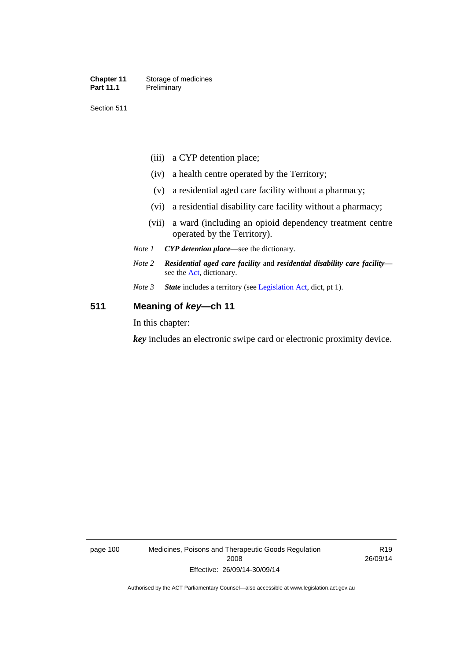#### **Chapter 11** Storage of medicines Part 11.1 Preliminary

Section 511

- (iii) a CYP detention place;
- (iv) a health centre operated by the Territory;
- (v) a residential aged care facility without a pharmacy;
- (vi) a residential disability care facility without a pharmacy;
- (vii) a ward (including an opioid dependency treatment centre operated by the Territory).
- *Note 1 CYP detention place*—see the dictionary.
- *Note 2 Residential aged care facility* and *residential disability care facility* see the [Act](http://www.legislation.act.gov.au/a/2008-26/default.asp), dictionary.
- *Note 3 State* includes a territory (see [Legislation Act,](http://www.legislation.act.gov.au/a/2001-14) dict, pt 1).

### **511 Meaning of** *key***—ch 11**

In this chapter:

*key* includes an electronic swipe card or electronic proximity device.

page 100 Medicines, Poisons and Therapeutic Goods Regulation 2008 Effective: 26/09/14-30/09/14

R19 26/09/14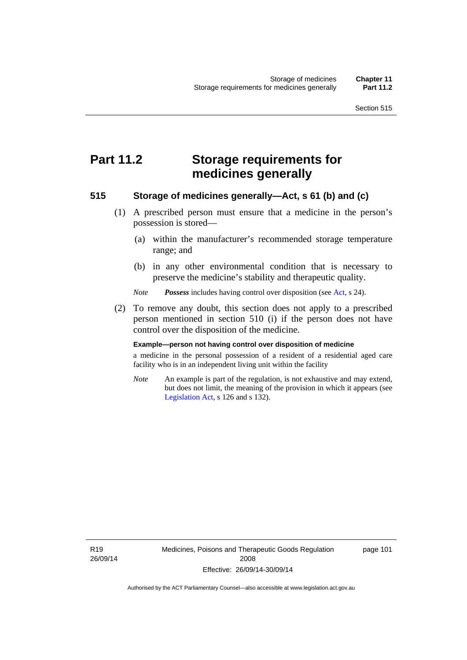# **Part 11.2 Storage requirements for medicines generally**

#### **515 Storage of medicines generally—Act, s 61 (b) and (c)**

- (1) A prescribed person must ensure that a medicine in the person's possession is stored—
	- (a) within the manufacturer's recommended storage temperature range; and
	- (b) in any other environmental condition that is necessary to preserve the medicine's stability and therapeutic quality.

*Note Possess* includes having control over disposition (see [Act,](http://www.legislation.act.gov.au/a/2008-26/default.asp) s 24).

 (2) To remove any doubt, this section does not apply to a prescribed person mentioned in section 510 (i) if the person does not have control over the disposition of the medicine.

#### **Example—person not having control over disposition of medicine**

a medicine in the personal possession of a resident of a residential aged care facility who is in an independent living unit within the facility

*Note* An example is part of the regulation, is not exhaustive and may extend, but does not limit, the meaning of the provision in which it appears (see [Legislation Act,](http://www.legislation.act.gov.au/a/2001-14) s 126 and s 132).

R19 26/09/14 Medicines, Poisons and Therapeutic Goods Regulation 2008 Effective: 26/09/14-30/09/14

page 101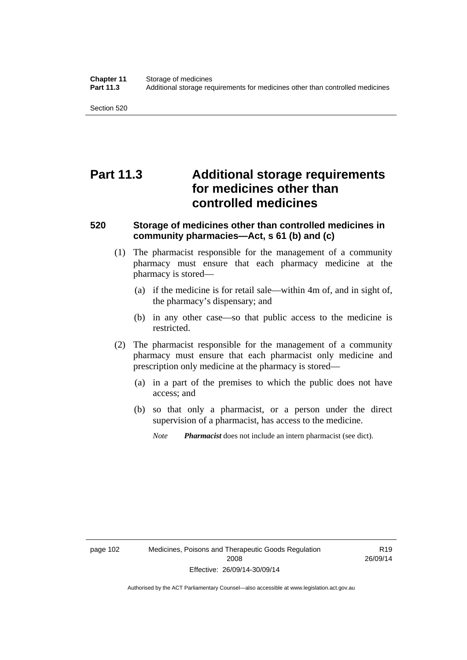Section 520

# **Part 11.3 Additional storage requirements for medicines other than controlled medicines**

#### **520 Storage of medicines other than controlled medicines in community pharmacies—Act, s 61 (b) and (c)**

- (1) The pharmacist responsible for the management of a community pharmacy must ensure that each pharmacy medicine at the pharmacy is stored—
	- (a) if the medicine is for retail sale—within 4m of, and in sight of, the pharmacy's dispensary; and
	- (b) in any other case—so that public access to the medicine is restricted.
- (2) The pharmacist responsible for the management of a community pharmacy must ensure that each pharmacist only medicine and prescription only medicine at the pharmacy is stored—
	- (a) in a part of the premises to which the public does not have access; and
	- (b) so that only a pharmacist, or a person under the direct supervision of a pharmacist, has access to the medicine.

*Note Pharmacist* does not include an intern pharmacist (see dict).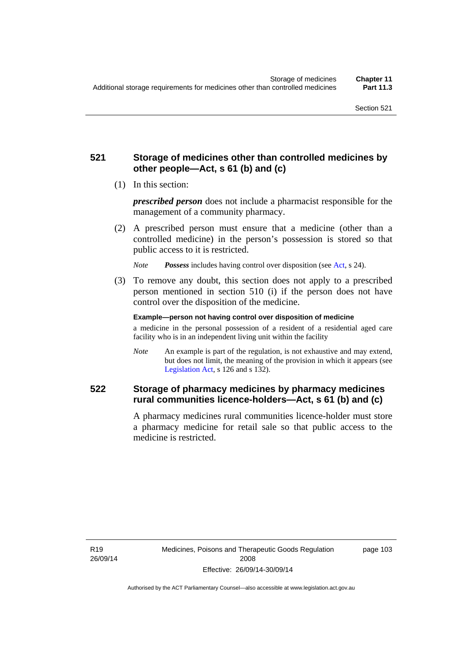### **521 Storage of medicines other than controlled medicines by other people—Act, s 61 (b) and (c)**

(1) In this section:

*prescribed person* does not include a pharmacist responsible for the management of a community pharmacy.

 (2) A prescribed person must ensure that a medicine (other than a controlled medicine) in the person's possession is stored so that public access to it is restricted.

*Note Possess* includes having control over disposition (see [Act,](http://www.legislation.act.gov.au/a/2008-26/default.asp) s 24).

 (3) To remove any doubt, this section does not apply to a prescribed person mentioned in section 510 (i) if the person does not have control over the disposition of the medicine.

**Example—person not having control over disposition of medicine** 

a medicine in the personal possession of a resident of a residential aged care facility who is in an independent living unit within the facility

*Note* An example is part of the regulation, is not exhaustive and may extend, but does not limit, the meaning of the provision in which it appears (see [Legislation Act,](http://www.legislation.act.gov.au/a/2001-14) s 126 and s 132).

### **522 Storage of pharmacy medicines by pharmacy medicines rural communities licence-holders—Act, s 61 (b) and (c)**

A pharmacy medicines rural communities licence-holder must store a pharmacy medicine for retail sale so that public access to the medicine is restricted.

R19 26/09/14 page 103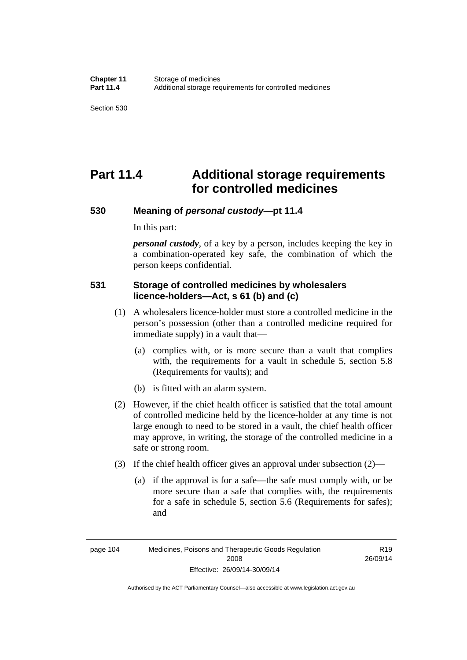# **Part 11.4 Additional storage requirements for controlled medicines**

#### **530 Meaning of** *personal custody***—pt 11.4**

In this part:

*personal custody*, of a key by a person, includes keeping the key in a combination-operated key safe, the combination of which the person keeps confidential.

### **531 Storage of controlled medicines by wholesalers licence-holders—Act, s 61 (b) and (c)**

- (1) A wholesalers licence-holder must store a controlled medicine in the person's possession (other than a controlled medicine required for immediate supply) in a vault that—
	- (a) complies with, or is more secure than a vault that complies with, the requirements for a vault in schedule 5, section 5.8 (Requirements for vaults); and
	- (b) is fitted with an alarm system.
- (2) However, if the chief health officer is satisfied that the total amount of controlled medicine held by the licence-holder at any time is not large enough to need to be stored in a vault, the chief health officer may approve, in writing, the storage of the controlled medicine in a safe or strong room.
- (3) If the chief health officer gives an approval under subsection (2)—
	- (a) if the approval is for a safe—the safe must comply with, or be more secure than a safe that complies with, the requirements for a safe in schedule 5, section 5.6 (Requirements for safes); and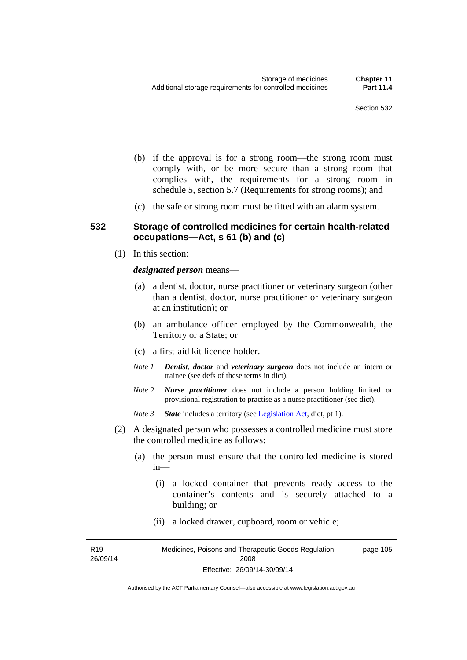- (b) if the approval is for a strong room—the strong room must comply with, or be more secure than a strong room that complies with, the requirements for a strong room in schedule 5, section 5.7 (Requirements for strong rooms); and
- (c) the safe or strong room must be fitted with an alarm system.

#### **532 Storage of controlled medicines for certain health-related occupations—Act, s 61 (b) and (c)**

(1) In this section:

#### *designated person* means—

- (a) a dentist, doctor, nurse practitioner or veterinary surgeon (other than a dentist, doctor, nurse practitioner or veterinary surgeon at an institution); or
- (b) an ambulance officer employed by the Commonwealth, the Territory or a State; or
- (c) a first-aid kit licence-holder.
- *Note 1 Dentist*, *doctor* and *veterinary surgeon* does not include an intern or trainee (see defs of these terms in dict).
- *Note 2 Nurse practitioner* does not include a person holding limited or provisional registration to practise as a nurse practitioner (see dict).
- *Note 3 State* includes a territory (see [Legislation Act,](http://www.legislation.act.gov.au/a/2001-14) dict, pt 1).
- (2) A designated person who possesses a controlled medicine must store the controlled medicine as follows:
	- (a) the person must ensure that the controlled medicine is stored in—
		- (i) a locked container that prevents ready access to the container's contents and is securely attached to a building; or
		- (ii) a locked drawer, cupboard, room or vehicle;

R19 26/09/14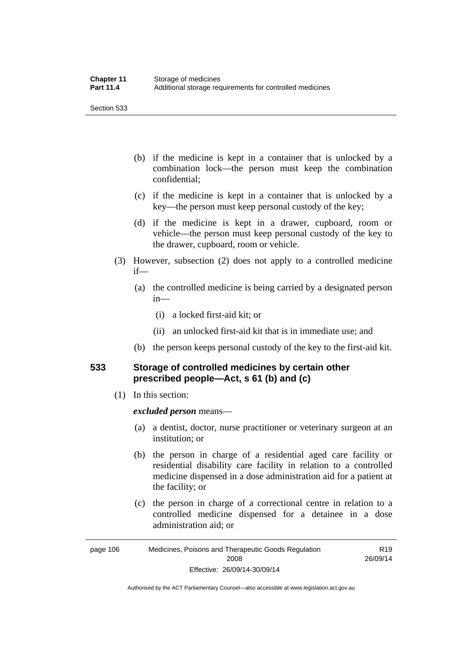Section 533

- (b) if the medicine is kept in a container that is unlocked by a combination lock—the person must keep the combination confidential;
- (c) if the medicine is kept in a container that is unlocked by a key—the person must keep personal custody of the key;
- (d) if the medicine is kept in a drawer, cupboard, room or vehicle—the person must keep personal custody of the key to the drawer, cupboard, room or vehicle.
- (3) However, subsection (2) does not apply to a controlled medicine if—
	- (a) the controlled medicine is being carried by a designated person in—
		- (i) a locked first-aid kit; or
		- (ii) an unlocked first-aid kit that is in immediate use; and
	- (b) the person keeps personal custody of the key to the first-aid kit.

### **533 Storage of controlled medicines by certain other prescribed people—Act, s 61 (b) and (c)**

(1) In this section:

#### *excluded person* means—

- (a) a dentist, doctor, nurse practitioner or veterinary surgeon at an institution; or
- (b) the person in charge of a residential aged care facility or residential disability care facility in relation to a controlled medicine dispensed in a dose administration aid for a patient at the facility; or
- (c) the person in charge of a correctional centre in relation to a controlled medicine dispensed for a detainee in a dose administration aid; or

Authorised by the ACT Parliamentary Counsel—also accessible at www.legislation.act.gov.au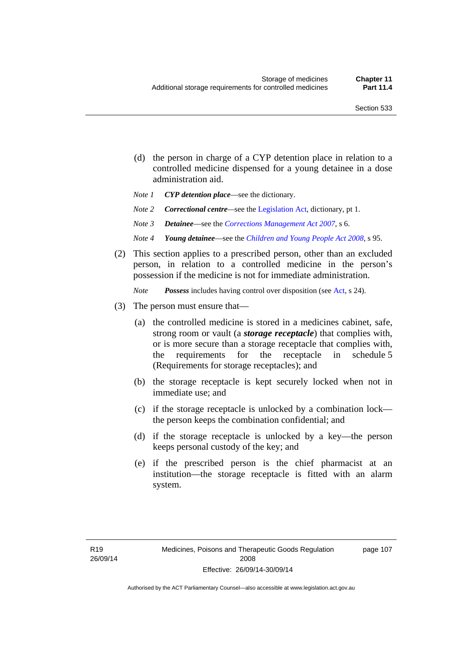page 107

- (d) the person in charge of a CYP detention place in relation to a controlled medicine dispensed for a young detainee in a dose administration aid.
- *Note 1 CYP detention place*—see the dictionary.
- *Note 2 Correctional centre—see the [Legislation Act](http://www.legislation.act.gov.au/a/2001-14), dictionary, pt 1.*
- *Note 3 Detainee*—see the *[Corrections Management Act 2007](http://www.legislation.act.gov.au/a/2007-15)*, s 6.
- *Note 4 Young detainee*—see the *[Children and Young People Act 2008](http://www.legislation.act.gov.au/a/2008-19)*, s 95.
- (2) This section applies to a prescribed person, other than an excluded person, in relation to a controlled medicine in the person's possession if the medicine is not for immediate administration.

*Note Possess* includes having control over disposition (see [Act,](http://www.legislation.act.gov.au/a/2008-26/default.asp) s 24).

- (3) The person must ensure that—
	- (a) the controlled medicine is stored in a medicines cabinet, safe, strong room or vault (a *storage receptacle*) that complies with, or is more secure than a storage receptacle that complies with, the requirements for the receptacle in schedule 5 (Requirements for storage receptacles); and
	- (b) the storage receptacle is kept securely locked when not in immediate use; and
	- (c) if the storage receptacle is unlocked by a combination lock the person keeps the combination confidential; and
	- (d) if the storage receptacle is unlocked by a key—the person keeps personal custody of the key; and
	- (e) if the prescribed person is the chief pharmacist at an institution—the storage receptacle is fitted with an alarm system.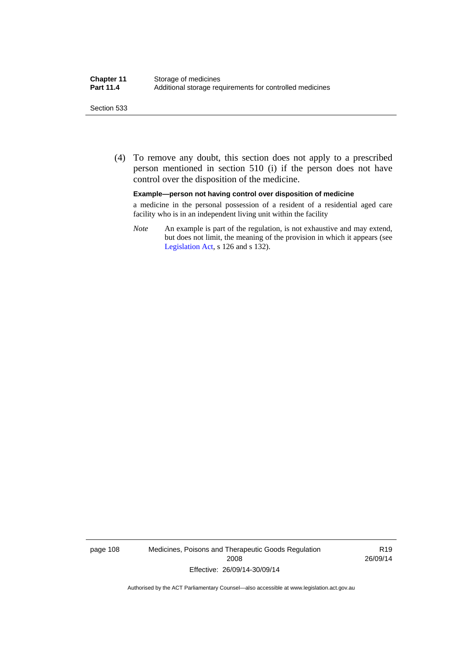#### Section 533

 (4) To remove any doubt, this section does not apply to a prescribed person mentioned in section 510 (i) if the person does not have control over the disposition of the medicine.

#### **Example—person not having control over disposition of medicine**

a medicine in the personal possession of a resident of a residential aged care facility who is in an independent living unit within the facility

*Note* An example is part of the regulation, is not exhaustive and may extend, but does not limit, the meaning of the provision in which it appears (see [Legislation Act,](http://www.legislation.act.gov.au/a/2001-14) s 126 and s 132).

page 108 Medicines, Poisons and Therapeutic Goods Regulation 2008 Effective: 26/09/14-30/09/14

R19 26/09/14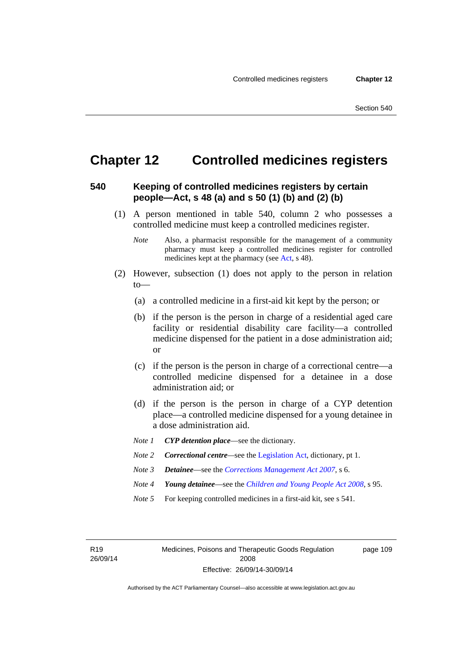page 109

# **Chapter 12 Controlled medicines registers**

#### **540 Keeping of controlled medicines registers by certain people—Act, s 48 (a) and s 50 (1) (b) and (2) (b)**

- (1) A person mentioned in table 540, column 2 who possesses a controlled medicine must keep a controlled medicines register.
	- *Note* Also, a pharmacist responsible for the management of a community pharmacy must keep a controlled medicines register for controlled medicines kept at the pharmacy (see [Act](http://www.legislation.act.gov.au/a/2008-26/default.asp), s 48).
- (2) However, subsection (1) does not apply to the person in relation  $to$ —
	- (a) a controlled medicine in a first-aid kit kept by the person; or
	- (b) if the person is the person in charge of a residential aged care facility or residential disability care facility—a controlled medicine dispensed for the patient in a dose administration aid; or
	- (c) if the person is the person in charge of a correctional centre—a controlled medicine dispensed for a detainee in a dose administration aid; or
	- (d) if the person is the person in charge of a CYP detention place—a controlled medicine dispensed for a young detainee in a dose administration aid.
	- *Note 1 CYP detention place*—see the dictionary.
	- *Note 2 Correctional centre—see the [Legislation Act](http://www.legislation.act.gov.au/a/2001-14), dictionary, pt 1.*
	- *Note 3 Detainee*—see the *[Corrections Management Act 2007](http://www.legislation.act.gov.au/a/2007-15)*, s 6.
	- *Note 4 Young detainee*—see the *[Children and Young People Act 2008](http://www.legislation.act.gov.au/a/2008-19)*, s 95.
	- *Note* 5 For keeping controlled medicines in a first-aid kit, see s 541.

R19 26/09/14 Medicines, Poisons and Therapeutic Goods Regulation 2008 Effective: 26/09/14-30/09/14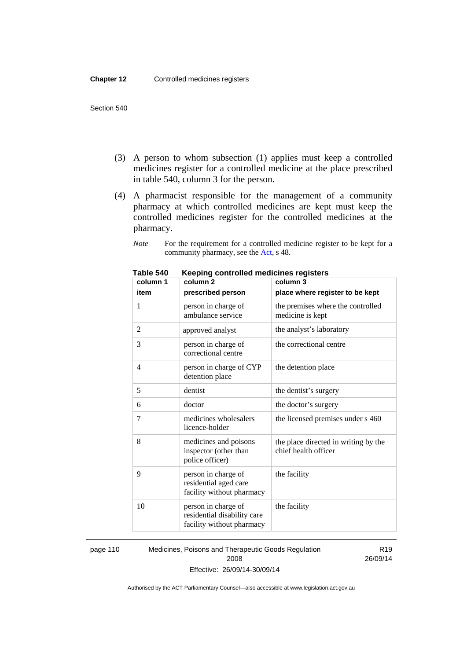- (3) A person to whom subsection (1) applies must keep a controlled medicines register for a controlled medicine at the place prescribed in table 540, column 3 for the person.
- (4) A pharmacist responsible for the management of a community pharmacy at which controlled medicines are kept must keep the controlled medicines register for the controlled medicines at the pharmacy.

*Note* For the requirement for a controlled medicine register to be kept for a community pharmacy, see the [Act,](http://www.legislation.act.gov.au/a/2008-26/default.asp) s 48.

| column 1 | column <sub>2</sub>                                                             | column 3                                                     |
|----------|---------------------------------------------------------------------------------|--------------------------------------------------------------|
| item     | prescribed person                                                               | place where register to be kept                              |
| 1        | person in charge of<br>ambulance service                                        | the premises where the controlled<br>medicine is kept        |
| 2        | approved analyst                                                                | the analyst's laboratory                                     |
| 3        | person in charge of<br>correctional centre                                      | the correctional centre                                      |
| 4        | person in charge of CYP<br>detention place                                      | the detention place                                          |
| 5        | dentist                                                                         | the dentist's surgery                                        |
| 6        | doctor                                                                          | the doctor's surgery                                         |
| 7        | medicines wholesalers<br>licence-holder                                         | the licensed premises under s 460                            |
| 8        | medicines and poisons<br>inspector (other than<br>police officer)               | the place directed in writing by the<br>chief health officer |
| 9        | person in charge of<br>residential aged care<br>facility without pharmacy       | the facility                                                 |
| 10       | person in charge of<br>residential disability care<br>facility without pharmacy | the facility                                                 |

**Table 540 Keeping controlled medicines registers** 

page 110 Medicines, Poisons and Therapeutic Goods Regulation 2008 Effective: 26/09/14-30/09/14

R19 26/09/14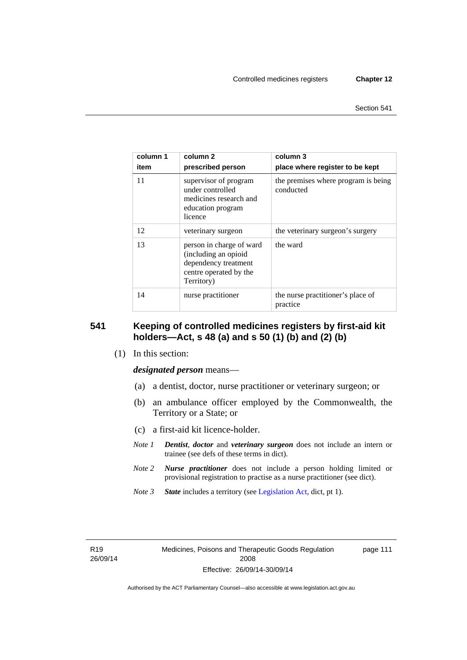| column 1<br>item | column 2<br>prescribed person                                                                                    | column 3<br>place where register to be kept      |
|------------------|------------------------------------------------------------------------------------------------------------------|--------------------------------------------------|
| 11               | supervisor of program<br>under controlled<br>medicines research and<br>education program<br>licence              | the premises where program is being<br>conducted |
| 12               | veterinary surgeon                                                                                               | the veterinary surgeon's surgery                 |
| 13               | person in charge of ward<br>(including an opioid<br>dependency treatment<br>centre operated by the<br>Territory) | the ward                                         |
| 14               | nurse practitioner                                                                                               | the nurse practitioner's place of<br>practice    |

#### **541 Keeping of controlled medicines registers by first-aid kit holders—Act, s 48 (a) and s 50 (1) (b) and (2) (b)**

(1) In this section:

*designated person* means—

- (a) a dentist, doctor, nurse practitioner or veterinary surgeon; or
- (b) an ambulance officer employed by the Commonwealth, the Territory or a State; or
- (c) a first-aid kit licence-holder.
- *Note 1 Dentist*, *doctor* and *veterinary surgeon* does not include an intern or trainee (see defs of these terms in dict).
- *Note 2 Nurse practitioner* does not include a person holding limited or provisional registration to practise as a nurse practitioner (see dict).
- *Note 3 State* includes a territory (see [Legislation Act,](http://www.legislation.act.gov.au/a/2001-14) dict, pt 1).

R19 26/09/14 page 111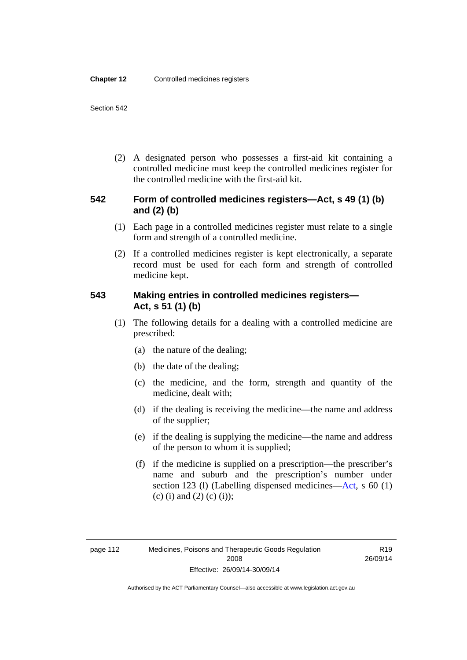(2) A designated person who possesses a first-aid kit containing a controlled medicine must keep the controlled medicines register for the controlled medicine with the first-aid kit.

### **542 Form of controlled medicines registers—Act, s 49 (1) (b) and (2) (b)**

- (1) Each page in a controlled medicines register must relate to a single form and strength of a controlled medicine.
- (2) If a controlled medicines register is kept electronically, a separate record must be used for each form and strength of controlled medicine kept.

### **543 Making entries in controlled medicines registers— Act, s 51 (1) (b)**

- (1) The following details for a dealing with a controlled medicine are prescribed:
	- (a) the nature of the dealing;
	- (b) the date of the dealing;
	- (c) the medicine, and the form, strength and quantity of the medicine, dealt with;
	- (d) if the dealing is receiving the medicine—the name and address of the supplier;
	- (e) if the dealing is supplying the medicine—the name and address of the person to whom it is supplied;
	- (f) if the medicine is supplied on a prescription—the prescriber's name and suburb and the prescription's number under section 123 (l) (Labelling dispensed medicines[—Act,](http://www.legislation.act.gov.au/a/2008-26/default.asp) s 60 (1) (c) (i) and (2) (c) (i));

R19 26/09/14

Authorised by the ACT Parliamentary Counsel—also accessible at www.legislation.act.gov.au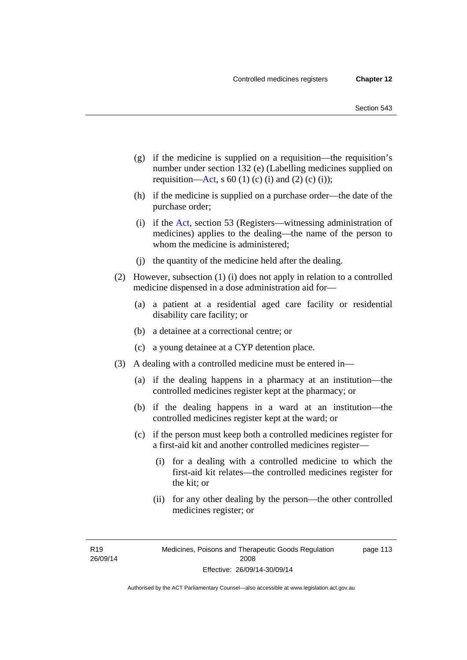- (g) if the medicine is supplied on a requisition—the requisition's number under section 132 (e) (Labelling medicines supplied on requisition[—Act,](http://www.legislation.act.gov.au/a/2008-26/default.asp) s 60 (1) (c) (i) and (2) (c) (i));
- (h) if the medicine is supplied on a purchase order—the date of the purchase order;
- (i) if the [Act,](http://www.legislation.act.gov.au/a/2008-26/default.asp) section 53 (Registers—witnessing administration of medicines) applies to the dealing—the name of the person to whom the medicine is administered;
- (j) the quantity of the medicine held after the dealing.
- (2) However, subsection (1) (i) does not apply in relation to a controlled medicine dispensed in a dose administration aid for—
	- (a) a patient at a residential aged care facility or residential disability care facility; or
	- (b) a detainee at a correctional centre; or
	- (c) a young detainee at a CYP detention place.
- (3) A dealing with a controlled medicine must be entered in—
	- (a) if the dealing happens in a pharmacy at an institution—the controlled medicines register kept at the pharmacy; or
	- (b) if the dealing happens in a ward at an institution—the controlled medicines register kept at the ward; or
	- (c) if the person must keep both a controlled medicines register for a first-aid kit and another controlled medicines register—
		- (i) for a dealing with a controlled medicine to which the first-aid kit relates—the controlled medicines register for the kit; or
		- (ii) for any other dealing by the person—the other controlled medicines register; or

R19 26/09/14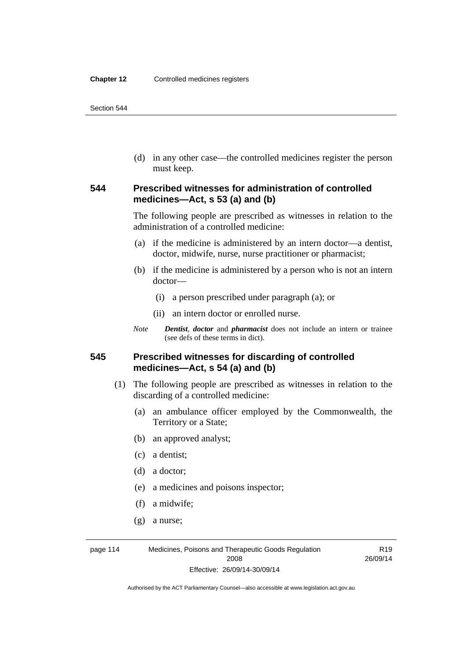(d) in any other case—the controlled medicines register the person must keep.

#### **544 Prescribed witnesses for administration of controlled medicines—Act, s 53 (a) and (b)**

The following people are prescribed as witnesses in relation to the administration of a controlled medicine:

- (a) if the medicine is administered by an intern doctor—a dentist, doctor, midwife, nurse, nurse practitioner or pharmacist;
- (b) if the medicine is administered by a person who is not an intern doctor—
	- (i) a person prescribed under paragraph (a); or
	- (ii) an intern doctor or enrolled nurse.
- *Note Dentist*, *doctor* and *pharmacist* does not include an intern or trainee (see defs of these terms in dict).

#### **545 Prescribed witnesses for discarding of controlled medicines—Act, s 54 (a) and (b)**

- (1) The following people are prescribed as witnesses in relation to the discarding of a controlled medicine:
	- (a) an ambulance officer employed by the Commonwealth, the Territory or a State;
	- (b) an approved analyst;
	- (c) a dentist;
	- (d) a doctor;
	- (e) a medicines and poisons inspector;
	- (f) a midwife;
	- (g) a nurse;

page 114 Medicines, Poisons and Therapeutic Goods Regulation 2008 Effective: 26/09/14-30/09/14

R19 26/09/14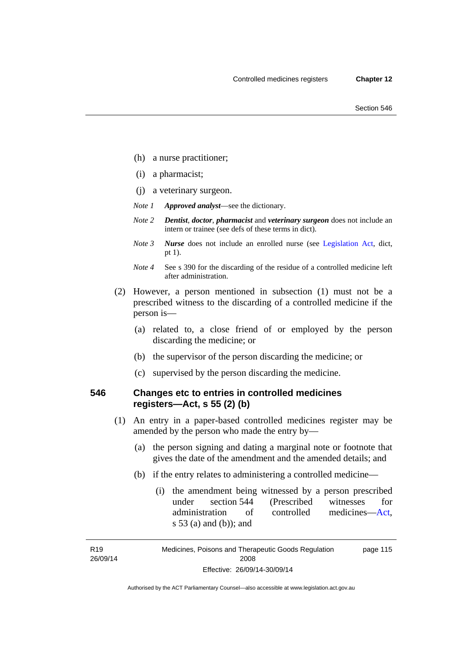- (h) a nurse practitioner;
- (i) a pharmacist;
- (j) a veterinary surgeon.
- *Note 1 Approved analyst*—see the dictionary.
- *Note 2 Dentist*, *doctor*, *pharmacist* and *veterinary surgeon* does not include an intern or trainee (see defs of these terms in dict).
- *Note 3 Nurse* does not include an enrolled nurse (see [Legislation Act,](http://www.legislation.act.gov.au/a/2001-14) dict, pt 1).
- *Note 4* See s 390 for the discarding of the residue of a controlled medicine left after administration.
- (2) However, a person mentioned in subsection (1) must not be a prescribed witness to the discarding of a controlled medicine if the person is—
	- (a) related to, a close friend of or employed by the person discarding the medicine; or
	- (b) the supervisor of the person discarding the medicine; or
	- (c) supervised by the person discarding the medicine.

#### **546 Changes etc to entries in controlled medicines registers—Act, s 55 (2) (b)**

- (1) An entry in a paper-based controlled medicines register may be amended by the person who made the entry by—
	- (a) the person signing and dating a marginal note or footnote that gives the date of the amendment and the amended details; and
	- (b) if the entry relates to administering a controlled medicine—
		- (i) the amendment being witnessed by a person prescribed under section 544 (Prescribed witnesses for administration of controlled medicines[—Act](http://www.legislation.act.gov.au/a/2008-26/default.asp), s 53 (a) and (b)); and

R19 26/09/14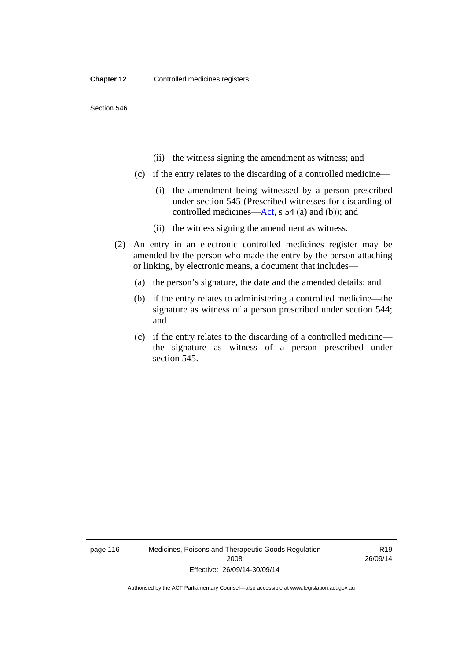- (ii) the witness signing the amendment as witness; and
- (c) if the entry relates to the discarding of a controlled medicine—
	- (i) the amendment being witnessed by a person prescribed under section 545 (Prescribed witnesses for discarding of controlled medicines[—Act,](http://www.legislation.act.gov.au/a/2008-26/default.asp) s 54 (a) and (b)); and
	- (ii) the witness signing the amendment as witness.
- (2) An entry in an electronic controlled medicines register may be amended by the person who made the entry by the person attaching or linking, by electronic means, a document that includes—
	- (a) the person's signature, the date and the amended details; and
	- (b) if the entry relates to administering a controlled medicine—the signature as witness of a person prescribed under section 544; and
	- (c) if the entry relates to the discarding of a controlled medicine the signature as witness of a person prescribed under section 545.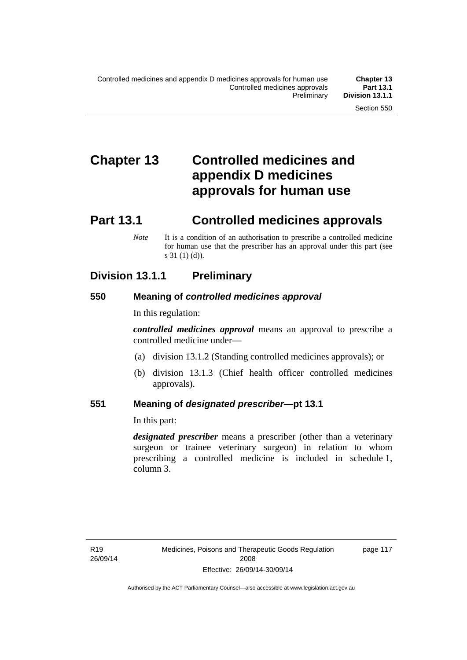# **Chapter 13 Controlled medicines and appendix D medicines approvals for human use**

# **Part 13.1 Controlled medicines approvals**

*Note* It is a condition of an authorisation to prescribe a controlled medicine for human use that the prescriber has an approval under this part (see s 31 (1) (d)).

## **Division 13.1.1 Preliminary**

#### **550 Meaning of** *controlled medicines approval*

In this regulation:

*controlled medicines approval* means an approval to prescribe a controlled medicine under—

- (a) division 13.1.2 (Standing controlled medicines approvals); or
- (b) division 13.1.3 (Chief health officer controlled medicines approvals).

#### **551 Meaning of** *designated prescriber***—pt 13.1**

In this part:

*designated prescriber* means a prescriber (other than a veterinary surgeon or trainee veterinary surgeon) in relation to whom prescribing a controlled medicine is included in schedule 1, column 3.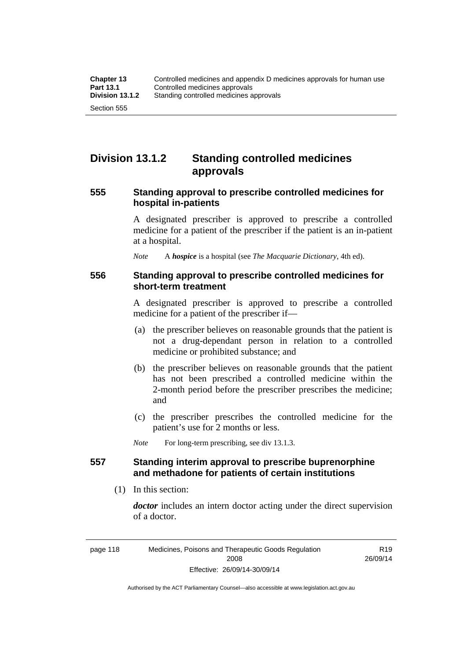## **Division 13.1.2 Standing controlled medicines approvals**

#### **555 Standing approval to prescribe controlled medicines for hospital in-patients**

A designated prescriber is approved to prescribe a controlled medicine for a patient of the prescriber if the patient is an in-patient at a hospital.

*Note* A *hospice* is a hospital (see *The Macquarie Dictionary*, 4th ed).

#### **556 Standing approval to prescribe controlled medicines for short-term treatment**

A designated prescriber is approved to prescribe a controlled medicine for a patient of the prescriber if—

- (a) the prescriber believes on reasonable grounds that the patient is not a drug-dependant person in relation to a controlled medicine or prohibited substance; and
- (b) the prescriber believes on reasonable grounds that the patient has not been prescribed a controlled medicine within the 2-month period before the prescriber prescribes the medicine; and
- (c) the prescriber prescribes the controlled medicine for the patient's use for 2 months or less.

*Note* For long-term prescribing, see div 13.1.3.

#### **557 Standing interim approval to prescribe buprenorphine and methadone for patients of certain institutions**

(1) In this section:

*doctor* includes an intern doctor acting under the direct supervision of a doctor.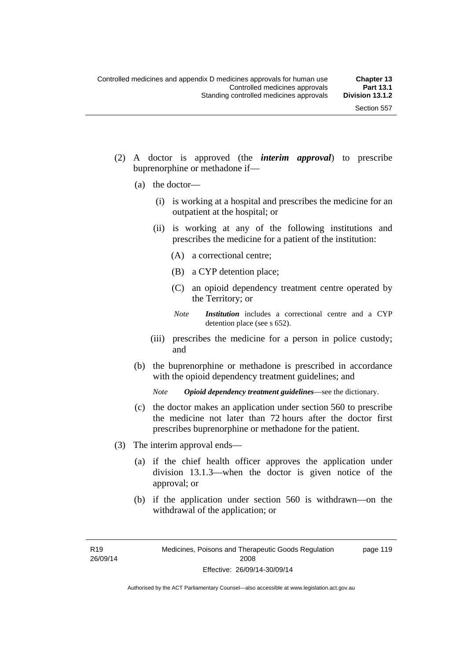- (2) A doctor is approved (the *interim approval*) to prescribe buprenorphine or methadone if—
	- (a) the doctor—
		- (i) is working at a hospital and prescribes the medicine for an outpatient at the hospital; or
		- (ii) is working at any of the following institutions and prescribes the medicine for a patient of the institution:
			- (A) a correctional centre;
			- (B) a CYP detention place;
			- (C) an opioid dependency treatment centre operated by the Territory; or
			- *Note Institution* includes a correctional centre and a CYP detention place (see s 652).
		- (iii) prescribes the medicine for a person in police custody; and
	- (b) the buprenorphine or methadone is prescribed in accordance with the opioid dependency treatment guidelines; and

*Note Opioid dependency treatment guidelines*—see the dictionary.

- (c) the doctor makes an application under section 560 to prescribe the medicine not later than 72 hours after the doctor first prescribes buprenorphine or methadone for the patient.
- (3) The interim approval ends—
	- (a) if the chief health officer approves the application under division 13.1.3—when the doctor is given notice of the approval; or
	- (b) if the application under section 560 is withdrawn—on the withdrawal of the application; or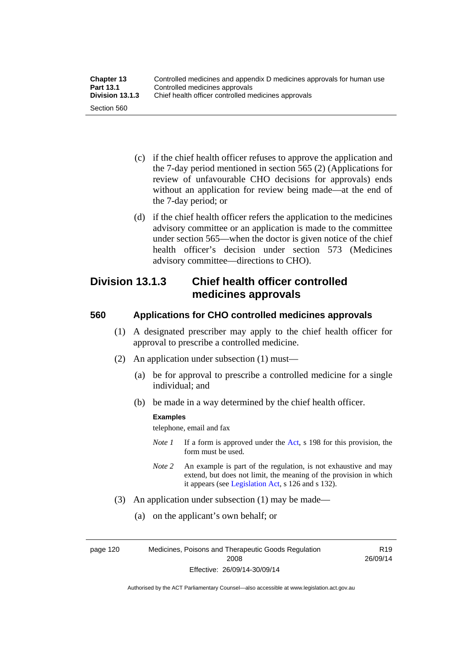| <b>Chapter 13</b> | Controlled medicines and appendix D medicines approvals for human use |
|-------------------|-----------------------------------------------------------------------|
| <b>Part 13.1</b>  | Controlled medicines approvals                                        |
| Division 13.1.3   | Chief health officer controlled medicines approvals                   |
| Section 560       |                                                                       |

- (c) if the chief health officer refuses to approve the application and the 7-day period mentioned in section 565 (2) (Applications for review of unfavourable CHO decisions for approvals) ends without an application for review being made—at the end of the 7-day period; or
- (d) if the chief health officer refers the application to the medicines advisory committee or an application is made to the committee under section 565—when the doctor is given notice of the chief health officer's decision under section 573 (Medicines advisory committee—directions to CHO).

## **Division 13.1.3 Chief health officer controlled medicines approvals**

### **560 Applications for CHO controlled medicines approvals**

- (1) A designated prescriber may apply to the chief health officer for approval to prescribe a controlled medicine.
- (2) An application under subsection (1) must—
	- (a) be for approval to prescribe a controlled medicine for a single individual; and
	- (b) be made in a way determined by the chief health officer.

#### **Examples**

telephone, email and fax

- *Note 1* If a form is approved under the [Act](http://www.legislation.act.gov.au/a/2008-26/default.asp), s 198 for this provision, the form must be used.
- *Note 2* An example is part of the regulation, is not exhaustive and may extend, but does not limit, the meaning of the provision in which it appears (see [Legislation Act,](http://www.legislation.act.gov.au/a/2001-14) s 126 and s 132).
- (3) An application under subsection (1) may be made—
	- (a) on the applicant's own behalf; or

page 120 Medicines, Poisons and Therapeutic Goods Regulation 2008 Effective: 26/09/14-30/09/14

R19 26/09/14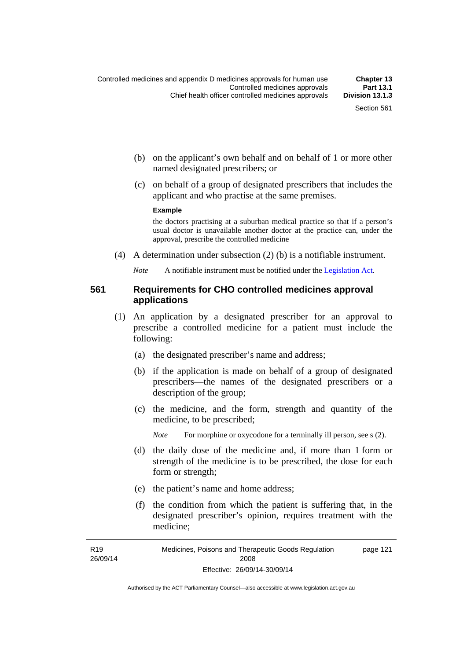- (b) on the applicant's own behalf and on behalf of 1 or more other named designated prescribers; or
- (c) on behalf of a group of designated prescribers that includes the applicant and who practise at the same premises.

#### **Example**

the doctors practising at a suburban medical practice so that if a person's usual doctor is unavailable another doctor at the practice can, under the approval, prescribe the controlled medicine

(4) A determination under subsection (2) (b) is a notifiable instrument.

*Note* A notifiable instrument must be notified under the [Legislation Act](http://www.legislation.act.gov.au/a/2001-14).

### **561 Requirements for CHO controlled medicines approval applications**

- (1) An application by a designated prescriber for an approval to prescribe a controlled medicine for a patient must include the following:
	- (a) the designated prescriber's name and address;
	- (b) if the application is made on behalf of a group of designated prescribers—the names of the designated prescribers or a description of the group;
	- (c) the medicine, and the form, strength and quantity of the medicine, to be prescribed;

*Note* For morphine or oxycodone for a terminally ill person, see s (2).

- (d) the daily dose of the medicine and, if more than 1 form or strength of the medicine is to be prescribed, the dose for each form or strength;
- (e) the patient's name and home address;
- (f) the condition from which the patient is suffering that, in the designated prescriber's opinion, requires treatment with the medicine;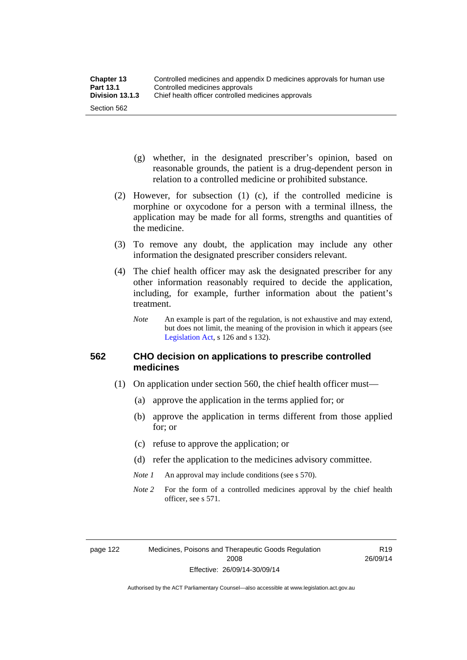- (g) whether, in the designated prescriber's opinion, based on reasonable grounds, the patient is a drug-dependent person in relation to a controlled medicine or prohibited substance.
- (2) However, for subsection (1) (c), if the controlled medicine is morphine or oxycodone for a person with a terminal illness, the application may be made for all forms, strengths and quantities of the medicine.
- (3) To remove any doubt, the application may include any other information the designated prescriber considers relevant.
- (4) The chief health officer may ask the designated prescriber for any other information reasonably required to decide the application, including, for example, further information about the patient's treatment.
	- *Note* An example is part of the regulation, is not exhaustive and may extend, but does not limit, the meaning of the provision in which it appears (see [Legislation Act,](http://www.legislation.act.gov.au/a/2001-14) s 126 and s 132).

## **562 CHO decision on applications to prescribe controlled medicines**

- (1) On application under section 560, the chief health officer must—
	- (a) approve the application in the terms applied for; or
	- (b) approve the application in terms different from those applied for; or
	- (c) refuse to approve the application; or
	- (d) refer the application to the medicines advisory committee.
	- *Note 1* An approval may include conditions (see s 570).
	- *Note* 2 For the form of a controlled medicines approval by the chief health officer, see s 571.

R19 26/09/14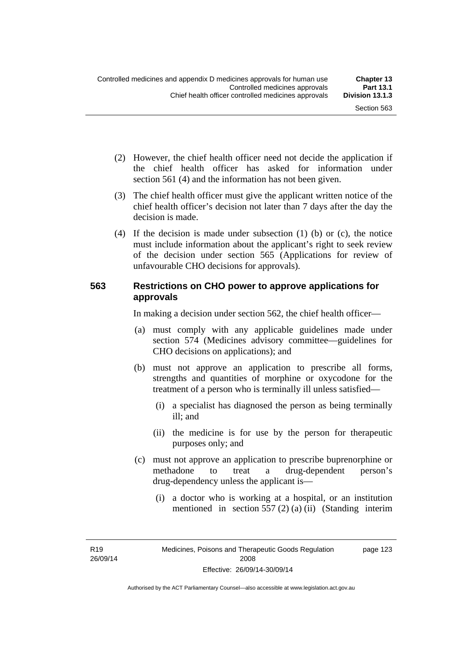- (2) However, the chief health officer need not decide the application if the chief health officer has asked for information under section 561 (4) and the information has not been given.
- (3) The chief health officer must give the applicant written notice of the chief health officer's decision not later than 7 days after the day the decision is made.
- (4) If the decision is made under subsection (1) (b) or (c), the notice must include information about the applicant's right to seek review of the decision under section 565 (Applications for review of unfavourable CHO decisions for approvals).

## **563 Restrictions on CHO power to approve applications for approvals**

In making a decision under section 562, the chief health officer—

- (a) must comply with any applicable guidelines made under section 574 (Medicines advisory committee—guidelines for CHO decisions on applications); and
- (b) must not approve an application to prescribe all forms, strengths and quantities of morphine or oxycodone for the treatment of a person who is terminally ill unless satisfied—
	- (i) a specialist has diagnosed the person as being terminally ill; and
	- (ii) the medicine is for use by the person for therapeutic purposes only; and
- (c) must not approve an application to prescribe buprenorphine or methadone to treat a drug-dependent person's drug-dependency unless the applicant is—
	- (i) a doctor who is working at a hospital, or an institution mentioned in section 557 (2) (a) (ii) (Standing interim

R19 26/09/14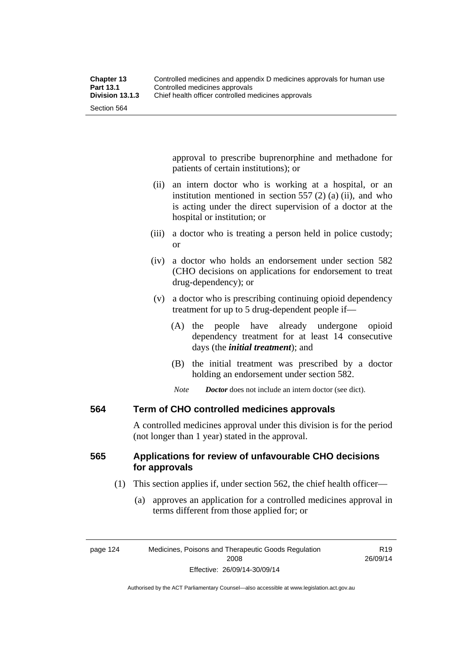approval to prescribe buprenorphine and methadone for patients of certain institutions); or

- (ii) an intern doctor who is working at a hospital, or an institution mentioned in section 557 (2) (a) (ii), and who is acting under the direct supervision of a doctor at the hospital or institution; or
- (iii) a doctor who is treating a person held in police custody; or
- (iv) a doctor who holds an endorsement under section 582 (CHO decisions on applications for endorsement to treat drug-dependency); or
- (v) a doctor who is prescribing continuing opioid dependency treatment for up to 5 drug-dependent people if—
	- (A) the people have already undergone opioid dependency treatment for at least 14 consecutive days (the *initial treatment*); and
	- (B) the initial treatment was prescribed by a doctor holding an endorsement under section 582.
	- *Note Doctor* does not include an intern doctor (see dict).

## **564 Term of CHO controlled medicines approvals**

A controlled medicines approval under this division is for the period (not longer than 1 year) stated in the approval.

# **565 Applications for review of unfavourable CHO decisions for approvals**

- (1) This section applies if, under section 562, the chief health officer—
	- (a) approves an application for a controlled medicines approval in terms different from those applied for; or

Authorised by the ACT Parliamentary Counsel—also accessible at www.legislation.act.gov.au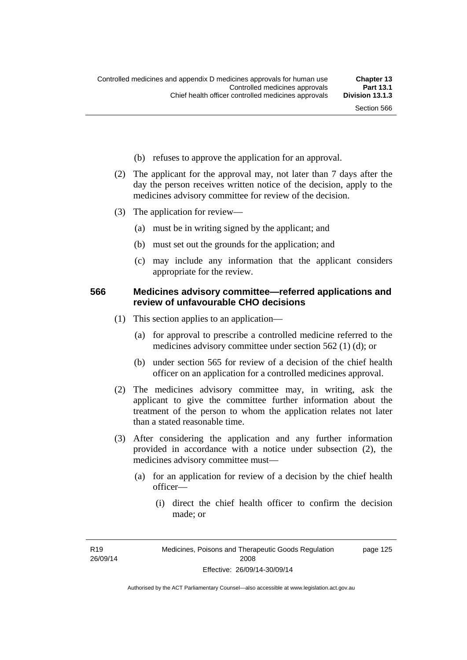- (b) refuses to approve the application for an approval.
- (2) The applicant for the approval may, not later than 7 days after the day the person receives written notice of the decision, apply to the medicines advisory committee for review of the decision.
- (3) The application for review—
	- (a) must be in writing signed by the applicant; and
	- (b) must set out the grounds for the application; and
	- (c) may include any information that the applicant considers appropriate for the review.

### **566 Medicines advisory committee—referred applications and review of unfavourable CHO decisions**

- (1) This section applies to an application—
	- (a) for approval to prescribe a controlled medicine referred to the medicines advisory committee under section 562 (1) (d); or
	- (b) under section 565 for review of a decision of the chief health officer on an application for a controlled medicines approval.
- (2) The medicines advisory committee may, in writing, ask the applicant to give the committee further information about the treatment of the person to whom the application relates not later than a stated reasonable time.
- (3) After considering the application and any further information provided in accordance with a notice under subsection (2), the medicines advisory committee must—
	- (a) for an application for review of a decision by the chief health officer—
		- (i) direct the chief health officer to confirm the decision made; or

R19 26/09/14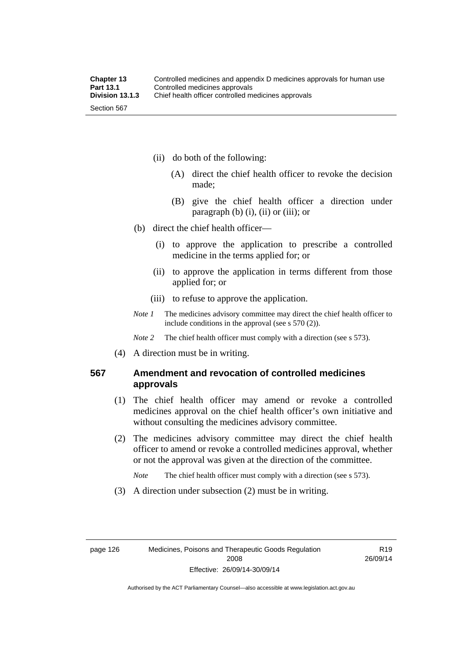- (ii) do both of the following:
	- (A) direct the chief health officer to revoke the decision made;
	- (B) give the chief health officer a direction under paragraph  $(b)$   $(i)$ ,  $(ii)$  or  $(iii)$ ; or
- (b) direct the chief health officer—
	- (i) to approve the application to prescribe a controlled medicine in the terms applied for; or
	- (ii) to approve the application in terms different from those applied for; or
	- (iii) to refuse to approve the application.
- *Note 1* The medicines advisory committee may direct the chief health officer to include conditions in the approval (see s 570 (2)).

*Note* 2 The chief health officer must comply with a direction (see s 573).

(4) A direction must be in writing.

# **567 Amendment and revocation of controlled medicines approvals**

- (1) The chief health officer may amend or revoke a controlled medicines approval on the chief health officer's own initiative and without consulting the medicines advisory committee.
- (2) The medicines advisory committee may direct the chief health officer to amend or revoke a controlled medicines approval, whether or not the approval was given at the direction of the committee.

*Note* The chief health officer must comply with a direction (see s 573).

(3) A direction under subsection (2) must be in writing.

R19 26/09/14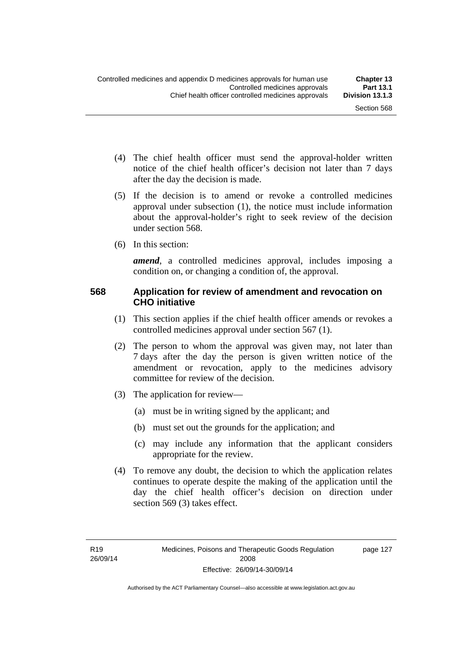page 127

- (4) The chief health officer must send the approval-holder written notice of the chief health officer's decision not later than 7 days after the day the decision is made.
- (5) If the decision is to amend or revoke a controlled medicines approval under subsection (1), the notice must include information about the approval-holder's right to seek review of the decision under section 568.
- (6) In this section:

*amend*, a controlled medicines approval, includes imposing a condition on, or changing a condition of, the approval.

## **568 Application for review of amendment and revocation on CHO initiative**

- (1) This section applies if the chief health officer amends or revokes a controlled medicines approval under section 567 (1).
- (2) The person to whom the approval was given may, not later than 7 days after the day the person is given written notice of the amendment or revocation, apply to the medicines advisory committee for review of the decision.
- (3) The application for review—
	- (a) must be in writing signed by the applicant; and
	- (b) must set out the grounds for the application; and
	- (c) may include any information that the applicant considers appropriate for the review.
- (4) To remove any doubt, the decision to which the application relates continues to operate despite the making of the application until the day the chief health officer's decision on direction under section 569 (3) takes effect.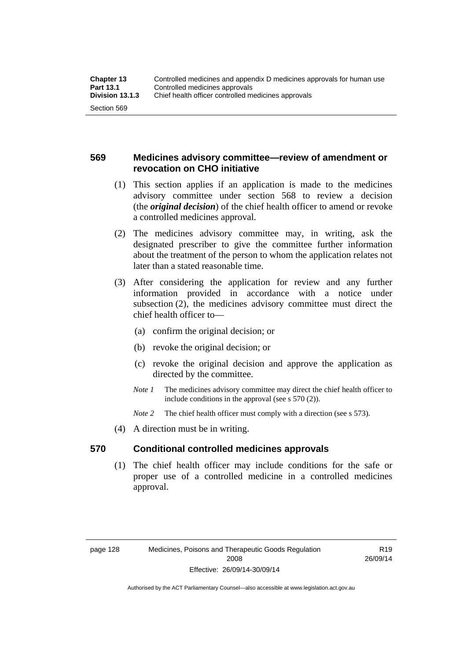# **569 Medicines advisory committee—review of amendment or revocation on CHO initiative**

- (1) This section applies if an application is made to the medicines advisory committee under section 568 to review a decision (the *original decision*) of the chief health officer to amend or revoke a controlled medicines approval.
- (2) The medicines advisory committee may, in writing, ask the designated prescriber to give the committee further information about the treatment of the person to whom the application relates not later than a stated reasonable time.
- (3) After considering the application for review and any further information provided in accordance with a notice under subsection (2), the medicines advisory committee must direct the chief health officer to—
	- (a) confirm the original decision; or
	- (b) revoke the original decision; or
	- (c) revoke the original decision and approve the application as directed by the committee.
	- *Note 1* The medicines advisory committee may direct the chief health officer to include conditions in the approval (see s 570 (2)).
	- *Note* 2 The chief health officer must comply with a direction (see s 573).
- (4) A direction must be in writing.

## **570 Conditional controlled medicines approvals**

(1) The chief health officer may include conditions for the safe or proper use of a controlled medicine in a controlled medicines approval.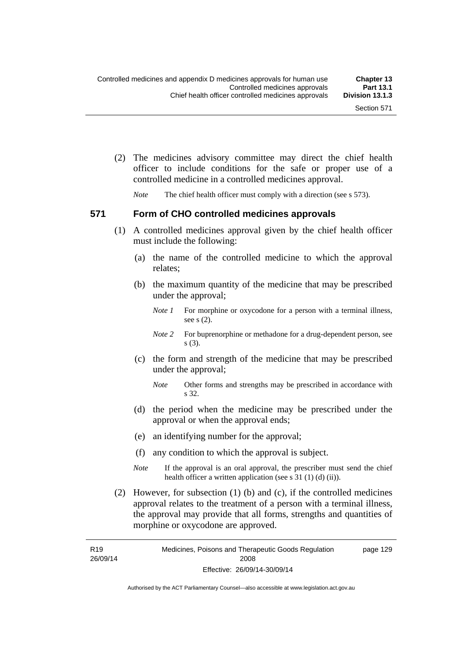(2) The medicines advisory committee may direct the chief health officer to include conditions for the safe or proper use of a controlled medicine in a controlled medicines approval.

*Note* The chief health officer must comply with a direction (see s 573).

#### **571 Form of CHO controlled medicines approvals**

- (1) A controlled medicines approval given by the chief health officer must include the following:
	- (a) the name of the controlled medicine to which the approval relates;
	- (b) the maximum quantity of the medicine that may be prescribed under the approval;
		- *Note 1* For morphine or oxycodone for a person with a terminal illness, see s (2).
		- *Note* 2 For buprenorphine or methadone for a drug-dependent person, see s (3).
	- (c) the form and strength of the medicine that may be prescribed under the approval;
		- *Note* Other forms and strengths may be prescribed in accordance with s 32.
	- (d) the period when the medicine may be prescribed under the approval or when the approval ends;
	- (e) an identifying number for the approval;
	- (f) any condition to which the approval is subject.
	- *Note* If the approval is an oral approval, the prescriber must send the chief health officer a written application (see s  $31(1)(d)(ii)$ ).
- (2) However, for subsection (1) (b) and (c), if the controlled medicines approval relates to the treatment of a person with a terminal illness, the approval may provide that all forms, strengths and quantities of morphine or oxycodone are approved.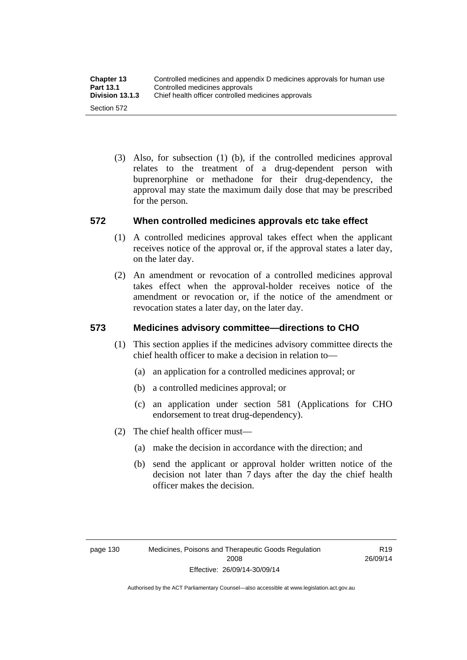(3) Also, for subsection (1) (b), if the controlled medicines approval relates to the treatment of a drug-dependent person with buprenorphine or methadone for their drug-dependency, the approval may state the maximum daily dose that may be prescribed for the person.

# **572 When controlled medicines approvals etc take effect**

- (1) A controlled medicines approval takes effect when the applicant receives notice of the approval or, if the approval states a later day, on the later day.
- (2) An amendment or revocation of a controlled medicines approval takes effect when the approval-holder receives notice of the amendment or revocation or, if the notice of the amendment or revocation states a later day, on the later day.

# **573 Medicines advisory committee—directions to CHO**

- (1) This section applies if the medicines advisory committee directs the chief health officer to make a decision in relation to—
	- (a) an application for a controlled medicines approval; or
	- (b) a controlled medicines approval; or
	- (c) an application under section 581 (Applications for CHO endorsement to treat drug-dependency).
- (2) The chief health officer must—
	- (a) make the decision in accordance with the direction; and
	- (b) send the applicant or approval holder written notice of the decision not later than 7 days after the day the chief health officer makes the decision.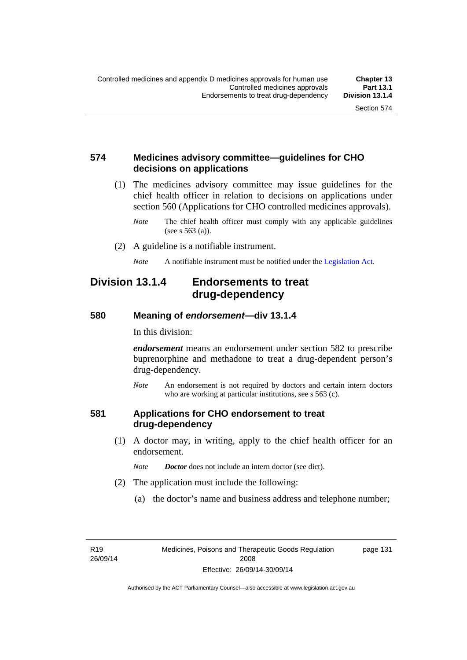# **574 Medicines advisory committee—guidelines for CHO decisions on applications**

 (1) The medicines advisory committee may issue guidelines for the chief health officer in relation to decisions on applications under section 560 (Applications for CHO controlled medicines approvals).

- (2) A guideline is a notifiable instrument.
	- *Note* A notifiable instrument must be notified under the [Legislation Act](http://www.legislation.act.gov.au/a/2001-14).

# **Division 13.1.4 Endorsements to treat drug-dependency**

#### **580 Meaning of** *endorsement***—div 13.1.4**

In this division:

*endorsement* means an endorsement under section 582 to prescribe buprenorphine and methadone to treat a drug-dependent person's drug-dependency.

*Note* An endorsement is not required by doctors and certain intern doctors who are working at particular institutions, see s 563 (c).

#### **581 Applications for CHO endorsement to treat drug-dependency**

 (1) A doctor may, in writing, apply to the chief health officer for an endorsement.

*Note Doctor* does not include an intern doctor (see dict).

- (2) The application must include the following:
	- (a) the doctor's name and business address and telephone number;

R19 26/09/14 page 131

*Note* The chief health officer must comply with any applicable guidelines (see s 563 (a)).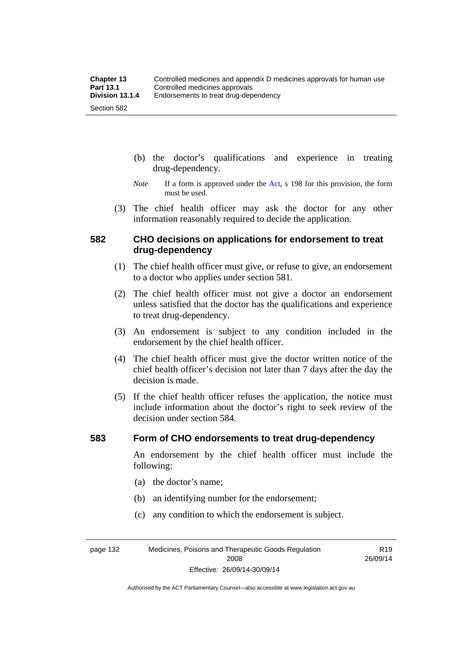- (b) the doctor's qualifications and experience in treating drug-dependency.
- *Note* If a form is approved under the [Act](http://www.legislation.act.gov.au/a/2008-26/default.asp), s 198 for this provision, the form must be used.
- (3) The chief health officer may ask the doctor for any other information reasonably required to decide the application.

# **582 CHO decisions on applications for endorsement to treat drug-dependency**

- (1) The chief health officer must give, or refuse to give, an endorsement to a doctor who applies under section 581.
- (2) The chief health officer must not give a doctor an endorsement unless satisfied that the doctor has the qualifications and experience to treat drug-dependency.
- (3) An endorsement is subject to any condition included in the endorsement by the chief health officer.
- (4) The chief health officer must give the doctor written notice of the chief health officer's decision not later than 7 days after the day the decision is made.
- (5) If the chief health officer refuses the application, the notice must include information about the doctor's right to seek review of the decision under section 584.

#### **583 Form of CHO endorsements to treat drug-dependency**

An endorsement by the chief health officer must include the following:

- (a) the doctor's name;
- (b) an identifying number for the endorsement;
- (c) any condition to which the endorsement is subject.

page 132 Medicines, Poisons and Therapeutic Goods Regulation 2008 Effective: 26/09/14-30/09/14

R19 26/09/14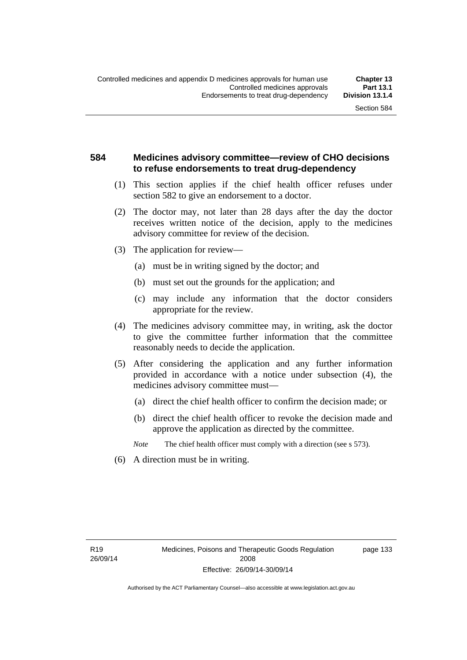# **584 Medicines advisory committee—review of CHO decisions to refuse endorsements to treat drug-dependency**

- (1) This section applies if the chief health officer refuses under section 582 to give an endorsement to a doctor.
- (2) The doctor may, not later than 28 days after the day the doctor receives written notice of the decision, apply to the medicines advisory committee for review of the decision.
- (3) The application for review—
	- (a) must be in writing signed by the doctor; and
	- (b) must set out the grounds for the application; and
	- (c) may include any information that the doctor considers appropriate for the review.
- (4) The medicines advisory committee may, in writing, ask the doctor to give the committee further information that the committee reasonably needs to decide the application.
- (5) After considering the application and any further information provided in accordance with a notice under subsection (4), the medicines advisory committee must—
	- (a) direct the chief health officer to confirm the decision made; or
	- (b) direct the chief health officer to revoke the decision made and approve the application as directed by the committee.
	- *Note* The chief health officer must comply with a direction (see s 573).
- (6) A direction must be in writing.

page 133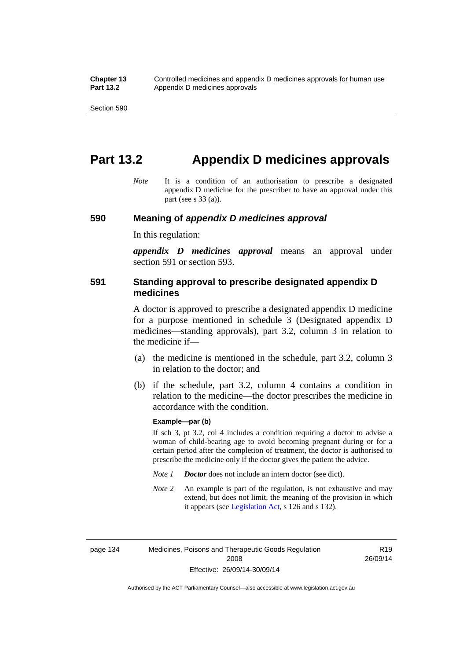# **Part 13.2 Appendix D medicines approvals**

*Note* It is a condition of an authorisation to prescribe a designated appendix D medicine for the prescriber to have an approval under this part (see s 33 (a)).

#### **590 Meaning of** *appendix D medicines approval*

In this regulation:

*appendix D medicines approval* means an approval under section 591 or section 593.

## **591 Standing approval to prescribe designated appendix D medicines**

A doctor is approved to prescribe a designated appendix D medicine for a purpose mentioned in schedule 3 (Designated appendix D medicines—standing approvals), part 3.2, column 3 in relation to the medicine if—

- (a) the medicine is mentioned in the schedule, part 3.2, column 3 in relation to the doctor; and
- (b) if the schedule, part 3.2, column 4 contains a condition in relation to the medicine—the doctor prescribes the medicine in accordance with the condition.

#### **Example—par (b)**

If sch 3, pt 3.2, col 4 includes a condition requiring a doctor to advise a woman of child-bearing age to avoid becoming pregnant during or for a certain period after the completion of treatment, the doctor is authorised to prescribe the medicine only if the doctor gives the patient the advice.

- *Note 1 Doctor* does not include an intern doctor (see dict).
- *Note 2* An example is part of the regulation, is not exhaustive and may extend, but does not limit, the meaning of the provision in which it appears (see [Legislation Act,](http://www.legislation.act.gov.au/a/2001-14) s 126 and s 132).

page 134 Medicines, Poisons and Therapeutic Goods Regulation 2008 Effective: 26/09/14-30/09/14

R19 26/09/14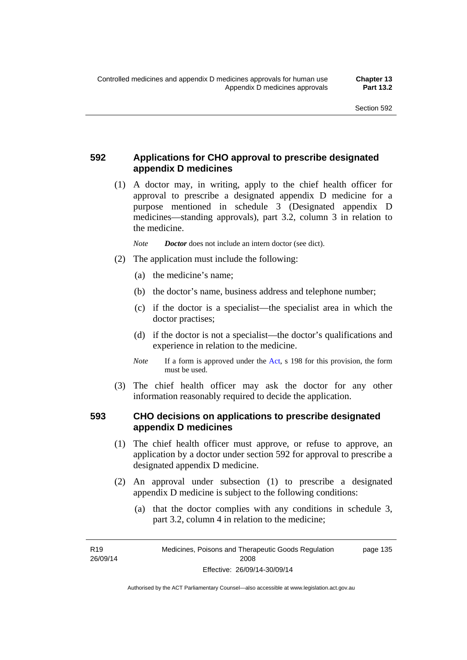# **592 Applications for CHO approval to prescribe designated appendix D medicines**

 (1) A doctor may, in writing, apply to the chief health officer for approval to prescribe a designated appendix D medicine for a purpose mentioned in schedule 3 (Designated appendix D medicines—standing approvals), part 3.2, column 3 in relation to the medicine.

*Note Doctor* does not include an intern doctor (see dict).

- (2) The application must include the following:
	- (a) the medicine's name;
	- (b) the doctor's name, business address and telephone number;
	- (c) if the doctor is a specialist—the specialist area in which the doctor practises;
	- (d) if the doctor is not a specialist—the doctor's qualifications and experience in relation to the medicine.
	- *Note* If a form is approved under the [Act](http://www.legislation.act.gov.au/a/2008-26/default.asp), s 198 for this provision, the form must be used.
- (3) The chief health officer may ask the doctor for any other information reasonably required to decide the application.

# **593 CHO decisions on applications to prescribe designated appendix D medicines**

- (1) The chief health officer must approve, or refuse to approve, an application by a doctor under section 592 for approval to prescribe a designated appendix D medicine.
- (2) An approval under subsection (1) to prescribe a designated appendix D medicine is subject to the following conditions:
	- (a) that the doctor complies with any conditions in schedule 3, part 3.2, column 4 in relation to the medicine;

R19 26/09/14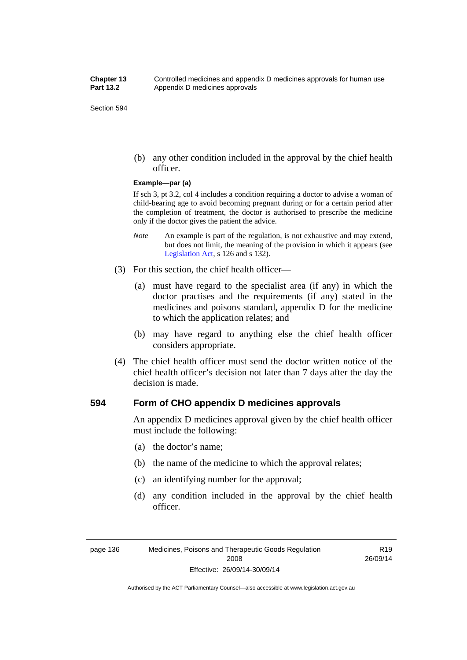(b) any other condition included in the approval by the chief health officer.

#### **Example—par (a)**

If sch 3, pt 3.2, col 4 includes a condition requiring a doctor to advise a woman of child-bearing age to avoid becoming pregnant during or for a certain period after the completion of treatment, the doctor is authorised to prescribe the medicine only if the doctor gives the patient the advice.

- *Note* An example is part of the regulation, is not exhaustive and may extend, but does not limit, the meaning of the provision in which it appears (see [Legislation Act,](http://www.legislation.act.gov.au/a/2001-14) s 126 and s 132).
- (3) For this section, the chief health officer—
	- (a) must have regard to the specialist area (if any) in which the doctor practises and the requirements (if any) stated in the medicines and poisons standard, appendix D for the medicine to which the application relates; and
	- (b) may have regard to anything else the chief health officer considers appropriate.
- (4) The chief health officer must send the doctor written notice of the chief health officer's decision not later than 7 days after the day the decision is made.

## **594 Form of CHO appendix D medicines approvals**

An appendix D medicines approval given by the chief health officer must include the following:

- (a) the doctor's name;
- (b) the name of the medicine to which the approval relates;
- (c) an identifying number for the approval;
- (d) any condition included in the approval by the chief health officer.

Authorised by the ACT Parliamentary Counsel—also accessible at www.legislation.act.gov.au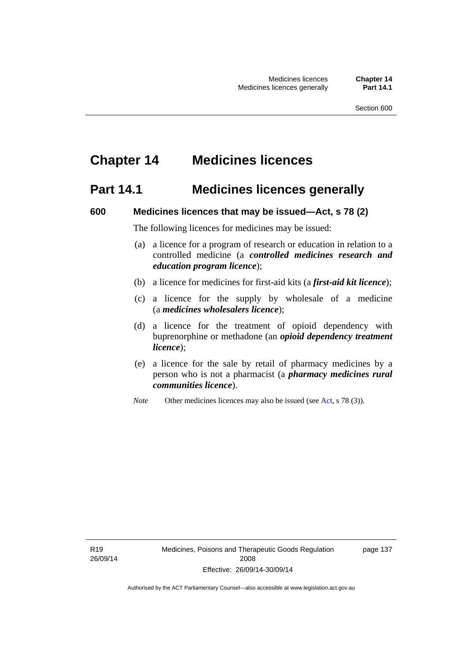# **Chapter 14 Medicines licences**

# **Part 14.1 Medicines licences generally**

### **600 Medicines licences that may be issued—Act, s 78 (2)**

The following licences for medicines may be issued:

- (a) a licence for a program of research or education in relation to a controlled medicine (a *controlled medicines research and education program licence*);
- (b) a licence for medicines for first-aid kits (a *first-aid kit licence*);
- (c) a licence for the supply by wholesale of a medicine (a *medicines wholesalers licence*);
- (d) a licence for the treatment of opioid dependency with buprenorphine or methadone (an *opioid dependency treatment licence*);
- (e) a licence for the sale by retail of pharmacy medicines by a person who is not a pharmacist (a *pharmacy medicines rural communities licence*).
- *Note* Other medicines licences may also be issued (see [Act,](http://www.legislation.act.gov.au/a/2008-26/default.asp) s 78 (3)).

R19 26/09/14 page 137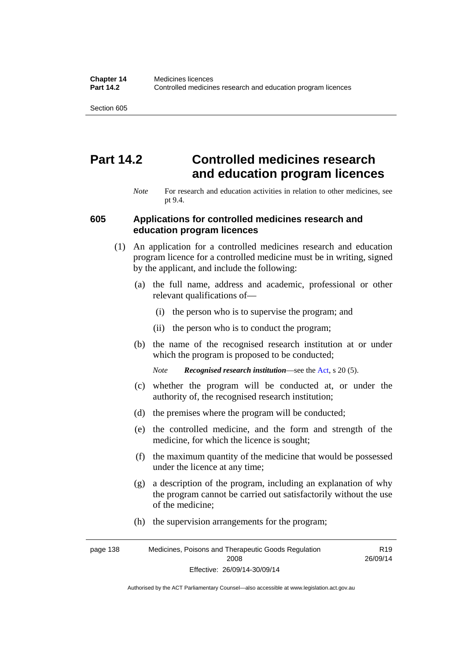# **Part 14.2 Controlled medicines research and education program licences**

*Note* For research and education activities in relation to other medicines, see pt 9.4.

#### **605 Applications for controlled medicines research and education program licences**

- (1) An application for a controlled medicines research and education program licence for a controlled medicine must be in writing, signed by the applicant, and include the following:
	- (a) the full name, address and academic, professional or other relevant qualifications of—
		- (i) the person who is to supervise the program; and
		- (ii) the person who is to conduct the program;
	- (b) the name of the recognised research institution at or under which the program is proposed to be conducted;
		- *Note Recognised research institution*—see the [Act](http://www.legislation.act.gov.au/a/2008-26/default.asp), s 20 (5).
	- (c) whether the program will be conducted at, or under the authority of, the recognised research institution;
	- (d) the premises where the program will be conducted;
	- (e) the controlled medicine, and the form and strength of the medicine, for which the licence is sought;
	- (f) the maximum quantity of the medicine that would be possessed under the licence at any time;
	- (g) a description of the program, including an explanation of why the program cannot be carried out satisfactorily without the use of the medicine;
	- (h) the supervision arrangements for the program;

page 138 Medicines, Poisons and Therapeutic Goods Regulation 2008 Effective: 26/09/14-30/09/14 R19 26/09/14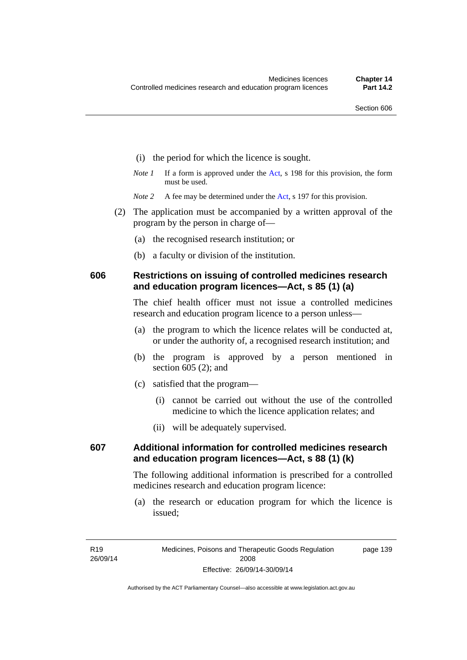- (i) the period for which the licence is sought.
- *Note 1* If a form is approved under the [Act](http://www.legislation.act.gov.au/a/2008-26/default.asp), s 198 for this provision, the form must be used.

*Note* 2 A fee may be determined under the [Act,](http://www.legislation.act.gov.au/a/2008-26/default.asp) s 197 for this provision.

- (2) The application must be accompanied by a written approval of the program by the person in charge of—
	- (a) the recognised research institution; or
	- (b) a faculty or division of the institution.

## **606 Restrictions on issuing of controlled medicines research and education program licences—Act, s 85 (1) (a)**

The chief health officer must not issue a controlled medicines research and education program licence to a person unless—

- (a) the program to which the licence relates will be conducted at, or under the authority of, a recognised research institution; and
- (b) the program is approved by a person mentioned in section 605 (2); and
- (c) satisfied that the program—
	- (i) cannot be carried out without the use of the controlled medicine to which the licence application relates; and
	- (ii) will be adequately supervised.

# **607 Additional information for controlled medicines research and education program licences—Act, s 88 (1) (k)**

The following additional information is prescribed for a controlled medicines research and education program licence:

 (a) the research or education program for which the licence is issued;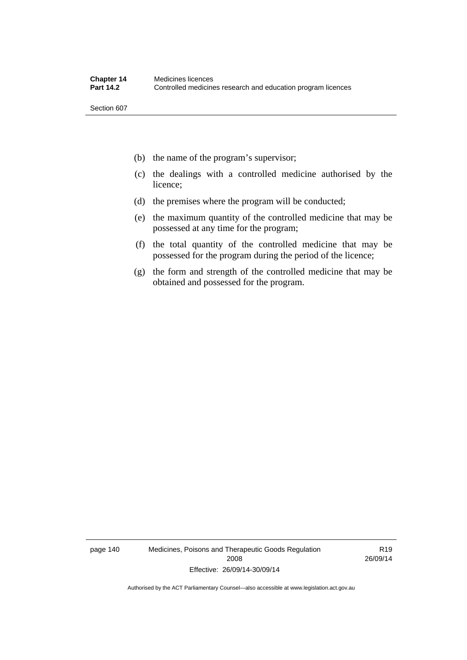- (b) the name of the program's supervisor;
- (c) the dealings with a controlled medicine authorised by the licence;
- (d) the premises where the program will be conducted;
- (e) the maximum quantity of the controlled medicine that may be possessed at any time for the program;
- (f) the total quantity of the controlled medicine that may be possessed for the program during the period of the licence;
- (g) the form and strength of the controlled medicine that may be obtained and possessed for the program.

page 140 Medicines, Poisons and Therapeutic Goods Regulation 2008 Effective: 26/09/14-30/09/14

R19 26/09/14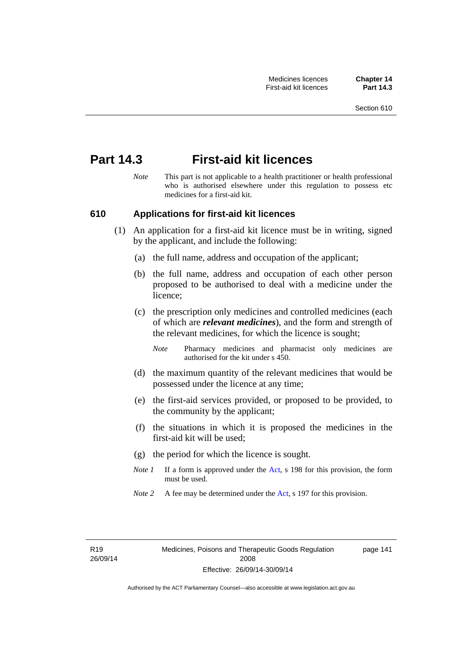# **Part 14.3 First-aid kit licences**

*Note* This part is not applicable to a health practitioner or health professional who is authorised elsewhere under this regulation to possess etc medicines for a first-aid kit.

## **610 Applications for first-aid kit licences**

- (1) An application for a first-aid kit licence must be in writing, signed by the applicant, and include the following:
	- (a) the full name, address and occupation of the applicant;
	- (b) the full name, address and occupation of each other person proposed to be authorised to deal with a medicine under the licence;
	- (c) the prescription only medicines and controlled medicines (each of which are *relevant medicines*), and the form and strength of the relevant medicines, for which the licence is sought;
		- *Note* Pharmacy medicines and pharmacist only medicines are authorised for the kit under s 450.
	- (d) the maximum quantity of the relevant medicines that would be possessed under the licence at any time;
	- (e) the first-aid services provided, or proposed to be provided, to the community by the applicant;
	- (f) the situations in which it is proposed the medicines in the first-aid kit will be used;
	- (g) the period for which the licence is sought.
	- *Note 1* If a form is approved under the [Act](http://www.legislation.act.gov.au/a/2008-26/default.asp), s 198 for this provision, the form must be used.
	- *Note 2* A fee may be determined under the [Act,](http://www.legislation.act.gov.au/a/2008-26/default.asp) s 197 for this provision.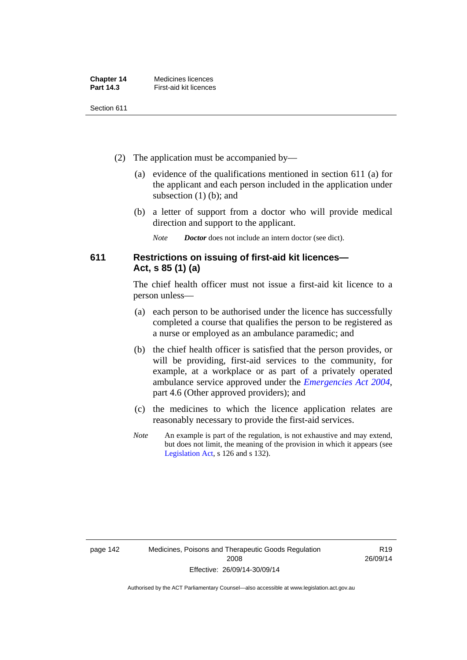| <b>Chapter 14</b> | Medicines licences     |
|-------------------|------------------------|
| <b>Part 14.3</b>  | First-aid kit licences |

- (2) The application must be accompanied by—
	- (a) evidence of the qualifications mentioned in section 611 (a) for the applicant and each person included in the application under subsection (1) (b); and
	- (b) a letter of support from a doctor who will provide medical direction and support to the applicant.
		- *Note Doctor* does not include an intern doctor (see dict).

# **611 Restrictions on issuing of first-aid kit licences— Act, s 85 (1) (a)**

The chief health officer must not issue a first-aid kit licence to a person unless—

- (a) each person to be authorised under the licence has successfully completed a course that qualifies the person to be registered as a nurse or employed as an ambulance paramedic; and
- (b) the chief health officer is satisfied that the person provides, or will be providing, first-aid services to the community, for example, at a workplace or as part of a privately operated ambulance service approved under the *[Emergencies Act 2004](http://www.legislation.act.gov.au/a/2004-28)*, part 4.6 (Other approved providers); and
- (c) the medicines to which the licence application relates are reasonably necessary to provide the first-aid services.
- *Note* An example is part of the regulation, is not exhaustive and may extend, but does not limit, the meaning of the provision in which it appears (see [Legislation Act,](http://www.legislation.act.gov.au/a/2001-14) s 126 and s 132).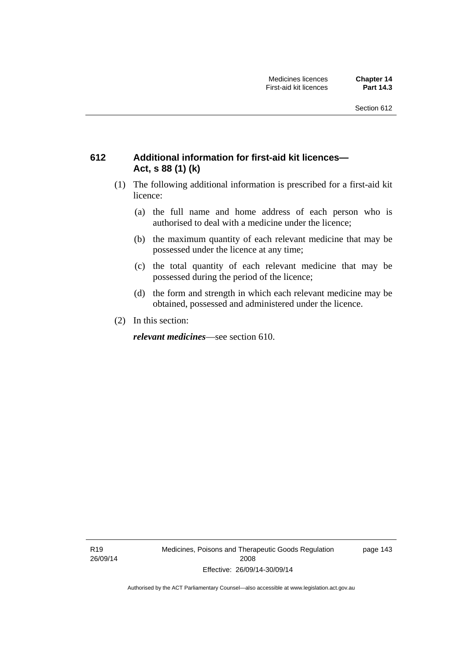# **612 Additional information for first-aid kit licences— Act, s 88 (1) (k)**

- (1) The following additional information is prescribed for a first-aid kit licence:
	- (a) the full name and home address of each person who is authorised to deal with a medicine under the licence;
	- (b) the maximum quantity of each relevant medicine that may be possessed under the licence at any time;
	- (c) the total quantity of each relevant medicine that may be possessed during the period of the licence;
	- (d) the form and strength in which each relevant medicine may be obtained, possessed and administered under the licence.
- (2) In this section:

*relevant medicines*—see section 610.

R19 26/09/14 Medicines, Poisons and Therapeutic Goods Regulation 2008 Effective: 26/09/14-30/09/14

page 143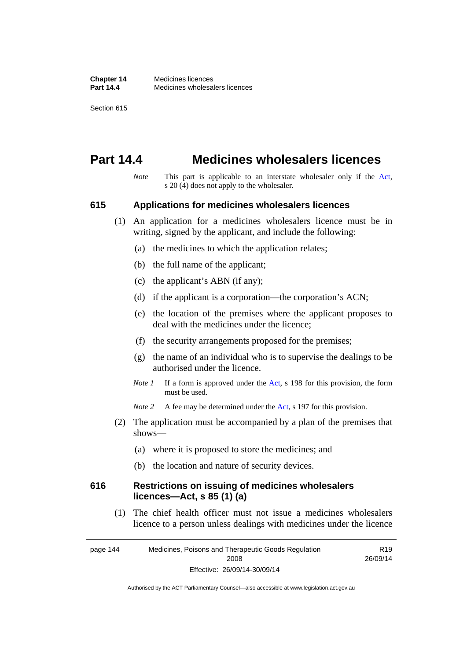# **Part 14.4 Medicines wholesalers licences**

*Note* This part is applicable to an interstate wholesaler only if the [Act,](http://www.legislation.act.gov.au/a/2008-26/default.asp) s 20 (4) does not apply to the wholesaler.

### **615 Applications for medicines wholesalers licences**

- (1) An application for a medicines wholesalers licence must be in writing, signed by the applicant, and include the following:
	- (a) the medicines to which the application relates;
	- (b) the full name of the applicant;
	- (c) the applicant's ABN (if any);
	- (d) if the applicant is a corporation—the corporation's ACN;
	- (e) the location of the premises where the applicant proposes to deal with the medicines under the licence;
	- (f) the security arrangements proposed for the premises;
	- (g) the name of an individual who is to supervise the dealings to be authorised under the licence.
	- *Note 1* If a form is approved under the [Act](http://www.legislation.act.gov.au/a/2008-26/default.asp), s 198 for this provision, the form must be used.
	- *Note* 2 A fee may be determined under the [Act,](http://www.legislation.act.gov.au/a/2008-26/default.asp) s 197 for this provision.
- (2) The application must be accompanied by a plan of the premises that shows—
	- (a) where it is proposed to store the medicines; and
	- (b) the location and nature of security devices.

### **616 Restrictions on issuing of medicines wholesalers licences—Act, s 85 (1) (a)**

 (1) The chief health officer must not issue a medicines wholesalers licence to a person unless dealings with medicines under the licence

page 144 Medicines, Poisons and Therapeutic Goods Regulation 2008 Effective: 26/09/14-30/09/14 R19 26/09/14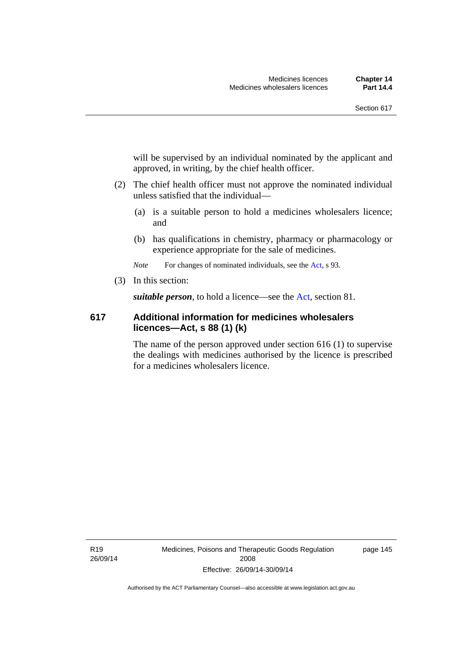will be supervised by an individual nominated by the applicant and approved, in writing, by the chief health officer.

- (2) The chief health officer must not approve the nominated individual unless satisfied that the individual—
	- (a) is a suitable person to hold a medicines wholesalers licence; and
	- (b) has qualifications in chemistry, pharmacy or pharmacology or experience appropriate for the sale of medicines.

*Note* For changes of nominated individuals, see the [Act,](http://www.legislation.act.gov.au/a/2008-26/default.asp) s 93.

(3) In this section:

*suitable person*, to hold a licence—see the [Act](http://www.legislation.act.gov.au/a/2008-26/default.asp), section 81.

# **617 Additional information for medicines wholesalers licences—Act, s 88 (1) (k)**

The name of the person approved under section 616 (1) to supervise the dealings with medicines authorised by the licence is prescribed for a medicines wholesalers licence.

R19 26/09/14 Medicines, Poisons and Therapeutic Goods Regulation 2008 Effective: 26/09/14-30/09/14

page 145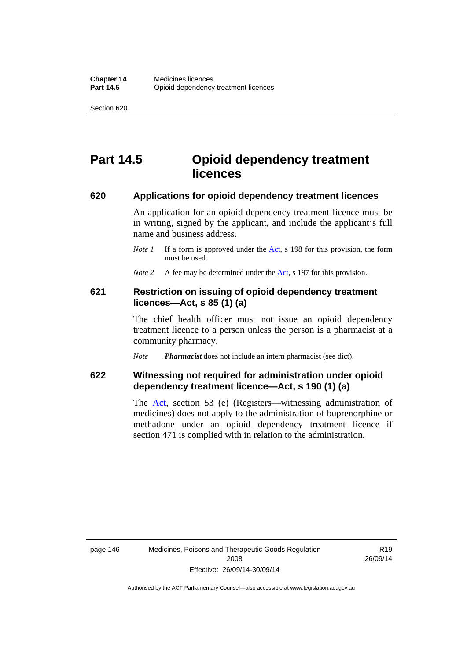# **Part 14.5 Opioid dependency treatment licences**

### **620 Applications for opioid dependency treatment licences**

An application for an opioid dependency treatment licence must be in writing, signed by the applicant, and include the applicant's full name and business address.

- *Note 1* If a form is approved under the [Act](http://www.legislation.act.gov.au/a/2008-26/default.asp), s 198 for this provision, the form must be used.
- *Note 2* A fee may be determined under the [Act,](http://www.legislation.act.gov.au/a/2008-26/default.asp) s 197 for this provision.

# **621 Restriction on issuing of opioid dependency treatment licences—Act, s 85 (1) (a)**

The chief health officer must not issue an opioid dependency treatment licence to a person unless the person is a pharmacist at a community pharmacy.

*Note Pharmacist* does not include an intern pharmacist (see dict).

# **622 Witnessing not required for administration under opioid dependency treatment licence—Act, s 190 (1) (a)**

The [Act,](http://www.legislation.act.gov.au/a/2008-26/default.asp) section 53 (e) (Registers—witnessing administration of medicines) does not apply to the administration of buprenorphine or methadone under an opioid dependency treatment licence if section 471 is complied with in relation to the administration.

R19 26/09/14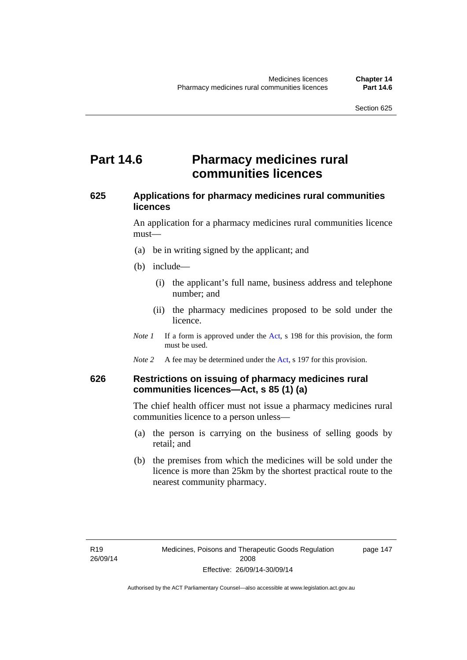# **Part 14.6 Pharmacy medicines rural communities licences**

# **625 Applications for pharmacy medicines rural communities licences**

An application for a pharmacy medicines rural communities licence must—

- (a) be in writing signed by the applicant; and
- (b) include—
	- (i) the applicant's full name, business address and telephone number; and
	- (ii) the pharmacy medicines proposed to be sold under the licence.
- *Note 1* If a form is approved under the [Act](http://www.legislation.act.gov.au/a/2008-26/default.asp), s 198 for this provision, the form must be used.
- *Note 2* A fee may be determined under the [Act,](http://www.legislation.act.gov.au/a/2008-26/default.asp) s 197 for this provision.

# **626 Restrictions on issuing of pharmacy medicines rural communities licences—Act, s 85 (1) (a)**

The chief health officer must not issue a pharmacy medicines rural communities licence to a person unless—

- (a) the person is carrying on the business of selling goods by retail; and
- (b) the premises from which the medicines will be sold under the licence is more than 25km by the shortest practical route to the nearest community pharmacy.

page 147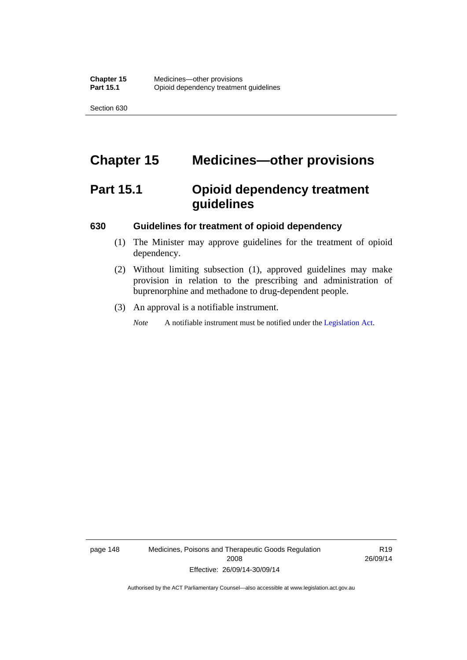# **Chapter 15 Medicines—other provisions**

# **Part 15.1 Opioid dependency treatment guidelines**

### **630 Guidelines for treatment of opioid dependency**

- (1) The Minister may approve guidelines for the treatment of opioid dependency.
- (2) Without limiting subsection (1), approved guidelines may make provision in relation to the prescribing and administration of buprenorphine and methadone to drug-dependent people.
- (3) An approval is a notifiable instrument.

*Note* A notifiable instrument must be notified under the [Legislation Act](http://www.legislation.act.gov.au/a/2001-14).

page 148 Medicines, Poisons and Therapeutic Goods Regulation 2008 Effective: 26/09/14-30/09/14

R19 26/09/14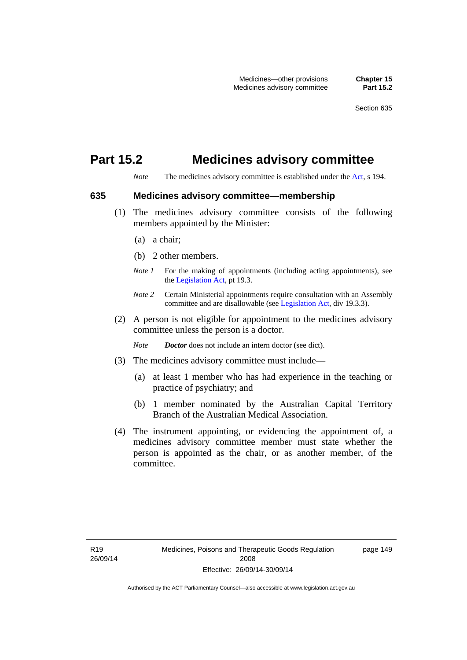# **Part 15.2 Medicines advisory committee**

*Note* The medicines advisory committee is established under the [Act](http://www.legislation.act.gov.au/a/2008-26/default.asp), s 194.

## **635 Medicines advisory committee—membership**

- (1) The medicines advisory committee consists of the following members appointed by the Minister:
	- (a) a chair;
	- (b) 2 other members.
	- *Note 1* For the making of appointments (including acting appointments), see the [Legislation Act,](http://www.legislation.act.gov.au/a/2001-14) pt 19.3.
	- *Note 2* Certain Ministerial appointments require consultation with an Assembly committee and are disallowable (see [Legislation Act,](http://www.legislation.act.gov.au/a/2001-14) div 19.3.3).
- (2) A person is not eligible for appointment to the medicines advisory committee unless the person is a doctor.

*Note Doctor* does not include an intern doctor (see dict).

- (3) The medicines advisory committee must include—
	- (a) at least 1 member who has had experience in the teaching or practice of psychiatry; and
	- (b) 1 member nominated by the Australian Capital Territory Branch of the Australian Medical Association.
- (4) The instrument appointing, or evidencing the appointment of, a medicines advisory committee member must state whether the person is appointed as the chair, or as another member, of the committee.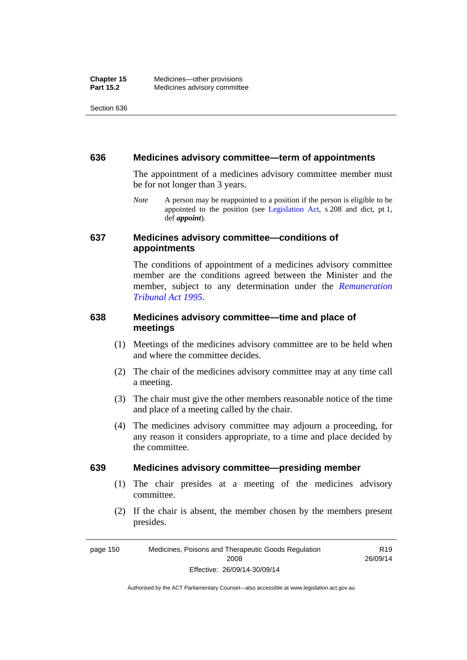#### **636 Medicines advisory committee—term of appointments**

The appointment of a medicines advisory committee member must be for not longer than 3 years.

*Note* A person may be reappointed to a position if the person is eligible to be appointed to the position (see [Legislation Act,](http://www.legislation.act.gov.au/a/2001-14) s 208 and dict, pt 1, def *appoint*).

## **637 Medicines advisory committee—conditions of appointments**

The conditions of appointment of a medicines advisory committee member are the conditions agreed between the Minister and the member, subject to any determination under the *[Remuneration](http://www.legislation.act.gov.au/a/1995-55)  [Tribunal Act 1995](http://www.legislation.act.gov.au/a/1995-55)*.

# **638 Medicines advisory committee—time and place of meetings**

- (1) Meetings of the medicines advisory committee are to be held when and where the committee decides.
- (2) The chair of the medicines advisory committee may at any time call a meeting.
- (3) The chair must give the other members reasonable notice of the time and place of a meeting called by the chair.
- (4) The medicines advisory committee may adjourn a proceeding, for any reason it considers appropriate, to a time and place decided by the committee.

#### **639 Medicines advisory committee—presiding member**

- (1) The chair presides at a meeting of the medicines advisory committee.
- (2) If the chair is absent, the member chosen by the members present presides.

R19

page 150 Medicines, Poisons and Therapeutic Goods Regulation 2008 Effective: 26/09/14-30/09/14 26/09/14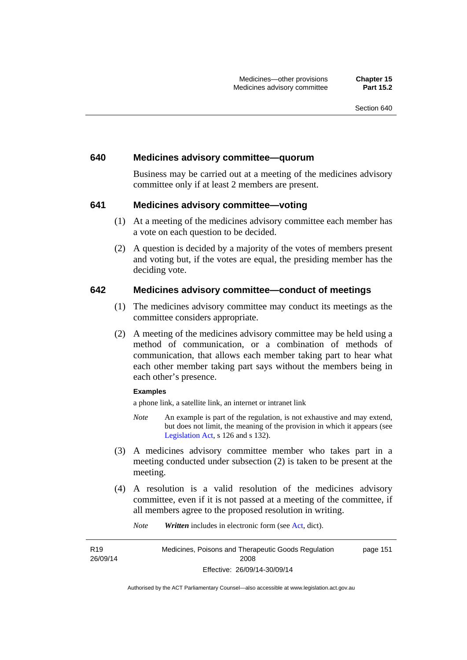#### **640 Medicines advisory committee—quorum**

Business may be carried out at a meeting of the medicines advisory committee only if at least 2 members are present.

### **641 Medicines advisory committee—voting**

- (1) At a meeting of the medicines advisory committee each member has a vote on each question to be decided.
- (2) A question is decided by a majority of the votes of members present and voting but, if the votes are equal, the presiding member has the deciding vote.

### **642 Medicines advisory committee—conduct of meetings**

- (1) The medicines advisory committee may conduct its meetings as the committee considers appropriate.
- (2) A meeting of the medicines advisory committee may be held using a method of communication, or a combination of methods of communication, that allows each member taking part to hear what each other member taking part says without the members being in each other's presence.

#### **Examples**

a phone link, a satellite link, an internet or intranet link

- *Note* An example is part of the regulation, is not exhaustive and may extend, but does not limit, the meaning of the provision in which it appears (see [Legislation Act,](http://www.legislation.act.gov.au/a/2001-14) s 126 and s 132).
- (3) A medicines advisory committee member who takes part in a meeting conducted under subsection (2) is taken to be present at the meeting.
- (4) A resolution is a valid resolution of the medicines advisory committee, even if it is not passed at a meeting of the committee, if all members agree to the proposed resolution in writing.

*Note Written* includes in electronic form (see [Act,](http://www.legislation.act.gov.au/a/2008-26/default.asp) dict).

R19 26/09/14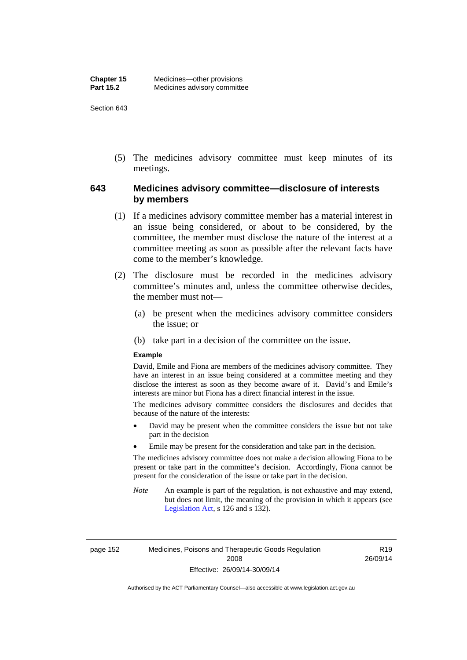(5) The medicines advisory committee must keep minutes of its meetings.

# **643 Medicines advisory committee—disclosure of interests by members**

- (1) If a medicines advisory committee member has a material interest in an issue being considered, or about to be considered, by the committee, the member must disclose the nature of the interest at a committee meeting as soon as possible after the relevant facts have come to the member's knowledge.
- (2) The disclosure must be recorded in the medicines advisory committee's minutes and, unless the committee otherwise decides, the member must not—
	- (a) be present when the medicines advisory committee considers the issue; or
	- (b) take part in a decision of the committee on the issue.

#### **Example**

David, Emile and Fiona are members of the medicines advisory committee. They have an interest in an issue being considered at a committee meeting and they disclose the interest as soon as they become aware of it. David's and Emile's interests are minor but Fiona has a direct financial interest in the issue.

The medicines advisory committee considers the disclosures and decides that because of the nature of the interests:

- David may be present when the committee considers the issue but not take part in the decision
- Emile may be present for the consideration and take part in the decision.

The medicines advisory committee does not make a decision allowing Fiona to be present or take part in the committee's decision. Accordingly, Fiona cannot be present for the consideration of the issue or take part in the decision.

*Note* An example is part of the regulation, is not exhaustive and may extend, but does not limit, the meaning of the provision in which it appears (see [Legislation Act,](http://www.legislation.act.gov.au/a/2001-14) s 126 and s 132).

page 152 Medicines, Poisons and Therapeutic Goods Regulation 2008 Effective: 26/09/14-30/09/14

R19 26/09/14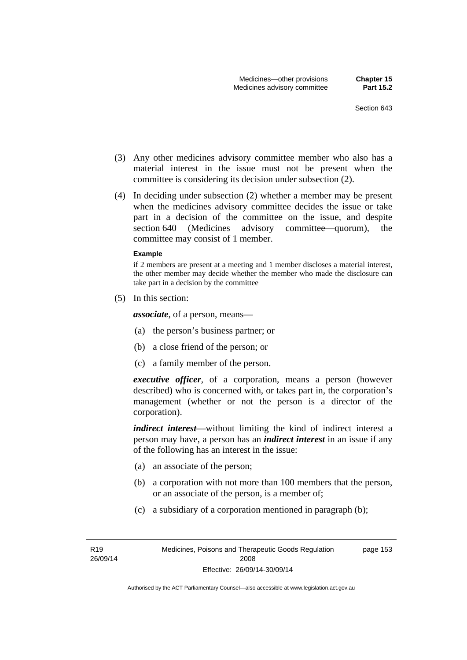- (3) Any other medicines advisory committee member who also has a material interest in the issue must not be present when the committee is considering its decision under subsection (2).
- (4) In deciding under subsection (2) whether a member may be present when the medicines advisory committee decides the issue or take part in a decision of the committee on the issue, and despite section 640 (Medicines advisory committee—quorum), the committee may consist of 1 member.

#### **Example**

if 2 members are present at a meeting and 1 member discloses a material interest, the other member may decide whether the member who made the disclosure can take part in a decision by the committee

(5) In this section:

*associate*, of a person, means—

- (a) the person's business partner; or
- (b) a close friend of the person; or
- (c) a family member of the person.

*executive officer*, of a corporation, means a person (however described) who is concerned with, or takes part in, the corporation's management (whether or not the person is a director of the corporation).

*indirect interest*—without limiting the kind of indirect interest a person may have, a person has an *indirect interest* in an issue if any of the following has an interest in the issue:

- (a) an associate of the person;
- (b) a corporation with not more than 100 members that the person, or an associate of the person, is a member of;
- (c) a subsidiary of a corporation mentioned in paragraph (b);

page 153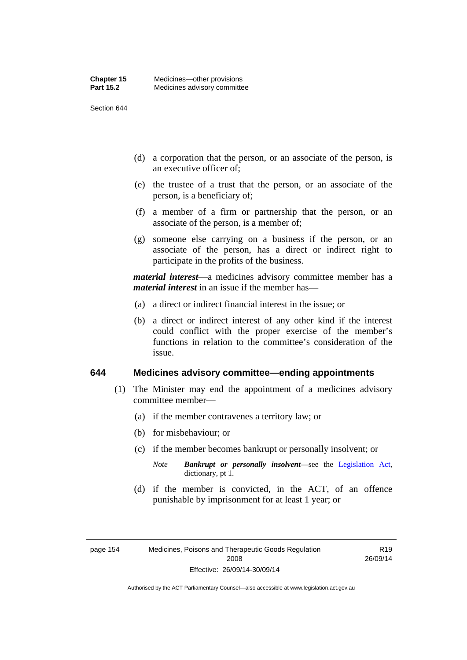- (d) a corporation that the person, or an associate of the person, is an executive officer of;
- (e) the trustee of a trust that the person, or an associate of the person, is a beneficiary of;
- (f) a member of a firm or partnership that the person, or an associate of the person, is a member of;
- (g) someone else carrying on a business if the person, or an associate of the person, has a direct or indirect right to participate in the profits of the business.

*material interest*—a medicines advisory committee member has a *material interest* in an issue if the member has—

- (a) a direct or indirect financial interest in the issue; or
- (b) a direct or indirect interest of any other kind if the interest could conflict with the proper exercise of the member's functions in relation to the committee's consideration of the issue.

#### **644 Medicines advisory committee—ending appointments**

- (1) The Minister may end the appointment of a medicines advisory committee member—
	- (a) if the member contravenes a territory law; or
	- (b) for misbehaviour; or
	- (c) if the member becomes bankrupt or personally insolvent; or
		- *Note Bankrupt or personally insolvent*—see the [Legislation Act,](http://www.legislation.act.gov.au/a/2001-14) dictionary, pt 1.
	- (d) if the member is convicted, in the ACT, of an offence punishable by imprisonment for at least 1 year; or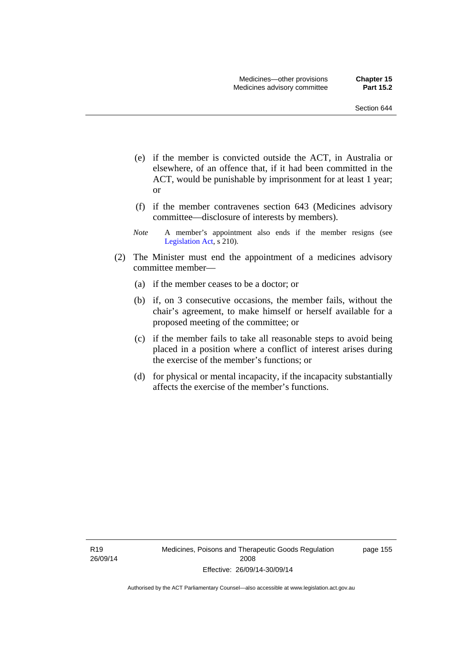- (e) if the member is convicted outside the ACT, in Australia or elsewhere, of an offence that, if it had been committed in the ACT, would be punishable by imprisonment for at least 1 year; or
- (f) if the member contravenes section 643 (Medicines advisory committee—disclosure of interests by members).
- *Note* A member's appointment also ends if the member resigns (see [Legislation Act,](http://www.legislation.act.gov.au/a/2001-14) s 210).
- (2) The Minister must end the appointment of a medicines advisory committee member—
	- (a) if the member ceases to be a doctor; or
	- (b) if, on 3 consecutive occasions, the member fails, without the chair's agreement, to make himself or herself available for a proposed meeting of the committee; or
	- (c) if the member fails to take all reasonable steps to avoid being placed in a position where a conflict of interest arises during the exercise of the member's functions; or
	- (d) for physical or mental incapacity, if the incapacity substantially affects the exercise of the member's functions.

R19 26/09/14 page 155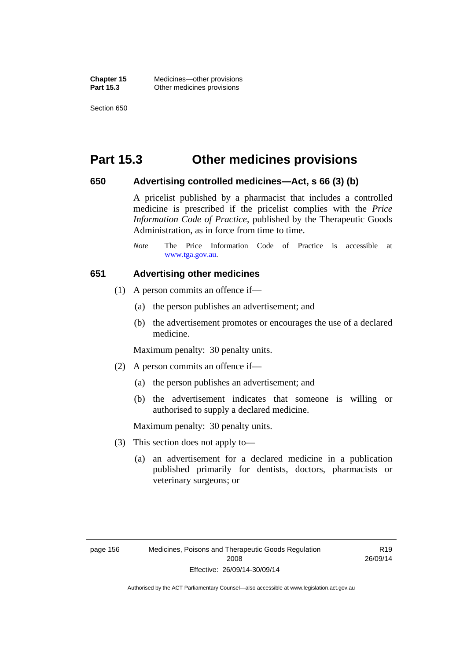**Chapter 15** Medicines—other provisions **Part 15.3 Other medicines provisions** 

Section 650

# **Part 15.3 Other medicines provisions**

### **650 Advertising controlled medicines—Act, s 66 (3) (b)**

A pricelist published by a pharmacist that includes a controlled medicine is prescribed if the pricelist complies with the *Price Information Code of Practice*, published by the Therapeutic Goods Administration, as in force from time to time.

### **651 Advertising other medicines**

- (1) A person commits an offence if—
	- (a) the person publishes an advertisement; and
	- (b) the advertisement promotes or encourages the use of a declared medicine.

Maximum penalty: 30 penalty units.

- (2) A person commits an offence if—
	- (a) the person publishes an advertisement; and
	- (b) the advertisement indicates that someone is willing or authorised to supply a declared medicine.

Maximum penalty: 30 penalty units.

- (3) This section does not apply to—
	- (a) an advertisement for a declared medicine in a publication published primarily for dentists, doctors, pharmacists or veterinary surgeons; or

*Note* The Price Information Code of Practice is accessible at [www.tga.gov.au.](http://www.tga.gov.au/)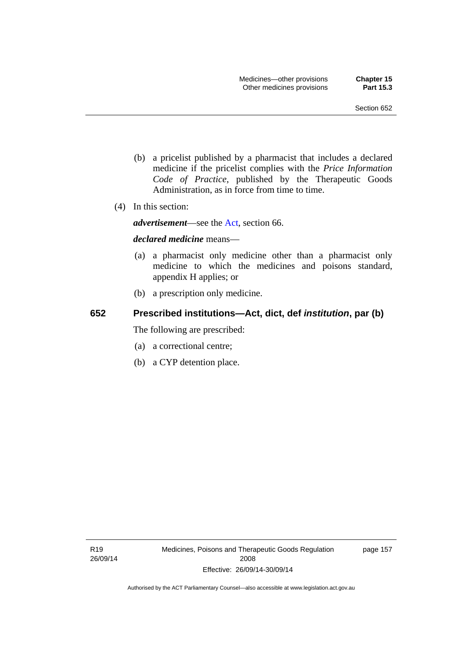- (b) a pricelist published by a pharmacist that includes a declared medicine if the pricelist complies with the *Price Information Code of Practice*, published by the Therapeutic Goods Administration, as in force from time to time.
- (4) In this section:

*advertisement*—see the [Act,](http://www.legislation.act.gov.au/a/2008-26/default.asp) section 66.

#### *declared medicine* means—

- (a) a pharmacist only medicine other than a pharmacist only medicine to which the medicines and poisons standard, appendix H applies; or
- (b) a prescription only medicine.

#### **652 Prescribed institutions—Act, dict, def** *institution***, par (b)**

The following are prescribed:

- (a) a correctional centre;
- (b) a CYP detention place.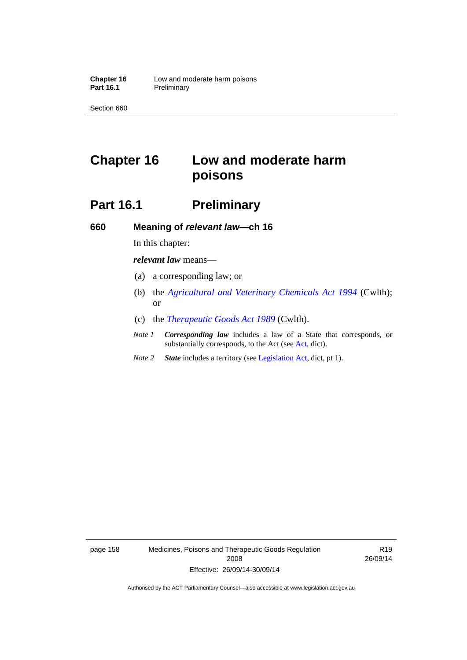# **Chapter 16 Low and moderate harm poisons**

# **Part 16.1** Preliminary

**660 Meaning of** *relevant law***—ch 16** 

In this chapter:

*relevant law* means—

- (a) a corresponding law; or
- (b) the *[Agricultural and Veterinary Chemicals Act 1994](http://www.comlaw.gov.au/Series/C2004A04712)* (Cwlth); or
- (c) the *[Therapeutic Goods Act 1989](http://www.comlaw.gov.au/Series/C2004A03952)* (Cwlth).
- *Note 1 Corresponding law* includes a law of a State that corresponds, or substantially corresponds, to the Act (see [Act](http://www.legislation.act.gov.au/a/2008-26/default.asp), dict).
- *Note 2 State* includes a territory (see [Legislation Act,](http://www.legislation.act.gov.au/a/2001-14) dict, pt 1).

page 158 Medicines, Poisons and Therapeutic Goods Regulation 2008 Effective: 26/09/14-30/09/14

R19 26/09/14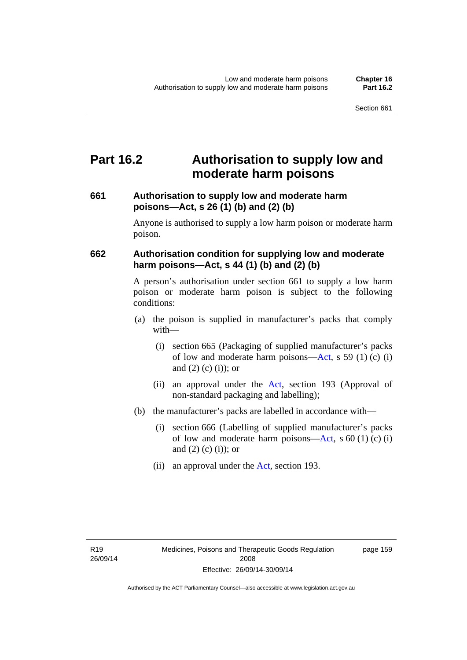## **Part 16.2 Authorisation to supply low and moderate harm poisons**

### **661 Authorisation to supply low and moderate harm poisons—Act, s 26 (1) (b) and (2) (b)**

Anyone is authorised to supply a low harm poison or moderate harm poison.

### **662 Authorisation condition for supplying low and moderate harm poisons—Act, s 44 (1) (b) and (2) (b)**

A person's authorisation under section 661 to supply a low harm poison or moderate harm poison is subject to the following conditions:

- (a) the poison is supplied in manufacturer's packs that comply with—
	- (i) section 665 (Packaging of supplied manufacturer's packs of low and moderate harm poisons—[Act](http://www.legislation.act.gov.au/a/2008-26/default.asp), s 59 (1) (c) (i) and  $(2)$  (c)  $(i)$ ; or
	- (ii) an approval under the [Act](http://www.legislation.act.gov.au/a/2008-26/default.asp), section 193 (Approval of non-standard packaging and labelling);
- (b) the manufacturer's packs are labelled in accordance with—
	- (i) section 666 (Labelling of supplied manufacturer's packs of low and moderate harm poisons—[Act](http://www.legislation.act.gov.au/a/2008-26/default.asp), s  $60(1)(c)(i)$ and  $(2)$  (c)  $(i)$ ; or
	- (ii) an approval under the [Act,](http://www.legislation.act.gov.au/a/2008-26/default.asp) section 193.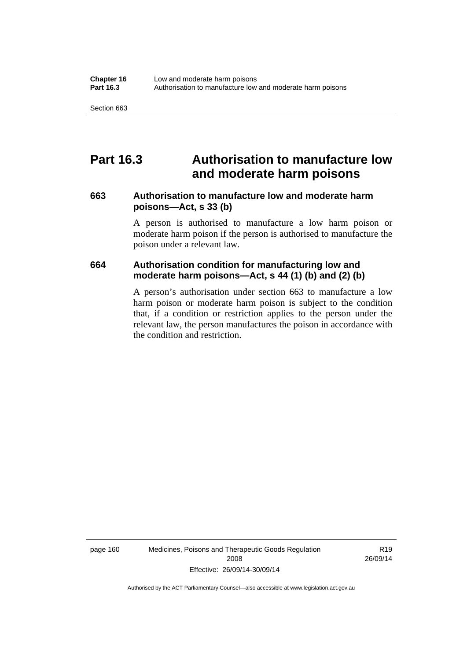### **Part 16.3 Authorisation to manufacture low and moderate harm poisons**

#### **663 Authorisation to manufacture low and moderate harm poisons—Act, s 33 (b)**

A person is authorised to manufacture a low harm poison or moderate harm poison if the person is authorised to manufacture the poison under a relevant law.

#### **664 Authorisation condition for manufacturing low and moderate harm poisons—Act, s 44 (1) (b) and (2) (b)**

A person's authorisation under section 663 to manufacture a low harm poison or moderate harm poison is subject to the condition that, if a condition or restriction applies to the person under the relevant law, the person manufactures the poison in accordance with the condition and restriction.

page 160 Medicines, Poisons and Therapeutic Goods Regulation 2008 Effective: 26/09/14-30/09/14

R19 26/09/14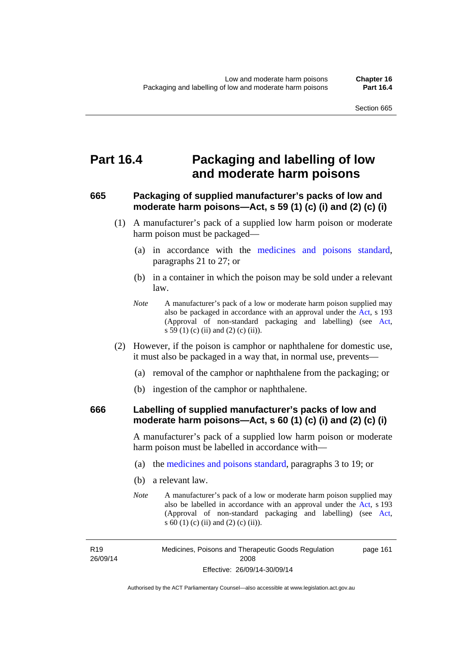### **Part 16.4 Packaging and labelling of low and moderate harm poisons**

### **665 Packaging of supplied manufacturer's packs of low and moderate harm poisons—Act, s 59 (1) (c) (i) and (2) (c) (i)**

- (1) A manufacturer's pack of a supplied low harm poison or moderate harm poison must be packaged—
	- (a) in accordance with the [medicines and poisons standard](http://www.comlaw.gov.au/Series/F2012L01200), paragraphs 21 to 27; or
	- (b) in a container in which the poison may be sold under a relevant law.
	- *Note* A manufacturer's pack of a low or moderate harm poison supplied may also be packaged in accordance with an approval under the [Act](http://www.legislation.act.gov.au/a/2008-26/default.asp), s 193 (Approval of non-standard packaging and labelling) (see [Act,](http://www.legislation.act.gov.au/a/2008-26/default.asp) s 59 (1) (c) (ii) and (2) (c) (ii)).
- (2) However, if the poison is camphor or naphthalene for domestic use, it must also be packaged in a way that, in normal use, prevents—
	- (a) removal of the camphor or naphthalene from the packaging; or
	- (b) ingestion of the camphor or naphthalene.

#### **666 Labelling of supplied manufacturer's packs of low and moderate harm poisons—Act, s 60 (1) (c) (i) and (2) (c) (i)**

A manufacturer's pack of a supplied low harm poison or moderate harm poison must be labelled in accordance with—

- (a) the [medicines and poisons standard](http://www.comlaw.gov.au/Series/F2012L01200), paragraphs 3 to 19; or
- (b) a relevant law.
- *Note* A manufacturer's pack of a low or moderate harm poison supplied may also be labelled in accordance with an approval under the [Act](http://www.legislation.act.gov.au/a/2008-26/default.asp), s 193 (Approval of non-standard packaging and labelling) (see [Act,](http://www.legislation.act.gov.au/a/2008-26/default.asp) s 60 (1) (c) (ii) and (2) (c) (ii)).

R19 26/09/14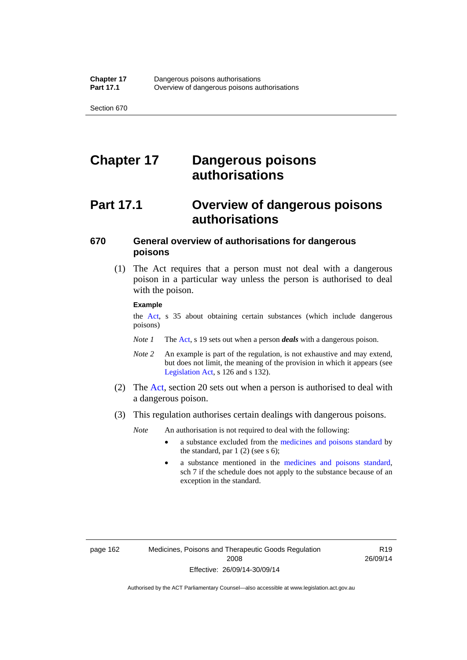# **Chapter 17 Dangerous poisons authorisations**

# **Part 17.1 Overview of dangerous poisons authorisations**

### **670 General overview of authorisations for dangerous poisons**

 (1) The Act requires that a person must not deal with a dangerous poison in a particular way unless the person is authorised to deal with the poison.

#### **Example**

the [Act,](http://www.legislation.act.gov.au/a/2008-26/default.asp) s 35 about obtaining certain substances (which include dangerous poisons)

- *Note 1* The [Act,](http://www.legislation.act.gov.au/a/2008-26/default.asp) s 19 sets out when a person *deals* with a dangerous poison.
- *Note 2* An example is part of the regulation, is not exhaustive and may extend, but does not limit, the meaning of the provision in which it appears (see [Legislation Act,](http://www.legislation.act.gov.au/a/2001-14) s 126 and s 132).
- (2) The [Act](http://www.legislation.act.gov.au/a/2008-26/default.asp), section 20 sets out when a person is authorised to deal with a dangerous poison.
- (3) This regulation authorises certain dealings with dangerous poisons.

*Note* An authorisation is not required to deal with the following:

- a substance excluded from the [medicines and poisons standard](http://www.comlaw.gov.au/Series/F2012L01200) by the standard, par  $1(2)$  (see s 6);
- a substance mentioned in the [medicines and poisons standard,](http://www.comlaw.gov.au/Series/F2012L01200) sch 7 if the schedule does not apply to the substance because of an exception in the standard.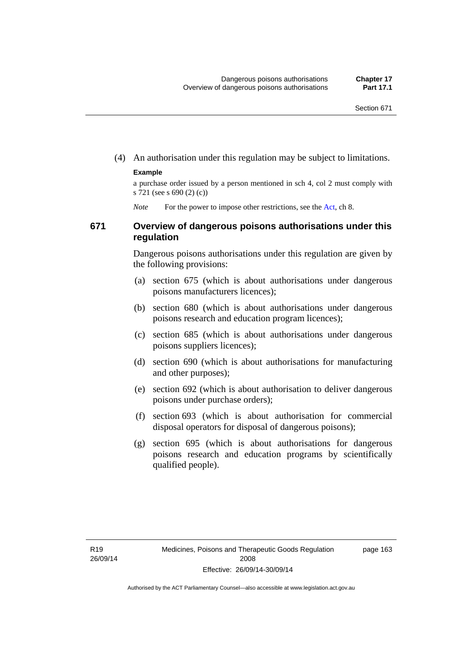(4) An authorisation under this regulation may be subject to limitations.

#### **Example**

a purchase order issued by a person mentioned in sch 4, col 2 must comply with s 721 (see s 690 (2) (c))

*Note* For the power to impose other restrictions, see the [Act](http://www.legislation.act.gov.au/a/2008-26/default.asp), ch 8.

#### **671 Overview of dangerous poisons authorisations under this regulation**

Dangerous poisons authorisations under this regulation are given by the following provisions:

- (a) section 675 (which is about authorisations under dangerous poisons manufacturers licences);
- (b) section 680 (which is about authorisations under dangerous poisons research and education program licences);
- (c) section 685 (which is about authorisations under dangerous poisons suppliers licences);
- (d) section 690 (which is about authorisations for manufacturing and other purposes);
- (e) section 692 (which is about authorisation to deliver dangerous poisons under purchase orders);
- (f) section 693 (which is about authorisation for commercial disposal operators for disposal of dangerous poisons);
- (g) section 695 (which is about authorisations for dangerous poisons research and education programs by scientifically qualified people).

page 163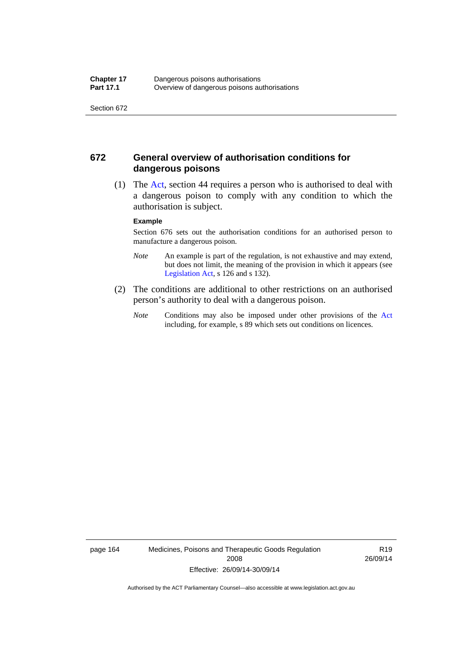#### **672 General overview of authorisation conditions for dangerous poisons**

 (1) The [Act](http://www.legislation.act.gov.au/a/2008-26/default.asp), section 44 requires a person who is authorised to deal with a dangerous poison to comply with any condition to which the authorisation is subject.

#### **Example**

Section 676 sets out the authorisation conditions for an authorised person to manufacture a dangerous poison.

- *Note* An example is part of the regulation, is not exhaustive and may extend, but does not limit, the meaning of the provision in which it appears (see [Legislation Act,](http://www.legislation.act.gov.au/a/2001-14) s 126 and s 132).
- (2) The conditions are additional to other restrictions on an authorised person's authority to deal with a dangerous poison.
	- *Note* Conditions may also be imposed under other provisions of the [Act](http://www.legislation.act.gov.au/a/2008-26/default.asp) including, for example, s 89 which sets out conditions on licences.

page 164 Medicines, Poisons and Therapeutic Goods Regulation 2008 Effective: 26/09/14-30/09/14

R19 26/09/14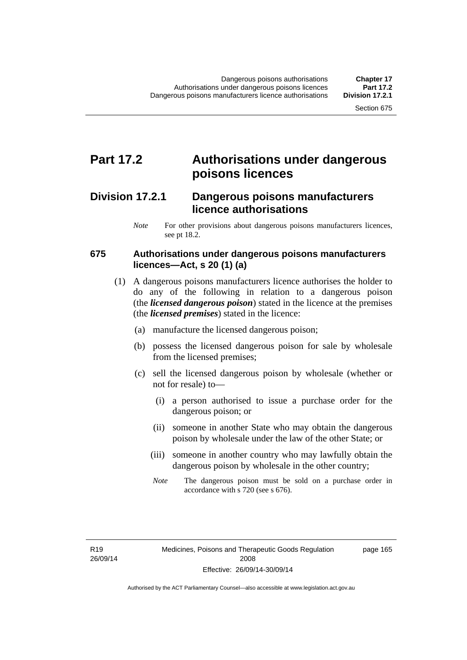### **Part 17.2 Authorisations under dangerous poisons licences**

### **Division 17.2.1 Dangerous poisons manufacturers licence authorisations**

*Note* For other provisions about dangerous poisons manufacturers licences, see pt 18.2.

#### **675 Authorisations under dangerous poisons manufacturers licences—Act, s 20 (1) (a)**

- (1) A dangerous poisons manufacturers licence authorises the holder to do any of the following in relation to a dangerous poison (the *licensed dangerous poison*) stated in the licence at the premises (the *licensed premises*) stated in the licence:
	- (a) manufacture the licensed dangerous poison;
	- (b) possess the licensed dangerous poison for sale by wholesale from the licensed premises;
	- (c) sell the licensed dangerous poison by wholesale (whether or not for resale) to—
		- (i) a person authorised to issue a purchase order for the dangerous poison; or
		- (ii) someone in another State who may obtain the dangerous poison by wholesale under the law of the other State; or
		- (iii) someone in another country who may lawfully obtain the dangerous poison by wholesale in the other country;
		- *Note* The dangerous poison must be sold on a purchase order in accordance with s 720 (see s 676).

R19 26/09/14 page 165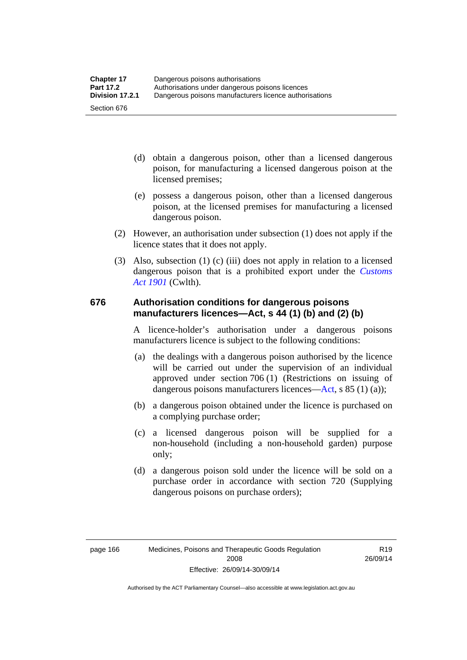- (d) obtain a dangerous poison, other than a licensed dangerous poison, for manufacturing a licensed dangerous poison at the licensed premises;
- (e) possess a dangerous poison, other than a licensed dangerous poison, at the licensed premises for manufacturing a licensed dangerous poison.
- (2) However, an authorisation under subsection (1) does not apply if the licence states that it does not apply.
- (3) Also, subsection (1) (c) (iii) does not apply in relation to a licensed dangerous poison that is a prohibited export under the *[Customs](http://www.comlaw.gov.au/Series/C1901A00006)  [Act 1901](http://www.comlaw.gov.au/Series/C1901A00006)* (Cwlth).

#### **676 Authorisation conditions for dangerous poisons manufacturers licences—Act, s 44 (1) (b) and (2) (b)**

A licence-holder's authorisation under a dangerous poisons manufacturers licence is subject to the following conditions:

- (a) the dealings with a dangerous poison authorised by the licence will be carried out under the supervision of an individual approved under section 706 (1) (Restrictions on issuing of dangerous poisons manufacturers licences[—Act,](http://www.legislation.act.gov.au/a/2008-26/default.asp) s 85 (1) (a));
- (b) a dangerous poison obtained under the licence is purchased on a complying purchase order;
- (c) a licensed dangerous poison will be supplied for a non-household (including a non-household garden) purpose only;
- (d) a dangerous poison sold under the licence will be sold on a purchase order in accordance with section 720 (Supplying dangerous poisons on purchase orders);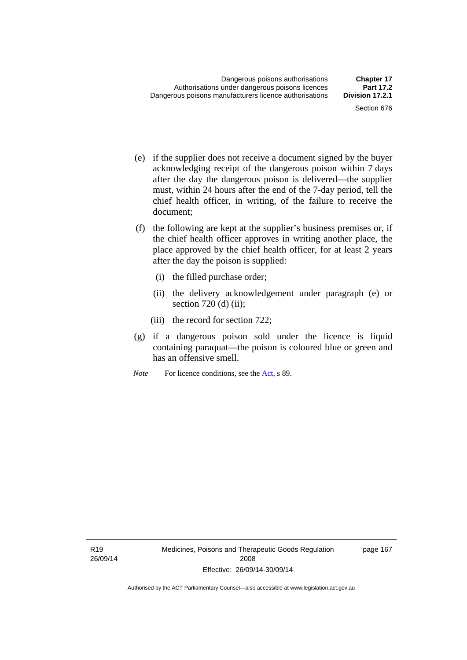- (e) if the supplier does not receive a document signed by the buyer acknowledging receipt of the dangerous poison within 7 days after the day the dangerous poison is delivered—the supplier must, within 24 hours after the end of the 7-day period, tell the chief health officer, in writing, of the failure to receive the document;
- (f) the following are kept at the supplier's business premises or, if the chief health officer approves in writing another place, the place approved by the chief health officer, for at least 2 years after the day the poison is supplied:
	- (i) the filled purchase order;
	- (ii) the delivery acknowledgement under paragraph (e) or section  $720$  (d) (ii);
	- (iii) the record for section 722;
- (g) if a dangerous poison sold under the licence is liquid containing paraquat—the poison is coloured blue or green and has an offensive smell.
- *Note* For licence conditions, see the [Act](http://www.legislation.act.gov.au/a/2008-26/default.asp), s 89.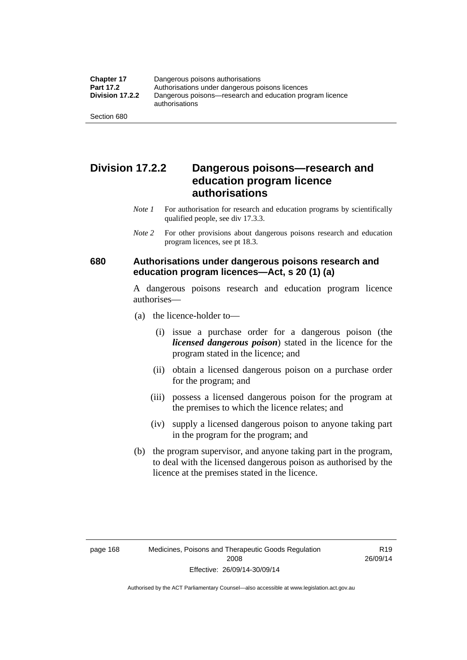### **Division 17.2.2 Dangerous poisons—research and education program licence authorisations**

- *Note 1* For authorisation for research and education programs by scientifically qualified people, see div 17.3.3.
- *Note 2* For other provisions about dangerous poisons research and education program licences, see pt 18.3.

#### **680 Authorisations under dangerous poisons research and education program licences—Act, s 20 (1) (a)**

A dangerous poisons research and education program licence authorises—

- (a) the licence-holder to—
	- (i) issue a purchase order for a dangerous poison (the *licensed dangerous poison*) stated in the licence for the program stated in the licence; and
	- (ii) obtain a licensed dangerous poison on a purchase order for the program; and
	- (iii) possess a licensed dangerous poison for the program at the premises to which the licence relates; and
	- (iv) supply a licensed dangerous poison to anyone taking part in the program for the program; and
- (b) the program supervisor, and anyone taking part in the program, to deal with the licensed dangerous poison as authorised by the licence at the premises stated in the licence.

R19 26/09/14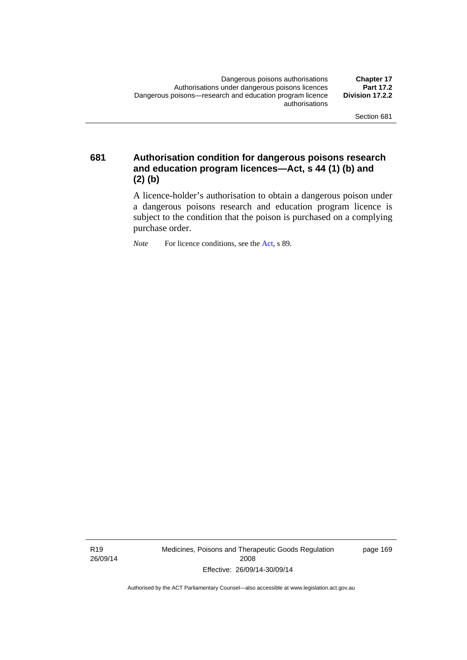**681 Authorisation condition for dangerous poisons research and education program licences—Act, s 44 (1) (b) and (2) (b)** 

> A licence-holder's authorisation to obtain a dangerous poison under a dangerous poisons research and education program licence is subject to the condition that the poison is purchased on a complying purchase order.

*Note* For licence conditions, see the [Act](http://www.legislation.act.gov.au/a/2008-26/default.asp), s 89.

R19 26/09/14 Medicines, Poisons and Therapeutic Goods Regulation 2008 Effective: 26/09/14-30/09/14

page 169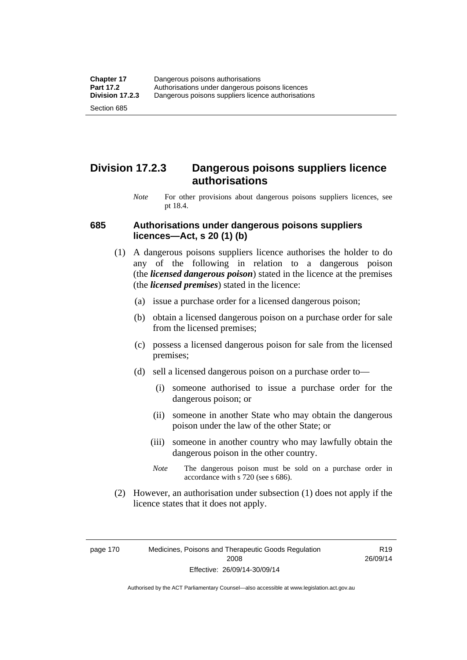### **Division 17.2.3 Dangerous poisons suppliers licence authorisations**

*Note* For other provisions about dangerous poisons suppliers licences, see pt 18.4.

#### **685 Authorisations under dangerous poisons suppliers licences—Act, s 20 (1) (b)**

- (1) A dangerous poisons suppliers licence authorises the holder to do any of the following in relation to a dangerous poison (the *licensed dangerous poison*) stated in the licence at the premises (the *licensed premises*) stated in the licence:
	- (a) issue a purchase order for a licensed dangerous poison;
	- (b) obtain a licensed dangerous poison on a purchase order for sale from the licensed premises;
	- (c) possess a licensed dangerous poison for sale from the licensed premises;
	- (d) sell a licensed dangerous poison on a purchase order to—
		- (i) someone authorised to issue a purchase order for the dangerous poison; or
		- (ii) someone in another State who may obtain the dangerous poison under the law of the other State; or
		- (iii) someone in another country who may lawfully obtain the dangerous poison in the other country.
		- *Note* The dangerous poison must be sold on a purchase order in accordance with s 720 (see s 686).
- (2) However, an authorisation under subsection (1) does not apply if the licence states that it does not apply.

page 170 Medicines, Poisons and Therapeutic Goods Regulation 2008 Effective: 26/09/14-30/09/14

R19 26/09/14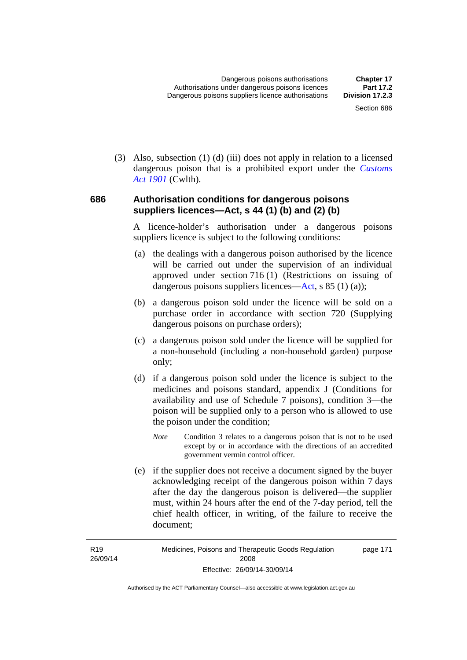(3) Also, subsection (1) (d) (iii) does not apply in relation to a licensed dangerous poison that is a prohibited export under the *[Customs](http://www.comlaw.gov.au/Series/C1901A00006)  [Act 1901](http://www.comlaw.gov.au/Series/C1901A00006)* (Cwlth).

#### **686 Authorisation conditions for dangerous poisons suppliers licences—Act, s 44 (1) (b) and (2) (b)**

A licence-holder's authorisation under a dangerous poisons suppliers licence is subject to the following conditions:

- (a) the dealings with a dangerous poison authorised by the licence will be carried out under the supervision of an individual approved under section 716 (1) (Restrictions on issuing of dangerous poisons suppliers licences—[Act](http://www.legislation.act.gov.au/a/2008-26/default.asp), s 85 (1) (a));
- (b) a dangerous poison sold under the licence will be sold on a purchase order in accordance with section 720 (Supplying dangerous poisons on purchase orders);
- (c) a dangerous poison sold under the licence will be supplied for a non-household (including a non-household garden) purpose only;
- (d) if a dangerous poison sold under the licence is subject to the medicines and poisons standard, appendix J (Conditions for availability and use of Schedule 7 poisons), condition 3—the poison will be supplied only to a person who is allowed to use the poison under the condition;
	- *Note* Condition 3 relates to a dangerous poison that is not to be used except by or in accordance with the directions of an accredited government vermin control officer.
- (e) if the supplier does not receive a document signed by the buyer acknowledging receipt of the dangerous poison within 7 days after the day the dangerous poison is delivered—the supplier must, within 24 hours after the end of the 7-day period, tell the chief health officer, in writing, of the failure to receive the document;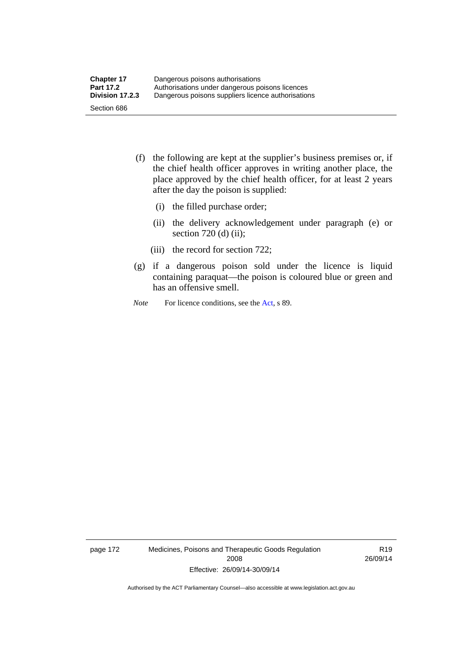- (f) the following are kept at the supplier's business premises or, if the chief health officer approves in writing another place, the place approved by the chief health officer, for at least 2 years after the day the poison is supplied:
	- (i) the filled purchase order;
	- (ii) the delivery acknowledgement under paragraph (e) or section 720 (d) (ii);
	- (iii) the record for section 722;
- (g) if a dangerous poison sold under the licence is liquid containing paraquat—the poison is coloured blue or green and has an offensive smell.
- *Note* For licence conditions, see the [Act](http://www.legislation.act.gov.au/a/2008-26/default.asp), s 89.

page 172 Medicines, Poisons and Therapeutic Goods Regulation 2008 Effective: 26/09/14-30/09/14

R19 26/09/14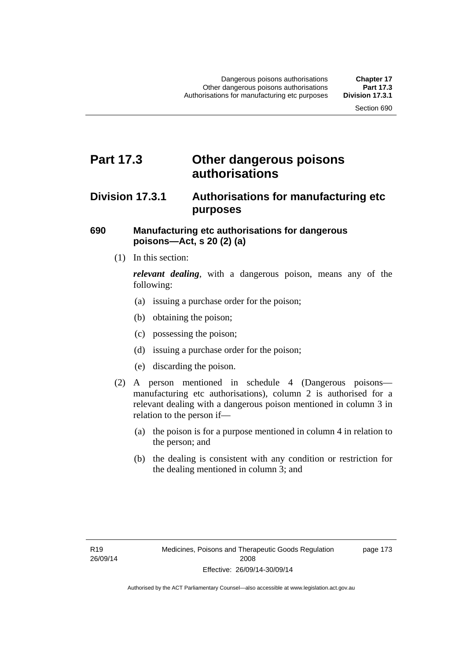### **Part 17.3 Other dangerous poisons authorisations**

### **Division 17.3.1 Authorisations for manufacturing etc purposes**

#### **690 Manufacturing etc authorisations for dangerous poisons—Act, s 20 (2) (a)**

(1) In this section:

*relevant dealing*, with a dangerous poison, means any of the following:

- (a) issuing a purchase order for the poison;
- (b) obtaining the poison;
- (c) possessing the poison;
- (d) issuing a purchase order for the poison;
- (e) discarding the poison.
- (2) A person mentioned in schedule 4 (Dangerous poisons manufacturing etc authorisations), column 2 is authorised for a relevant dealing with a dangerous poison mentioned in column 3 in relation to the person if—
	- (a) the poison is for a purpose mentioned in column 4 in relation to the person; and
	- (b) the dealing is consistent with any condition or restriction for the dealing mentioned in column 3; and

page 173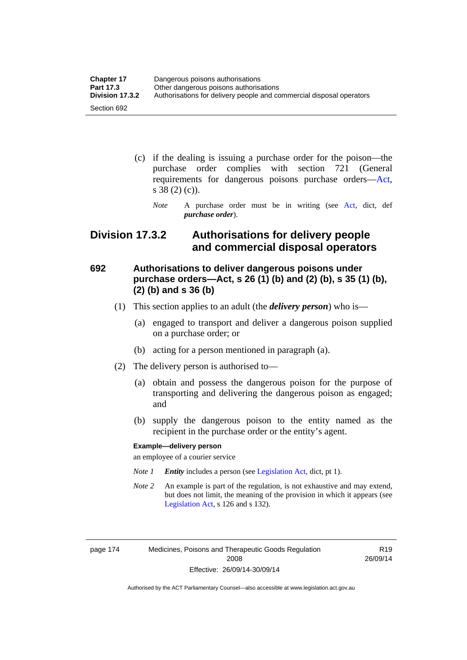| <b>Chapter 17</b> | Dangerous poisons authorisations                                     |
|-------------------|----------------------------------------------------------------------|
| <b>Part 17.3</b>  | Other dangerous poisons authorisations                               |
| Division 17.3.2   | Authorisations for delivery people and commercial disposal operators |
| Section 692       |                                                                      |

- (c) if the dealing is issuing a purchase order for the poison—the purchase order complies with section 721 (General requirements for dangerous poisons purchase orders[—Act](http://www.legislation.act.gov.au/a/2008-26/default.asp), s 38 (2) (c)).
	- *Note* A purchase order must be in writing (see [Act](http://www.legislation.act.gov.au/a/2008-26/default.asp), dict, def *purchase order*).

### **Division 17.3.2 Authorisations for delivery people and commercial disposal operators**

### **692 Authorisations to deliver dangerous poisons under purchase orders—Act, s 26 (1) (b) and (2) (b), s 35 (1) (b), (2) (b) and s 36 (b)**

- (1) This section applies to an adult (the *delivery person*) who is—
	- (a) engaged to transport and deliver a dangerous poison supplied on a purchase order; or
	- (b) acting for a person mentioned in paragraph (a).
- (2) The delivery person is authorised to—
	- (a) obtain and possess the dangerous poison for the purpose of transporting and delivering the dangerous poison as engaged; and
	- (b) supply the dangerous poison to the entity named as the recipient in the purchase order or the entity's agent.

#### **Example—delivery person**

an employee of a courier service

- *Note 1 Entity* includes a person (see [Legislation Act,](http://www.legislation.act.gov.au/a/2001-14) dict, pt 1).
- *Note 2* An example is part of the regulation, is not exhaustive and may extend, but does not limit, the meaning of the provision in which it appears (see [Legislation Act,](http://www.legislation.act.gov.au/a/2001-14) s 126 and s 132).

page 174 Medicines, Poisons and Therapeutic Goods Regulation 2008 Effective: 26/09/14-30/09/14

R19 26/09/14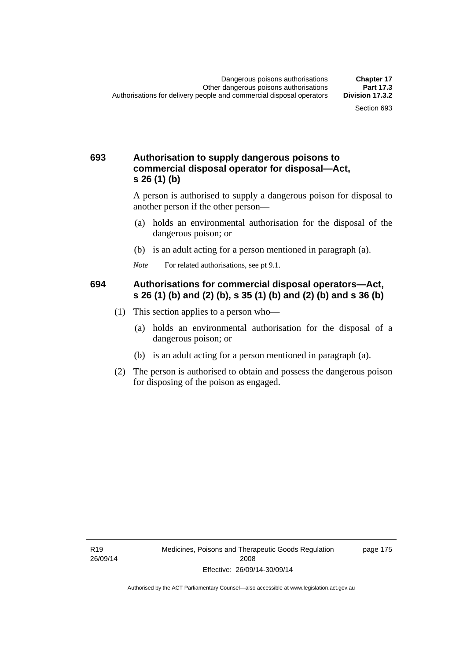#### **693 Authorisation to supply dangerous poisons to commercial disposal operator for disposal—Act, s 26 (1) (b)**

A person is authorised to supply a dangerous poison for disposal to another person if the other person—

- (a) holds an environmental authorisation for the disposal of the dangerous poison; or
- (b) is an adult acting for a person mentioned in paragraph (a).
- *Note* For related authorisations, see pt 9.1.

#### **694 Authorisations for commercial disposal operators—Act, s 26 (1) (b) and (2) (b), s 35 (1) (b) and (2) (b) and s 36 (b)**

- (1) This section applies to a person who—
	- (a) holds an environmental authorisation for the disposal of a dangerous poison; or
	- (b) is an adult acting for a person mentioned in paragraph (a).
- (2) The person is authorised to obtain and possess the dangerous poison for disposing of the poison as engaged.

page 175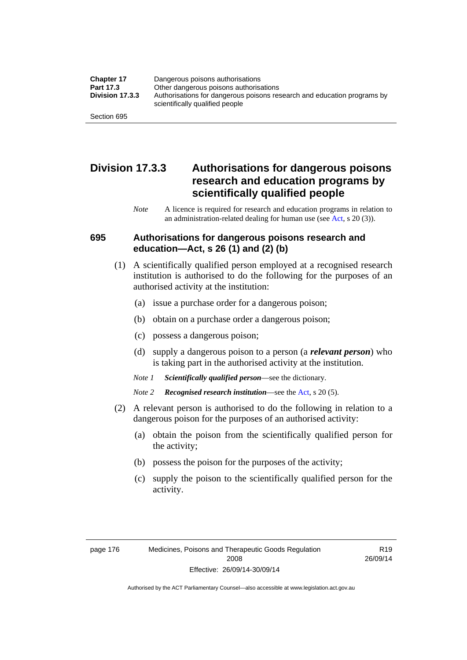| <b>Chapter 17</b> | Dangerous poisons authorisations                                                                           |
|-------------------|------------------------------------------------------------------------------------------------------------|
| Part 17.3         | Other dangerous poisons authorisations                                                                     |
| Division 17.3.3   | Authorisations for dangerous poisons research and education programs by<br>scientifically qualified people |
| Section 695       |                                                                                                            |

### **Division 17.3.3 Authorisations for dangerous poisons research and education programs by scientifically qualified people**

*Note* A licence is required for research and education programs in relation to an administration-related dealing for human use (see [Act](http://www.legislation.act.gov.au/a/2008-26/default.asp), s 20 (3)).

#### **695 Authorisations for dangerous poisons research and education—Act, s 26 (1) and (2) (b)**

- (1) A scientifically qualified person employed at a recognised research institution is authorised to do the following for the purposes of an authorised activity at the institution:
	- (a) issue a purchase order for a dangerous poison;
	- (b) obtain on a purchase order a dangerous poison;
	- (c) possess a dangerous poison;
	- (d) supply a dangerous poison to a person (a *relevant person*) who is taking part in the authorised activity at the institution.
	- *Note 1 Scientifically qualified person*—see the dictionary.
	- *Note 2 Recognised research institution*—see the [Act](http://www.legislation.act.gov.au/a/2008-26/default.asp), s 20 (5).
- (2) A relevant person is authorised to do the following in relation to a dangerous poison for the purposes of an authorised activity:
	- (a) obtain the poison from the scientifically qualified person for the activity;
	- (b) possess the poison for the purposes of the activity;
	- (c) supply the poison to the scientifically qualified person for the activity.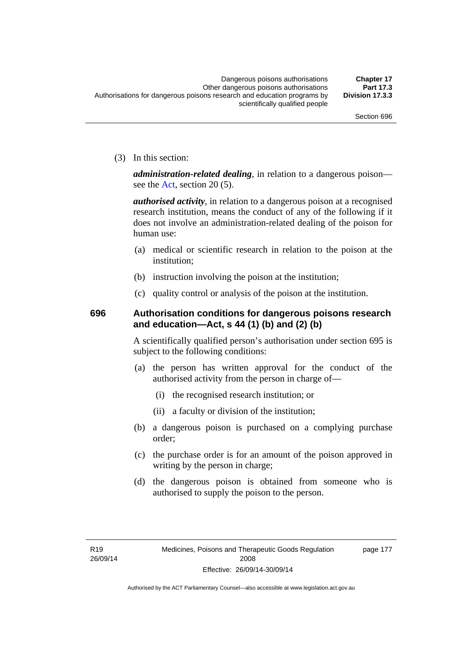(3) In this section:

*administration-related dealing*, in relation to a dangerous poison— see the [Act](http://www.legislation.act.gov.au/a/2008-26/default.asp), section 20 (5).

*authorised activity*, in relation to a dangerous poison at a recognised research institution, means the conduct of any of the following if it does not involve an administration-related dealing of the poison for human use:

- (a) medical or scientific research in relation to the poison at the institution;
- (b) instruction involving the poison at the institution;
- (c) quality control or analysis of the poison at the institution.

### **696 Authorisation conditions for dangerous poisons research and education—Act, s 44 (1) (b) and (2) (b)**

A scientifically qualified person's authorisation under section 695 is subject to the following conditions:

- (a) the person has written approval for the conduct of the authorised activity from the person in charge of—
	- (i) the recognised research institution; or
	- (ii) a faculty or division of the institution;
- (b) a dangerous poison is purchased on a complying purchase order;
- (c) the purchase order is for an amount of the poison approved in writing by the person in charge;
- (d) the dangerous poison is obtained from someone who is authorised to supply the poison to the person.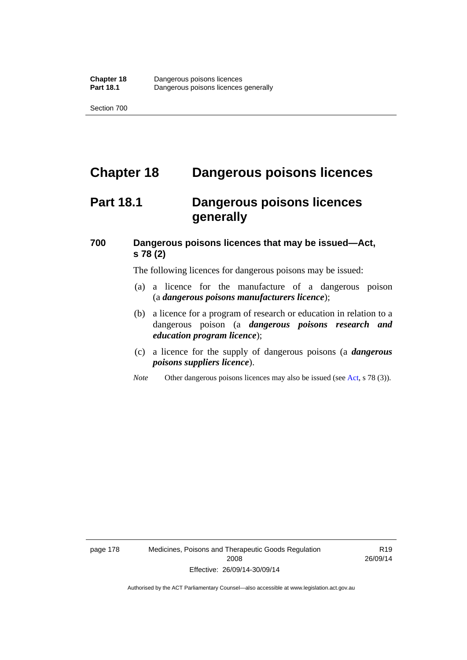## **Chapter 18 Dangerous poisons licences**

### **Part 18.1 Dangerous poisons licences generally**

### **700 Dangerous poisons licences that may be issued—Act, s 78 (2)**

The following licences for dangerous poisons may be issued:

- (a) a licence for the manufacture of a dangerous poison (a *dangerous poisons manufacturers licence*);
- (b) a licence for a program of research or education in relation to a dangerous poison (a *dangerous poisons research and education program licence*);
- (c) a licence for the supply of dangerous poisons (a *dangerous poisons suppliers licence*).
- *Note* Other dangerous poisons licences may also be issued (see [Act](http://www.legislation.act.gov.au/a/2008-26/default.asp), s 78 (3)).

page 178 Medicines, Poisons and Therapeutic Goods Regulation 2008 Effective: 26/09/14-30/09/14

R19 26/09/14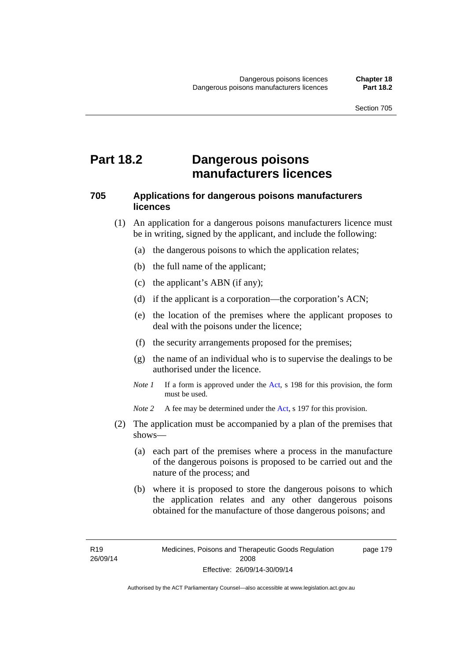### **Part 18.2 Dangerous poisons manufacturers licences**

#### **705 Applications for dangerous poisons manufacturers licences**

- (1) An application for a dangerous poisons manufacturers licence must be in writing, signed by the applicant, and include the following:
	- (a) the dangerous poisons to which the application relates;
	- (b) the full name of the applicant;
	- (c) the applicant's ABN (if any);
	- (d) if the applicant is a corporation—the corporation's ACN;
	- (e) the location of the premises where the applicant proposes to deal with the poisons under the licence;
	- (f) the security arrangements proposed for the premises;
	- (g) the name of an individual who is to supervise the dealings to be authorised under the licence.
	- *Note 1* If a form is approved under the [Act](http://www.legislation.act.gov.au/a/2008-26/default.asp), s 198 for this provision, the form must be used.

*Note 2* A fee may be determined under the [Act,](http://www.legislation.act.gov.au/a/2008-26/default.asp) s 197 for this provision.

- (2) The application must be accompanied by a plan of the premises that shows—
	- (a) each part of the premises where a process in the manufacture of the dangerous poisons is proposed to be carried out and the nature of the process; and
	- (b) where it is proposed to store the dangerous poisons to which the application relates and any other dangerous poisons obtained for the manufacture of those dangerous poisons; and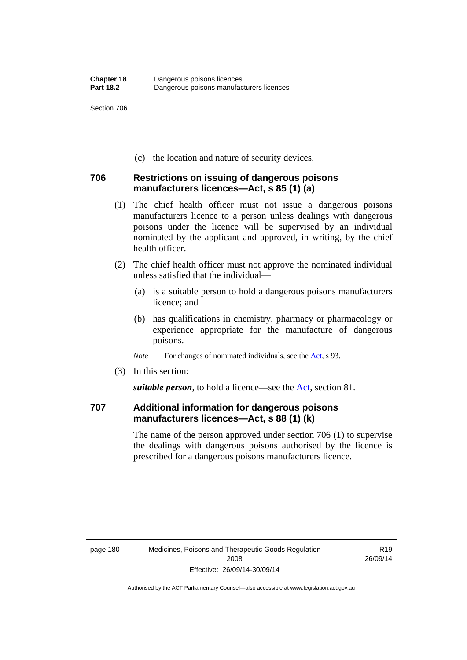(c) the location and nature of security devices.

#### **706 Restrictions on issuing of dangerous poisons manufacturers licences—Act, s 85 (1) (a)**

- (1) The chief health officer must not issue a dangerous poisons manufacturers licence to a person unless dealings with dangerous poisons under the licence will be supervised by an individual nominated by the applicant and approved, in writing, by the chief health officer.
- (2) The chief health officer must not approve the nominated individual unless satisfied that the individual—
	- (a) is a suitable person to hold a dangerous poisons manufacturers licence; and
	- (b) has qualifications in chemistry, pharmacy or pharmacology or experience appropriate for the manufacture of dangerous poisons.
	- *Note* For changes of nominated individuals, see the [Act,](http://www.legislation.act.gov.au/a/2008-26/default.asp) s 93.
- (3) In this section:

*suitable person*, to hold a licence—see the [Act](http://www.legislation.act.gov.au/a/2008-26/default.asp), section 81.

### **707 Additional information for dangerous poisons manufacturers licences—Act, s 88 (1) (k)**

The name of the person approved under section 706 (1) to supervise the dealings with dangerous poisons authorised by the licence is prescribed for a dangerous poisons manufacturers licence.

R19 26/09/14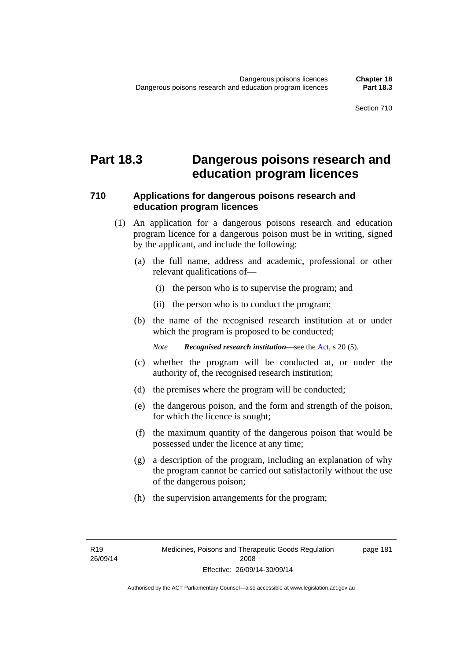### **Part 18.3 Dangerous poisons research and education program licences**

#### **710 Applications for dangerous poisons research and education program licences**

- (1) An application for a dangerous poisons research and education program licence for a dangerous poison must be in writing, signed by the applicant, and include the following:
	- (a) the full name, address and academic, professional or other relevant qualifications of—
		- (i) the person who is to supervise the program; and
		- (ii) the person who is to conduct the program;
	- (b) the name of the recognised research institution at or under which the program is proposed to be conducted;

*Note Recognised research institution*—see the [Act](http://www.legislation.act.gov.au/a/2008-26/default.asp), s 20 (5).

- (c) whether the program will be conducted at, or under the authority of, the recognised research institution;
- (d) the premises where the program will be conducted;
- (e) the dangerous poison, and the form and strength of the poison, for which the licence is sought;
- (f) the maximum quantity of the dangerous poison that would be possessed under the licence at any time;
- (g) a description of the program, including an explanation of why the program cannot be carried out satisfactorily without the use of the dangerous poison;
- (h) the supervision arrangements for the program;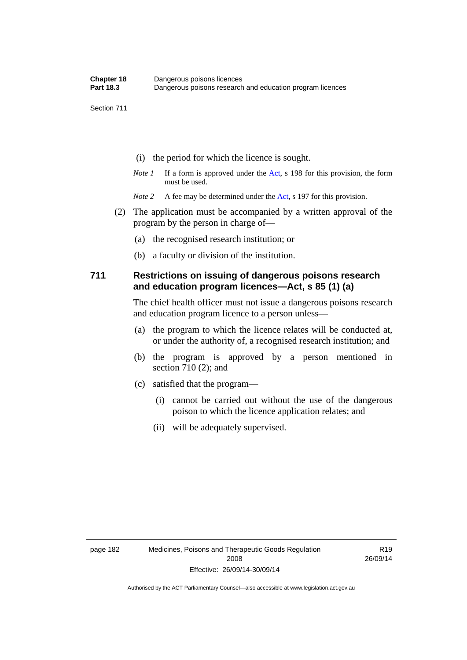- (i) the period for which the licence is sought.
- *Note 1* If a form is approved under the [Act](http://www.legislation.act.gov.au/a/2008-26/default.asp), s 198 for this provision, the form must be used.
- *Note* 2 A fee may be determined under the [Act,](http://www.legislation.act.gov.au/a/2008-26/default.asp) s 197 for this provision.
- (2) The application must be accompanied by a written approval of the program by the person in charge of—
	- (a) the recognised research institution; or
	- (b) a faculty or division of the institution.

#### **711 Restrictions on issuing of dangerous poisons research and education program licences—Act, s 85 (1) (a)**

The chief health officer must not issue a dangerous poisons research and education program licence to a person unless—

- (a) the program to which the licence relates will be conducted at, or under the authority of, a recognised research institution; and
- (b) the program is approved by a person mentioned in section 710 (2); and
- (c) satisfied that the program—
	- (i) cannot be carried out without the use of the dangerous poison to which the licence application relates; and
	- (ii) will be adequately supervised.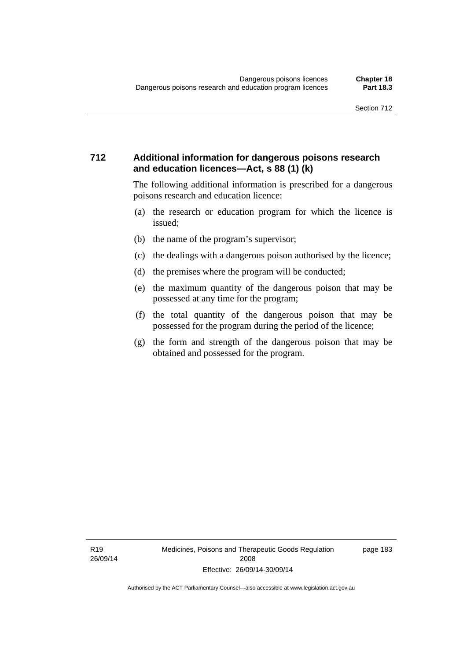#### **712 Additional information for dangerous poisons research and education licences—Act, s 88 (1) (k)**

The following additional information is prescribed for a dangerous poisons research and education licence:

- (a) the research or education program for which the licence is issued;
- (b) the name of the program's supervisor;
- (c) the dealings with a dangerous poison authorised by the licence;
- (d) the premises where the program will be conducted;
- (e) the maximum quantity of the dangerous poison that may be possessed at any time for the program;
- (f) the total quantity of the dangerous poison that may be possessed for the program during the period of the licence;
- (g) the form and strength of the dangerous poison that may be obtained and possessed for the program.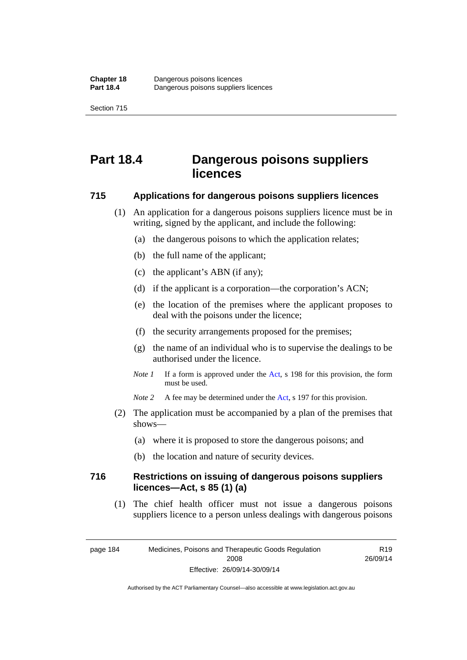## **Part 18.4 Dangerous poisons suppliers licences**

#### **715 Applications for dangerous poisons suppliers licences**

- (1) An application for a dangerous poisons suppliers licence must be in writing, signed by the applicant, and include the following:
	- (a) the dangerous poisons to which the application relates;
	- (b) the full name of the applicant;
	- (c) the applicant's ABN (if any);
	- (d) if the applicant is a corporation—the corporation's ACN;
	- (e) the location of the premises where the applicant proposes to deal with the poisons under the licence;
	- (f) the security arrangements proposed for the premises;
	- (g) the name of an individual who is to supervise the dealings to be authorised under the licence.
	- *Note 1* If a form is approved under the [Act](http://www.legislation.act.gov.au/a/2008-26/default.asp), s 198 for this provision, the form must be used.
	- *Note* 2 A fee may be determined under the [Act,](http://www.legislation.act.gov.au/a/2008-26/default.asp) s 197 for this provision.
- (2) The application must be accompanied by a plan of the premises that shows—
	- (a) where it is proposed to store the dangerous poisons; and
	- (b) the location and nature of security devices.

#### **716 Restrictions on issuing of dangerous poisons suppliers licences—Act, s 85 (1) (a)**

(1) The chief health officer must not issue a dangerous poisons suppliers licence to a person unless dealings with dangerous poisons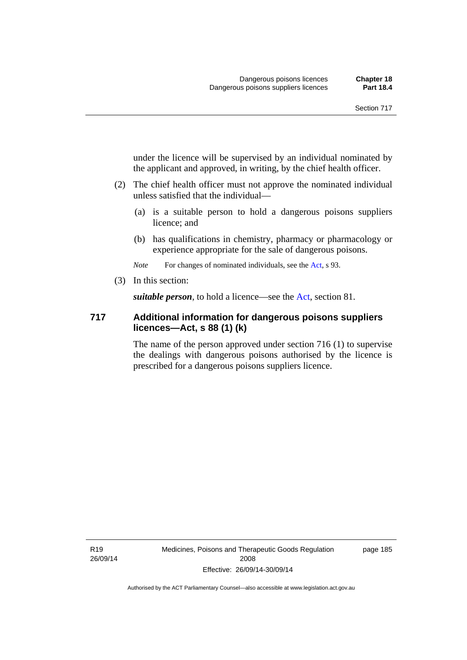under the licence will be supervised by an individual nominated by the applicant and approved, in writing, by the chief health officer.

- (2) The chief health officer must not approve the nominated individual unless satisfied that the individual—
	- (a) is a suitable person to hold a dangerous poisons suppliers licence; and
	- (b) has qualifications in chemistry, pharmacy or pharmacology or experience appropriate for the sale of dangerous poisons.

*Note* For changes of nominated individuals, see the [Act,](http://www.legislation.act.gov.au/a/2008-26/default.asp) s 93.

(3) In this section:

*suitable person*, to hold a licence—see the [Act](http://www.legislation.act.gov.au/a/2008-26/default.asp), section 81.

#### **717 Additional information for dangerous poisons suppliers licences—Act, s 88 (1) (k)**

The name of the person approved under section 716 (1) to supervise the dealings with dangerous poisons authorised by the licence is prescribed for a dangerous poisons suppliers licence.

R19 26/09/14 Medicines, Poisons and Therapeutic Goods Regulation 2008 Effective: 26/09/14-30/09/14

page 185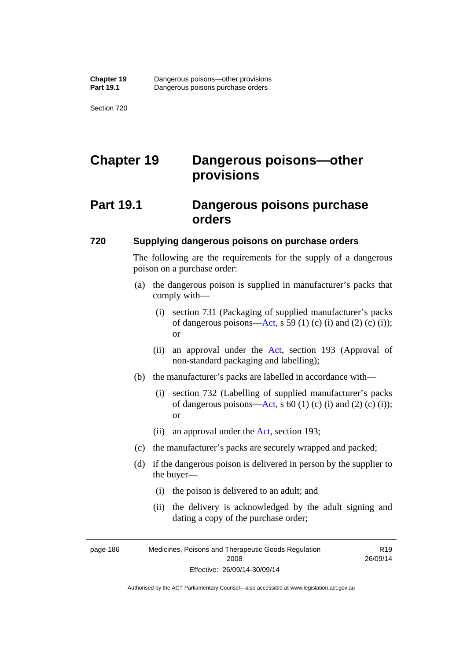# **Chapter 19 Dangerous poisons—other provisions**

## **Part 19.1 Dangerous poisons purchase orders**

#### **720 Supplying dangerous poisons on purchase orders**

The following are the requirements for the supply of a dangerous poison on a purchase order:

- (a) the dangerous poison is supplied in manufacturer's packs that comply with—
	- (i) section 731 (Packaging of supplied manufacturer's packs of dangerous poisons[—Act](http://www.legislation.act.gov.au/a/2008-26/default.asp), s 59 (1) (c) (i) and (2) (c) (i)); or
	- (ii) an approval under the [Act](http://www.legislation.act.gov.au/a/2008-26/default.asp), section 193 (Approval of non-standard packaging and labelling);
- (b) the manufacturer's packs are labelled in accordance with—
	- (i) section 732 (Labelling of supplied manufacturer's packs of dangerous poisons[—Act](http://www.legislation.act.gov.au/a/2008-26/default.asp), s  $60$  (1) (c) (i) and (2) (c) (i)); or
	- (ii) an approval under the [Act,](http://www.legislation.act.gov.au/a/2008-26/default.asp) section 193;
- (c) the manufacturer's packs are securely wrapped and packed;
- (d) if the dangerous poison is delivered in person by the supplier to the buyer—
	- (i) the poison is delivered to an adult; and
	- (ii) the delivery is acknowledged by the adult signing and dating a copy of the purchase order;

page 186 Medicines, Poisons and Therapeutic Goods Regulation 2008 Effective: 26/09/14-30/09/14

R19 26/09/14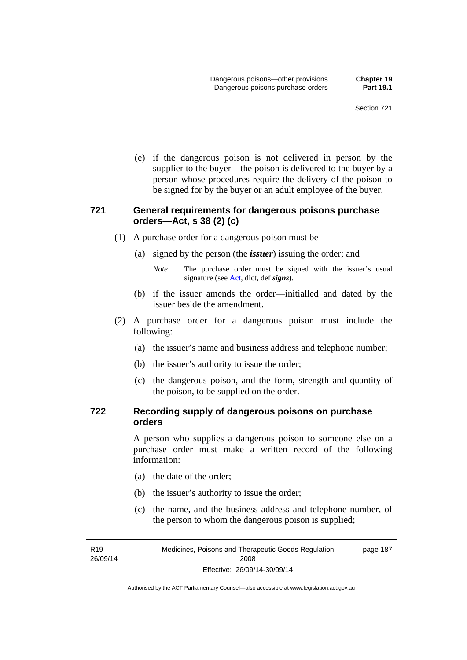(e) if the dangerous poison is not delivered in person by the supplier to the buyer—the poison is delivered to the buyer by a person whose procedures require the delivery of the poison to be signed for by the buyer or an adult employee of the buyer.

#### **721 General requirements for dangerous poisons purchase orders—Act, s 38 (2) (c)**

- (1) A purchase order for a dangerous poison must be—
	- (a) signed by the person (the *issuer*) issuing the order; and
		- *Note* The purchase order must be signed with the issuer's usual signature (see [Act](http://www.legislation.act.gov.au/a/2008-26/default.asp), dict, def *signs*).
	- (b) if the issuer amends the order—initialled and dated by the issuer beside the amendment.
- (2) A purchase order for a dangerous poison must include the following:
	- (a) the issuer's name and business address and telephone number;
	- (b) the issuer's authority to issue the order;
	- (c) the dangerous poison, and the form, strength and quantity of the poison, to be supplied on the order.

#### **722 Recording supply of dangerous poisons on purchase orders**

A person who supplies a dangerous poison to someone else on a purchase order must make a written record of the following information:

- (a) the date of the order;
- (b) the issuer's authority to issue the order;
- (c) the name, and the business address and telephone number, of the person to whom the dangerous poison is supplied;

R19 26/09/14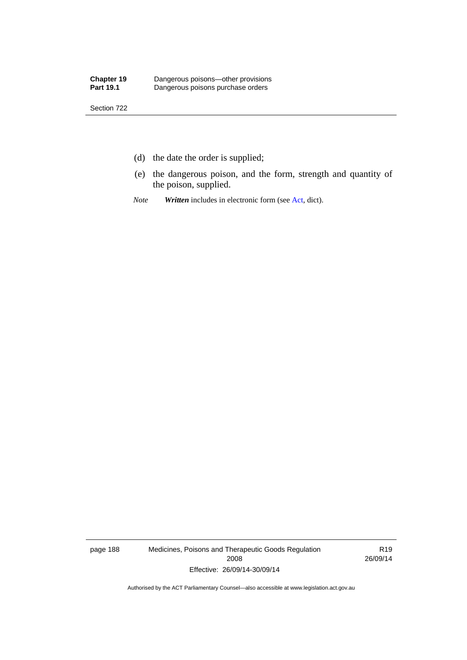- (d) the date the order is supplied;
- (e) the dangerous poison, and the form, strength and quantity of the poison, supplied.
- *Note Written* includes in electronic form (see [Act,](http://www.legislation.act.gov.au/a/2008-26/default.asp) dict).

page 188 Medicines, Poisons and Therapeutic Goods Regulation 2008 Effective: 26/09/14-30/09/14

R19 26/09/14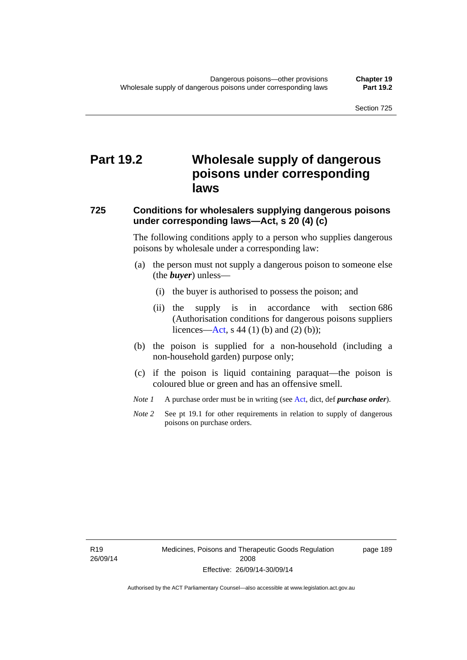# **Part 19.2 Wholesale supply of dangerous poisons under corresponding laws**

#### **725 Conditions for wholesalers supplying dangerous poisons under corresponding laws—Act, s 20 (4) (c)**

The following conditions apply to a person who supplies dangerous poisons by wholesale under a corresponding law:

- (a) the person must not supply a dangerous poison to someone else (the *buyer*) unless—
	- (i) the buyer is authorised to possess the poison; and
	- (ii) the supply is in accordance with section 686 (Authorisation conditions for dangerous poisons suppliers licences—[Act,](http://www.legislation.act.gov.au/a/2008-26/default.asp) s 44 (1) (b) and (2) (b));
- (b) the poison is supplied for a non-household (including a non-household garden) purpose only;
- (c) if the poison is liquid containing paraquat—the poison is coloured blue or green and has an offensive smell.
- *Note 1* A purchase order must be in writing (see [Act,](http://www.legislation.act.gov.au/a/2008-26/default.asp) dict, def *purchase order*).
- *Note* 2 See pt 19.1 for other requirements in relation to supply of dangerous poisons on purchase orders.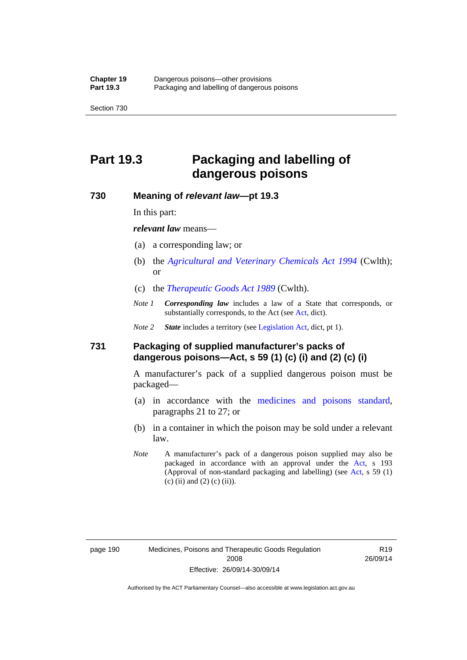## **Part 19.3 Packaging and labelling of dangerous poisons**

#### **730 Meaning of** *relevant law***—pt 19.3**

In this part:

*relevant law* means—

- (a) a corresponding law; or
- (b) the *[Agricultural and Veterinary Chemicals Act 1994](http://www.comlaw.gov.au/Series/C2004A04712)* (Cwlth); or
- (c) the *[Therapeutic Goods Act 1989](http://www.comlaw.gov.au/Series/C2004A03952)* (Cwlth).
- *Note 1 Corresponding law* includes a law of a State that corresponds, or substantially corresponds, to the [Act](http://www.legislation.act.gov.au/a/2008-26/default.asp) (see Act, dict).

*Note 2 State* includes a territory (see [Legislation Act,](http://www.legislation.act.gov.au/a/2001-14) dict, pt 1).

#### **731 Packaging of supplied manufacturer's packs of dangerous poisons—Act, s 59 (1) (c) (i) and (2) (c) (i)**

A manufacturer's pack of a supplied dangerous poison must be packaged—

- (a) in accordance with the [medicines and poisons standard](http://www.comlaw.gov.au/Series/F2012L01200), paragraphs 21 to 27; or
- (b) in a container in which the poison may be sold under a relevant law.
- *Note* A manufacturer's pack of a dangerous poison supplied may also be packaged in accordance with an approval under the [Act,](http://www.legislation.act.gov.au/a/2008-26/default.asp) s 193 (Approval of non-standard packaging and labelling) (see [Act](http://www.legislation.act.gov.au/a/2008-26/default.asp), s 59 (1)  $(c)$  (ii) and (2) (c) (ii)).

R19 26/09/14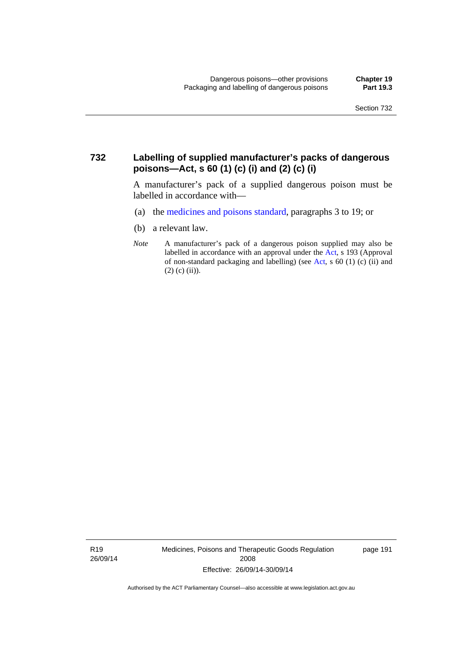#### **732 Labelling of supplied manufacturer's packs of dangerous poisons—Act, s 60 (1) (c) (i) and (2) (c) (i)**

A manufacturer's pack of a supplied dangerous poison must be labelled in accordance with—

- (a) the [medicines and poisons standard](http://www.comlaw.gov.au/Series/F2012L01200), paragraphs 3 to 19; or
- (b) a relevant law.
- *Note* A manufacturer's pack of a dangerous poison supplied may also be labelled in accordance with an approval under the [Act](http://www.legislation.act.gov.au/a/2008-26/default.asp), s 193 (Approval of non-standard packaging and labelling) (see [Act,](http://www.legislation.act.gov.au/a/2008-26/default.asp) s 60 (1) (c) (ii) and  $(2)$  (c) (ii)).

R19 26/09/14 Medicines, Poisons and Therapeutic Goods Regulation 2008 Effective: 26/09/14-30/09/14

page 191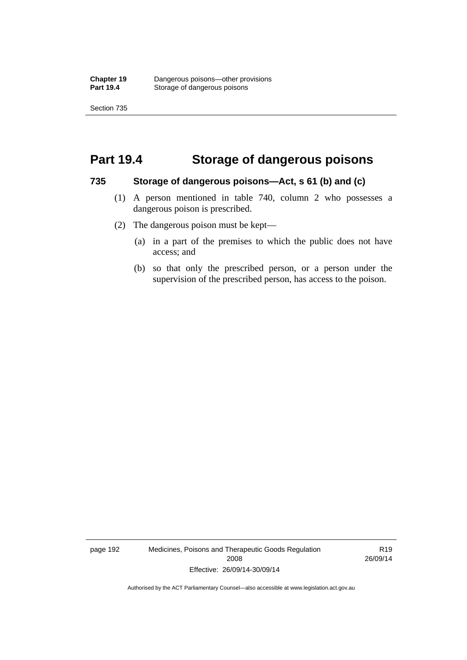### **Part 19.4 Storage of dangerous poisons**

#### **735 Storage of dangerous poisons—Act, s 61 (b) and (c)**

- (1) A person mentioned in table 740, column 2 who possesses a dangerous poison is prescribed.
- (2) The dangerous poison must be kept—
	- (a) in a part of the premises to which the public does not have access; and
	- (b) so that only the prescribed person, or a person under the supervision of the prescribed person, has access to the poison.

page 192 Medicines, Poisons and Therapeutic Goods Regulation 2008 Effective: 26/09/14-30/09/14

R19 26/09/14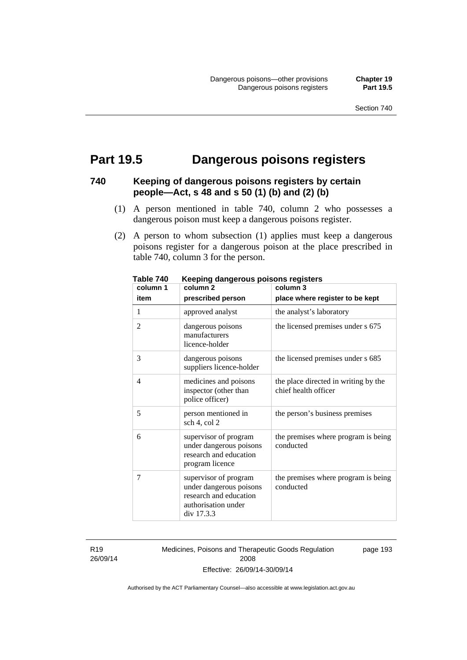page 193

# **Part 19.5 Dangerous poisons registers**

#### **740 Keeping of dangerous poisons registers by certain people—Act, s 48 and s 50 (1) (b) and (2) (b)**

- (1) A person mentioned in table 740, column 2 who possesses a dangerous poison must keep a dangerous poisons register.
- (2) A person to whom subsection (1) applies must keep a dangerous poisons register for a dangerous poison at the place prescribed in table 740, column 3 for the person.

| יז טושו<br>column 1 | nccping aangerous poisons registers<br>column <sub>2</sub>                                                      | column 3                                                     |
|---------------------|-----------------------------------------------------------------------------------------------------------------|--------------------------------------------------------------|
| item                | prescribed person                                                                                               | place where register to be kept                              |
| 1                   | approved analyst                                                                                                | the analyst's laboratory                                     |
| $\overline{2}$      | dangerous poisons<br>manufacturers<br>licence-holder                                                            | the licensed premises under s 675                            |
| 3                   | dangerous poisons<br>suppliers licence-holder                                                                   | the licensed premises under s 685                            |
| 4                   | medicines and poisons<br>inspector (other than<br>police officer)                                               | the place directed in writing by the<br>chief health officer |
| 5                   | person mentioned in<br>sch 4, col 2                                                                             | the person's business premises                               |
| 6                   | supervisor of program<br>under dangerous poisons<br>research and education<br>program licence                   | the premises where program is being<br>conducted             |
| 7                   | supervisor of program<br>under dangerous poisons<br>research and education<br>authorisation under<br>div 17.3.3 | the premises where program is being<br>conducted             |

**Table 740 Keeping dangerous poisons registers** 

R19 26/09/14 Medicines, Poisons and Therapeutic Goods Regulation 2008 Effective: 26/09/14-30/09/14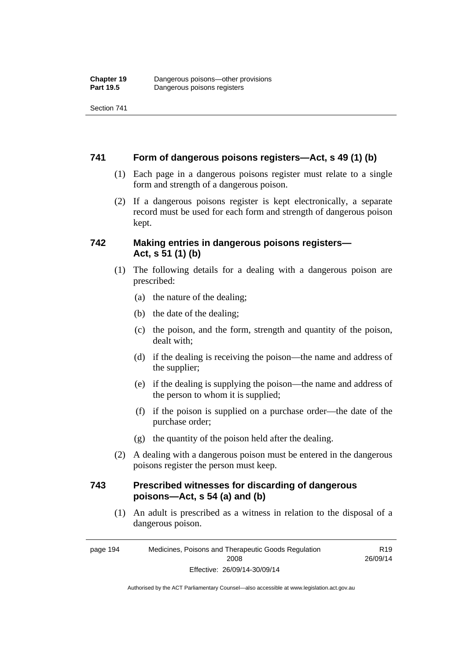Section 741

#### **741 Form of dangerous poisons registers—Act, s 49 (1) (b)**

- (1) Each page in a dangerous poisons register must relate to a single form and strength of a dangerous poison.
- (2) If a dangerous poisons register is kept electronically, a separate record must be used for each form and strength of dangerous poison kept.

#### **742 Making entries in dangerous poisons registers— Act, s 51 (1) (b)**

- (1) The following details for a dealing with a dangerous poison are prescribed:
	- (a) the nature of the dealing;
	- (b) the date of the dealing;
	- (c) the poison, and the form, strength and quantity of the poison, dealt with;
	- (d) if the dealing is receiving the poison—the name and address of the supplier;
	- (e) if the dealing is supplying the poison—the name and address of the person to whom it is supplied;
	- (f) if the poison is supplied on a purchase order—the date of the purchase order;
	- (g) the quantity of the poison held after the dealing.
- (2) A dealing with a dangerous poison must be entered in the dangerous poisons register the person must keep.

#### **743 Prescribed witnesses for discarding of dangerous poisons—Act, s 54 (a) and (b)**

 (1) An adult is prescribed as a witness in relation to the disposal of a dangerous poison.

page 194 Medicines, Poisons and Therapeutic Goods Regulation 2008 Effective: 26/09/14-30/09/14

R19 26/09/14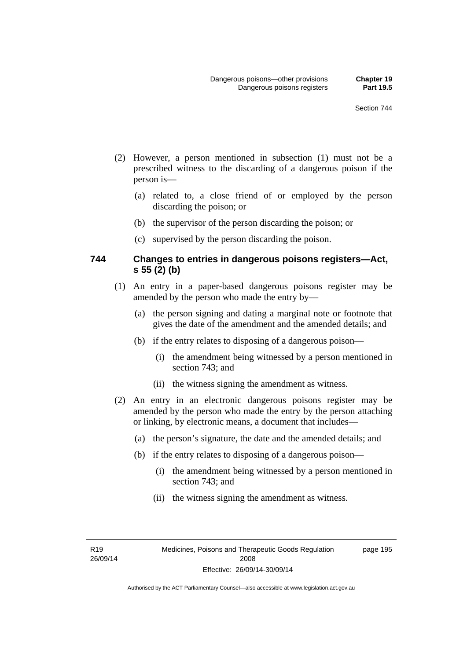page 195

- (2) However, a person mentioned in subsection (1) must not be a prescribed witness to the discarding of a dangerous poison if the person is—
	- (a) related to, a close friend of or employed by the person discarding the poison; or
	- (b) the supervisor of the person discarding the poison; or
	- (c) supervised by the person discarding the poison.

#### **744 Changes to entries in dangerous poisons registers—Act, s 55 (2) (b)**

- (1) An entry in a paper-based dangerous poisons register may be amended by the person who made the entry by—
	- (a) the person signing and dating a marginal note or footnote that gives the date of the amendment and the amended details; and
	- (b) if the entry relates to disposing of a dangerous poison—
		- (i) the amendment being witnessed by a person mentioned in section 743; and
		- (ii) the witness signing the amendment as witness.
- (2) An entry in an electronic dangerous poisons register may be amended by the person who made the entry by the person attaching or linking, by electronic means, a document that includes—
	- (a) the person's signature, the date and the amended details; and
	- (b) if the entry relates to disposing of a dangerous poison—
		- (i) the amendment being witnessed by a person mentioned in section 743; and
		- (ii) the witness signing the amendment as witness.

R19 26/09/14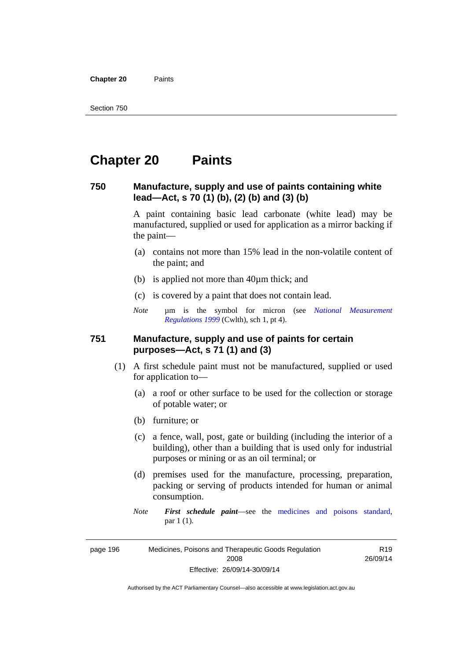**Chapter 20** Paints

# **Chapter 20 Paints**

#### **750 Manufacture, supply and use of paints containing white lead—Act, s 70 (1) (b), (2) (b) and (3) (b)**

A paint containing basic lead carbonate (white lead) may be manufactured, supplied or used for application as a mirror backing if the paint—

- (a) contains not more than 15% lead in the non-volatile content of the paint; and
- (b) is applied not more than 40µm thick; and
- (c) is covered by a paint that does not contain lead.
- *Note* um is the symbol for micron (see *National Measurement [Regulations 1999](http://www.comlaw.gov.au/Series/F1999B00110)* (Cwlth), sch 1, pt 4).

#### **751 Manufacture, supply and use of paints for certain purposes—Act, s 71 (1) and (3)**

- (1) A first schedule paint must not be manufactured, supplied or used for application to—
	- (a) a roof or other surface to be used for the collection or storage of potable water; or
	- (b) furniture; or
	- (c) a fence, wall, post, gate or building (including the interior of a building), other than a building that is used only for industrial purposes or mining or as an oil terminal; or
	- (d) premises used for the manufacture, processing, preparation, packing or serving of products intended for human or animal consumption.
	- *Note First schedule paint*—see the [medicines and poisons standard,](http://www.comlaw.gov.au/Series/F2012L01200) par 1 (1).

page 196 Medicines, Poisons and Therapeutic Goods Regulation 2008 Effective: 26/09/14-30/09/14

R19 26/09/14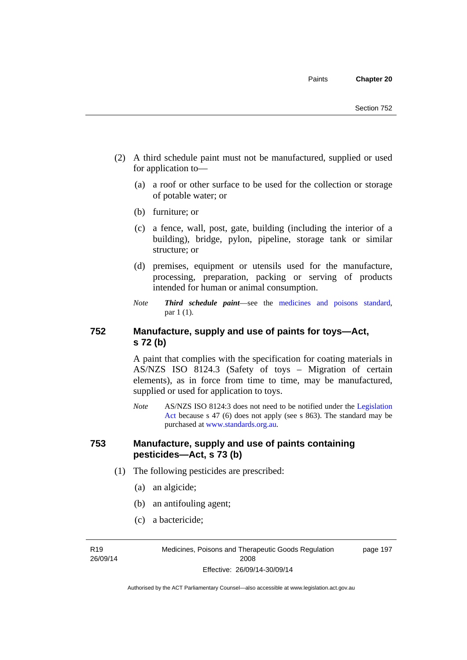- (2) A third schedule paint must not be manufactured, supplied or used for application to—
	- (a) a roof or other surface to be used for the collection or storage of potable water; or
	- (b) furniture; or
	- (c) a fence, wall, post, gate, building (including the interior of a building), bridge, pylon, pipeline, storage tank or similar structure; or
	- (d) premises, equipment or utensils used for the manufacture, processing, preparation, packing or serving of products intended for human or animal consumption.
	- *Note Third schedule paint*—see the [medicines and poisons standard,](http://www.comlaw.gov.au/Series/F2012L01200) par 1 (1).

#### **752 Manufacture, supply and use of paints for toys—Act, s 72 (b)**

A paint that complies with the specification for coating materials in AS/NZS ISO 8124.3 (Safety of toys – Migration of certain elements), as in force from time to time, may be manufactured, supplied or used for application to toys.

*Note* AS/NZS ISO 8124:3 does not need to be notified under the [Legislation](http://www.legislation.act.gov.au/a/2001-14)  [Act](http://www.legislation.act.gov.au/a/2001-14) because s 47 (6) does not apply (see s 863). The standard may be purchased at [www.standards.org.au.](http://www.standards.org.au/)

#### **753 Manufacture, supply and use of paints containing pesticides—Act, s 73 (b)**

- (1) The following pesticides are prescribed:
	- (a) an algicide;
	- (b) an antifouling agent;
	- (c) a bactericide;

R19 26/09/14 Medicines, Poisons and Therapeutic Goods Regulation 2008 Effective: 26/09/14-30/09/14

page 197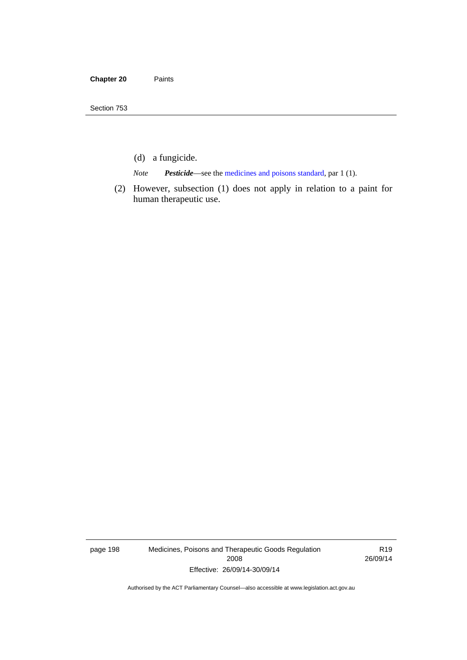- (d) a fungicide.
- *Note Pesticide*—see the [medicines and poisons standard,](http://www.comlaw.gov.au/Series/F2012L01200) par 1 (1).
- (2) However, subsection (1) does not apply in relation to a paint for human therapeutic use.

page 198 Medicines, Poisons and Therapeutic Goods Regulation 2008 Effective: 26/09/14-30/09/14

R19 26/09/14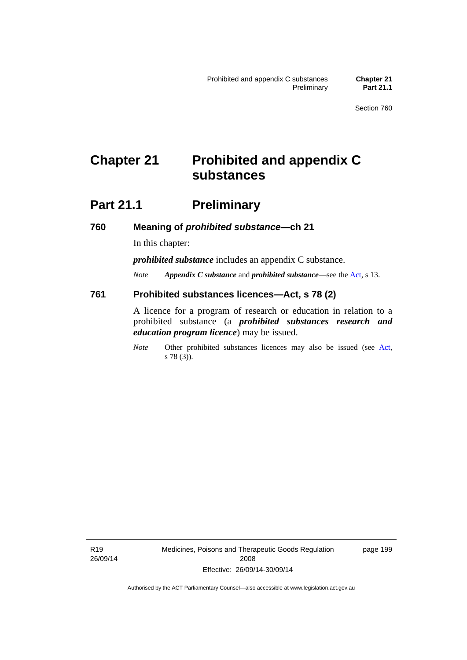# **Chapter 21 Prohibited and appendix C substances**

# **Part 21.1 Preliminary**

**760 Meaning of** *prohibited substance***—ch 21** 

In this chapter:

*prohibited substance* includes an appendix C substance.

*Note Appendix C substance* and *prohibited substance*—see the [Act,](http://www.legislation.act.gov.au/a/2008-26/default.asp) s 13.

#### **761 Prohibited substances licences—Act, s 78 (2)**

A licence for a program of research or education in relation to a prohibited substance (a *prohibited substances research and education program licence*) may be issued.

*Note* Other prohibited substances licences may also be issued (see [Act,](http://www.legislation.act.gov.au/a/2008-26/default.asp) s 78 (3)).

R19 26/09/14 Medicines, Poisons and Therapeutic Goods Regulation 2008 Effective: 26/09/14-30/09/14

page 199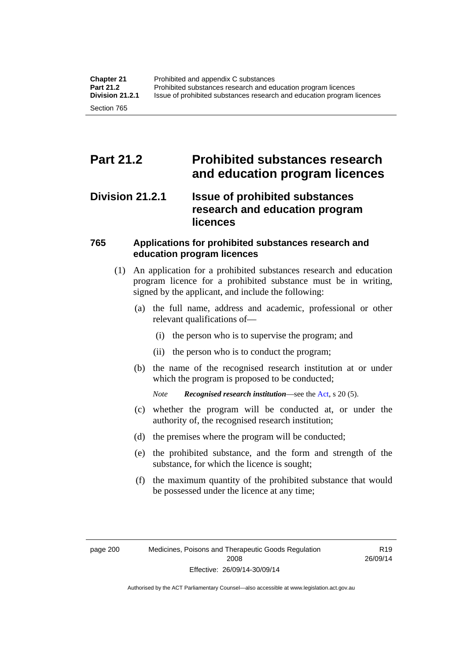# **Part 21.2 Prohibited substances research and education program licences**

### **Division 21.2.1 Issue of prohibited substances research and education program licences**

#### **765 Applications for prohibited substances research and education program licences**

- (1) An application for a prohibited substances research and education program licence for a prohibited substance must be in writing, signed by the applicant, and include the following:
	- (a) the full name, address and academic, professional or other relevant qualifications of—
		- (i) the person who is to supervise the program; and
		- (ii) the person who is to conduct the program;
	- (b) the name of the recognised research institution at or under which the program is proposed to be conducted;
		- *Note Recognised research institution*—see the [Act](http://www.legislation.act.gov.au/a/2008-26/default.asp), s 20 (5).
	- (c) whether the program will be conducted at, or under the authority of, the recognised research institution;
	- (d) the premises where the program will be conducted;
	- (e) the prohibited substance, and the form and strength of the substance, for which the licence is sought;
	- (f) the maximum quantity of the prohibited substance that would be possessed under the licence at any time;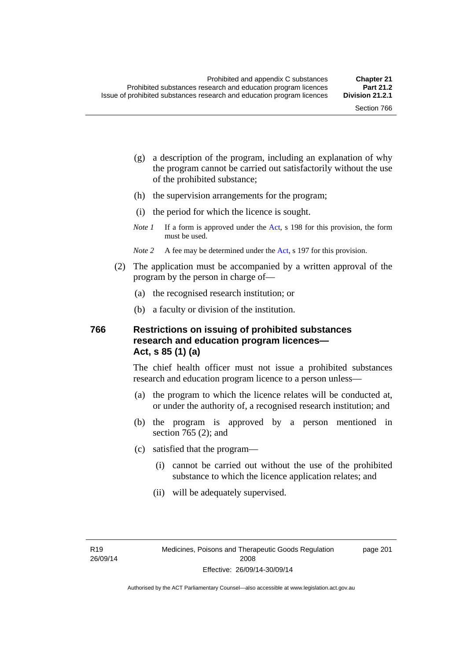page 201

- (g) a description of the program, including an explanation of why the program cannot be carried out satisfactorily without the use of the prohibited substance;
- (h) the supervision arrangements for the program;
- (i) the period for which the licence is sought.
- *Note 1* If a form is approved under the [Act](http://www.legislation.act.gov.au/a/2008-26/default.asp), s 198 for this provision, the form must be used.
- *Note* 2 A fee may be determined under the [Act,](http://www.legislation.act.gov.au/a/2008-26/default.asp) s 197 for this provision.
- (2) The application must be accompanied by a written approval of the program by the person in charge of—
	- (a) the recognised research institution; or
	- (b) a faculty or division of the institution.

#### **766 Restrictions on issuing of prohibited substances research and education program licences— Act, s 85 (1) (a)**

The chief health officer must not issue a prohibited substances research and education program licence to a person unless—

- (a) the program to which the licence relates will be conducted at, or under the authority of, a recognised research institution; and
- (b) the program is approved by a person mentioned in section 765 (2); and
- (c) satisfied that the program—
	- (i) cannot be carried out without the use of the prohibited substance to which the licence application relates; and
	- (ii) will be adequately supervised.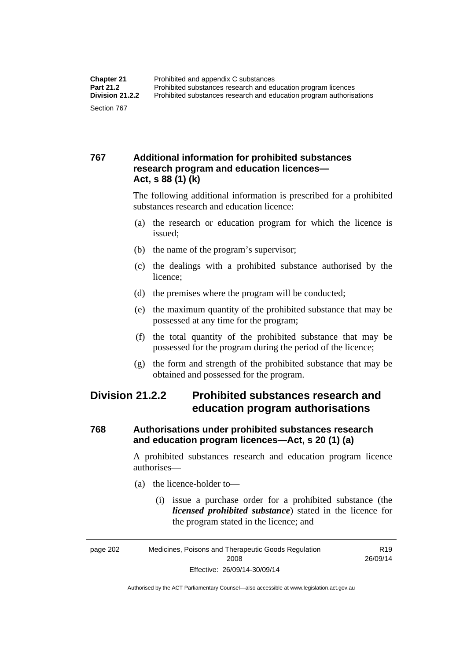#### **767 Additional information for prohibited substances research program and education licences— Act, s 88 (1) (k)**

The following additional information is prescribed for a prohibited substances research and education licence:

- (a) the research or education program for which the licence is issued;
- (b) the name of the program's supervisor;
- (c) the dealings with a prohibited substance authorised by the licence;
- (d) the premises where the program will be conducted;
- (e) the maximum quantity of the prohibited substance that may be possessed at any time for the program;
- (f) the total quantity of the prohibited substance that may be possessed for the program during the period of the licence;
- (g) the form and strength of the prohibited substance that may be obtained and possessed for the program.

## **Division 21.2.2 Prohibited substances research and education program authorisations**

#### **768 Authorisations under prohibited substances research and education program licences—Act, s 20 (1) (a)**

A prohibited substances research and education program licence authorises—

- (a) the licence-holder to—
	- (i) issue a purchase order for a prohibited substance (the *licensed prohibited substance*) stated in the licence for the program stated in the licence; and

R19 26/09/14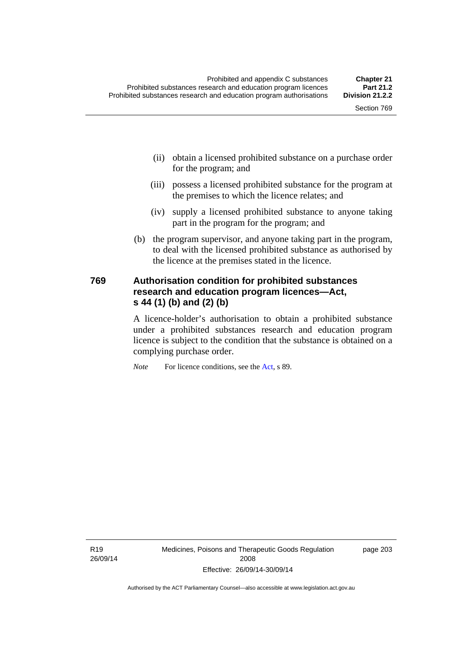- (ii) obtain a licensed prohibited substance on a purchase order for the program; and
- (iii) possess a licensed prohibited substance for the program at the premises to which the licence relates; and
- (iv) supply a licensed prohibited substance to anyone taking part in the program for the program; and
- (b) the program supervisor, and anyone taking part in the program, to deal with the licensed prohibited substance as authorised by the licence at the premises stated in the licence.

#### **769 Authorisation condition for prohibited substances research and education program licences—Act, s 44 (1) (b) and (2) (b)**

A licence-holder's authorisation to obtain a prohibited substance under a prohibited substances research and education program licence is subject to the condition that the substance is obtained on a complying purchase order.

*Note* For licence conditions, see the [Act](http://www.legislation.act.gov.au/a/2008-26/default.asp), s 89.

R19 26/09/14 Medicines, Poisons and Therapeutic Goods Regulation 2008 Effective: 26/09/14-30/09/14

page 203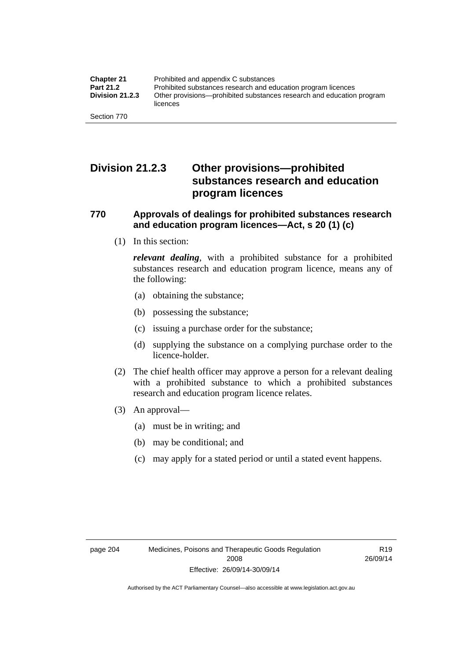## **Division 21.2.3 Other provisions—prohibited substances research and education program licences**

#### **770 Approvals of dealings for prohibited substances research and education program licences—Act, s 20 (1) (c)**

(1) In this section:

*relevant dealing*, with a prohibited substance for a prohibited substances research and education program licence, means any of the following:

- (a) obtaining the substance;
- (b) possessing the substance;
- (c) issuing a purchase order for the substance;
- (d) supplying the substance on a complying purchase order to the licence-holder.
- (2) The chief health officer may approve a person for a relevant dealing with a prohibited substance to which a prohibited substances research and education program licence relates.
- (3) An approval—
	- (a) must be in writing; and
	- (b) may be conditional; and
	- (c) may apply for a stated period or until a stated event happens.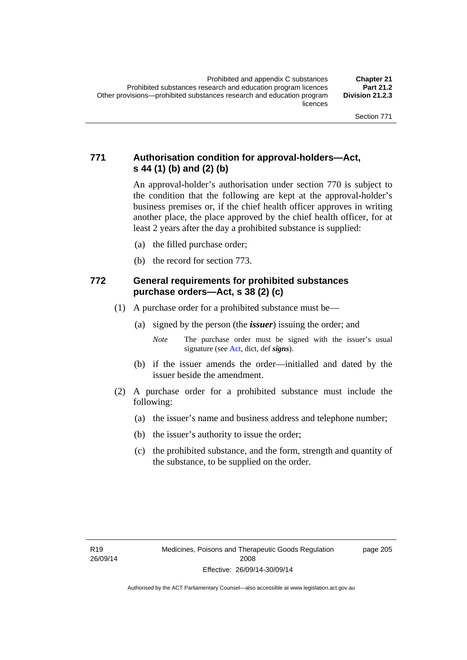#### **771 Authorisation condition for approval-holders—Act, s 44 (1) (b) and (2) (b)**

An approval-holder's authorisation under section 770 is subject to the condition that the following are kept at the approval-holder's business premises or, if the chief health officer approves in writing another place, the place approved by the chief health officer, for at least 2 years after the day a prohibited substance is supplied:

- (a) the filled purchase order;
- (b) the record for section 773.

#### **772 General requirements for prohibited substances purchase orders—Act, s 38 (2) (c)**

- (1) A purchase order for a prohibited substance must be—
	- (a) signed by the person (the *issuer*) issuing the order; and
		- *Note* The purchase order must be signed with the issuer's usual signature (see [Act](http://www.legislation.act.gov.au/a/2008-26/default.asp), dict, def *signs*).
	- (b) if the issuer amends the order—initialled and dated by the issuer beside the amendment.
- (2) A purchase order for a prohibited substance must include the following:
	- (a) the issuer's name and business address and telephone number;
	- (b) the issuer's authority to issue the order;
	- (c) the prohibited substance, and the form, strength and quantity of the substance, to be supplied on the order.

page 205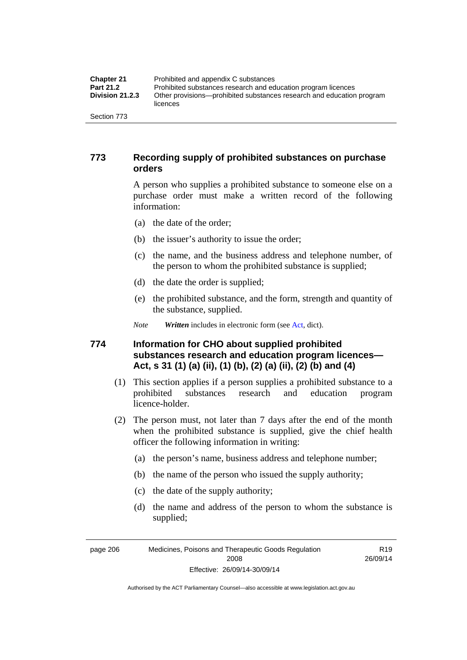| <b>Chapter 21</b>      | Prohibited and appendix C substances                                              |
|------------------------|-----------------------------------------------------------------------------------|
| <b>Part 21.2</b>       | Prohibited substances research and education program licences                     |
| <b>Division 21.2.3</b> | Other provisions—prohibited substances research and education program<br>licences |
| Section 773            |                                                                                   |

#### **773 Recording supply of prohibited substances on purchase orders**

A person who supplies a prohibited substance to someone else on a purchase order must make a written record of the following information:

- (a) the date of the order;
- (b) the issuer's authority to issue the order;
- (c) the name, and the business address and telephone number, of the person to whom the prohibited substance is supplied;
- (d) the date the order is supplied;
- (e) the prohibited substance, and the form, strength and quantity of the substance, supplied.
- *Note Written* includes in electronic form (see [Act,](http://www.legislation.act.gov.au/a/2008-26/default.asp) dict).

#### **774 Information for CHO about supplied prohibited substances research and education program licences— Act, s 31 (1) (a) (ii), (1) (b), (2) (a) (ii), (2) (b) and (4)**

- (1) This section applies if a person supplies a prohibited substance to a prohibited substances research and education program licence-holder.
- (2) The person must, not later than 7 days after the end of the month when the prohibited substance is supplied, give the chief health officer the following information in writing:
	- (a) the person's name, business address and telephone number;
	- (b) the name of the person who issued the supply authority;
	- (c) the date of the supply authority;
	- (d) the name and address of the person to whom the substance is supplied;

page 206 Medicines, Poisons and Therapeutic Goods Regulation 2008 Effective: 26/09/14-30/09/14

R19 26/09/14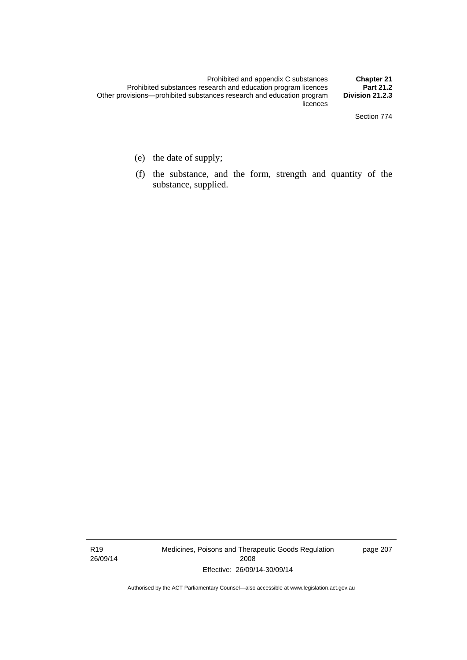- (e) the date of supply;
- (f) the substance, and the form, strength and quantity of the substance, supplied.

R19 26/09/14 Medicines, Poisons and Therapeutic Goods Regulation 2008 Effective: 26/09/14-30/09/14

page 207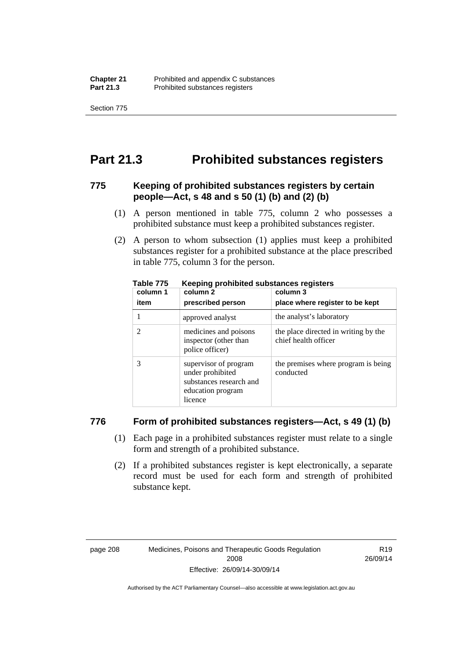Section 775

# **Part 21.3 Prohibited substances registers**

#### **775 Keeping of prohibited substances registers by certain people—Act, s 48 and s 50 (1) (b) and (2) (b)**

- (1) A person mentioned in table 775, column 2 who possesses a prohibited substance must keep a prohibited substances register.
- (2) A person to whom subsection (1) applies must keep a prohibited substances register for a prohibited substance at the place prescribed in table 775, column 3 for the person.

| column 1 | .<br>column 2                                                                                        | column 3                                                     |
|----------|------------------------------------------------------------------------------------------------------|--------------------------------------------------------------|
| item     | prescribed person                                                                                    | place where register to be kept                              |
|          | approved analyst                                                                                     | the analyst's laboratory                                     |
|          | medicines and poisons<br>inspector (other than<br>police officer)                                    | the place directed in writing by the<br>chief health officer |
|          | supervisor of program<br>under prohibited<br>substances research and<br>education program<br>licence | the premises where program is being<br>conducted             |

**Table 775 Keeping prohibited substances registers** 

#### **776 Form of prohibited substances registers—Act, s 49 (1) (b)**

- (1) Each page in a prohibited substances register must relate to a single form and strength of a prohibited substance.
- (2) If a prohibited substances register is kept electronically, a separate record must be used for each form and strength of prohibited substance kept.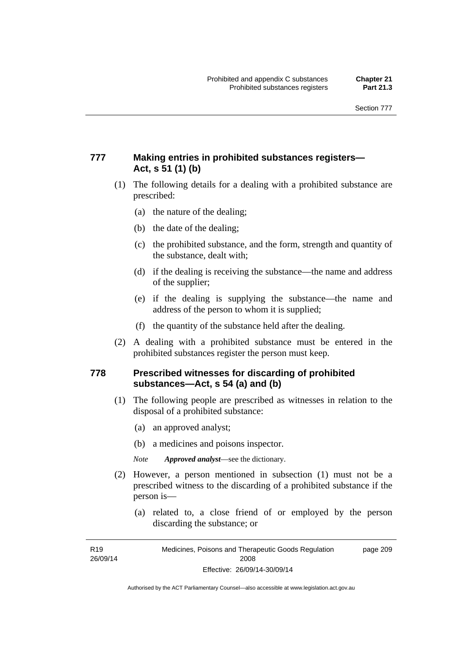#### **777 Making entries in prohibited substances registers— Act, s 51 (1) (b)**

- (1) The following details for a dealing with a prohibited substance are prescribed:
	- (a) the nature of the dealing;
	- (b) the date of the dealing;
	- (c) the prohibited substance, and the form, strength and quantity of the substance, dealt with;
	- (d) if the dealing is receiving the substance—the name and address of the supplier;
	- (e) if the dealing is supplying the substance—the name and address of the person to whom it is supplied;
	- (f) the quantity of the substance held after the dealing.
- (2) A dealing with a prohibited substance must be entered in the prohibited substances register the person must keep.

#### **778 Prescribed witnesses for discarding of prohibited substances—Act, s 54 (a) and (b)**

- (1) The following people are prescribed as witnesses in relation to the disposal of a prohibited substance:
	- (a) an approved analyst;
	- (b) a medicines and poisons inspector.

*Note Approved analyst*—see the dictionary.

- (2) However, a person mentioned in subsection (1) must not be a prescribed witness to the discarding of a prohibited substance if the person is—
	- (a) related to, a close friend of or employed by the person discarding the substance; or

R19 26/09/14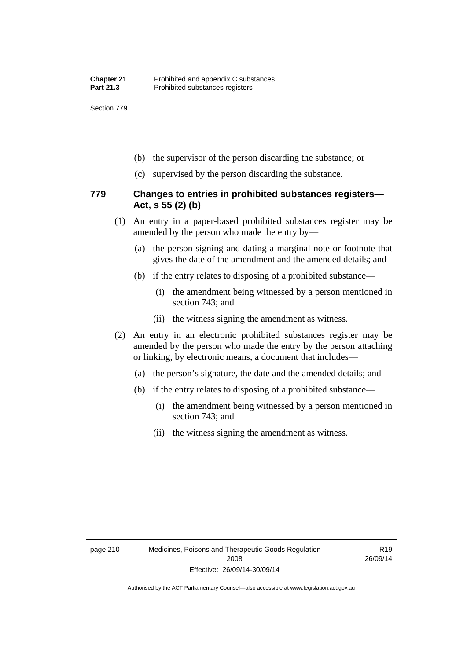Section 779

- (b) the supervisor of the person discarding the substance; or
- (c) supervised by the person discarding the substance.

#### **779 Changes to entries in prohibited substances registers— Act, s 55 (2) (b)**

- (1) An entry in a paper-based prohibited substances register may be amended by the person who made the entry by—
	- (a) the person signing and dating a marginal note or footnote that gives the date of the amendment and the amended details; and
	- (b) if the entry relates to disposing of a prohibited substance—
		- (i) the amendment being witnessed by a person mentioned in section 743; and
		- (ii) the witness signing the amendment as witness.
- (2) An entry in an electronic prohibited substances register may be amended by the person who made the entry by the person attaching or linking, by electronic means, a document that includes—
	- (a) the person's signature, the date and the amended details; and
	- (b) if the entry relates to disposing of a prohibited substance—
		- (i) the amendment being witnessed by a person mentioned in section 743; and
		- (ii) the witness signing the amendment as witness.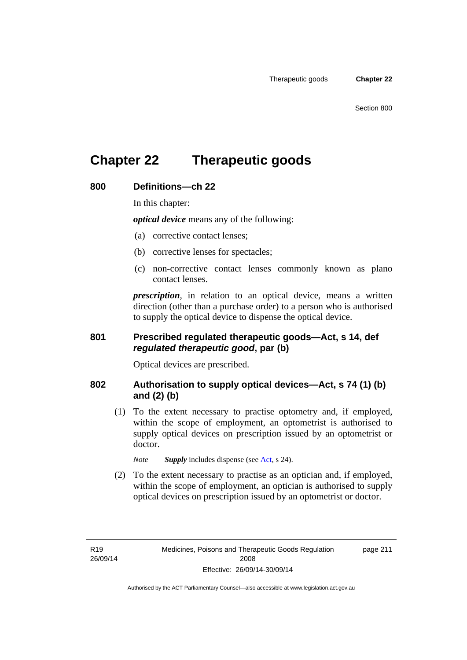# **Chapter 22 Therapeutic goods**

#### **800 Definitions—ch 22**

In this chapter:

*optical device* means any of the following:

- (a) corrective contact lenses;
- (b) corrective lenses for spectacles;
- (c) non-corrective contact lenses commonly known as plano contact lenses.

*prescription*, in relation to an optical device, means a written direction (other than a purchase order) to a person who is authorised to supply the optical device to dispense the optical device.

#### **801 Prescribed regulated therapeutic goods—Act, s 14, def**  *regulated therapeutic good***, par (b)**

Optical devices are prescribed.

#### **802 Authorisation to supply optical devices—Act, s 74 (1) (b) and (2) (b)**

 (1) To the extent necessary to practise optometry and, if employed, within the scope of employment, an optometrist is authorised to supply optical devices on prescription issued by an optometrist or doctor.

*Note Supply* includes dispense (see [Act,](http://www.legislation.act.gov.au/a/2008-26/default.asp) s 24).

 (2) To the extent necessary to practise as an optician and, if employed, within the scope of employment, an optician is authorised to supply optical devices on prescription issued by an optometrist or doctor.

page 211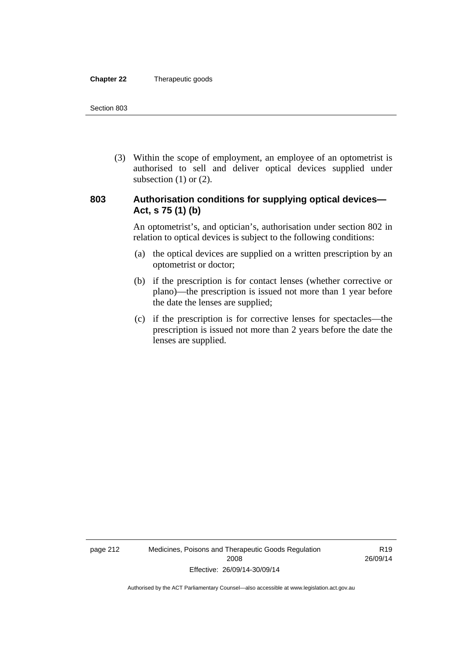#### **Chapter 22** Therapeutic goods

 (3) Within the scope of employment, an employee of an optometrist is authorised to sell and deliver optical devices supplied under subsection  $(1)$  or  $(2)$ .

#### **803 Authorisation conditions for supplying optical devices— Act, s 75 (1) (b)**

An optometrist's, and optician's, authorisation under section 802 in relation to optical devices is subject to the following conditions:

- (a) the optical devices are supplied on a written prescription by an optometrist or doctor;
- (b) if the prescription is for contact lenses (whether corrective or plano)—the prescription is issued not more than 1 year before the date the lenses are supplied;
- (c) if the prescription is for corrective lenses for spectacles—the prescription is issued not more than 2 years before the date the lenses are supplied.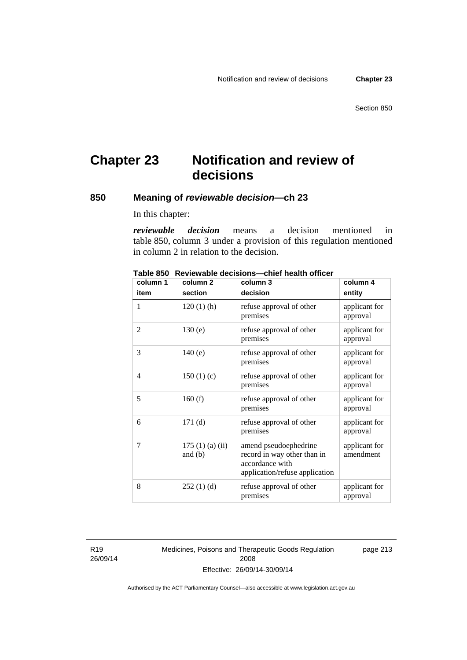# **Chapter 23 Notification and review of decisions**

#### **850 Meaning of** *reviewable decision—***ch 23**

In this chapter:

*reviewable decision* means a decision mentioned in table 850, column 3 under a provision of this regulation mentioned in column 2 in relation to the decision.

| column 1       | column <sub>2</sub>        | column 3                                                                                                  | column 4                   |
|----------------|----------------------------|-----------------------------------------------------------------------------------------------------------|----------------------------|
| item           | section                    | decision                                                                                                  | entity                     |
| 1              | $120(1)$ (h)               | refuse approval of other<br>premises                                                                      | applicant for<br>approval  |
| $\overline{2}$ | 130(e)                     | refuse approval of other<br>premises                                                                      | applicant for<br>approval  |
| 3              | 140(e)                     | refuse approval of other<br>premises                                                                      | applicant for<br>approval  |
| 4              | 150(1)(c)                  | refuse approval of other<br>premises                                                                      | applicant for<br>approval  |
| 5              | 160(f)                     | refuse approval of other<br>premises                                                                      | applicant for<br>approval  |
| 6              | 171(d)                     | refuse approval of other<br>premises                                                                      | applicant for<br>approval  |
| 7              | 175(1)(a)(ii)<br>and $(b)$ | amend pseudoephedrine<br>record in way other than in<br>accordance with<br>application/refuse application | applicant for<br>amendment |
| 8              | 252(1)(d)                  | refuse approval of other<br>premises                                                                      | applicant for<br>approval  |

**Table 850 Reviewable decisions—chief health officer** 

R19 26/09/14 Medicines, Poisons and Therapeutic Goods Regulation 2008 Effective: 26/09/14-30/09/14

page 213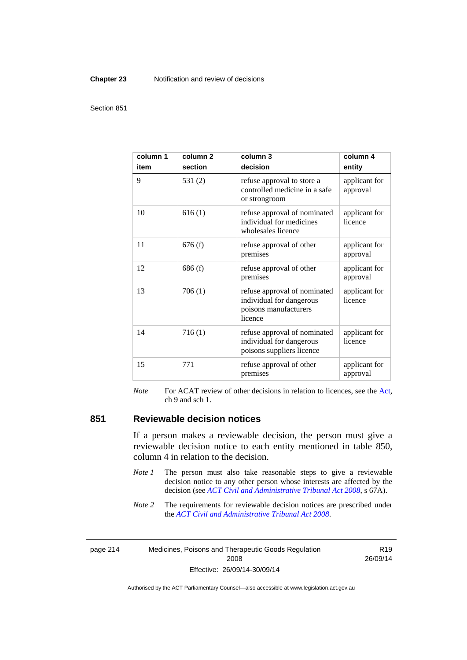#### **Chapter 23** Notification and review of decisions

#### Section 851

| column 1<br>item | column <sub>2</sub><br>section | column 3<br>decision                                                                         | column 4<br>entity        |
|------------------|--------------------------------|----------------------------------------------------------------------------------------------|---------------------------|
| 9                | 531(2)                         | refuse approval to store a<br>controlled medicine in a safe<br>or strongroom                 | applicant for<br>approval |
| 10               | 616(1)                         | refuse approval of nominated<br>individual for medicines<br>wholesales licence               | applicant for<br>licence  |
| 11               | 676(f)                         | refuse approval of other<br>premises                                                         | applicant for<br>approval |
| 12               | 686(f)                         | refuse approval of other<br>premises                                                         | applicant for<br>approval |
| 13               | 706(1)                         | refuse approval of nominated<br>individual for dangerous<br>poisons manufacturers<br>licence | applicant for<br>licence  |
| 14               | 716(1)                         | refuse approval of nominated<br>individual for dangerous<br>poisons suppliers licence        | applicant for<br>licence  |
| 15               | 771                            | refuse approval of other<br>premises                                                         | applicant for<br>approval |

*Note* For ACAT review of other decisions in relation to licences, see the [Act,](http://www.legislation.act.gov.au/a/2008-26/default.asp) ch 9 and sch 1.

#### **851 Reviewable decision notices**

If a person makes a reviewable decision, the person must give a reviewable decision notice to each entity mentioned in table 850, column 4 in relation to the decision.

- *Note 1* The person must also take reasonable steps to give a reviewable decision notice to any other person whose interests are affected by the decision (see *[ACT Civil and Administrative Tribunal Act 2008](http://www.legislation.act.gov.au/a/2008-35)*, s 67A).
- *Note* 2 The requirements for reviewable decision notices are prescribed under the *[ACT Civil and Administrative Tribunal Act 2008](http://www.legislation.act.gov.au/a/2008-35)*.

page 214 Medicines, Poisons and Therapeutic Goods Regulation 2008 Effective: 26/09/14-30/09/14

R19 26/09/14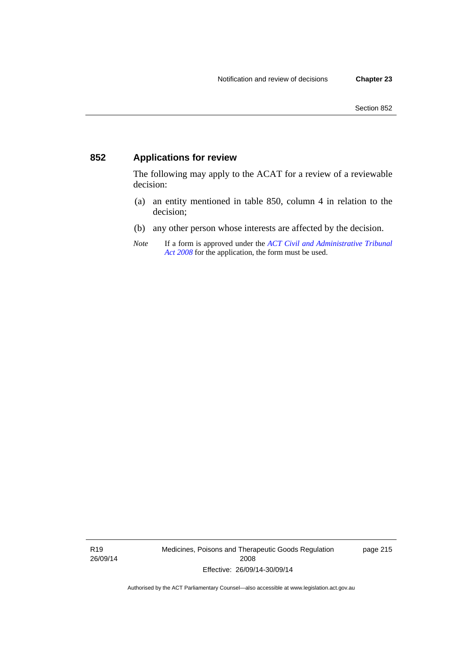### **852 Applications for review**

The following may apply to the ACAT for a review of a reviewable decision:

- (a) an entity mentioned in table 850, column 4 in relation to the decision;
- (b) any other person whose interests are affected by the decision.
- *Note* If a form is approved under the *[ACT Civil and Administrative Tribunal](http://www.legislation.act.gov.au/a/2008-35)  [Act 2008](http://www.legislation.act.gov.au/a/2008-35)* for the application, the form must be used.

R19 26/09/14 Medicines, Poisons and Therapeutic Goods Regulation 2008 Effective: 26/09/14-30/09/14

page 215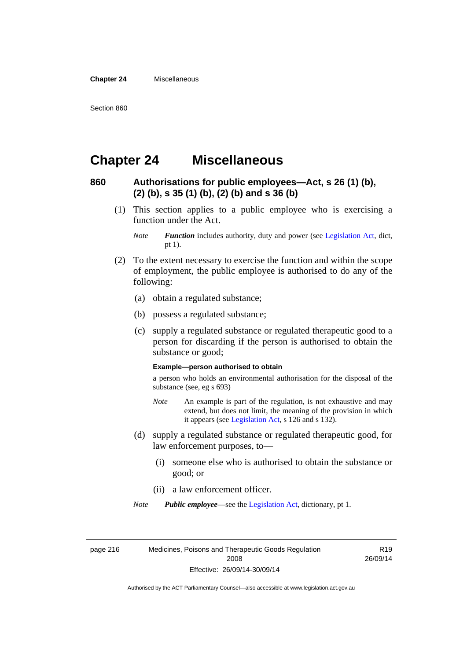**Chapter 24** Miscellaneous

# **Chapter 24 Miscellaneous**

#### **860 Authorisations for public employees—Act, s 26 (1) (b), (2) (b), s 35 (1) (b), (2) (b) and s 36 (b)**

 (1) This section applies to a public employee who is exercising a function under the Act.

- (2) To the extent necessary to exercise the function and within the scope of employment, the public employee is authorised to do any of the following:
	- (a) obtain a regulated substance;
	- (b) possess a regulated substance;
	- (c) supply a regulated substance or regulated therapeutic good to a person for discarding if the person is authorised to obtain the substance or good;

#### **Example—person authorised to obtain**

a person who holds an environmental authorisation for the disposal of the substance (see, eg s 693)

- *Note* An example is part of the regulation, is not exhaustive and may extend, but does not limit, the meaning of the provision in which it appears (see [Legislation Act,](http://www.legislation.act.gov.au/a/2001-14) s 126 and s 132).
- (d) supply a regulated substance or regulated therapeutic good, for law enforcement purposes, to—
	- (i) someone else who is authorised to obtain the substance or good; or
	- (ii) a law enforcement officer.

*Note Public employee*—see the [Legislation Act,](http://www.legislation.act.gov.au/a/2001-14) dictionary, pt 1.

page 216 Medicines, Poisons and Therapeutic Goods Regulation 2008 Effective: 26/09/14-30/09/14

R19 26/09/14

*Note Function* includes authority, duty and power (see [Legislation Act](http://www.legislation.act.gov.au/a/2001-14), dict, pt 1).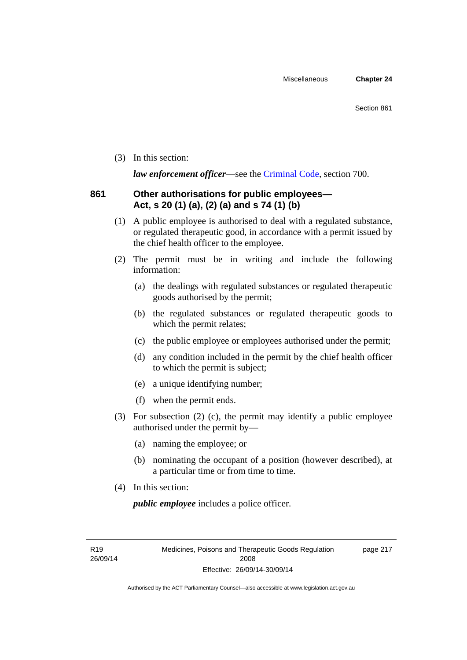(3) In this section:

*law enforcement officer*—see the [Criminal Code,](http://www.legislation.act.gov.au/a/2002-51) section 700.

#### **861 Other authorisations for public employees— Act, s 20 (1) (a), (2) (a) and s 74 (1) (b)**

- (1) A public employee is authorised to deal with a regulated substance, or regulated therapeutic good, in accordance with a permit issued by the chief health officer to the employee.
- (2) The permit must be in writing and include the following information:
	- (a) the dealings with regulated substances or regulated therapeutic goods authorised by the permit;
	- (b) the regulated substances or regulated therapeutic goods to which the permit relates;
	- (c) the public employee or employees authorised under the permit;
	- (d) any condition included in the permit by the chief health officer to which the permit is subject;
	- (e) a unique identifying number;
	- (f) when the permit ends.
- (3) For subsection (2) (c), the permit may identify a public employee authorised under the permit by—
	- (a) naming the employee; or
	- (b) nominating the occupant of a position (however described), at a particular time or from time to time.
- (4) In this section:

*public employee* includes a police officer.

R19 26/09/14 page 217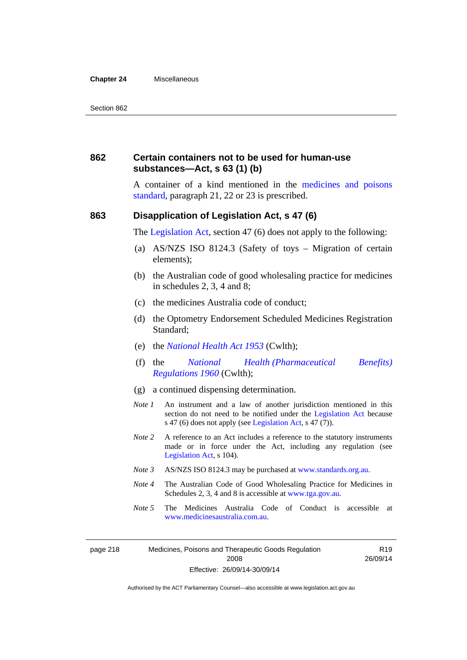#### **Chapter 24** Miscellaneous

#### **862 Certain containers not to be used for human-use substances—Act, s 63 (1) (b)**

A container of a kind mentioned in the [medicines and poisons](http://www.comlaw.gov.au/Series/F2012L01200)  [standard,](http://www.comlaw.gov.au/Series/F2012L01200) paragraph 21, 22 or 23 is prescribed.

#### **863 Disapplication of Legislation Act, s 47 (6)**

The [Legislation Act](http://www.legislation.act.gov.au/a/2001-14), section 47 (6) does not apply to the following:

- (a) AS/NZS ISO 8124.3 (Safety of toys Migration of certain elements);
- (b) the Australian code of good wholesaling practice for medicines in schedules 2, 3, 4 and 8;
- (c) the medicines Australia code of conduct;
- (d) the Optometry Endorsement Scheduled Medicines Registration Standard;
- (e) the *[National Health Act 1953](http://www.comlaw.gov.au/Series/C1953A00095)* (Cwlth);
- (f) the *[National Health \(Pharmaceutical Benefits\)](http://www.comlaw.gov.au/Series/F1996B02844)  [Regulations 1960](http://www.comlaw.gov.au/Series/F1996B02844)* (Cwlth);
- (g) a continued dispensing determination.
- *Note 1* An instrument and a law of another jurisdiction mentioned in this section do not need to be notified under the [Legislation Act](http://www.legislation.act.gov.au/a/2001-14) because s 47 (6) does not apply (see [Legislation Act](http://www.legislation.act.gov.au/a/2001-14), s 47 (7)).
- *Note 2* A reference to an Act includes a reference to the statutory instruments made or in force under the Act, including any regulation (see [Legislation Act,](http://www.legislation.act.gov.au/a/2001-14) s 104).
- *Note 3* AS/NZS ISO 8124.3 may be purchased at [www.standards.org.au.](http://www.standards.org.au/)
- *Note 4* The Australian Code of Good Wholesaling Practice for Medicines in Schedules 2, 3, 4 and 8 is accessible at [www.tga.gov.au.](http://www.tga.gov.au/)
- *Note 5* The Medicines Australia Code of Conduct is accessible at [www.medicinesaustralia.com.au](http://www.medicinesaustralia.com.au/).

R19 26/09/14

page 218 Medicines, Poisons and Therapeutic Goods Regulation 2008 Effective: 26/09/14-30/09/14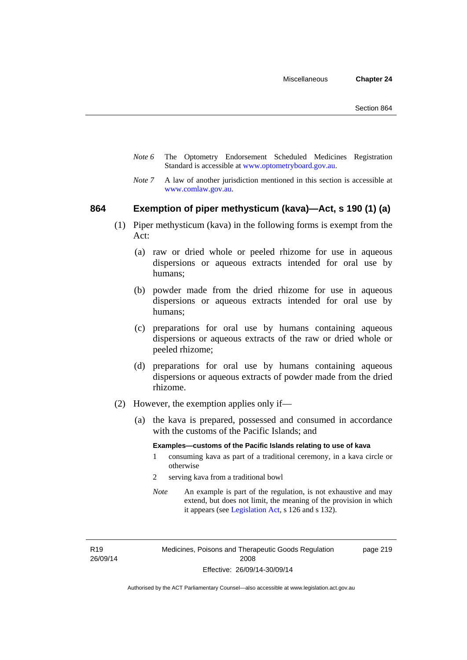- *Note 6* The Optometry Endorsement Scheduled Medicines Registration Standard is accessible at [www.optometryboard.gov.au](http://www.optometryboard.gov.au/).
- *Note* 7 A law of another jurisdiction mentioned in this section is accessible at [www.comlaw.gov.au](http://www.comlaw.gov.au/).

#### **864 Exemption of piper methysticum (kava)—Act, s 190 (1) (a)**

- (1) Piper methysticum (kava) in the following forms is exempt from the Act:
	- (a) raw or dried whole or peeled rhizome for use in aqueous dispersions or aqueous extracts intended for oral use by humans;
	- (b) powder made from the dried rhizome for use in aqueous dispersions or aqueous extracts intended for oral use by humans;
	- (c) preparations for oral use by humans containing aqueous dispersions or aqueous extracts of the raw or dried whole or peeled rhizome;
	- (d) preparations for oral use by humans containing aqueous dispersions or aqueous extracts of powder made from the dried rhizome.
- (2) However, the exemption applies only if—
	- (a) the kava is prepared, possessed and consumed in accordance with the customs of the Pacific Islands; and

#### **Examples—customs of the Pacific Islands relating to use of kava**

- 1 consuming kava as part of a traditional ceremony, in a kava circle or otherwise
- 2 serving kava from a traditional bowl
- *Note* An example is part of the regulation, is not exhaustive and may extend, but does not limit, the meaning of the provision in which it appears (see [Legislation Act,](http://www.legislation.act.gov.au/a/2001-14) s 126 and s 132).

R19 26/09/14 page 219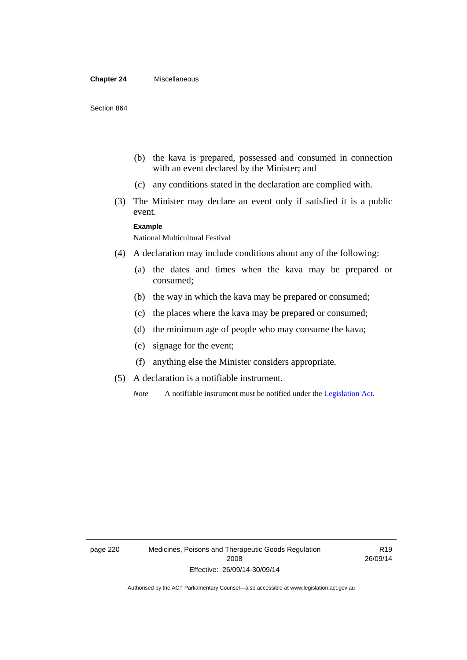#### **Chapter 24** Miscellaneous

- (b) the kava is prepared, possessed and consumed in connection with an event declared by the Minister; and
- (c) any conditions stated in the declaration are complied with.
- (3) The Minister may declare an event only if satisfied it is a public event.

#### **Example**

National Multicultural Festival

- (4) A declaration may include conditions about any of the following:
	- (a) the dates and times when the kava may be prepared or consumed;
	- (b) the way in which the kava may be prepared or consumed;
	- (c) the places where the kava may be prepared or consumed;
	- (d) the minimum age of people who may consume the kava;
	- (e) signage for the event;
	- (f) anything else the Minister considers appropriate.
- (5) A declaration is a notifiable instrument.

*Note* A notifiable instrument must be notified under the [Legislation Act](http://www.legislation.act.gov.au/a/2001-14).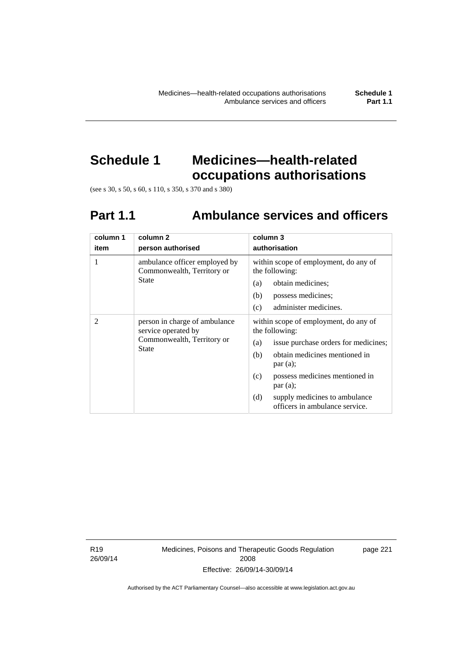# **Schedule 1 Medicines—health-related**

**occupations authorisations** 

(see s 30, s 50, s 60, s 110, s 350, s 370 and s 380)

# **Part 1.1 Ambulance services and officers**

| column 1<br>item | column <sub>2</sub><br>person authorised                                                           | column 3<br>authorisation                                                                                                                                                                                                                                                               |
|------------------|----------------------------------------------------------------------------------------------------|-----------------------------------------------------------------------------------------------------------------------------------------------------------------------------------------------------------------------------------------------------------------------------------------|
| 1                | ambulance officer employed by<br>Commonwealth, Territory or<br><b>State</b>                        | within scope of employment, do any of<br>the following:<br>obtain medicines;<br>(a)<br>possess medicines;<br>(b)<br>administer medicines.<br>(c)                                                                                                                                        |
| 2                | person in charge of ambulance<br>service operated by<br>Commonwealth, Territory or<br><b>State</b> | within scope of employment, do any of<br>the following:<br>issue purchase orders for medicines;<br>(a)<br>obtain medicines mentioned in<br>(b)<br>par(a);<br>possess medicines mentioned in<br>(c)<br>par(a);<br>supply medicines to ambulance<br>(d)<br>officers in ambulance service. |

R19 26/09/14 Medicines, Poisons and Therapeutic Goods Regulation 2008 Effective: 26/09/14-30/09/14

page 221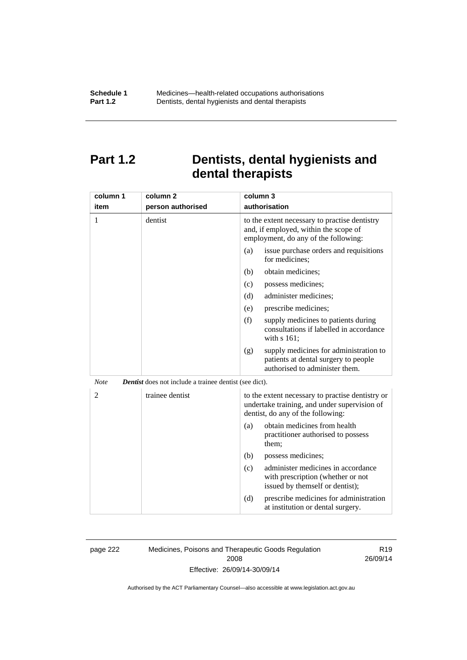# **Part 1.2 Dentists, dental hygienists and dental therapists**

| column 1       | column <sub>2</sub>                                           | column 3                                                                                                                              |  |
|----------------|---------------------------------------------------------------|---------------------------------------------------------------------------------------------------------------------------------------|--|
| item           | person authorised                                             | authorisation                                                                                                                         |  |
| 1              | dentist                                                       | to the extent necessary to practise dentistry<br>and, if employed, within the scope of<br>employment, do any of the following:        |  |
|                |                                                               | (a)<br>issue purchase orders and requisitions<br>for medicines;                                                                       |  |
|                |                                                               | obtain medicines;<br>(b)                                                                                                              |  |
|                |                                                               | (c)<br>possess medicines;                                                                                                             |  |
|                |                                                               | (d)<br>administer medicines;                                                                                                          |  |
|                |                                                               | prescribe medicines;<br>(e)                                                                                                           |  |
|                |                                                               | (f)<br>supply medicines to patients during<br>consultations if labelled in accordance<br>with s 161;                                  |  |
|                |                                                               | supply medicines for administration to<br>(g)<br>patients at dental surgery to people<br>authorised to administer them.               |  |
| <b>Note</b>    | <b>Dentist</b> does not include a trainee dentist (see dict). |                                                                                                                                       |  |
| $\overline{c}$ | trainee dentist                                               | to the extent necessary to practise dentistry or<br>undertake training, and under supervision of<br>dentist, do any of the following: |  |
|                |                                                               | obtain medicines from health<br>(a)<br>practitioner authorised to possess<br>them;                                                    |  |
|                |                                                               | (b)<br>possess medicines;                                                                                                             |  |
|                |                                                               | administer medicines in accordance<br>(c)<br>with prescription (whether or not<br>issued by themself or dentist);                     |  |
|                |                                                               | (d)<br>prescribe medicines for administration<br>at institution or dental surgery.                                                    |  |

page 222 Medicines, Poisons and Therapeutic Goods Regulation 2008 Effective: 26/09/14-30/09/14

R19 26/09/14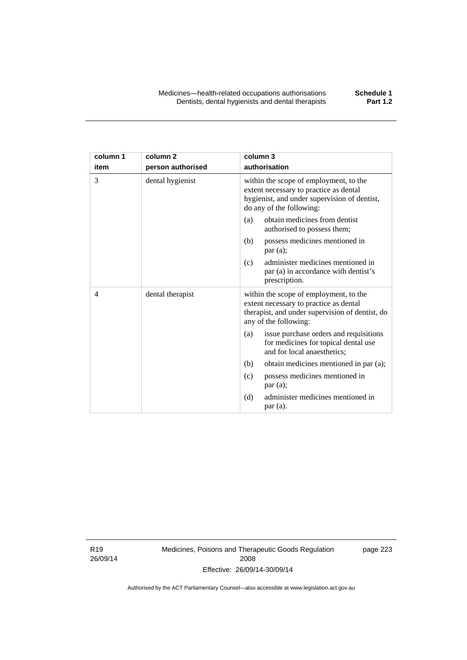| column 1 | column <sub>2</sub> | column 3                                                                                                                                                     |
|----------|---------------------|--------------------------------------------------------------------------------------------------------------------------------------------------------------|
| item     | person authorised   | authorisation                                                                                                                                                |
| 3        | dental hygienist    | within the scope of employment, to the<br>extent necessary to practice as dental<br>hygienist, and under supervision of dentist,<br>do any of the following: |
|          |                     | obtain medicines from dentist<br>(a)<br>authorised to possess them;                                                                                          |
|          |                     | (b)<br>possess medicines mentioned in<br>par(a);                                                                                                             |
|          |                     | administer medicines mentioned in<br>(c)<br>par (a) in accordance with dentist's<br>prescription.                                                            |
| 4        | dental therapist    | within the scope of employment, to the<br>extent necessary to practice as dental<br>therapist, and under supervision of dentist, do<br>any of the following: |
|          |                     | issue purchase orders and requisitions<br>(a)<br>for medicines for topical dental use<br>and for local anaesthetics;                                         |
|          |                     | obtain medicines mentioned in par (a);<br>(b)                                                                                                                |
|          |                     | possess medicines mentioned in<br>(c)<br>par(a);                                                                                                             |
|          |                     | administer medicines mentioned in<br>(d)<br>par(a).                                                                                                          |

R19 26/09/14 Medicines, Poisons and Therapeutic Goods Regulation 2008 Effective: 26/09/14-30/09/14

page 223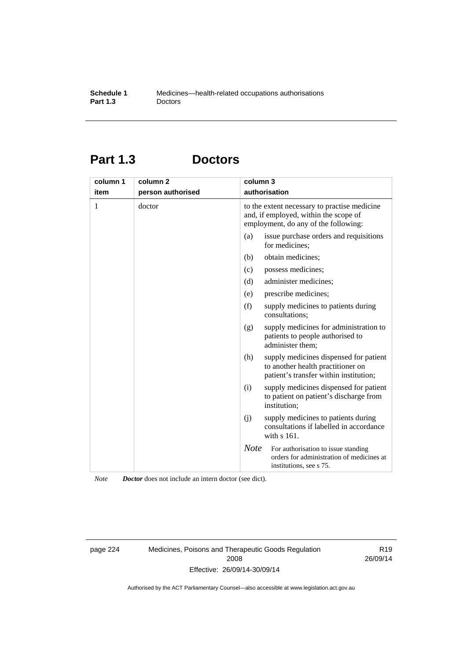# **Part 1.3 Doctors**

| column 1<br>item | column <sub>2</sub><br>person authorised | column 3    | authorisation                                                                                                                 |
|------------------|------------------------------------------|-------------|-------------------------------------------------------------------------------------------------------------------------------|
| 1                | doctor                                   |             | to the extent necessary to practise medicine<br>and, if employed, within the scope of<br>employment, do any of the following: |
|                  |                                          | (a)         | issue purchase orders and requisitions<br>for medicines;                                                                      |
|                  |                                          | (b)         | obtain medicines;                                                                                                             |
|                  |                                          | (c)         | possess medicines;                                                                                                            |
|                  |                                          | (d)         | administer medicines;                                                                                                         |
|                  |                                          | (e)         | prescribe medicines;                                                                                                          |
|                  |                                          | (f)         | supply medicines to patients during<br>consultations;                                                                         |
|                  |                                          | (g)         | supply medicines for administration to<br>patients to people authorised to<br>administer them;                                |
|                  |                                          | (h)         | supply medicines dispensed for patient<br>to another health practitioner on<br>patient's transfer within institution;         |
|                  |                                          | (i)         | supply medicines dispensed for patient<br>to patient on patient's discharge from<br>institution;                              |
|                  |                                          | (i)         | supply medicines to patients during<br>consultations if labelled in accordance<br>with s 161.                                 |
|                  |                                          | <b>Note</b> | For authorisation to issue standing<br>orders for administration of medicines at<br>institutions, see s 75.                   |

*Note Doctor* does not include an intern doctor (see dict).

page 224 Medicines, Poisons and Therapeutic Goods Regulation 2008 Effective: 26/09/14-30/09/14

R19 26/09/14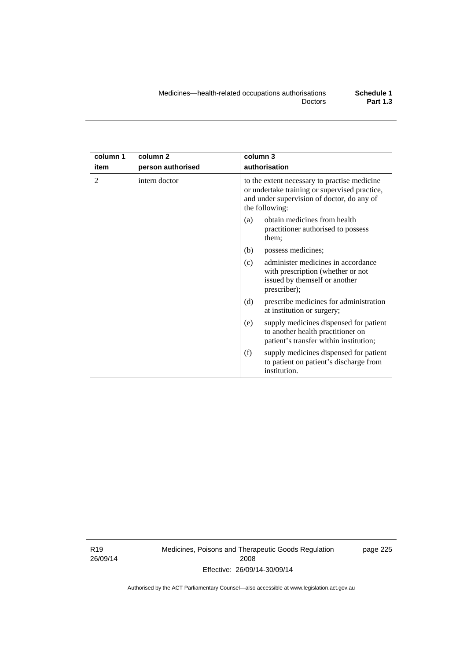| column 1<br>item | column <sub>2</sub><br>person authorised | column 3<br>authorisation                                                                                                                                     |  |
|------------------|------------------------------------------|---------------------------------------------------------------------------------------------------------------------------------------------------------------|--|
| 2                | intern doctor                            | to the extent necessary to practise medicine<br>or undertake training or supervised practice,<br>and under supervision of doctor, do any of<br>the following: |  |
|                  |                                          | obtain medicines from health<br>(a)<br>practitioner authorised to possess<br>them;                                                                            |  |
|                  |                                          | (b)<br>possess medicines;                                                                                                                                     |  |
|                  |                                          | administer medicines in accordance<br>(c)<br>with prescription (whether or not<br>issued by themself or another<br>prescriber);                               |  |
|                  |                                          | (d)<br>prescribe medicines for administration<br>at institution or surgery;                                                                                   |  |
|                  |                                          | supply medicines dispensed for patient<br>(e)<br>to another health practitioner on<br>patient's transfer within institution;                                  |  |
|                  |                                          | (f)<br>supply medicines dispensed for patient<br>to patient on patient's discharge from<br>institution.                                                       |  |

R19 26/09/14 Medicines, Poisons and Therapeutic Goods Regulation 2008 Effective: 26/09/14-30/09/14

page 225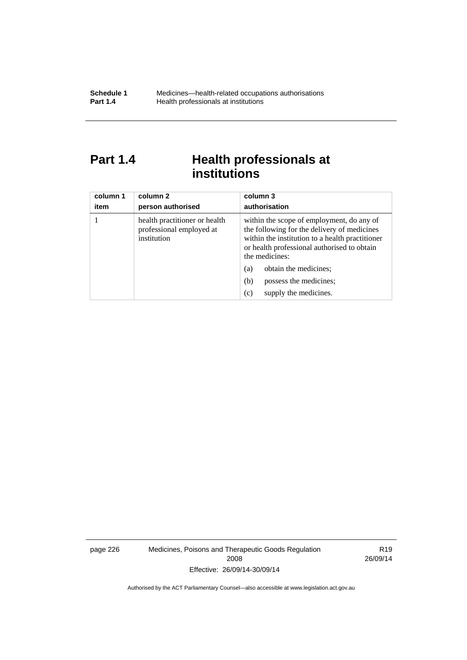# Part 1.4 **Health professionals at institutions**

| column 1<br>item | column 2<br>person authorised                                            | column 3<br>authorisation                                                                                                                                                                                    |
|------------------|--------------------------------------------------------------------------|--------------------------------------------------------------------------------------------------------------------------------------------------------------------------------------------------------------|
|                  | health practitioner or health<br>professional employed at<br>institution | within the scope of employment, do any of<br>the following for the delivery of medicines<br>within the institution to a health practitioner<br>or health professional authorised to obtain<br>the medicines: |
|                  |                                                                          | obtain the medicines;<br>(a)                                                                                                                                                                                 |
|                  |                                                                          | possess the medicines;<br>(b)                                                                                                                                                                                |
|                  |                                                                          | supply the medicines.<br>(c)                                                                                                                                                                                 |

page 226 Medicines, Poisons and Therapeutic Goods Regulation 2008 Effective: 26/09/14-30/09/14

R19 26/09/14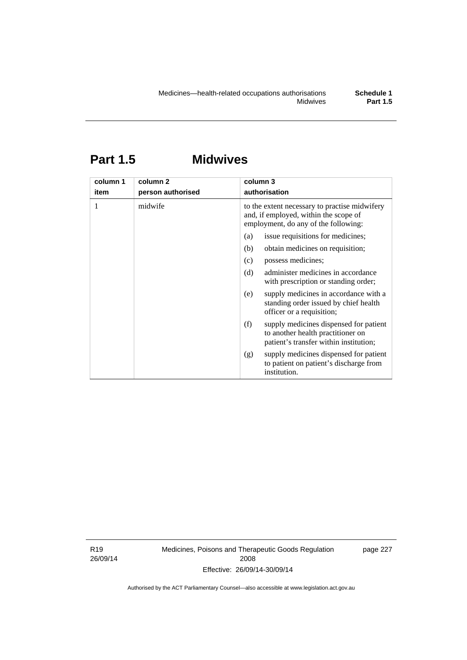# **Part 1.5 Midwives**

| column 1<br>item | column 2<br>person authorised | column 3<br>authorisation                                                                                                      |  |
|------------------|-------------------------------|--------------------------------------------------------------------------------------------------------------------------------|--|
|                  | midwife                       | to the extent necessary to practise midwifery<br>and, if employed, within the scope of<br>employment, do any of the following: |  |
|                  |                               | issue requisitions for medicines;<br>(a)                                                                                       |  |
|                  |                               | obtain medicines on requisition;<br>(b)                                                                                        |  |
|                  |                               | possess medicines;<br>(c)                                                                                                      |  |
|                  |                               | administer medicines in accordance<br>(d)<br>with prescription or standing order;                                              |  |
|                  |                               | supply medicines in accordance with a<br>(e)<br>standing order issued by chief health<br>officer or a requisition;             |  |
|                  |                               | (f)<br>supply medicines dispensed for patient<br>to another health practitioner on<br>patient's transfer within institution;   |  |
|                  |                               | supply medicines dispensed for patient<br>(g)<br>to patient on patient's discharge from<br>institution.                        |  |

R19 26/09/14 Medicines, Poisons and Therapeutic Goods Regulation 2008 Effective: 26/09/14-30/09/14

page 227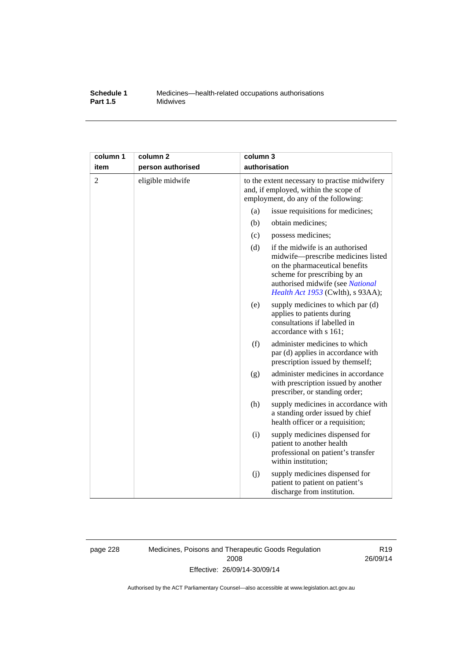#### **Schedule 1** Medicines—health-related occupations authorisations<br>**Part 1.5** Midwives **Midwives**

| column 1       | column <sub>2</sub> | column 3                                                                                                                       |                                                                                                                                                                                                                  |
|----------------|---------------------|--------------------------------------------------------------------------------------------------------------------------------|------------------------------------------------------------------------------------------------------------------------------------------------------------------------------------------------------------------|
| item           | person authorised   | authorisation                                                                                                                  |                                                                                                                                                                                                                  |
| $\overline{2}$ | eligible midwife    | to the extent necessary to practise midwifery<br>and, if employed, within the scope of<br>employment, do any of the following: |                                                                                                                                                                                                                  |
|                |                     | (a)                                                                                                                            | issue requisitions for medicines;                                                                                                                                                                                |
|                |                     | (b)                                                                                                                            | obtain medicines;                                                                                                                                                                                                |
|                |                     | (c)                                                                                                                            | possess medicines;                                                                                                                                                                                               |
|                |                     | (d)                                                                                                                            | if the midwife is an authorised<br>midwife-prescribe medicines listed<br>on the pharmaceutical benefits<br>scheme for prescribing by an<br>authorised midwife (see National<br>Health Act 1953 (Cwlth), s 93AA); |
|                |                     | (e)                                                                                                                            | supply medicines to which par (d)<br>applies to patients during<br>consultations if labelled in<br>accordance with s 161;                                                                                        |
|                |                     | (f)                                                                                                                            | administer medicines to which<br>par (d) applies in accordance with<br>prescription issued by themself;                                                                                                          |
|                |                     | (g)                                                                                                                            | administer medicines in accordance<br>with prescription issued by another<br>prescriber, or standing order;                                                                                                      |
|                |                     | (h)                                                                                                                            | supply medicines in accordance with<br>a standing order issued by chief<br>health officer or a requisition;                                                                                                      |
|                |                     | (i)                                                                                                                            | supply medicines dispensed for<br>patient to another health<br>professional on patient's transfer<br>within institution;                                                                                         |
|                |                     | (j)                                                                                                                            | supply medicines dispensed for<br>patient to patient on patient's<br>discharge from institution.                                                                                                                 |

page 228 Medicines, Poisons and Therapeutic Goods Regulation 2008 Effective: 26/09/14-30/09/14

R19 26/09/14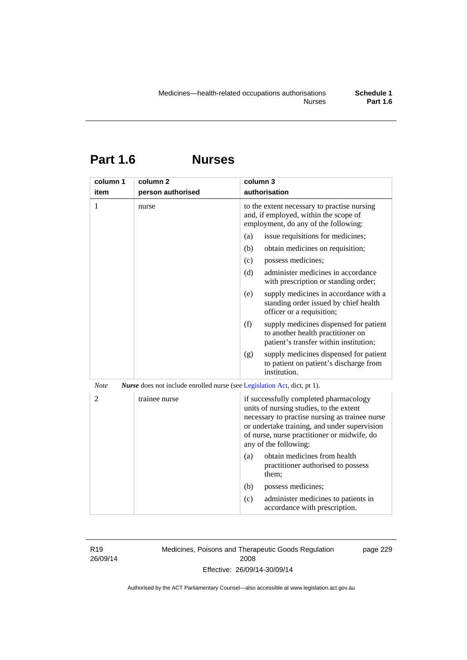**Part 1.6 Nurses** 

| column 1       | column <sub>2</sub>                                                             | column 3                                                                                                                                                                                                                                                    |
|----------------|---------------------------------------------------------------------------------|-------------------------------------------------------------------------------------------------------------------------------------------------------------------------------------------------------------------------------------------------------------|
| item           | person authorised                                                               | authorisation                                                                                                                                                                                                                                               |
| 1              | nurse                                                                           | to the extent necessary to practise nursing<br>and, if employed, within the scope of<br>employment, do any of the following:                                                                                                                                |
|                |                                                                                 | issue requisitions for medicines;<br>(a)                                                                                                                                                                                                                    |
|                |                                                                                 | (b)<br>obtain medicines on requisition;                                                                                                                                                                                                                     |
|                |                                                                                 | possess medicines;<br>(c)                                                                                                                                                                                                                                   |
|                |                                                                                 | administer medicines in accordance<br>(d)<br>with prescription or standing order;                                                                                                                                                                           |
|                |                                                                                 | (e)<br>supply medicines in accordance with a<br>standing order issued by chief health<br>officer or a requisition;                                                                                                                                          |
|                |                                                                                 | (f)<br>supply medicines dispensed for patient<br>to another health practitioner on<br>patient's transfer within institution;                                                                                                                                |
|                |                                                                                 | supply medicines dispensed for patient<br>(g)<br>to patient on patient's discharge from<br>institution.                                                                                                                                                     |
| <b>Note</b>    | <i>Nurse</i> does not include enrolled nurse (see Legislation Act, dict, pt 1). |                                                                                                                                                                                                                                                             |
| $\overline{2}$ | trainee nurse                                                                   | if successfully completed pharmacology<br>units of nursing studies, to the extent<br>necessary to practise nursing as trainee nurse<br>or undertake training, and under supervision<br>of nurse, nurse practitioner or midwife, do<br>any of the following: |
|                |                                                                                 | obtain medicines from health<br>(a)<br>practitioner authorised to possess<br>them:                                                                                                                                                                          |
|                |                                                                                 | (b)<br>possess medicines;                                                                                                                                                                                                                                   |
|                |                                                                                 | administer medicines to patients in<br>(c)<br>accordance with prescription.                                                                                                                                                                                 |

R19 26/09/14 Medicines, Poisons and Therapeutic Goods Regulation 2008 Effective: 26/09/14-30/09/14

page 229

Authorised by the ACT Parliamentary Counsel—also accessible at www.legislation.act.gov.au

**Part 1.6**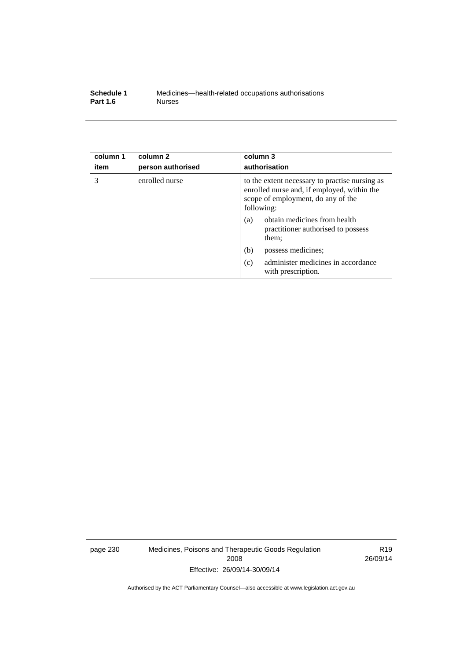| Schedule 1      | Medicines—health-related occupations authorisations |
|-----------------|-----------------------------------------------------|
| <b>Part 1.6</b> | <b>Nurses</b>                                       |

| column 1<br>item | column <sub>2</sub><br>person authorised | column 3<br>authorisation                                                                                                                         |
|------------------|------------------------------------------|---------------------------------------------------------------------------------------------------------------------------------------------------|
| 3                | enrolled nurse                           | to the extent necessary to practise nursing as<br>enrolled nurse and, if employed, within the<br>scope of employment, do any of the<br>following: |
|                  |                                          | obtain medicines from health<br>(a)<br>practitioner authorised to possess<br>them;                                                                |
|                  |                                          | (b)<br>possess medicines;                                                                                                                         |
|                  |                                          | administer medicines in accordance<br>(c)<br>with prescription.                                                                                   |

page 230 Medicines, Poisons and Therapeutic Goods Regulation 2008 Effective: 26/09/14-30/09/14

R19 26/09/14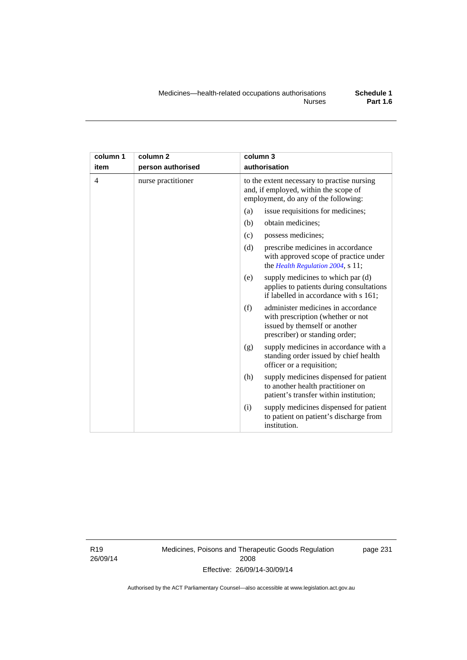| column 1       | column <sub>2</sub> | column 3                                                                                                                                          |  |
|----------------|---------------------|---------------------------------------------------------------------------------------------------------------------------------------------------|--|
| item           | person authorised   | authorisation                                                                                                                                     |  |
| $\overline{4}$ | nurse practitioner  | to the extent necessary to practise nursing<br>and, if employed, within the scope of<br>employment, do any of the following:                      |  |
|                |                     | issue requisitions for medicines;<br>(a)                                                                                                          |  |
|                |                     | (b)<br>obtain medicines;                                                                                                                          |  |
|                |                     | possess medicines;<br>(c)                                                                                                                         |  |
|                |                     | (d)<br>prescribe medicines in accordance<br>with approved scope of practice under<br>the Health Regulation 2004, s 11;                            |  |
|                |                     | supply medicines to which par (d)<br>(e)<br>applies to patients during consultations<br>if labelled in accordance with s 161;                     |  |
|                |                     | administer medicines in accordance<br>(f)<br>with prescription (whether or not<br>issued by themself or another<br>prescriber) or standing order; |  |
|                |                     | supply medicines in accordance with a<br>(g)<br>standing order issued by chief health<br>officer or a requisition;                                |  |
|                |                     | supply medicines dispensed for patient<br>(h)<br>to another health practitioner on<br>patient's transfer within institution;                      |  |
|                |                     | supply medicines dispensed for patient<br>(i)<br>to patient on patient's discharge from<br>institution.                                           |  |

R19 26/09/14 Medicines, Poisons and Therapeutic Goods Regulation 2008 Effective: 26/09/14-30/09/14

page 231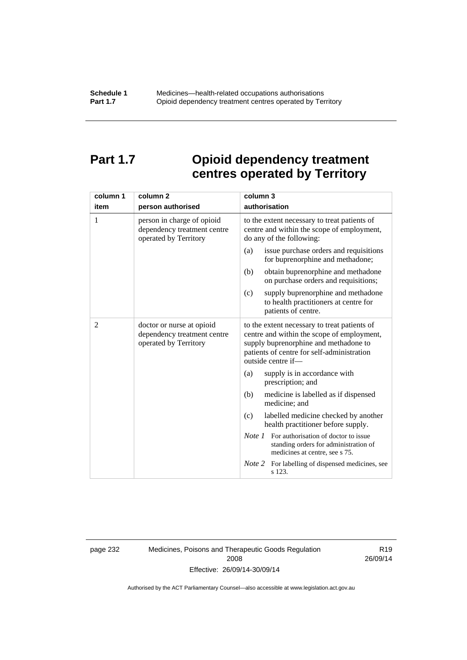# **Part 1.7 Opioid dependency treatment centres operated by Territory**

| column 1       | column <sub>2</sub>                                                                | column 3                                                                                                                                                                                                |  |
|----------------|------------------------------------------------------------------------------------|---------------------------------------------------------------------------------------------------------------------------------------------------------------------------------------------------------|--|
| item           | person authorised                                                                  | authorisation                                                                                                                                                                                           |  |
| 1              | person in charge of opioid<br>dependency treatment centre<br>operated by Territory | to the extent necessary to treat patients of<br>centre and within the scope of employment,<br>do any of the following:                                                                                  |  |
|                |                                                                                    | issue purchase orders and requisitions<br>(a)<br>for buprenorphine and methadone;                                                                                                                       |  |
|                |                                                                                    | (b)<br>obtain buprenorphine and methadone<br>on purchase orders and requisitions;                                                                                                                       |  |
|                |                                                                                    | supply buprenorphine and methadone<br>(c)<br>to health practitioners at centre for<br>patients of centre.                                                                                               |  |
| $\overline{2}$ | doctor or nurse at opioid<br>dependency treatment centre<br>operated by Territory  | to the extent necessary to treat patients of<br>centre and within the scope of employment,<br>supply buprenorphine and methadone to<br>patients of centre for self-administration<br>outside centre if- |  |
|                |                                                                                    | supply is in accordance with<br>(a)<br>prescription; and                                                                                                                                                |  |
|                |                                                                                    | (b)<br>medicine is labelled as if dispensed<br>medicine; and                                                                                                                                            |  |
|                |                                                                                    | labelled medicine checked by another<br>(c)<br>health practitioner before supply.                                                                                                                       |  |
|                |                                                                                    | <i>Note 1</i> For authorisation of doctor to issue<br>standing orders for administration of<br>medicines at centre, see s 75.                                                                           |  |
|                |                                                                                    | Note 2<br>For labelling of dispensed medicines, see<br>s 123.                                                                                                                                           |  |

page 232 Medicines, Poisons and Therapeutic Goods Regulation 2008 Effective: 26/09/14-30/09/14

R19 26/09/14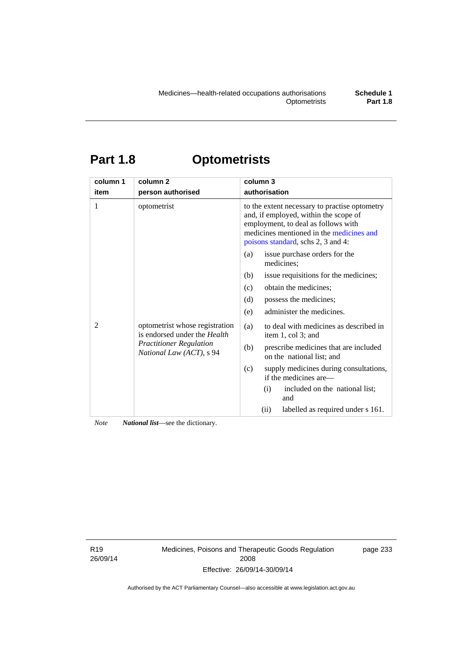# **Part 1.8 Optometrists**

| column 1 | column <sub>2</sub>                                                                                                          | column 3                                                                                                                                                                                                        |
|----------|------------------------------------------------------------------------------------------------------------------------------|-----------------------------------------------------------------------------------------------------------------------------------------------------------------------------------------------------------------|
| item     | person authorised                                                                                                            | authorisation                                                                                                                                                                                                   |
| 1        | optometrist                                                                                                                  | to the extent necessary to practise optometry<br>and, if employed, within the scope of<br>employment, to deal as follows with<br>medicines mentioned in the medicines and<br>poisons standard, schs 2, 3 and 4: |
|          |                                                                                                                              | issue purchase orders for the<br>(a)<br>medicines;                                                                                                                                                              |
| 2        | optometrist whose registration<br>is endorsed under the Health<br><b>Practitioner Regulation</b><br>National Law (ACT), s 94 | issue requisitions for the medicines;<br>(b)                                                                                                                                                                    |
|          |                                                                                                                              | obtain the medicines;<br>(c)                                                                                                                                                                                    |
|          |                                                                                                                              | possess the medicines;<br>(d)                                                                                                                                                                                   |
|          |                                                                                                                              | administer the medicines.<br>(e)                                                                                                                                                                                |
|          |                                                                                                                              | to deal with medicines as described in<br>(a)<br>item 1, col 3; and                                                                                                                                             |
|          |                                                                                                                              | prescribe medicines that are included<br>(b)<br>on the national list; and                                                                                                                                       |
|          |                                                                                                                              | (c)<br>supply medicines during consultations,<br>if the medicines are—                                                                                                                                          |
|          |                                                                                                                              | included on the national list;<br>(i)<br>and                                                                                                                                                                    |
|          |                                                                                                                              | labelled as required under s 161.<br>(ii)                                                                                                                                                                       |

*Note National list*—see the dictionary.

R19 26/09/14 Medicines, Poisons and Therapeutic Goods Regulation 2008 Effective: 26/09/14-30/09/14

page 233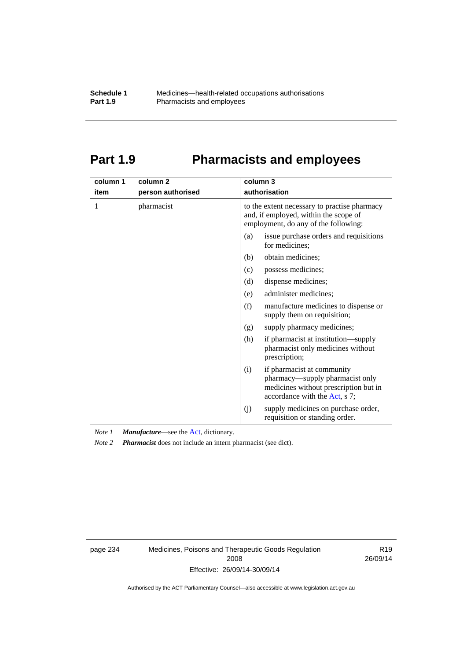# **Part 1.9 Pharmacists and employees**

| column 1<br>item | column <sub>2</sub><br>person authorised | column 3<br>authorisation                                                                                                                      |
|------------------|------------------------------------------|------------------------------------------------------------------------------------------------------------------------------------------------|
|                  |                                          |                                                                                                                                                |
| 1                | pharmacist                               | to the extent necessary to practise pharmacy<br>and, if employed, within the scope of<br>employment, do any of the following:                  |
|                  |                                          | issue purchase orders and requisitions<br>(a)<br>for medicines:                                                                                |
|                  |                                          | obtain medicines;<br>(b)                                                                                                                       |
|                  |                                          | (c)<br>possess medicines;                                                                                                                      |
|                  |                                          | (d)<br>dispense medicines;                                                                                                                     |
|                  |                                          | administer medicines;<br>(e)                                                                                                                   |
|                  |                                          | (f)<br>manufacture medicines to dispense or<br>supply them on requisition;                                                                     |
|                  |                                          | supply pharmacy medicines;<br>(g)                                                                                                              |
|                  |                                          | (h)<br>if pharmacist at institution—supply<br>pharmacist only medicines without<br>prescription;                                               |
|                  |                                          | if pharmacist at community<br>(i)<br>pharmacy—supply pharmacist only<br>medicines without prescription but in<br>accordance with the Act, s 7; |
|                  |                                          | supply medicines on purchase order,<br>(j)<br>requisition or standing order.                                                                   |

*Note 1 Manufacture*—see the [Act,](http://www.legislation.act.gov.au/a/2008-26/default.asp) dictionary.

*Note 2 Pharmacist* does not include an intern pharmacist (see dict).

page 234 Medicines, Poisons and Therapeutic Goods Regulation 2008 Effective: 26/09/14-30/09/14

R19 26/09/14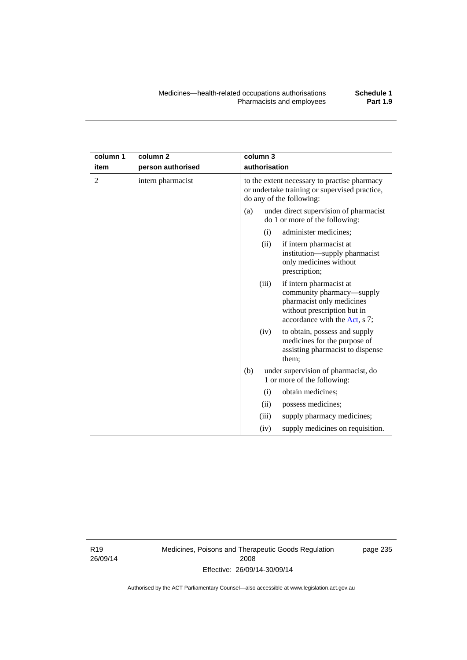| column 1<br>item | column 2<br>person authorised | column 3<br>authorisation                                                                                                                                                   |
|------------------|-------------------------------|-----------------------------------------------------------------------------------------------------------------------------------------------------------------------------|
|                  | intern pharmacist             | to the extent necessary to practise pharmacy<br>or undertake training or supervised practice,<br>do any of the following:                                                   |
|                  |                               | under direct supervision of pharmacist<br>(a)<br>do 1 or more of the following:                                                                                             |
|                  |                               | administer medicines;<br>(i)                                                                                                                                                |
|                  |                               | if intern pharmacist at<br>(ii)<br>institution—supply pharmacist<br>only medicines without<br>prescription;                                                                 |
|                  |                               | if intern pharmacist at<br>(iii)<br>community pharmacy—supply<br>pharmacist only medicines<br>without prescription but in<br>accordance with the $\Lambda$ of $\epsilon$ 7. |

|  |     |                    | accordance with the $Act$ , s $\ell$ .                                                                     |  |
|--|-----|--------------------|------------------------------------------------------------------------------------------------------------|--|
|  |     | (iv)               | to obtain, possess and supply<br>medicines for the purpose of<br>assisting pharmacist to dispense<br>them; |  |
|  | (b) |                    | under supervision of pharmacist, do<br>1 or more of the following:                                         |  |
|  |     | $\left( 1 \right)$ | obtain medicines;                                                                                          |  |
|  |     | (i)                | possess medicines;                                                                                         |  |
|  |     | (iii)              | supply pharmacy medicines;                                                                                 |  |
|  |     | (iv)               | supply medicines on requisition.                                                                           |  |

R19 26/09/14

**column 1 item** 

> Medicines, Poisons and Therapeutic Goods Regulation 2008 Effective: 26/09/14-30/09/14

page 235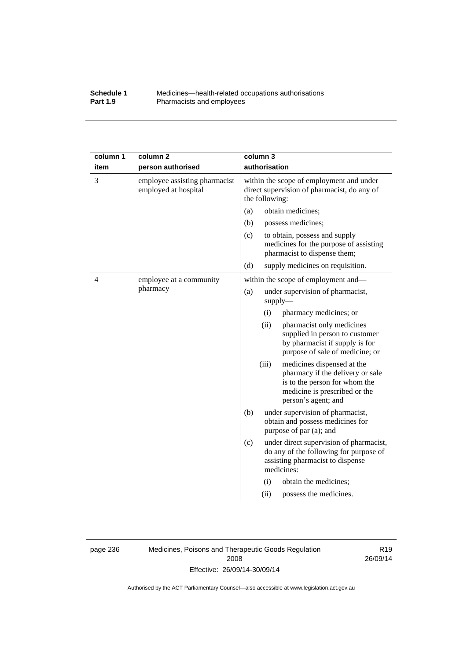#### **Schedule 1** Medicines—health-related occupations authorisations<br>**Part 1.9** Pharmacists and employees **Pharmacists and employees**

| column 1 | column <sub>2</sub>                                   | column 3                                                                                                                                                         |
|----------|-------------------------------------------------------|------------------------------------------------------------------------------------------------------------------------------------------------------------------|
| item     | person authorised                                     | authorisation                                                                                                                                                    |
| 3        | employee assisting pharmacist<br>employed at hospital | within the scope of employment and under<br>direct supervision of pharmacist, do any of<br>the following:                                                        |
|          |                                                       | obtain medicines;<br>(a)                                                                                                                                         |
|          |                                                       | (b)<br>possess medicines;                                                                                                                                        |
|          |                                                       | (c)<br>to obtain, possess and supply<br>medicines for the purpose of assisting<br>pharmacist to dispense them;                                                   |
|          |                                                       | (d)<br>supply medicines on requisition.                                                                                                                          |
| 4        | employee at a community                               | within the scope of employment and—                                                                                                                              |
|          | pharmacy                                              | under supervision of pharmacist,<br>(a)<br>supply                                                                                                                |
|          |                                                       | (i)<br>pharmacy medicines; or                                                                                                                                    |
|          |                                                       | (ii)<br>pharmacist only medicines<br>supplied in person to customer<br>by pharmacist if supply is for<br>purpose of sale of medicine; or                         |
|          |                                                       | (iii)<br>medicines dispensed at the<br>pharmacy if the delivery or sale<br>is to the person for whom the<br>medicine is prescribed or the<br>person's agent; and |
|          |                                                       | (b)<br>under supervision of pharmacist,<br>obtain and possess medicines for<br>purpose of par (a); and                                                           |
|          |                                                       | (c)<br>under direct supervision of pharmacist,<br>do any of the following for purpose of<br>assisting pharmacist to dispense<br>medicines:                       |
|          |                                                       | (i)<br>obtain the medicines;                                                                                                                                     |
|          |                                                       | (ii)<br>possess the medicines.                                                                                                                                   |

page 236 Medicines, Poisons and Therapeutic Goods Regulation 2008 Effective: 26/09/14-30/09/14

R19 26/09/14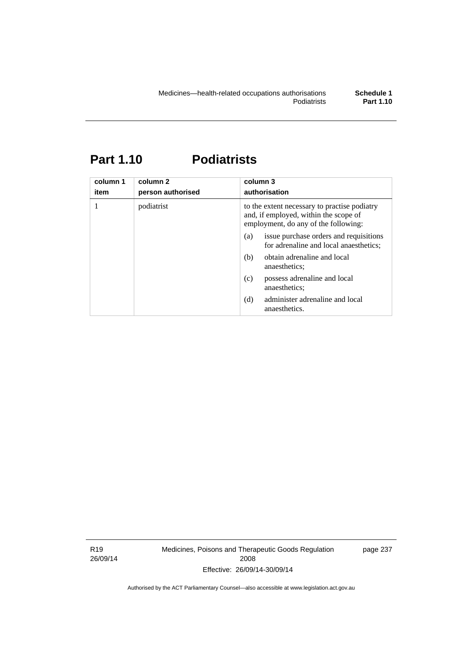# **Part 1.10 Podiatrists**

| column 1<br>item | column 2<br>person authorised | column 3<br>authorisation                                                                                                     |  |
|------------------|-------------------------------|-------------------------------------------------------------------------------------------------------------------------------|--|
|                  | podiatrist                    | to the extent necessary to practise podiatry<br>and, if employed, within the scope of<br>employment, do any of the following: |  |
|                  |                               | issue purchase orders and requisitions<br>(a)<br>for adrenaline and local anaesthetics;                                       |  |
|                  |                               | obtain adrenaline and local<br>(b)<br>anaesthetics:                                                                           |  |
|                  |                               | possess adrenaline and local<br>(c)<br>anaesthetics;                                                                          |  |
|                  |                               | (d)<br>administer adrenaline and local<br>anaesthetics.                                                                       |  |

R19 26/09/14 Medicines, Poisons and Therapeutic Goods Regulation 2008 Effective: 26/09/14-30/09/14

page 237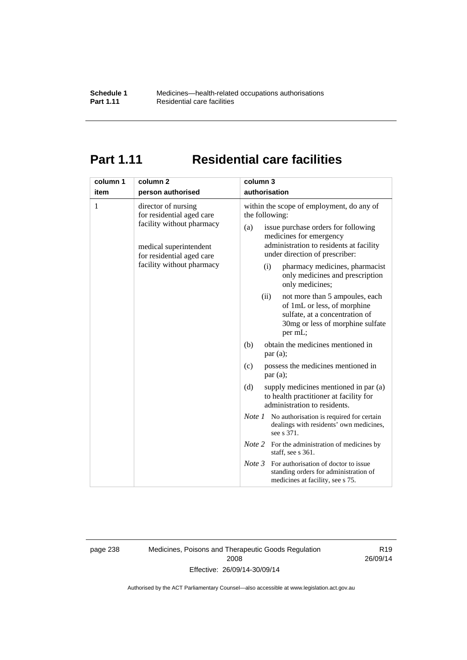# **Part 1.11 Residential care facilities**

| column 1<br>item | column <sub>2</sub><br>person authorised                                                                                                                          | column 3<br>authorisation                                                                                                                                                                                                                                                                                                                                  |
|------------------|-------------------------------------------------------------------------------------------------------------------------------------------------------------------|------------------------------------------------------------------------------------------------------------------------------------------------------------------------------------------------------------------------------------------------------------------------------------------------------------------------------------------------------------|
| 1                | director of nursing<br>for residential aged care<br>facility without pharmacy<br>medical superintendent<br>for residential aged care<br>facility without pharmacy | within the scope of employment, do any of<br>the following:<br>issue purchase orders for following<br>(a)<br>medicines for emergency<br>administration to residents at facility<br>under direction of prescriber:<br>pharmacy medicines, pharmacist<br>(i)<br>only medicines and prescription<br>only medicines;<br>not more than 5 ampoules, each<br>(ii) |
|                  |                                                                                                                                                                   | of 1mL or less, of morphine<br>sulfate, at a concentration of<br>30mg or less of morphine sulfate<br>per mL;                                                                                                                                                                                                                                               |
|                  |                                                                                                                                                                   | obtain the medicines mentioned in<br>(b)<br>par(a);                                                                                                                                                                                                                                                                                                        |
|                  |                                                                                                                                                                   | possess the medicines mentioned in<br>(c)<br>par(a);                                                                                                                                                                                                                                                                                                       |
|                  |                                                                                                                                                                   | (d)<br>supply medicines mentioned in par (a)<br>to health practitioner at facility for<br>administration to residents.                                                                                                                                                                                                                                     |
|                  |                                                                                                                                                                   | <i>Note 1</i> No authorisation is required for certain<br>dealings with residents' own medicines,<br>see s 371.                                                                                                                                                                                                                                            |
|                  |                                                                                                                                                                   | <i>Note</i> 2 For the administration of medicines by<br>staff, see s 361.                                                                                                                                                                                                                                                                                  |
|                  |                                                                                                                                                                   | Note 3<br>For authorisation of doctor to issue<br>standing orders for administration of<br>medicines at facility, see s 75.                                                                                                                                                                                                                                |

page 238 Medicines, Poisons and Therapeutic Goods Regulation 2008 Effective: 26/09/14-30/09/14

R19 26/09/14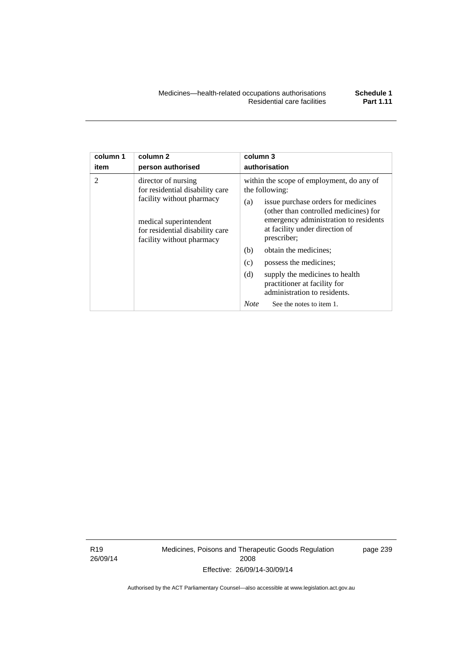| column 1 | column <sub>2</sub>                                                                                                                                                           | column 3                                                                                                                                                                                                                                                                                                                                                                                                                                                          |  |  |
|----------|-------------------------------------------------------------------------------------------------------------------------------------------------------------------------------|-------------------------------------------------------------------------------------------------------------------------------------------------------------------------------------------------------------------------------------------------------------------------------------------------------------------------------------------------------------------------------------------------------------------------------------------------------------------|--|--|
| item     | person authorised                                                                                                                                                             | authorisation                                                                                                                                                                                                                                                                                                                                                                                                                                                     |  |  |
| 2        | director of nursing<br>for residential disability care<br>facility without pharmacy<br>medical superintendent<br>for residential disability care<br>facility without pharmacy | within the scope of employment, do any of<br>the following:<br>issue purchase orders for medicines<br>(a)<br>(other than controlled medicines) for<br>emergency administration to residents<br>at facility under direction of<br>prescriber;<br>obtain the medicines;<br>(b)<br>(c)<br>possess the medicines;<br>(d)<br>supply the medicines to health<br>practitioner at facility for<br>administration to residents.<br><b>Note</b><br>See the notes to item 1. |  |  |

R19 26/09/14 Medicines, Poisons and Therapeutic Goods Regulation 2008 Effective: 26/09/14-30/09/14

page 239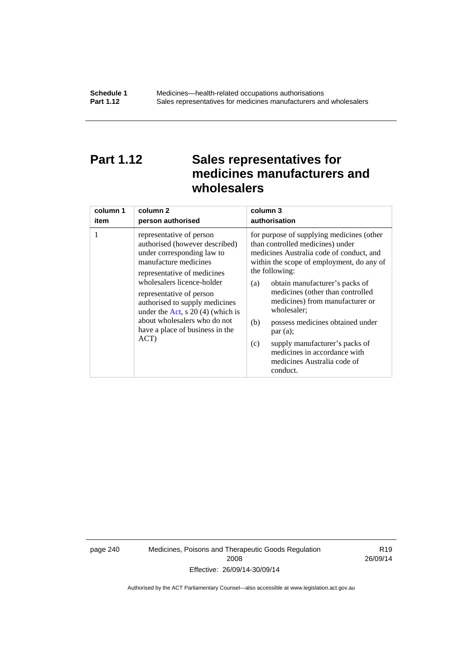## **Part 1.12 Sales representatives for medicines manufacturers and wholesalers**

| column 1 | column <sub>2</sub>                                                                                                                                                                                                                                                                                                                                           | column 3      |
|----------|---------------------------------------------------------------------------------------------------------------------------------------------------------------------------------------------------------------------------------------------------------------------------------------------------------------------------------------------------------------|---------------|
| item     | person authorised                                                                                                                                                                                                                                                                                                                                             | authorisation |
| 1        | representative of person<br>authorised (however described)<br>under corresponding law to<br>manufacture medicines<br>representative of medicines<br>wholesalers licence-holder<br>representative of person<br>authorised to supply medicines<br>under the Act, s $20(4)$ (which is<br>about wholesalers who do not<br>have a place of business in the<br>ACT) |               |

page 240 Medicines, Poisons and Therapeutic Goods Regulation 2008 Effective: 26/09/14-30/09/14

R19 26/09/14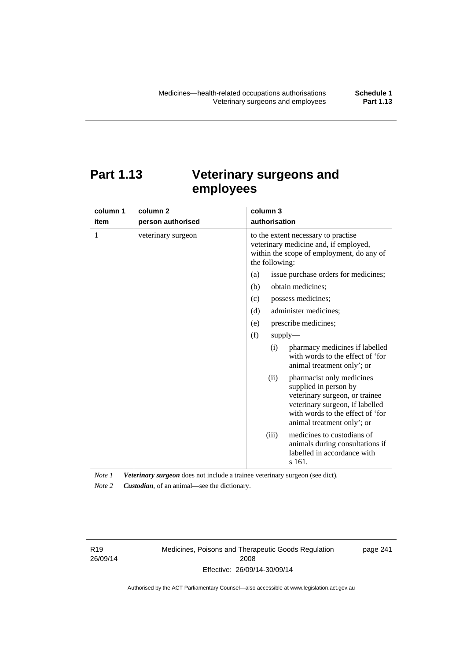# **Part 1.13 Veterinary surgeons and employees**

| column 1 | column <sub>2</sub> | column 3                                                                                                                                                                                          |  |  |
|----------|---------------------|---------------------------------------------------------------------------------------------------------------------------------------------------------------------------------------------------|--|--|
| item     | person authorised   | authorisation                                                                                                                                                                                     |  |  |
| 1        | veterinary surgeon  | to the extent necessary to practise<br>veterinary medicine and, if employed,<br>within the scope of employment, do any of<br>the following:                                                       |  |  |
|          |                     | issue purchase orders for medicines;<br>(a)                                                                                                                                                       |  |  |
|          |                     | (b)<br>obtain medicines;                                                                                                                                                                          |  |  |
|          |                     | possess medicines;<br>(c)                                                                                                                                                                         |  |  |
|          |                     | administer medicines;<br>(d)                                                                                                                                                                      |  |  |
|          |                     | prescribe medicines;<br>(e)                                                                                                                                                                       |  |  |
|          |                     | (f)<br>supply                                                                                                                                                                                     |  |  |
|          |                     | pharmacy medicines if labelled<br>(i)<br>with words to the effect of 'for<br>animal treatment only'; or                                                                                           |  |  |
|          |                     | pharmacist only medicines<br>(ii)<br>supplied in person by<br>veterinary surgeon, or trainee<br>veterinary surgeon, if labelled<br>with words to the effect of 'for<br>animal treatment only'; or |  |  |
|          |                     | medicines to custodians of<br>(iii)<br>animals during consultations if<br>labelled in accordance with<br>s 161.                                                                                   |  |  |

*Note 1 Veterinary surgeon* does not include a trainee veterinary surgeon (see dict). *Note 2 Custodian*, of an animal—see the dictionary.

R19 26/09/14 Medicines, Poisons and Therapeutic Goods Regulation 2008 Effective: 26/09/14-30/09/14

page 241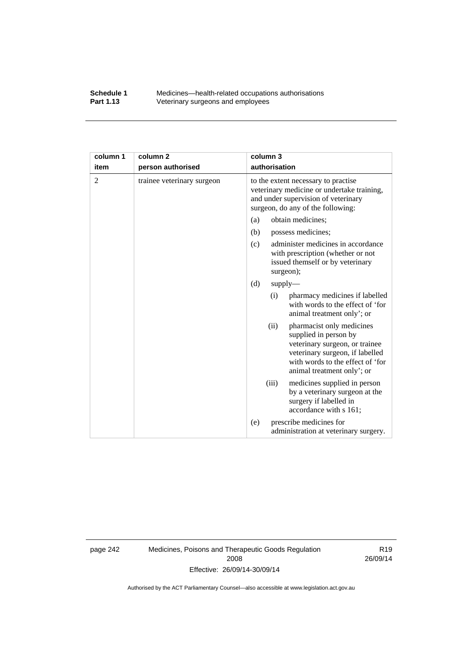### **Schedule 1** Medicines—health-related occupations authorisations<br>**Part 1.13** Veterinary surgeons and employees Veterinary surgeons and employees

| column 1       | column <sub>2</sub>        | column 3                                                                                                                                                                                          |  |
|----------------|----------------------------|---------------------------------------------------------------------------------------------------------------------------------------------------------------------------------------------------|--|
| item           | person authorised          | authorisation                                                                                                                                                                                     |  |
| $\overline{2}$ | trainee veterinary surgeon | to the extent necessary to practise<br>veterinary medicine or undertake training,<br>and under supervision of veterinary<br>surgeon, do any of the following:                                     |  |
|                |                            | obtain medicines;<br>(a)                                                                                                                                                                          |  |
|                |                            | (b)<br>possess medicines;                                                                                                                                                                         |  |
|                |                            | administer medicines in accordance<br>(c)<br>with prescription (whether or not<br>issued themself or by veterinary<br>surgeon);                                                                   |  |
|                |                            | (d)<br>supply                                                                                                                                                                                     |  |
|                |                            | pharmacy medicines if labelled<br>(i)<br>with words to the effect of 'for<br>animal treatment only'; or                                                                                           |  |
|                |                            | (ii)<br>pharmacist only medicines<br>supplied in person by<br>veterinary surgeon, or trainee<br>veterinary surgeon, if labelled<br>with words to the effect of 'for<br>animal treatment only'; or |  |
|                |                            | (iii)<br>medicines supplied in person<br>by a veterinary surgeon at the<br>surgery if labelled in<br>accordance with s 161;                                                                       |  |
|                |                            | prescribe medicines for<br>(e)<br>administration at veterinary surgery.                                                                                                                           |  |

page 242 Medicines, Poisons and Therapeutic Goods Regulation 2008 Effective: 26/09/14-30/09/14

R19 26/09/14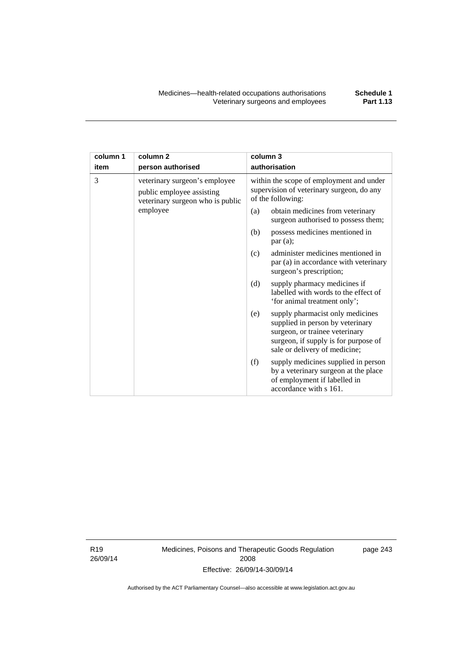| column 1 | column <sub>2</sub>                                                                            | column 3                                                                                                                                                                               |  |
|----------|------------------------------------------------------------------------------------------------|----------------------------------------------------------------------------------------------------------------------------------------------------------------------------------------|--|
| item     | person authorised                                                                              | authorisation                                                                                                                                                                          |  |
| 3        | veterinary surgeon's employee<br>public employee assisting<br>veterinary surgeon who is public | within the scope of employment and under<br>supervision of veterinary surgeon, do any<br>of the following:                                                                             |  |
|          | employee                                                                                       | (a)<br>obtain medicines from veterinary<br>surgeon authorised to possess them;                                                                                                         |  |
|          |                                                                                                | possess medicines mentioned in<br>(b)<br>par(a);                                                                                                                                       |  |
|          |                                                                                                | administer medicines mentioned in<br>(c)<br>par (a) in accordance with veterinary<br>surgeon's prescription;                                                                           |  |
|          |                                                                                                | (d)<br>supply pharmacy medicines if<br>labelled with words to the effect of<br>'for animal treatment only';                                                                            |  |
|          |                                                                                                | supply pharmacist only medicines<br>(e)<br>supplied in person by veterinary<br>surgeon, or trainee veterinary<br>surgeon, if supply is for purpose of<br>sale or delivery of medicine; |  |
|          |                                                                                                | (f)<br>supply medicines supplied in person<br>by a veterinary surgeon at the place<br>of employment if labelled in<br>accordance with s 161.                                           |  |

R19 26/09/14 Medicines, Poisons and Therapeutic Goods Regulation 2008 Effective: 26/09/14-30/09/14

page 243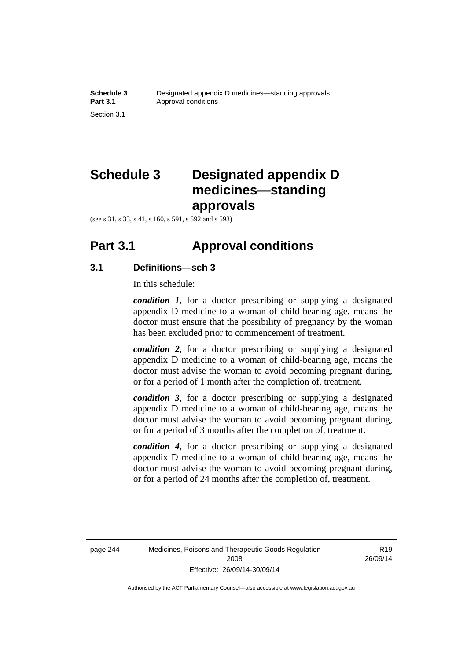# **Schedule 3 Designated appendix D medicines—standing approvals**

(see s 31, s 33, s 41, s 160, s 591, s 592 and s 593)

### **Part 3.1 Approval conditions**

### **3.1 Definitions—sch 3**

In this schedule:

*condition 1*, for a doctor prescribing or supplying a designated appendix D medicine to a woman of child-bearing age, means the doctor must ensure that the possibility of pregnancy by the woman has been excluded prior to commencement of treatment.

*condition 2*, for a doctor prescribing or supplying a designated appendix D medicine to a woman of child-bearing age, means the doctor must advise the woman to avoid becoming pregnant during, or for a period of 1 month after the completion of, treatment.

*condition 3*, for a doctor prescribing or supplying a designated appendix D medicine to a woman of child-bearing age, means the doctor must advise the woman to avoid becoming pregnant during, or for a period of 3 months after the completion of, treatment.

*condition 4*, for a doctor prescribing or supplying a designated appendix D medicine to a woman of child-bearing age, means the doctor must advise the woman to avoid becoming pregnant during, or for a period of 24 months after the completion of, treatment.

R19 26/09/14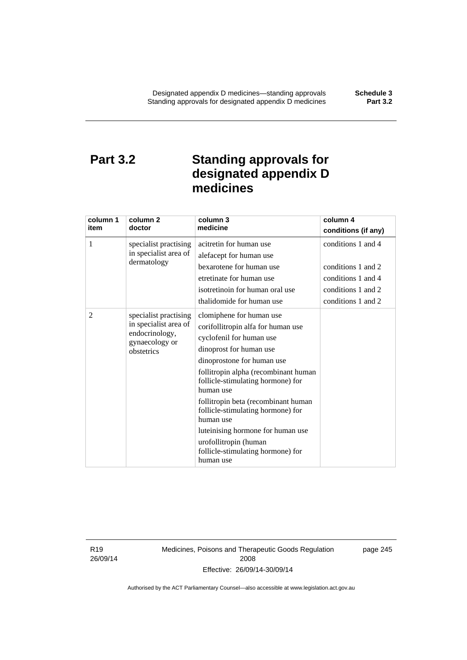## **Part 3.2 Standing approvals for designated appendix D medicines**

| column 1 | column <sub>2</sub>              | column 3<br>medicine                                                    | column 4            |
|----------|----------------------------------|-------------------------------------------------------------------------|---------------------|
| item     | doctor                           |                                                                         | conditions (if any) |
| 1        | specialist practising            | acitretin for human use                                                 | conditions 1 and 4  |
|          | in specialist area of            | alefacept for human use                                                 |                     |
|          | dermatology                      | bexarotene for human use                                                | conditions 1 and 2  |
|          |                                  | etretinate for human use                                                | conditions 1 and 4  |
|          |                                  | isotretinoin for human oral use                                         | conditions 1 and 2  |
|          |                                  | thalidomide for human use                                               | conditions 1 and 2  |
| 2        | specialist practising            | clomiphene for human use                                                |                     |
|          | in specialist area of            | corifollitropin alfa for human use                                      |                     |
|          | endocrinology,<br>gynaecology or | cyclofenil for human use                                                |                     |
|          | obstetrics                       | dinoprost for human use                                                 |                     |
|          |                                  | dinoprostone for human use                                              |                     |
|          |                                  | follitropin alpha (recombinant human                                    |                     |
|          |                                  | follicle-stimulating hormone) for<br>human use                          |                     |
|          |                                  | follitropin beta (recombinant human                                     |                     |
|          |                                  | follicle-stimulating hormone) for<br>human use                          |                     |
|          |                                  | luteinising hormone for human use                                       |                     |
|          |                                  | urofollitropin (human<br>follicle-stimulating hormone) for<br>human use |                     |

R19 26/09/14 Medicines, Poisons and Therapeutic Goods Regulation 2008 Effective: 26/09/14-30/09/14

page 245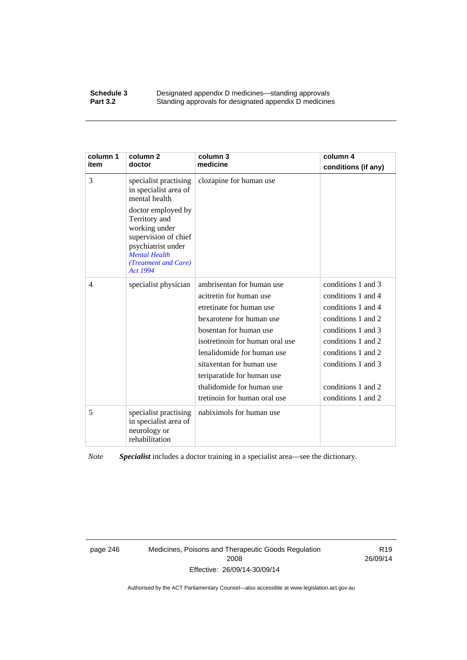#### **Schedule 3 Designated appendix D medicines—standing approvals**<br>**Part 3.2 Standing approvals for designated appendix D medicine** Standing approvals for designated appendix D medicines

| column 1<br>item | column 2<br>doctor                                                                                                                                             | column 3<br>medicine            | column 4<br>conditions (if any) |
|------------------|----------------------------------------------------------------------------------------------------------------------------------------------------------------|---------------------------------|---------------------------------|
| 3                | specialist practising<br>in specialist area of<br>mental health                                                                                                | clozapine for human use         |                                 |
|                  | doctor employed by<br>Territory and<br>working under<br>supervision of chief<br>psychiatrist under<br><b>Mental Health</b><br>(Treatment and Care)<br>Act 1994 |                                 |                                 |
| $\overline{4}$   | specialist physician                                                                                                                                           | ambrisentan for human use       | conditions 1 and 3              |
|                  |                                                                                                                                                                | acitretin for human use         | conditions 1 and 4              |
|                  |                                                                                                                                                                | etretinate for human use        | conditions 1 and 4              |
|                  |                                                                                                                                                                | bexarotene for human use        | conditions 1 and 2              |
|                  |                                                                                                                                                                | bosentan for human use          | conditions 1 and 3              |
|                  |                                                                                                                                                                | isotretinoin for human oral use | conditions 1 and 2              |
|                  |                                                                                                                                                                | lenalidomide for human use      | conditions 1 and 2              |
|                  |                                                                                                                                                                | sitaxentan for human use        | conditions 1 and 3              |
|                  |                                                                                                                                                                | teriparatide for human use      |                                 |
|                  |                                                                                                                                                                | thalidomide for human use       | conditions 1 and 2              |
|                  |                                                                                                                                                                | tretinoin for human oral use    | conditions 1 and 2              |
| 5                | specialist practising<br>in specialist area of<br>neurology or<br>rehabilitation                                                                               | nabiximols for human use        |                                 |

*Note Specialist* includes a doctor training in a specialist area—see the dictionary.

page 246 Medicines, Poisons and Therapeutic Goods Regulation 2008 Effective: 26/09/14-30/09/14

R19 26/09/14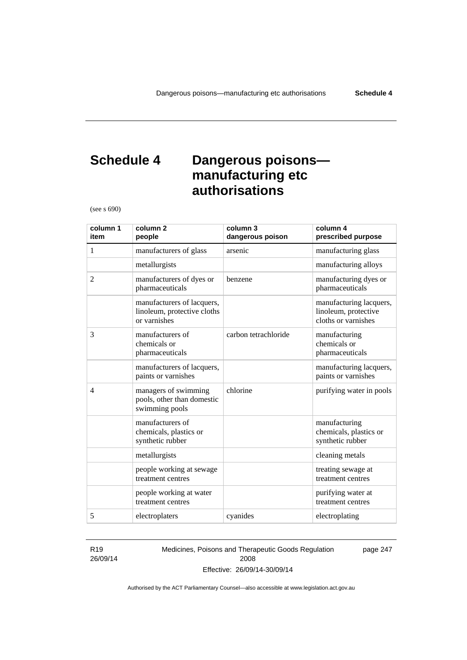## **Schedule 4 Dangerous poisons manufacturing etc authorisations**

(see s 690)

| column 1<br>item | column <sub>2</sub><br>people                                             | column 3<br>dangerous poison | column 4<br>prescribed purpose                                         |
|------------------|---------------------------------------------------------------------------|------------------------------|------------------------------------------------------------------------|
| 1                | manufacturers of glass                                                    | arsenic                      | manufacturing glass                                                    |
|                  | metallurgists                                                             |                              | manufacturing alloys                                                   |
| 2                | manufacturers of dyes or<br>pharmaceuticals                               | benzene                      | manufacturing dyes or<br>pharmaceuticals                               |
|                  | manufacturers of lacquers,<br>linoleum, protective cloths<br>or varnishes |                              | manufacturing lacquers,<br>linoleum, protective<br>cloths or varnishes |
| 3                | manufacturers of<br>chemicals or<br>pharmaceuticals                       | carbon tetrachloride         | manufacturing<br>chemicals or<br>pharmaceuticals                       |
|                  | manufacturers of lacquers,<br>paints or varnishes                         |                              | manufacturing lacquers,<br>paints or varnishes                         |
| $\overline{4}$   | managers of swimming<br>pools, other than domestic<br>swimming pools      | chlorine                     | purifying water in pools                                               |
|                  | manufacturers of<br>chemicals, plastics or<br>synthetic rubber            |                              | manufacturing<br>chemicals, plastics or<br>synthetic rubber            |
|                  | metallurgists                                                             |                              | cleaning metals                                                        |
|                  | people working at sewage<br>treatment centres                             |                              | treating sewage at<br>treatment centres                                |
|                  | people working at water<br>treatment centres                              |                              | purifying water at<br>treatment centres                                |
| 5                | electroplaters                                                            | cyanides                     | electroplating                                                         |

#### R19 26/09/14

Medicines, Poisons and Therapeutic Goods Regulation 2008 Effective: 26/09/14-30/09/14

page 247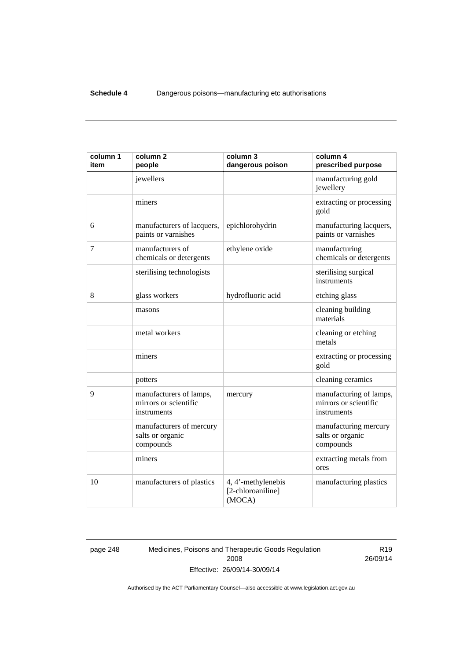| column 1<br>item | column <sub>2</sub><br>people                                   | column 3<br>dangerous poison                      | column 4<br>prescribed purpose                                  |
|------------------|-----------------------------------------------------------------|---------------------------------------------------|-----------------------------------------------------------------|
|                  | jewellers                                                       |                                                   | manufacturing gold<br>jewellery                                 |
|                  | miners                                                          |                                                   | extracting or processing<br>gold                                |
| 6                | manufacturers of lacquers,<br>paints or varnishes               | epichlorohydrin                                   | manufacturing lacquers,<br>paints or varnishes                  |
| 7                | manufacturers of<br>chemicals or detergents                     | ethylene oxide                                    | manufacturing<br>chemicals or detergents                        |
|                  | sterilising technologists                                       |                                                   | sterilising surgical<br>instruments                             |
| 8                | glass workers                                                   | hydrofluoric acid                                 | etching glass                                                   |
|                  | masons                                                          |                                                   | cleaning building<br>materials                                  |
|                  | metal workers                                                   |                                                   | cleaning or etching<br>metals                                   |
|                  | miners                                                          |                                                   | extracting or processing<br>gold                                |
|                  | potters                                                         |                                                   | cleaning ceramics                                               |
| 9                | manufacturers of lamps,<br>mirrors or scientific<br>instruments | mercury                                           | manufacturing of lamps,<br>mirrors or scientific<br>instruments |
|                  | manufacturers of mercury<br>salts or organic<br>compounds       |                                                   | manufacturing mercury<br>salts or organic<br>compounds          |
|                  | miners                                                          |                                                   | extracting metals from<br>ores                                  |
| 10               | manufacturers of plastics                                       | 4, 4'-methylenebis<br>[2-chloroaniline]<br>(MOCA) | manufacturing plastics                                          |

page 248 Medicines, Poisons and Therapeutic Goods Regulation 2008 Effective: 26/09/14-30/09/14

R19 26/09/14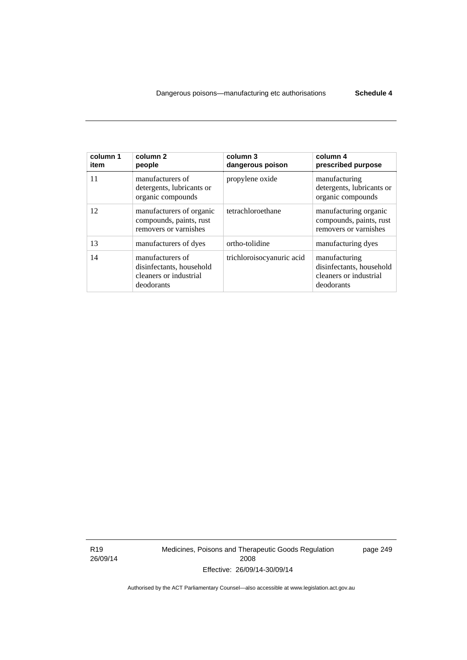| column 1<br>item | column 2<br>people                                                                   | column 3<br>dangerous poison | column 4<br>prescribed purpose                                                    |
|------------------|--------------------------------------------------------------------------------------|------------------------------|-----------------------------------------------------------------------------------|
| 11               | manufacturers of<br>detergents, lubricants or<br>organic compounds                   | propylene oxide              | manufacturing<br>detergents, lubricants or<br>organic compounds                   |
| 12               | manufacturers of organic<br>compounds, paints, rust<br>removers or varnishes         | tetrachloroethane            | manufacturing organic<br>compounds, paints, rust<br>removers or varnishes         |
| 13               | manufacturers of dyes                                                                | ortho-tolidine               | manufacturing dyes                                                                |
| 14               | manufacturers of<br>disinfectants, household<br>cleaners or industrial<br>deodorants | trichloroisocyanuric acid    | manufacturing<br>disinfectants, household<br>cleaners or industrial<br>deodorants |

R19 26/09/14 Medicines, Poisons and Therapeutic Goods Regulation 2008 Effective: 26/09/14-30/09/14

page 249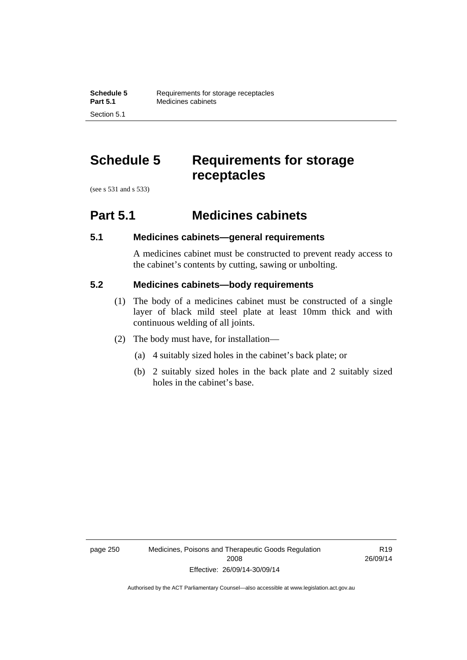## **Schedule 5 Requirements for storage receptacles**

(see s 531 and s 533)

Section 5.1

### **Part 5.1 Medicines cabinets**

### **5.1 Medicines cabinets—general requirements**

A medicines cabinet must be constructed to prevent ready access to the cabinet's contents by cutting, sawing or unbolting.

### **5.2 Medicines cabinets—body requirements**

- (1) The body of a medicines cabinet must be constructed of a single layer of black mild steel plate at least 10mm thick and with continuous welding of all joints.
- (2) The body must have, for installation—
	- (a) 4 suitably sized holes in the cabinet's back plate; or
	- (b) 2 suitably sized holes in the back plate and 2 suitably sized holes in the cabinet's base.

page 250 Medicines, Poisons and Therapeutic Goods Regulation 2008 Effective: 26/09/14-30/09/14

R19 26/09/14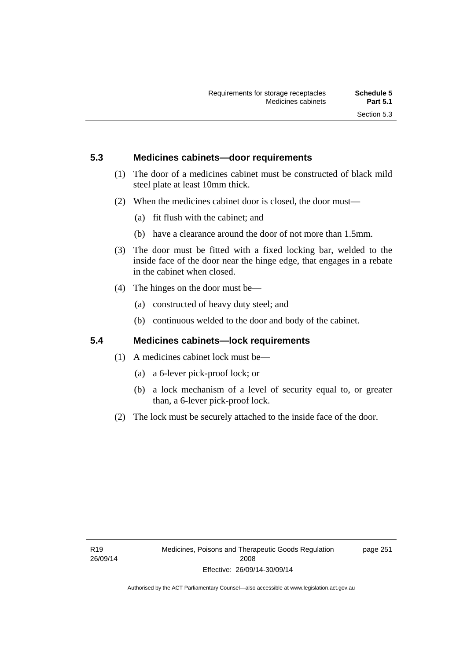### **5.3 Medicines cabinets—door requirements**

- (1) The door of a medicines cabinet must be constructed of black mild steel plate at least 10mm thick.
- (2) When the medicines cabinet door is closed, the door must—
	- (a) fit flush with the cabinet; and
	- (b) have a clearance around the door of not more than 1.5mm.
- (3) The door must be fitted with a fixed locking bar, welded to the inside face of the door near the hinge edge, that engages in a rebate in the cabinet when closed.
- (4) The hinges on the door must be—
	- (a) constructed of heavy duty steel; and
	- (b) continuous welded to the door and body of the cabinet.

### **5.4 Medicines cabinets—lock requirements**

- (1) A medicines cabinet lock must be—
	- (a) a 6-lever pick-proof lock; or
	- (b) a lock mechanism of a level of security equal to, or greater than, a 6-lever pick-proof lock.
- (2) The lock must be securely attached to the inside face of the door.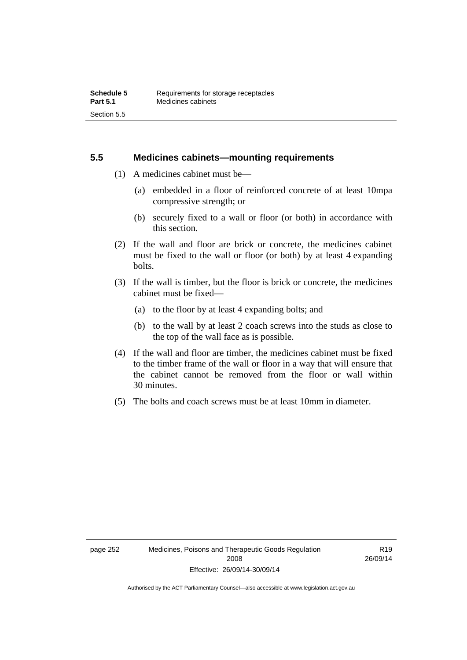### **5.5 Medicines cabinets—mounting requirements**

- (1) A medicines cabinet must be—
	- (a) embedded in a floor of reinforced concrete of at least 10mpa compressive strength; or
	- (b) securely fixed to a wall or floor (or both) in accordance with this section.
- (2) If the wall and floor are brick or concrete, the medicines cabinet must be fixed to the wall or floor (or both) by at least 4 expanding bolts.
- (3) If the wall is timber, but the floor is brick or concrete, the medicines cabinet must be fixed—
	- (a) to the floor by at least 4 expanding bolts; and
	- (b) to the wall by at least 2 coach screws into the studs as close to the top of the wall face as is possible.
- (4) If the wall and floor are timber, the medicines cabinet must be fixed to the timber frame of the wall or floor in a way that will ensure that the cabinet cannot be removed from the floor or wall within 30 minutes.
- (5) The bolts and coach screws must be at least 10mm in diameter.

R19 26/09/14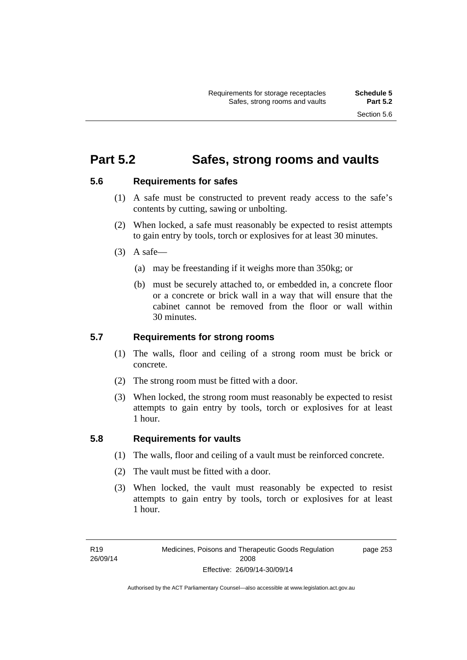### **Part 5.2 Safes, strong rooms and vaults**

### **5.6 Requirements for safes**

- (1) A safe must be constructed to prevent ready access to the safe's contents by cutting, sawing or unbolting.
- (2) When locked, a safe must reasonably be expected to resist attempts to gain entry by tools, torch or explosives for at least 30 minutes.
- $(3)$  A safe-
	- (a) may be freestanding if it weighs more than 350kg; or
	- (b) must be securely attached to, or embedded in, a concrete floor or a concrete or brick wall in a way that will ensure that the cabinet cannot be removed from the floor or wall within 30 minutes.

### **5.7 Requirements for strong rooms**

- (1) The walls, floor and ceiling of a strong room must be brick or concrete.
- (2) The strong room must be fitted with a door.
- (3) When locked, the strong room must reasonably be expected to resist attempts to gain entry by tools, torch or explosives for at least 1 hour.

### **5.8 Requirements for vaults**

- (1) The walls, floor and ceiling of a vault must be reinforced concrete.
- (2) The vault must be fitted with a door.
- (3) When locked, the vault must reasonably be expected to resist attempts to gain entry by tools, torch or explosives for at least 1 hour.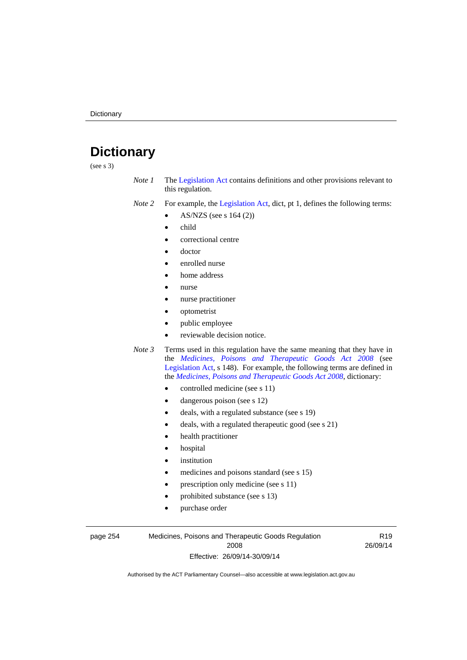# **Dictionary**

(see s 3)

- *Note 1* The [Legislation Act](http://www.legislation.act.gov.au/a/2001-14) contains definitions and other provisions relevant to this regulation.
- *Note 2* For example, the [Legislation Act,](http://www.legislation.act.gov.au/a/2001-14) dict, pt 1, defines the following terms:
	- AS/NZS (see s 164 (2))
	- child
	- correctional centre
	- doctor
	- enrolled nurse
	- home address
	- nurse
	- nurse practitioner
	- optometrist
	- public employee
	- reviewable decision notice.
- *Note 3* Terms used in this regulation have the same meaning that they have in the *[Medicines, Poisons and Therapeutic Goods Act 2008](http://www.legislation.act.gov.au/a/2008-26)* (see [Legislation Act,](http://www.legislation.act.gov.au/a/2001-14) s 148). For example, the following terms are defined in the *[Medicines, Poisons and Therapeutic Goods Act 2008](http://www.legislation.act.gov.au/a/2008-26)*, dictionary:
	- controlled medicine (see s 11)
	- dangerous poison (see s 12)
	- deals, with a regulated substance (see s 19)
	- deals, with a regulated therapeutic good (see s 21)
	- health practitioner
	- hospital
	- institution
	- medicines and poisons standard (see s 15)
	- prescription only medicine (see s 11)
	- prohibited substance (see s 13)
	- purchase order

page 254 Medicines, Poisons and Therapeutic Goods Regulation 2008 Effective: 26/09/14-30/09/14

R19 26/09/14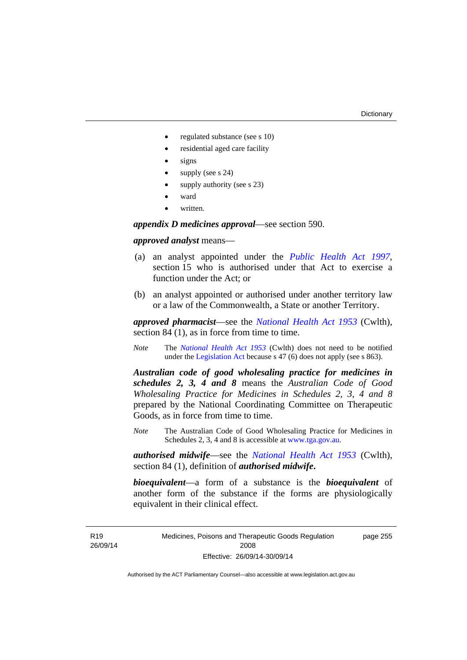- regulated substance (see s 10)
- residential aged care facility
- signs
- supply (see s 24)
- supply authority (see s 23)
- ward
- written.

*appendix D medicines approval*—see section 590.

#### *approved analyst* means—

- (a) an analyst appointed under the *[Public Health Act 1997](http://www.legislation.act.gov.au/a/1997-69)*, section 15 who is authorised under that Act to exercise a function under the Act; or
- (b) an analyst appointed or authorised under another territory law or a law of the Commonwealth, a State or another Territory.

*approved pharmacist*––see the *[National Health Act 1953](http://www.comlaw.gov.au/Series/C1953A00095)* (Cwlth), section 84 (1), as in force from time to time.

*Note* The *[National Health Act 1953](http://www.comlaw.gov.au/Series/C1953A00095)* (Cwlth) does not need to be notified under the [Legislation Act](http://www.legislation.act.gov.au/a/2001-14) because s 47 (6) does not apply (see s 863).

*Australian code of good wholesaling practice for medicines in schedules 2, 3, 4 and 8* means the *Australian Code of Good Wholesaling Practice for Medicines in Schedules 2, 3, 4 and 8* prepared by the National Coordinating Committee on Therapeutic Goods, as in force from time to time.

*Note* The Australian Code of Good Wholesaling Practice for Medicines in Schedules 2, 3, 4 and 8 is accessible at [www.tga.gov.au.](http://www.tga.gov.au/)

*authorised midwife*—see the *[National Health Act 1953](http://www.comlaw.gov.au/Series/C1953A00095)* (Cwlth), section 84 (1), definition of *authorised midwife***.**

*bioequivalent*—a form of a substance is the *bioequivalent* of another form of the substance if the forms are physiologically equivalent in their clinical effect.

Medicines, Poisons and Therapeutic Goods Regulation 2008 Effective: 26/09/14-30/09/14 page 255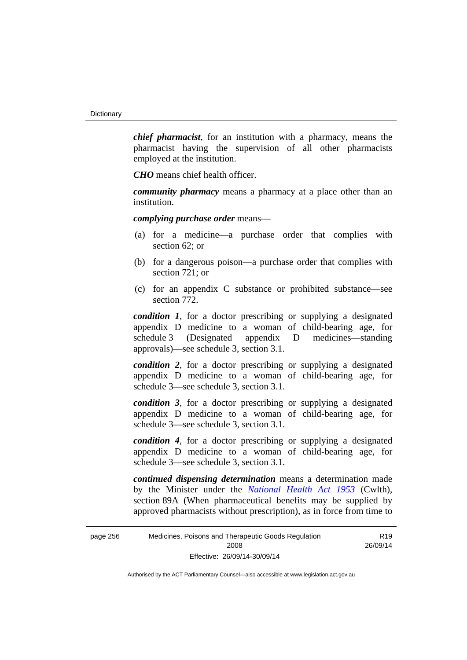*chief pharmacist*, for an institution with a pharmacy, means the pharmacist having the supervision of all other pharmacists employed at the institution.

*CHO* means chief health officer.

*community pharmacy* means a pharmacy at a place other than an institution.

*complying purchase order* means—

- (a) for a medicine—a purchase order that complies with section 62; or
- (b) for a dangerous poison—a purchase order that complies with section 721; or
- (c) for an appendix C substance or prohibited substance—see section 772.

*condition 1*, for a doctor prescribing or supplying a designated appendix D medicine to a woman of child-bearing age, for schedule 3 (Designated appendix D medicines—standing approvals)—see schedule 3, section 3.1.

*condition 2*, for a doctor prescribing or supplying a designated appendix D medicine to a woman of child-bearing age, for schedule 3—see schedule 3, section 3.1.

*condition 3*, for a doctor prescribing or supplying a designated appendix D medicine to a woman of child-bearing age, for schedule 3—see schedule 3, section 3.1.

*condition 4*, for a doctor prescribing or supplying a designated appendix D medicine to a woman of child-bearing age, for schedule 3—see schedule 3, section 3.1.

*continued dispensing determination* means a determination made by the Minister under the *[National Health Act 1953](http://www.comlaw.gov.au/Series/C1953A00095)* (Cwlth), section 89A (When pharmaceutical benefits may be supplied by approved pharmacists without prescription), as in force from time to

R19 26/09/14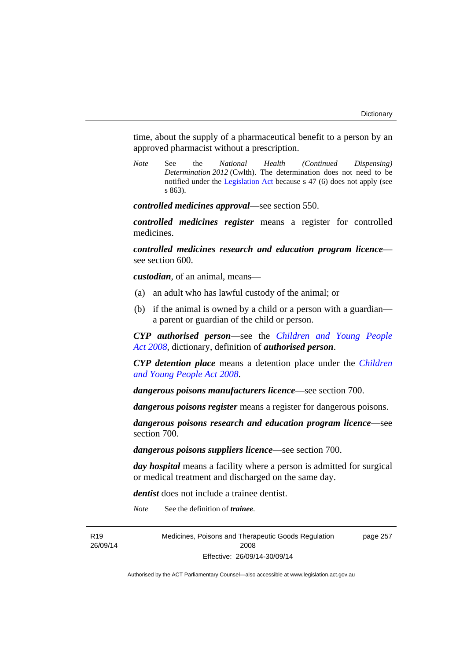time, about the supply of a pharmaceutical benefit to a person by an approved pharmacist without a prescription.

*Note* See the *National Health (Continued Dispensing) Determination 2012* (Cwlth). The determination does not need to be notified under the [Legislation Act](http://www.legislation.act.gov.au/a/2001-14) because s 47 (6) does not apply (see s 863).

*controlled medicines approval*—see section 550.

*controlled medicines register* means a register for controlled medicines.

*controlled medicines research and education program licence* see section 600.

*custodian*, of an animal, means—

- (a) an adult who has lawful custody of the animal; or
- (b) if the animal is owned by a child or a person with a guardian a parent or guardian of the child or person.

*CYP authorised person*—see the *[Children and Young People](http://www.legislation.act.gov.au/a/2008-19)  [Act 2008](http://www.legislation.act.gov.au/a/2008-19)*, dictionary, definition of *authorised person*.

*CYP detention place* means a detention place under the *[Children](http://www.legislation.act.gov.au/a/2008-19)  [and Young People Act 2008](http://www.legislation.act.gov.au/a/2008-19)*.

*dangerous poisons manufacturers licence*—see section 700.

*dangerous poisons register* means a register for dangerous poisons.

*dangerous poisons research and education program licence*—see section 700.

*dangerous poisons suppliers licence*—see section 700.

*day hospital* means a facility where a person is admitted for surgical or medical treatment and discharged on the same day.

*dentist* does not include a trainee dentist.

*Note* See the definition of *trainee*.

R19 26/09/14 Medicines, Poisons and Therapeutic Goods Regulation 2008 Effective: 26/09/14-30/09/14

page 257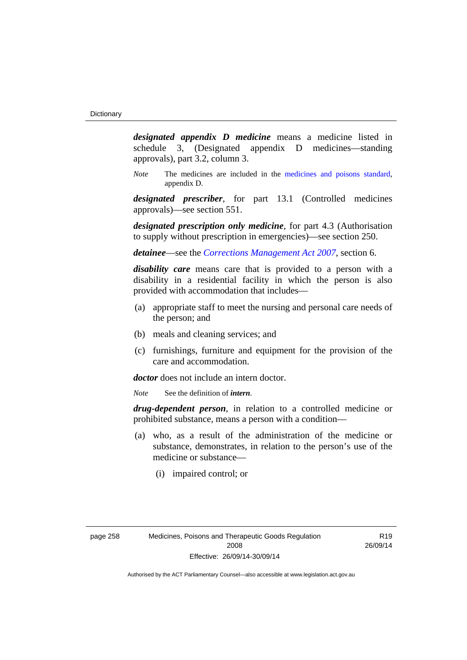*designated appendix D medicine* means a medicine listed in schedule 3, (Designated appendix D medicines—standing approvals), part 3.2, column 3.

*Note* The medicines are included in the [medicines and poisons standard,](http://www.comlaw.gov.au/Series/F2012L01200) appendix D.

*designated prescriber*, for part 13.1 (Controlled medicines approvals)—see section 551.

*designated prescription only medicine*, for part 4.3 (Authorisation to supply without prescription in emergencies)—see section 250.

*detainee*—see the *[Corrections Management Act 2007](http://www.legislation.act.gov.au/a/2007-15)*, section 6.

*disability care* means care that is provided to a person with a disability in a residential facility in which the person is also provided with accommodation that includes—

- (a) appropriate staff to meet the nursing and personal care needs of the person; and
- (b) meals and cleaning services; and
- (c) furnishings, furniture and equipment for the provision of the care and accommodation.

*doctor* does not include an intern doctor.

*Note* See the definition of *intern*.

*drug-dependent person*, in relation to a controlled medicine or prohibited substance, means a person with a condition—

- (a) who, as a result of the administration of the medicine or substance, demonstrates, in relation to the person's use of the medicine or substance—
	- (i) impaired control; or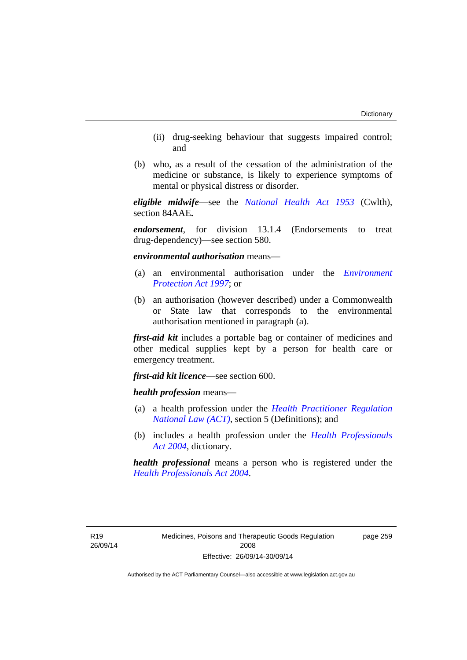- (ii) drug-seeking behaviour that suggests impaired control; and
- (b) who, as a result of the cessation of the administration of the medicine or substance, is likely to experience symptoms of mental or physical distress or disorder.

*eligible midwife*—see the *[National Health Act 1953](http://www.comlaw.gov.au/Series/C1953A00095)* (Cwlth), section 84AAE**.**

*endorsement*, for division 13.1.4 (Endorsements to treat drug-dependency)—see section 580.

*environmental authorisation* means—

- (a) an environmental authorisation under the *[Environment](http://www.legislation.act.gov.au/a/1997-92)  [Protection Act 1997](http://www.legislation.act.gov.au/a/1997-92)*; or
- (b) an authorisation (however described) under a Commonwealth or State law that corresponds to the environmental authorisation mentioned in paragraph (a).

*first-aid kit* includes a portable bag or container of medicines and other medical supplies kept by a person for health care or emergency treatment.

*first-aid kit licence*—see section 600.

*health profession* means—

- (a) a health profession under the *[Health Practitioner Regulation](http://www.legislation.act.gov.au/a/db_39269/default.asp)  [National Law \(ACT\)](http://www.legislation.act.gov.au/a/db_39269/default.asp)*, section 5 (Definitions); and
- (b) includes a health profession under the *[Health Professionals](http://www.legislation.act.gov.au/a/2004-38)  [Act 2004](http://www.legislation.act.gov.au/a/2004-38)*, dictionary.

*health professional* means a person who is registered under the *[Health Professionals Act 2004](http://www.legislation.act.gov.au/a/2004-38)*.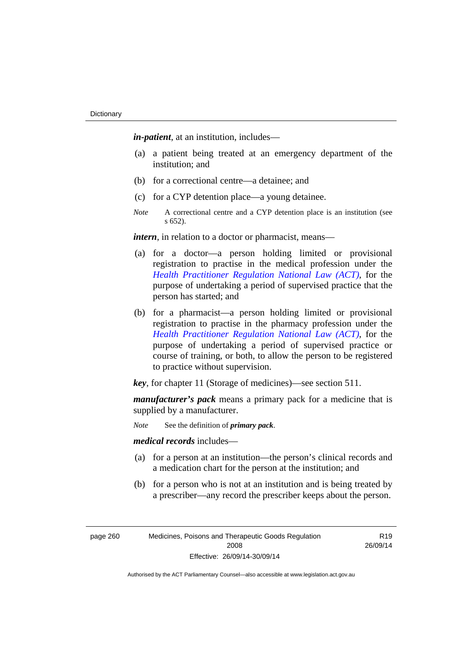*in-patient*, at an institution, includes—

- (a) a patient being treated at an emergency department of the institution; and
- (b) for a correctional centre—a detainee; and
- (c) for a CYP detention place—a young detainee.
- *Note* A correctional centre and a CYP detention place is an institution (see s 652).

*intern*, in relation to a doctor or pharmacist, means—

- (a) for a doctor—a person holding limited or provisional registration to practise in the medical profession under the *[Health Practitioner Regulation National Law \(ACT\)](http://www.legislation.act.gov.au/a/db_39269/default.asp)*, for the purpose of undertaking a period of supervised practice that the person has started; and
- (b) for a pharmacist—a person holding limited or provisional registration to practise in the pharmacy profession under the *[Health Practitioner Regulation National Law \(ACT\)](http://www.legislation.act.gov.au/a/db_39269/default.asp)*, for the purpose of undertaking a period of supervised practice or course of training, or both, to allow the person to be registered to practice without supervision.

*key*, for chapter 11 (Storage of medicines)—see section 511.

*manufacturer's pack* means a primary pack for a medicine that is supplied by a manufacturer.

*Note* See the definition of *primary pack*.

*medical records* includes—

- (a) for a person at an institution—the person's clinical records and a medication chart for the person at the institution; and
- (b) for a person who is not at an institution and is being treated by a prescriber—any record the prescriber keeps about the person.

page 260 Medicines, Poisons and Therapeutic Goods Regulation 2008 Effective: 26/09/14-30/09/14

R19 26/09/14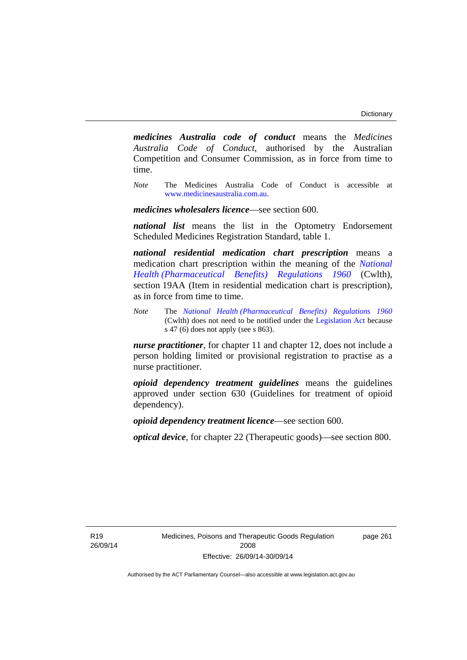*medicines Australia code of conduct* means the *Medicines Australia Code of Conduct*, authorised by the Australian Competition and Consumer Commission, as in force from time to time.

*Note* The Medicines Australia Code of Conduct is accessible at [www.medicinesaustralia.com.au](http://www.medicinesaustralia.com.au/).

*medicines wholesalers licence*—see section 600.

*national list* means the list in the Optometry Endorsement Scheduled Medicines Registration Standard, table 1.

*national residential medication chart prescription* means a medication chart prescription within the meaning of the *[National](http://www.comlaw.gov.au/Series/F1996B02844)  [Health \(Pharmaceutical Benefits\) Regulations 1960](http://www.comlaw.gov.au/Series/F1996B02844)* (Cwlth), section 19AA (Item in residential medication chart is prescription), as in force from time to time.

*Note* The *[National Health \(Pharmaceutical Benefits\) Regulations 1960](http://www.comlaw.gov.au/Series/F1996B02844)* (Cwlth) does not need to be notified under the [Legislation Act](http://www.legislation.act.gov.au/a/2001-14) because s 47 (6) does not apply (see s 863).

*nurse practitioner*, for chapter 11 and chapter 12, does not include a person holding limited or provisional registration to practise as a nurse practitioner.

*opioid dependency treatment guidelines* means the guidelines approved under section 630 (Guidelines for treatment of opioid dependency).

*opioid dependency treatment licence*—see section 600.

*optical device*, for chapter 22 (Therapeutic goods)—see section 800.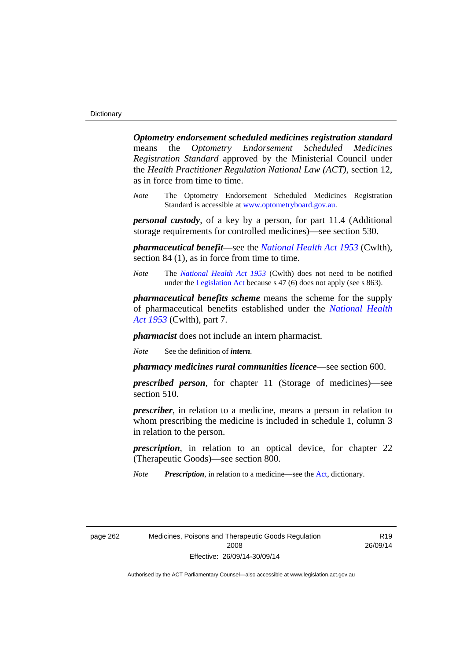*Optometry endorsement scheduled medicines registration standard* means the *Optometry Endorsement Scheduled Medicines Registration Standard* approved by the Ministerial Council under the *Health Practitioner Regulation National Law (ACT)*, section 12, as in force from time to time.

*Note* The Optometry Endorsement Scheduled Medicines Registration Standard is accessible at [www.optometryboard.gov.au](http://www.optometryboard.gov.au/).

*personal custody*, of a key by a person, for part 11.4 (Additional storage requirements for controlled medicines)—see section 530.

*pharmaceutical benefit*—see the *[National Health Act 1953](http://www.comlaw.gov.au/Series/C1953A00095)* (Cwlth), section 84 (1), as in force from time to time.

*Note* The *[National Health Act 1953](http://www.comlaw.gov.au/Series/C1953A00095)* (Cwlth) does not need to be notified under the [Legislation Act](http://www.legislation.act.gov.au/a/2001-14) because s 47 (6) does not apply (see s 863).

*pharmaceutical benefits scheme* means the scheme for the supply of pharmaceutical benefits established under the *[National Health](http://www.comlaw.gov.au/Series/C1953A00095)  [Act 1953](http://www.comlaw.gov.au/Series/C1953A00095)* (Cwlth), part 7.

*pharmacist* does not include an intern pharmacist.

*Note* See the definition of *intern*.

*pharmacy medicines rural communities licence*—see section 600.

*prescribed person*, for chapter 11 (Storage of medicines)—see section 510.

*prescriber*, in relation to a medicine, means a person in relation to whom prescribing the medicine is included in schedule 1, column 3 in relation to the person.

*prescription*, in relation to an optical device, for chapter 22 (Therapeutic Goods)—see section 800.

*Note Prescription*, in relation to a medicine—see the [Act](http://www.legislation.act.gov.au/a/2008-26/default.asp), dictionary.

page 262 Medicines, Poisons and Therapeutic Goods Regulation 2008 Effective: 26/09/14-30/09/14

R19 26/09/14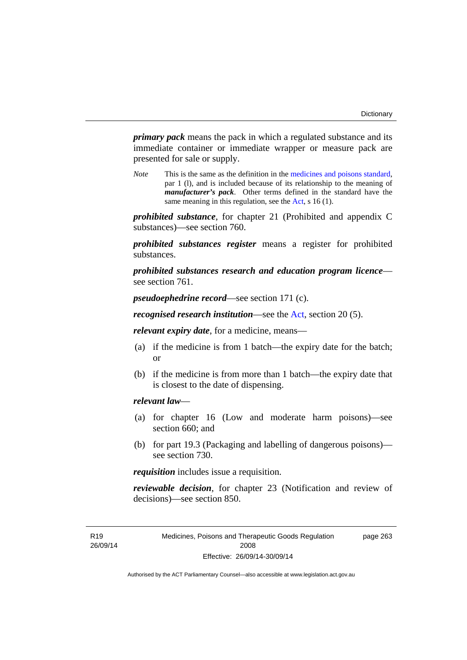*primary pack* means the pack in which a regulated substance and its immediate container or immediate wrapper or measure pack are presented for sale or supply.

*Note* This is the same as the definition in the [medicines and poisons standard,](http://www.comlaw.gov.au/Series/F2012L01200) par 1 (l), and is included because of its relationship to the meaning of *manufacturer's pack*. Other terms defined in the standard have the same meaning in this regulation, see the [Act](http://www.legislation.act.gov.au/a/2008-26/default.asp), s 16 (1).

*prohibited substance*, for chapter 21 (Prohibited and appendix C substances)—see section 760.

*prohibited substances register* means a register for prohibited substances.

*prohibited substances research and education program licence* see section 761.

*pseudoephedrine record*—see section 171 (c).

*recognised research institution*—see the [Act](http://www.legislation.act.gov.au/a/2008-26/default.asp), section 20 (5).

*relevant expiry date*, for a medicine, means—

- (a) if the medicine is from 1 batch—the expiry date for the batch; or
- (b) if the medicine is from more than 1 batch—the expiry date that is closest to the date of dispensing.

### *relevant law*—

- (a) for chapter 16 (Low and moderate harm poisons)—see section 660; and
- (b) for part 19.3 (Packaging and labelling of dangerous poisons) see section 730.

*requisition* includes issue a requisition.

*reviewable decision*, for chapter 23 (Notification and review of decisions)—see section 850.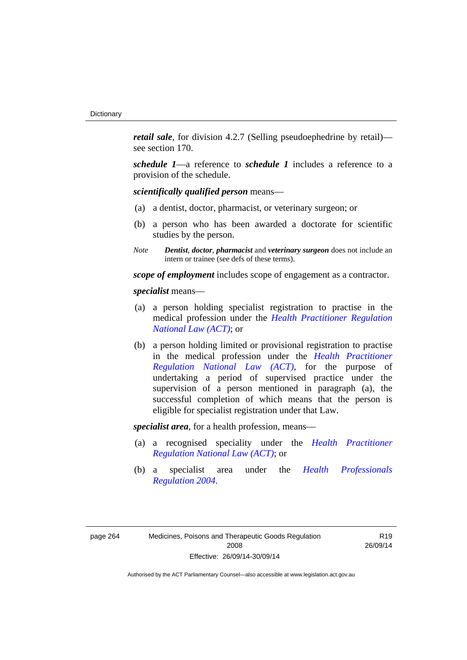*retail sale*, for division 4.2.7 (Selling pseudoephedrine by retail) see section 170.

*schedule 1*—a reference to *schedule 1* includes a reference to a provision of the schedule.

*scientifically qualified person* means—

- (a) a dentist, doctor, pharmacist, or veterinary surgeon; or
- (b) a person who has been awarded a doctorate for scientific studies by the person.
- *Note Dentist*, *doctor*, *pharmacist* and *veterinary surgeon* does not include an intern or trainee (see defs of these terms).

*scope of employment* includes scope of engagement as a contractor.

*specialist* means—

- (a) a person holding specialist registration to practise in the medical profession under the *[Health Practitioner Regulation](http://www.legislation.act.gov.au/a/db_39269/default.asp)  [National Law \(ACT\)](http://www.legislation.act.gov.au/a/db_39269/default.asp)*; or
- (b) a person holding limited or provisional registration to practise in the medical profession under the *[Health Practitioner](http://www.legislation.act.gov.au/a/db_39269/default.asp)  [Regulation National Law \(ACT\)](http://www.legislation.act.gov.au/a/db_39269/default.asp)*, for the purpose of undertaking a period of supervised practice under the supervision of a person mentioned in paragraph (a), the successful completion of which means that the person is eligible for specialist registration under that Law.

*specialist area*, for a health profession, means—

- (a) a recognised speciality under the *[Health Practitioner](http://www.legislation.act.gov.au/a/db_39269/default.asp)  [Regulation National Law \(ACT\)](http://www.legislation.act.gov.au/a/db_39269/default.asp)*; or
- (b) a specialist area under the *[Health Professionals](http://www.legislation.act.gov.au/sl/2004-41)  [Regulation 2004](http://www.legislation.act.gov.au/sl/2004-41)*.

R19 26/09/14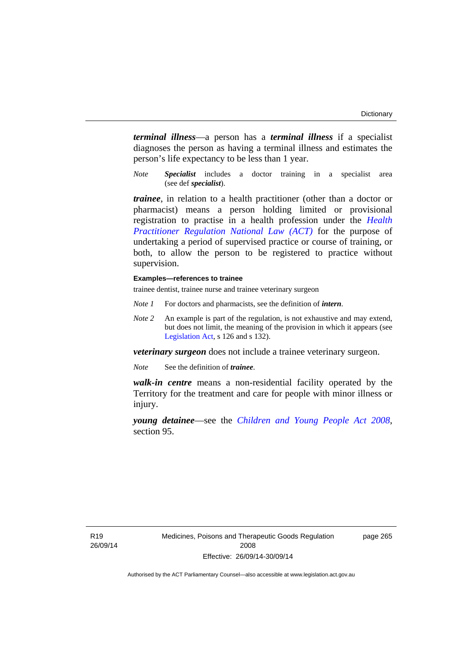*terminal illness*—a person has a *terminal illness* if a specialist diagnoses the person as having a terminal illness and estimates the person's life expectancy to be less than 1 year.

*Note Specialist* includes a doctor training in a specialist area (see def *specialist*).

*trainee*, in relation to a health practitioner (other than a doctor or pharmacist) means a person holding limited or provisional registration to practise in a health profession under the *[Health](http://www.legislation.act.gov.au/a/db_39269/default.asp)  [Practitioner Regulation National Law \(ACT\)](http://www.legislation.act.gov.au/a/db_39269/default.asp)* for the purpose of undertaking a period of supervised practice or course of training, or both, to allow the person to be registered to practice without supervision.

#### **Examples—references to trainee**

trainee dentist, trainee nurse and trainee veterinary surgeon

- *Note 1* For doctors and pharmacists, see the definition of *intern*.
- *Note 2* An example is part of the regulation, is not exhaustive and may extend, but does not limit, the meaning of the provision in which it appears (see [Legislation Act,](http://www.legislation.act.gov.au/a/2001-14) s 126 and s 132).

*veterinary surgeon* does not include a trainee veterinary surgeon.

*Note* See the definition of *trainee*.

*walk-in centre* means a non-residential facility operated by the Territory for the treatment and care for people with minor illness or injury.

*young detainee*—see the *[Children and Young People Act 2008](http://www.legislation.act.gov.au/a/2008-19)*, section 95.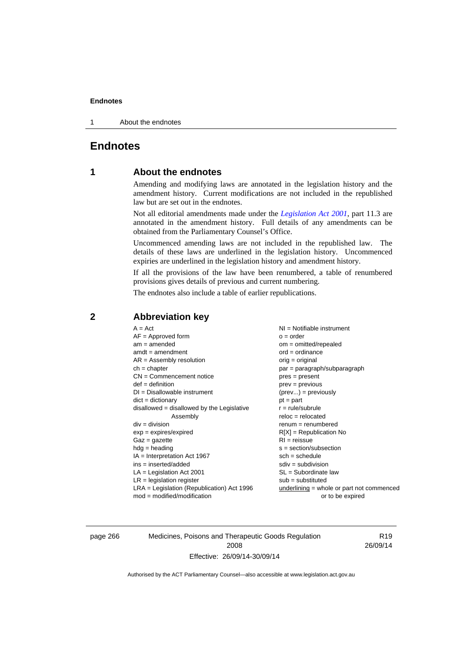1 About the endnotes

# **Endnotes**

# **1 About the endnotes**

Amending and modifying laws are annotated in the legislation history and the amendment history. Current modifications are not included in the republished law but are set out in the endnotes.

Not all editorial amendments made under the *[Legislation Act 2001](http://www.legislation.act.gov.au/a/2001-14)*, part 11.3 are annotated in the amendment history. Full details of any amendments can be obtained from the Parliamentary Counsel's Office.

Uncommenced amending laws are not included in the republished law. The details of these laws are underlined in the legislation history. Uncommenced expiries are underlined in the legislation history and amendment history.

If all the provisions of the law have been renumbered, a table of renumbered provisions gives details of previous and current numbering.

The endnotes also include a table of earlier republications.

# **2 Abbreviation key**

page 266 Medicines, Poisons and Therapeutic Goods Regulation 2008 Effective: 26/09/14-30/09/14

R19 26/09/14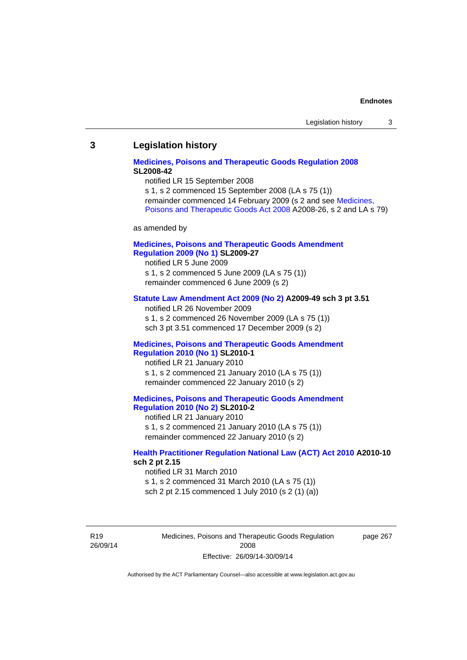#### **3 Legislation history**

### **[Medicines, Poisons and Therapeutic Goods Regulation 2008](http://www.legislation.act.gov.au/sl/2008-42) SL2008-42**

notified LR 15 September 2008

s 1, s 2 commenced 15 September 2008 (LA s 75 (1)) remainder commenced 14 February 2009 (s 2 and see [Medicines,](http://www.legislation.act.gov.au/a/2008-26)  [Poisons and Therapeutic Goods Act 2008](http://www.legislation.act.gov.au/a/2008-26) A2008-26, s 2 and LA s 79)

as amended by

### **[Medicines, Poisons and Therapeutic Goods Amendment](http://www.legislation.act.gov.au/sl/2009-27)  [Regulation 2009 \(No 1\)](http://www.legislation.act.gov.au/sl/2009-27) SL2009-27**

notified LR 5 June 2009 s 1, s 2 commenced 5 June 2009 (LA s 75 (1)) remainder commenced 6 June 2009 (s 2)

#### **[Statute Law Amendment Act 2009 \(No 2\)](http://www.legislation.act.gov.au/a/2009-49) A2009-49 sch 3 pt 3.51**

notified LR 26 November 2009 s 1, s 2 commenced 26 November 2009 (LA s 75 (1)) sch 3 pt 3.51 commenced 17 December 2009 (s 2)

#### **[Medicines, Poisons and Therapeutic Goods Amendment](http://www.legislation.act.gov.au/sl/2010-1)  [Regulation 2010 \(No 1\)](http://www.legislation.act.gov.au/sl/2010-1) SL2010-1**

notified LR 21 January 2010 s 1, s 2 commenced 21 January 2010 (LA s 75 (1)) remainder commenced 22 January 2010 (s 2)

#### **[Medicines, Poisons and Therapeutic Goods Amendment](http://www.legislation.act.gov.au/sl/2010-2)  [Regulation 2010 \(No 2\)](http://www.legislation.act.gov.au/sl/2010-2) SL2010-2**

notified LR 21 January 2010 s 1, s 2 commenced 21 January 2010 (LA s 75 (1)) remainder commenced 22 January 2010 (s 2)

#### **[Health Practitioner Regulation National Law \(ACT\) Act 2010](http://www.legislation.act.gov.au/a/2010-10) A2010-10 sch 2 pt 2.15**

notified LR 31 March 2010 s 1, s 2 commenced 31 March 2010 (LA s 75 (1)) sch 2 pt 2.15 commenced 1 July 2010 (s 2 (1) (a))

R19 26/09/14 Medicines, Poisons and Therapeutic Goods Regulation 2008 Effective: 26/09/14-30/09/14

page 267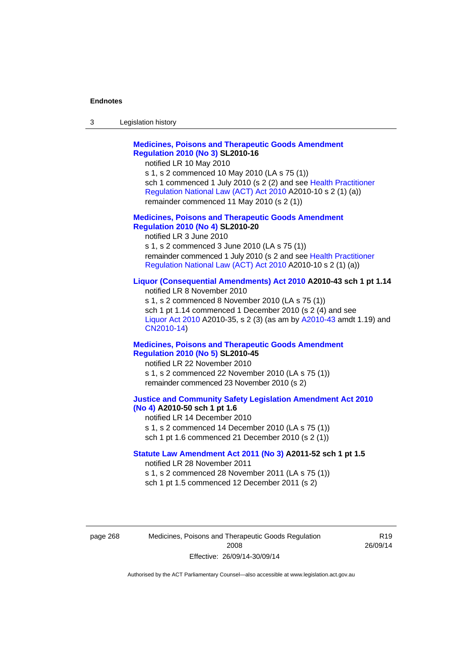| 3 | Legislation history |  |
|---|---------------------|--|
|---|---------------------|--|

# **[Medicines, Poisons and Therapeutic Goods Amendment](http://www.legislation.act.gov.au/sl/2010-16)  [Regulation 2010 \(No 3\)](http://www.legislation.act.gov.au/sl/2010-16) SL2010-16**

notified LR 10 May 2010

s 1, s 2 commenced 10 May 2010 (LA s 75 (1)) sch 1 commenced 1 July 2010 (s 2 (2) and see [Health Practitioner](http://www.legislation.act.gov.au/a/2010-10)  [Regulation National Law \(ACT\) Act 2010](http://www.legislation.act.gov.au/a/2010-10) A2010-10 s 2 (1) (a)) remainder commenced 11 May 2010 (s 2 (1))

#### **[Medicines, Poisons and Therapeutic Goods Amendment](http://www.legislation.act.gov.au/sl/2010-20)  [Regulation 2010 \(No 4\)](http://www.legislation.act.gov.au/sl/2010-20) SL2010-20**

notified LR 3 June 2010 s 1, s 2 commenced 3 June 2010 (LA s 75 (1)) remainder commenced 1 July 2010 (s 2 and see [Health Practitioner](http://www.legislation.act.gov.au/a/2010-10)  [Regulation National Law \(ACT\) Act 2010](http://www.legislation.act.gov.au/a/2010-10) A2010-10 s 2 (1) (a))

#### **[Liquor \(Consequential Amendments\) Act 2010](http://www.legislation.act.gov.au/a/2010-43) A2010-43 sch 1 pt 1.14**

notified LR 8 November 2010 s 1, s 2 commenced 8 November 2010 (LA s 75 (1)) sch 1 pt 1.14 commenced 1 December 2010 (s 2 (4) and see [Liquor Act 2010](http://www.legislation.act.gov.au/a/2010-35) A2010-35, s 2 (3) (as am by [A2010-43](http://www.legislation.act.gov.au/a/2010-43) amdt 1.19) and [CN2010-14](http://www.legislation.act.gov.au/cn/2010-14/default.asp))

#### **[Medicines, Poisons and Therapeutic Goods Amendment](http://www.legislation.act.gov.au/sl/2010-45)  [Regulation 2010 \(No 5\)](http://www.legislation.act.gov.au/sl/2010-45) SL2010-45**

notified LR 22 November 2010 s 1, s 2 commenced 22 November 2010 (LA s 75 (1)) remainder commenced 23 November 2010 (s 2)

#### **[Justice and Community Safety Legislation Amendment Act 2010](http://www.legislation.act.gov.au/a/2010-50)  [\(No 4\)](http://www.legislation.act.gov.au/a/2010-50) A2010-50 sch 1 pt 1.6**

notified LR 14 December 2010 s 1, s 2 commenced 14 December 2010 (LA s 75 (1)) sch 1 pt 1.6 commenced 21 December 2010 (s 2 (1))

#### **[Statute Law Amendment Act 2011 \(No 3\)](http://www.legislation.act.gov.au/a/2011-52) A2011-52 sch 1 pt 1.5**  notified LR 28 November 2011

s 1, s 2 commenced 28 November 2011 (LA s 75 (1)) sch 1 pt 1.5 commenced 12 December 2011 (s 2)

page 268 Medicines, Poisons and Therapeutic Goods Regulation 2008 Effective: 26/09/14-30/09/14

R19 26/09/14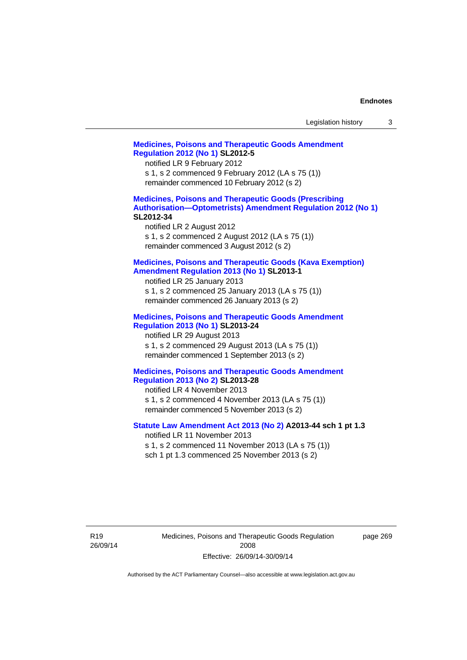| Legislation history |  |  |
|---------------------|--|--|
|---------------------|--|--|

# **[Medicines, Poisons and Therapeutic Goods Amendment](http://www.legislation.act.gov.au/sl/2012-5)  [Regulation 2012 \(No 1\)](http://www.legislation.act.gov.au/sl/2012-5) SL2012-5**  notified LR 9 February 2012 s 1, s 2 commenced 9 February 2012 (LA s 75 (1)) remainder commenced 10 February 2012 (s 2) **[Medicines, Poisons and Therapeutic Goods \(Prescribing](http://www.legislation.act.gov.au/sl/2012-34)  [Authorisation—Optometrists\) Amendment Regulation 2012 \(No 1\)](http://www.legislation.act.gov.au/sl/2012-34) SL2012-34**  notified LR 2 August 2012 s 1, s 2 commenced 2 August 2012 (LA s 75 (1)) remainder commenced 3 August 2012 (s 2) **[Medicines, Poisons and Therapeutic Goods \(Kava Exemption\)](http://www.legislation.act.gov.au/sl/2013-1/default.asp)  [Amendment Regulation 2013 \(No 1\)](http://www.legislation.act.gov.au/sl/2013-1/default.asp) SL2013-1**  notified LR 25 January 2013 s 1, s 2 commenced 25 January 2013 (LA s 75 (1)) remainder commenced 26 January 2013 (s 2) **[Medicines, Poisons and Therapeutic Goods Amendment](http://www.legislation.act.gov.au/sl/2013-24/default.asp)  [Regulation 2013 \(No 1\)](http://www.legislation.act.gov.au/sl/2013-24/default.asp) SL2013-24**  notified LR 29 August 2013 s 1, s 2 commenced 29 August 2013 (LA s 75 (1)) remainder commenced 1 September 2013 (s 2) **[Medicines, Poisons and Therapeutic Goods Amendment](http://www.legislation.act.gov.au/sl/2013-28)  [Regulation 2013 \(No 2\)](http://www.legislation.act.gov.au/sl/2013-28) SL2013-28**  notified LR 4 November 2013 s 1, s 2 commenced 4 November 2013 (LA s 75 (1)) remainder commenced 5 November 2013 (s 2) **[Statute Law Amendment Act 2013 \(No 2\)](http://www.legislation.act.gov.au/a/2013-44) A2013-44 sch 1 pt 1.3**  notified LR 11 November 2013 s 1, s 2 commenced 11 November 2013 (LA s 75 (1)) sch 1 pt 1.3 commenced 25 November 2013 (s 2)

Medicines, Poisons and Therapeutic Goods Regulation 2008 Effective: 26/09/14-30/09/14

page 269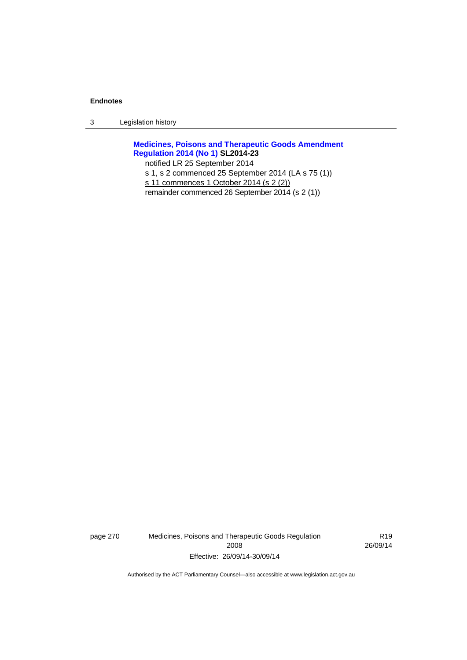3 Legislation history

**[Medicines, Poisons and Therapeutic Goods Amendment](http://www.legislation.act.gov.au/sl/2014-23)  [Regulation 2014 \(No 1\)](http://www.legislation.act.gov.au/sl/2014-23) SL2014-23** 

notified LR 25 September 2014

s 1, s 2 commenced 25 September 2014 (LA s 75 (1))

s 11 commences 1 October 2014 (s 2 (2))

remainder commenced 26 September 2014 (s 2 (1))

page 270 Medicines, Poisons and Therapeutic Goods Regulation 2008 Effective: 26/09/14-30/09/14

R19 26/09/14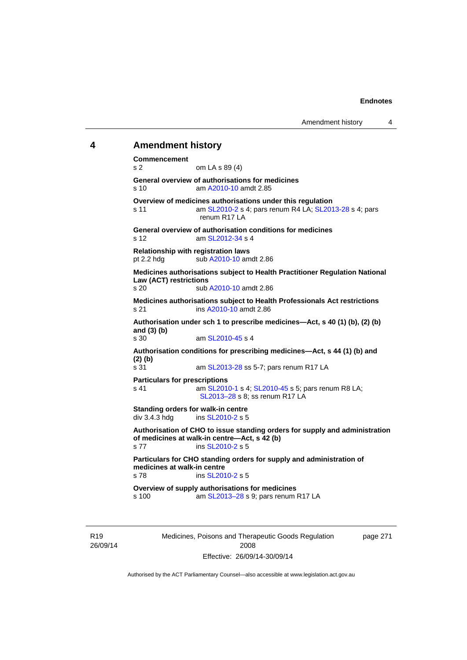## **4 Amendment history**

**Commencement**  s 2 om LA s 89 (4) **General overview of authorisations for medicines**  s 10 am [A2010-10](http://www.legislation.act.gov.au/a/2010-10) amdt 2.85 **Overview of medicines authorisations under this regulation**  s 11 am [SL2010-2](http://www.legislation.act.gov.au/sl/2010-2) s 4; pars renum R4 LA; [SL2013-28](http://www.legislation.act.gov.au/sl/2013-28) s 4; pars renum R17 LA **General overview of authorisation conditions for medicines**  s 12 am [SL2012-34](http://www.legislation.act.gov.au/sl/2012-34) s 4 **Relationship with registration laws**  pt 2.2 hdg sub [A2010-10](http://www.legislation.act.gov.au/a/2010-10) amdt 2.86 **Medicines authorisations subject to Health Practitioner Regulation National Law (ACT) restrictions**  sub [A2010-10](http://www.legislation.act.gov.au/a/2010-10) amdt 2.86 **Medicines authorisations subject to Health Professionals Act restrictions**  s 21 ins [A2010-10](http://www.legislation.act.gov.au/a/2010-10) amdt 2.86 **Authorisation under sch 1 to prescribe medicines—Act, s 40 (1) (b), (2) (b) and (3) (b)**  s 30 am [SL2010-45](http://www.legislation.act.gov.au/sl/2010-45) s 4 **Authorisation conditions for prescribing medicines—Act, s 44 (1) (b) and (2) (b)**  s 31 am [SL2013-28](http://www.legislation.act.gov.au/sl/2013-28) ss 5-7; pars renum R17 LA **Particulars for prescriptions**  s 41 **am [SL2010-1](http://www.legislation.act.gov.au/sl/2010-1) s 4; [SL2010-45](http://www.legislation.act.gov.au/sl/2010-45) s 5; pars renum R8 LA;** [SL2013–28](http://www.legislation.act.gov.au/sl/2013-28) s 8; ss renum R17 LA **Standing orders for walk-in centre**   $div 3.4.3$  hdg ins  $SL2010-2$  s 5 **Authorisation of CHO to issue standing orders for supply and administration of medicines at walk-in centre—Act, s 42 (b)**  s 77 ins [SL2010-2](http://www.legislation.act.gov.au/sl/2010-2) s 5 **Particulars for CHO standing orders for supply and administration of medicines at walk-in centre**  s 78 ins [SL2010-2](http://www.legislation.act.gov.au/sl/2010-2) s 5 **Overview of supply authorisations for medicines**  s 100 am [SL2013–28](http://www.legislation.act.gov.au/sl/2013-28) s 9; pars renum R17 LA

R19 26/09/14 Medicines, Poisons and Therapeutic Goods Regulation 2008 Effective: 26/09/14-30/09/14

page 271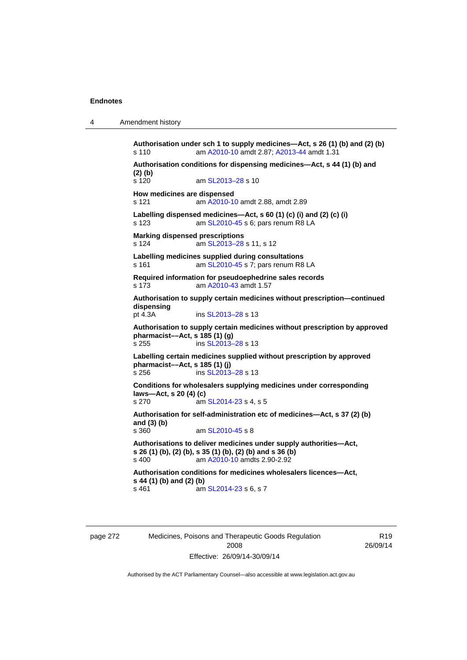4 Amendment history

**Authorisation under sch 1 to supply medicines—Act, s 26 (1) (b) and (2) (b)**  s 110 am [A2010-10](http://www.legislation.act.gov.au/a/2010-10) amdt 2.87; [A2013-44](http://www.legislation.act.gov.au/a/2013-44) amdt 1.31 **Authorisation conditions for dispensing medicines—Act, s 44 (1) (b) and (2) (b)**  s 120 am SL2013-28 s 10 **How medicines are dispensed**  s 121 am [A2010-10](http://www.legislation.act.gov.au/a/2010-10) amdt 2.88, amdt 2.89 **Labelling dispensed medicines—Act, s 60 (1) (c) (i) and (2) (c) (i)**  s 123 am [SL2010-45](http://www.legislation.act.gov.au/sl/2010-45) s 6; pars renum R8 LA **Marking dispensed prescriptions**  s 124 am [SL2013–28](http://www.legislation.act.gov.au/sl/2013-28) s 11, s 12 **Labelling medicines supplied during consultations**  s 161 **am [SL2010-45](http://www.legislation.act.gov.au/sl/2010-45) s 7; pars renum R8 LA Required information for pseudoephedrine sales records**  s 173 am [A2010-43](http://www.legislation.act.gov.au/a/2010-43) amdt 1.57 **Authorisation to supply certain medicines without prescription—continued dispensing**  ins [SL2013–28](http://www.legislation.act.gov.au/sl/2013-28) s 13 **Authorisation to supply certain medicines without prescription by approved pharmacist––Act, s 185 (1) (g)**  s 255 ins [SL2013–28](http://www.legislation.act.gov.au/sl/2013-28) s 13 **Labelling certain medicines supplied without prescription by approved pharmacist––Act, s 185 (1) (j)**  s 256 ins [SL2013–28](http://www.legislation.act.gov.au/sl/2013-28) s 13 **Conditions for wholesalers supplying medicines under corresponding laws—Act, s 20 (4) (c)**  s 270 am [SL2014-23](http://www.legislation.act.gov.au/sl/2014-23) s 4, s 5 **Authorisation for self-administration etc of medicines—Act, s 37 (2) (b) and (3) (b)**  s 360 am [SL2010-45](http://www.legislation.act.gov.au/sl/2010-45) s 8 **Authorisations to deliver medicines under supply authorities—Act, s 26 (1) (b), (2) (b), s 35 (1) (b), (2) (b) and s 36 (b)**<br>s 400 **am A2010-10 amdts 2.90-2.92** am [A2010-10](http://www.legislation.act.gov.au/a/2010-10) amdts 2.90-2.92 **Authorisation conditions for medicines wholesalers licences—Act, s 44 (1) (b) and (2) (b)**  s 461 **am [SL2014-23](http://www.legislation.act.gov.au/sl/2014-23) s 6, s 7** 

page 272 Medicines, Poisons and Therapeutic Goods Regulation 2008 Effective: 26/09/14-30/09/14

R19 26/09/14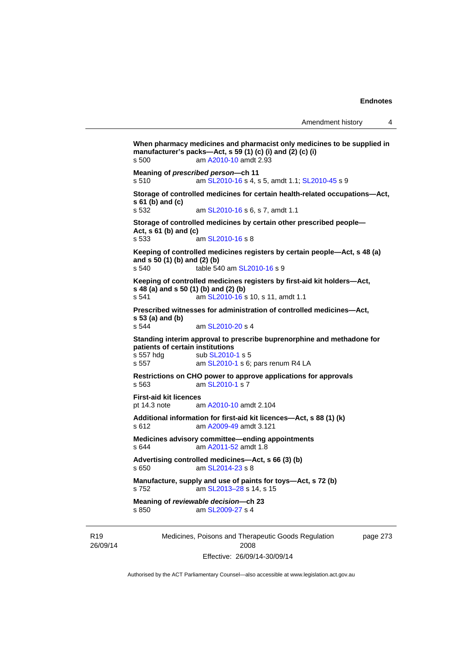```
Medicines, Poisons and Therapeutic Goods Regulation 
                                                              page 273 
When pharmacy medicines and pharmacist only medicines to be supplied in 
manufacturer's packs—Act, s 59 (1) (c) (i) and (2) (c) (i) 
s 500 am A2010-10 amdt 2.93
Meaning of prescribed person—ch 11 
s 510 am SL2010-16 s 4, s 5, amdt 1.1; SL2010-45 s 9 
Storage of controlled medicines for certain health-related occupations—Act, 
s 61 (b) and (c) 
s 532 am SL2010-16 s 6, s 7, amdt 1.1 
Storage of controlled medicines by certain other prescribed people—
Act, s 61 (b) and (c) 
s 533 am SL2010-16 s 8 
Keeping of controlled medicines registers by certain people—Act, s 48 (a) 
and s 50 (1) (b) and (2) (b) 
s 540 table 540 am SL2010-16 s 9 
Keeping of controlled medicines registers by first-aid kit holders—Act, 
s 48 (a) and s 50 (1) (b) and (2) (b) 
s 541 am SL2010-16 s 10, s 11, amdt 1.1 
Prescribed witnesses for administration of controlled medicines—Act, 
s 53 (a) and (b) 
s 544 am SL2010-20 s 4 
Standing interim approval to prescribe buprenorphine and methadone for 
patients of certain institutions 
                 SL2010-1 s 5
s 557 am SL2010-1 s 6; pars renum R4 LA 
Restrictions on CHO power to approve applications for approvals 
s 563 am SL2010-1 s 7 
First-aid kit licences 
pt 14.3 note am A2010-10 amdt 2.104
Additional information for first-aid kit licences—Act, s 88 (1) (k) 
s 612 am A2009-49 amdt 3.121
Medicines advisory committee—ending appointments 
s 644 am A2011-52 amdt 1.8
Advertising controlled medicines—Act, s 66 (3) (b) 
s 650 am SL2014-23 s 8 
Manufacture, supply and use of paints for toys—Act, s 72 (b) 
s 752 am SL2013–28 s 14, s 15 
Meaning of reviewable decision—ch 23 
s 850 am SL2009-27 s 4
```
R19 26/09/14

2008 Effective: 26/09/14-30/09/14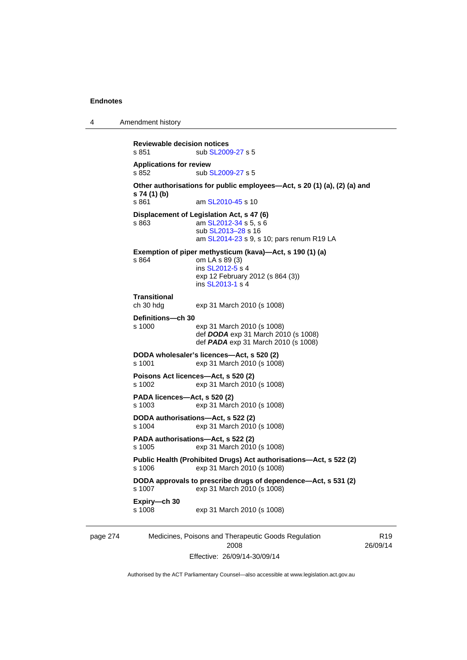4 Amendment history

```
page 274 Medicines, Poisons and Therapeutic Goods Regulation 
                                                                            R19
           Reviewable decision notices 
           SL2009-27 s 5
           Applications for review 
           SL2009-27 s 5
           Other authorisations for public employees—Act, s 20 (1) (a), (2) (a) and 
           s 74 (1) (b) 
           s 861  SL2010-45 s 10
           Displacement of Legislation Act, s 47 (6) 
           s 863 am SL2012-34 s 5, s 6
                            sub SL2013–28 s 16 
                            am SL2014-23 s 9, s 10; pars renum R19 LA 
           Exemption of piper methysticum (kava)—Act, s 190 (1) (a) 
           s 864 om LA s 89 (3) 
                            ins SL2012-5 s 4
                           exp 12 February 2012 (s 864 (3)) 
                            ins SL2013-1 s 4
           Transitional 
           ch 30 hdg exp 31 March 2010 (s 1008) 
           Definitions—ch 30 
           s 1000 exp 31 March 2010 (s 1008) 
                            def DODA exp 31 March 2010 (s 1008) 
                            def PADA exp 31 March 2010 (s 1008) 
           DODA wholesaler's licences—Act, s 520 (2) 
           s 1001 exp 31 March 2010 (s 1008) 
           Poisons Act licences—Act, s 520 (2) 
           s 1002 exp 31 March 2010 (s 1008) 
           PADA licences—Act, s 520 (2) 
           s 1003 exp 31 March 2010 (s 1008) 
           DODA authorisations—Act, s 522 (2) 
           s 1004 exp 31 March 2010 (s 1008) 
           PADA authorisations—Act, s 522 (2) 
           s 1005 exp 31 March 2010 (s 1008) 
           Public Health (Prohibited Drugs) Act authorisations—Act, s 522 (2) 
           s 1006 exp 31 March 2010 (s 1008) 
           DODA approvals to prescribe drugs of dependence—Act, s 531 (2) 
                           exp 31 March 2010 (s 1008)
           Expiry—ch 30 
           s 1008 exp 31 March 2010 (s 1008)
```
Authorised by the ACT Parliamentary Counsel—also accessible at www.legislation.act.gov.au

2008 Effective: 26/09/14-30/09/14 26/09/14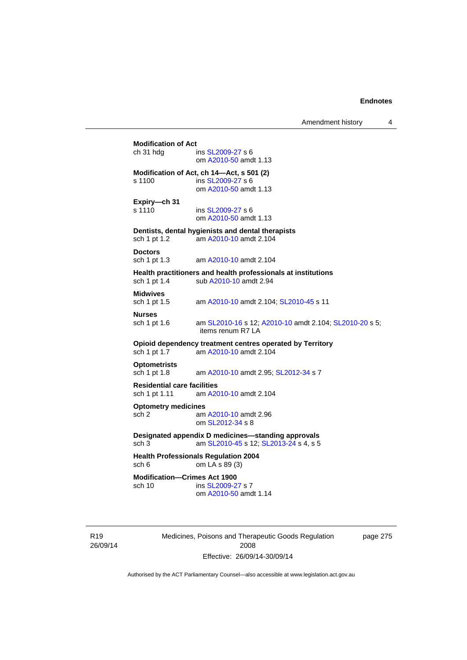| <b>Modification of Act</b><br>ch 31 hdg             | ins SL2009-27 s 6<br>om A2010-50 amdt 1.13                                                  |
|-----------------------------------------------------|---------------------------------------------------------------------------------------------|
| s 1100                                              | Modification of Act, ch 14-Act, s 501 (2)<br>ins SL2009-27 s 6<br>om A2010-50 amdt 1.13     |
| Expiry-ch 31<br>s 1110                              | ins SL2009-27 s 6<br>om A2010-50 amdt 1.13                                                  |
| sch 1 pt 1.2                                        | Dentists, dental hygienists and dental therapists<br>am A2010-10 amdt 2.104                 |
| <b>Doctors</b><br>sch 1 pt 1.3                      | am A2010-10 amdt 2.104                                                                      |
| sch 1 pt 1.4                                        | Health practitioners and health professionals at institutions<br>sub A2010-10 amdt 2.94     |
| <b>Midwives</b><br>sch 1 pt 1.5                     | am A2010-10 amdt 2.104; SL2010-45 s 11                                                      |
| <b>Nurses</b><br>sch 1 pt 1.6                       | am SL2010-16 s 12; A2010-10 amdt 2.104; SL2010-20 s 5;<br>items renum R7 LA                 |
| sch 1 pt 1.7                                        | Opioid dependency treatment centres operated by Territory<br>am A2010-10 amdt 2.104         |
| <b>Optometrists</b><br>sch 1 pt 1.8                 | am A2010-10 amdt 2.95; SL2012-34 s 7                                                        |
| <b>Residential care facilities</b><br>sch 1 pt 1.11 | am A2010-10 amdt 2.104                                                                      |
| <b>Optometry medicines</b><br>sch 2                 | am A2010-10 amdt 2.96<br>om SL2012-34 s 8                                                   |
| sch <sub>3</sub>                                    | Designated appendix D medicines-standing approvals<br>am SL2010-45 s 12; SL2013-24 s 4, s 5 |
| sch 6                                               | <b>Health Professionals Regulation 2004</b><br>om LA s 89 (3)                               |
| <b>Modification-Crimes Act 1900</b><br>sch 10       | ins SL2009-27 s 7<br>om A2010-50 amdt 1.14                                                  |

R19 26/09/14 Medicines, Poisons and Therapeutic Goods Regulation 2008 Effective: 26/09/14-30/09/14

page 275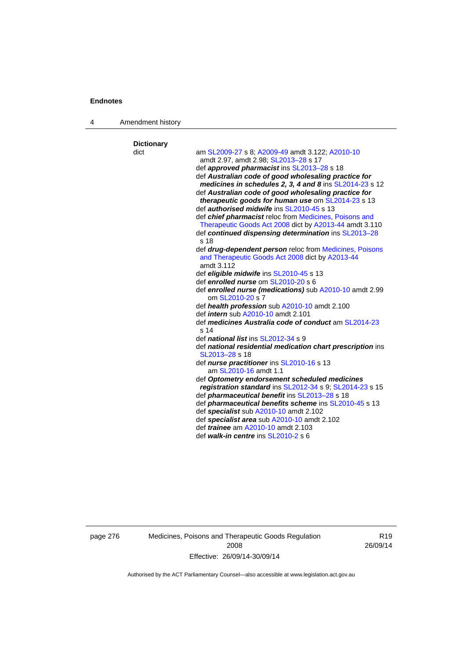4 Amendment history

| <b>Dictionary</b> |                                                                                                                          |
|-------------------|--------------------------------------------------------------------------------------------------------------------------|
| dict              | am SL2009-27 s 8; A2009-49 amdt 3.122; A2010-10                                                                          |
|                   | amdt 2.97, amdt 2.98; SL2013-28 s 17                                                                                     |
|                   | def <b>approved pharmacist</b> ins SL2013-28 s 18                                                                        |
|                   | def Australian code of good wholesaling practice for<br>medicines in schedules 2, 3, 4 and 8 ins SL2014-23 s 12          |
|                   | def Australian code of good wholesaling practice for                                                                     |
|                   | <b>therapeutic goods for human use om SL2014-23 s 13</b>                                                                 |
|                   | def <i>authorised midwife</i> ins SL2010-45 s 13                                                                         |
|                   | def chief pharmacist reloc from Medicines, Poisons and<br>Therapeutic Goods Act 2008 dict by A2013-44 amdt 3.110         |
|                   | def continued dispensing determination ins SL2013-28<br>s 18                                                             |
|                   | def drug-dependent person reloc from Medicines, Poisons<br>and Therapeutic Goods Act 2008 dict by A2013-44<br>amdt 3.112 |
|                   | def eligible midwife ins SL2010-45 s 13                                                                                  |
|                   | def enrolled nurse om SL2010-20 s 6                                                                                      |
|                   | def enrolled nurse (medications) sub A2010-10 amdt 2.99<br>om SL2010-20 s 7                                              |
|                   | def health profession sub A2010-10 amdt 2.100                                                                            |
|                   | def <i>intern</i> sub A2010-10 amdt 2.101                                                                                |
|                   | def medicines Australia code of conduct am SL2014-23<br>s <sub>14</sub>                                                  |
|                   | def <i>national list</i> ins SL2012-34 s 9                                                                               |
|                   | def national residential medication chart prescription ins                                                               |
|                   | SL2013-28 s 18                                                                                                           |
|                   | def nurse practitioner ins SL2010-16 s 13                                                                                |
|                   | am SL2010-16 amdt 1.1                                                                                                    |
|                   | def Optometry endorsement scheduled medicines                                                                            |
|                   | registration standard ins SL2012-34 s 9; SL2014-23 s 15                                                                  |
|                   | def <i>pharmaceutical benefit</i> ins SL2013-28 s 18                                                                     |
|                   | def <i>pharmaceutical benefits scheme</i> ins SL2010-45 s 13                                                             |
|                   | def specialist sub A2010-10 amdt 2.102                                                                                   |
|                   | def specialist area sub A2010-10 amdt 2.102                                                                              |
|                   | def <i>trainee</i> am A2010-10 amdt 2.103                                                                                |
|                   | def walk-in centre ins SL2010-2 s 6                                                                                      |

page 276 Medicines, Poisons and Therapeutic Goods Regulation 2008 Effective: 26/09/14-30/09/14

R19 26/09/14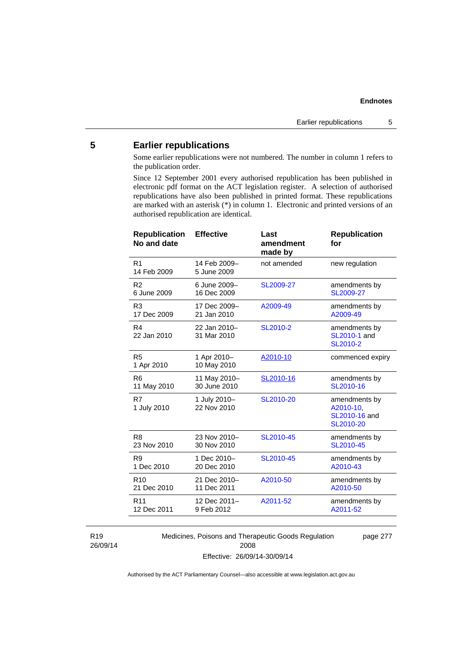# **5 Earlier republications**

Some earlier republications were not numbered. The number in column 1 refers to the publication order.

Since 12 September 2001 every authorised republication has been published in electronic pdf format on the ACT legislation register. A selection of authorised republications have also been published in printed format. These republications are marked with an asterisk (\*) in column 1. Electronic and printed versions of an authorised republication are identical.

| <b>Republication</b><br>No and date | <b>Effective</b>            | Last<br>amendment<br>made by | <b>Republication</b><br>for                              |
|-------------------------------------|-----------------------------|------------------------------|----------------------------------------------------------|
| R <sub>1</sub><br>14 Feb 2009       | 14 Feb 2009-<br>5 June 2009 | not amended                  | new regulation                                           |
| R <sub>2</sub>                      | 6 June 2009-                | SL2009-27                    | amendments by                                            |
| 6 June 2009                         | 16 Dec 2009                 |                              | SL2009-27                                                |
| R <sub>3</sub>                      | 17 Dec 2009-                | A2009-49                     | amendments by                                            |
| 17 Dec 2009                         | 21 Jan 2010                 |                              | A2009-49                                                 |
| R4<br>22 Jan 2010                   | 22 Jan 2010-<br>31 Mar 2010 | SL2010-2                     | amendments by<br>SL2010-1 and<br>SL2010-2                |
| R <sub>5</sub><br>1 Apr 2010        | 1 Apr 2010-<br>10 May 2010  | A2010-10                     | commenced expiry                                         |
| R <sub>6</sub>                      | 11 May 2010-                | SL2010-16                    | amendments by                                            |
| 11 May 2010                         | 30 June 2010                |                              | SL2010-16                                                |
| R7<br>1 July 2010                   | 1 July 2010-<br>22 Nov 2010 | SL2010-20                    | amendments by<br>A2010-10,<br>SL2010-16 and<br>SL2010-20 |
| R <sub>8</sub>                      | 23 Nov 2010-                | SL2010-45                    | amendments by                                            |
| 23 Nov 2010                         | 30 Nov 2010                 |                              | SL2010-45                                                |
| R <sub>9</sub>                      | 1 Dec 2010-                 | SL2010-45                    | amendments by                                            |
| 1 Dec 2010                          | 20 Dec 2010                 |                              | A2010-43                                                 |
| R <sub>10</sub>                     | 21 Dec 2010-                | A2010-50                     | amendments by                                            |
| 21 Dec 2010                         | 11 Dec 2011                 |                              | A2010-50                                                 |
| R <sub>11</sub>                     | 12 Dec 2011-                | A2011-52                     | amendments by                                            |
| 12 Dec 2011                         | 9 Feb 2012                  |                              | A2011-52                                                 |
|                                     |                             |                              |                                                          |

R19 26/09/14 Medicines, Poisons and Therapeutic Goods Regulation 2008 Effective: 26/09/14-30/09/14

page 277